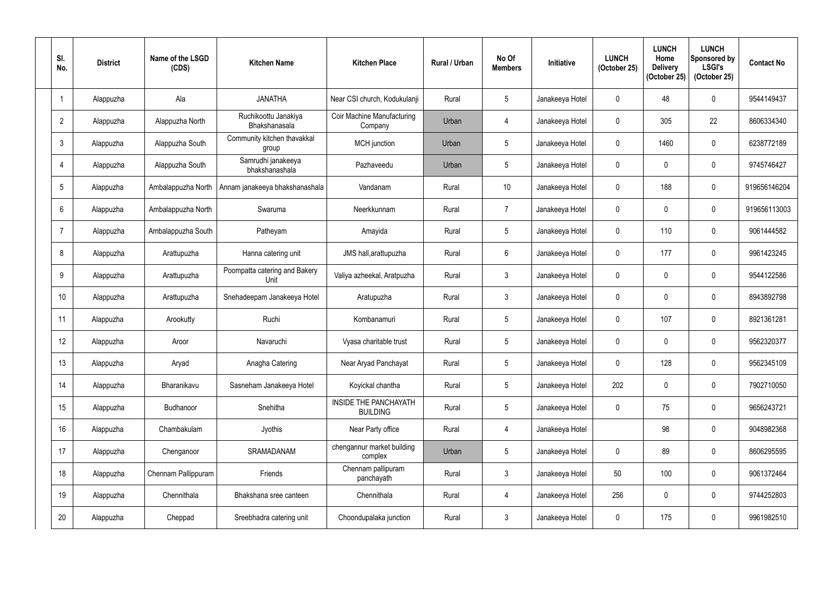| SI.<br>No.      | <b>District</b> | Name of the LSGD<br>(CDS) | <b>Kitchen Name</b>                   | <b>Kitchen Place</b>                            | <b>Rural / Urban</b> | No Of<br><b>Members</b> | Initiative      | <b>LUNCH</b><br>(October 25) | <b>LUNCH</b><br>Home<br><b>Delivery</b><br>(October 25) | <b>LUNCH</b><br>Sponsored by<br><b>LSGI's</b><br>(October 25) | <b>Contact No</b> |
|-----------------|-----------------|---------------------------|---------------------------------------|-------------------------------------------------|----------------------|-------------------------|-----------------|------------------------------|---------------------------------------------------------|---------------------------------------------------------------|-------------------|
| $\overline{1}$  | Alappuzha       | Ala                       | <b>JANATHA</b>                        | Near CSI church, Kodukulanji                    | Rural                | 5                       | Janakeeya Hotel | 0                            | 48                                                      | 0                                                             | 9544149437        |
| $\overline{2}$  | Alappuzha       | Alappuzha North           | Ruchikoottu Janakiya<br>Bhakshanasala | Coir Machine Manufacturing<br>Company           | Urban                | $\overline{4}$          | Janakeeya Hotel | $\mathbf 0$                  | 305                                                     | 22                                                            | 8606334340        |
| $\mathfrak{Z}$  | Alappuzha       | Alappuzha South           | Community kitchen thavakkal<br>group  | MCH junction                                    | Urban                | $5\phantom{.0}$         | Janakeeya Hotel | $\mathbf 0$                  | 1460                                                    | 0                                                             | 6238772189        |
| $\overline{4}$  | Alappuzha       | Alappuzha South           | Samrudhi janakeeya<br>bhakshanashala  | Pazhaveedu                                      | Urban                | $5\phantom{.0}$         | Janakeeya Hotel | $\mathbf 0$                  | $\mathbf{0}$                                            | 0                                                             | 9745746427        |
| $5\phantom{.0}$ | Alappuzha       | Ambalappuzha North        | Annam janakeeya bhakshanashala        | Vandanam                                        | Rural                | 10 <sup>°</sup>         | Janakeeya Hotel | $\mathbf 0$                  | 188                                                     | 0                                                             | 919656146204      |
| $6\,$           | Alappuzha       | Ambalappuzha North        | Swaruma                               | Neerkkunnam                                     | Rural                | $\overline{7}$          | Janakeeya Hotel | $\mathbf 0$                  | $\mathbf 0$                                             | 0                                                             | 919656113003      |
| $\overline{7}$  | Alappuzha       | Ambalappuzha South        | Patheyam                              | Amayida                                         | Rural                | 5                       | Janakeeya Hotel | $\mathbf{0}$                 | 110                                                     | 0                                                             | 9061444582        |
| 8               | Alappuzha       | Arattupuzha               | Hanna catering unit                   | JMS hall, arattupuzha                           | Rural                | $6\phantom{.}$          | Janakeeya Hotel | $\mathbf 0$                  | 177                                                     | 0                                                             | 9961423245        |
| 9               | Alappuzha       | Arattupuzha               | Poompatta catering and Bakery<br>Unit | Valiya azheekal, Aratpuzha                      | Rural                | $\mathfrak{Z}$          | Janakeeya Hotel | 0                            | 0                                                       | 0                                                             | 9544122586        |
| 10              | Alappuzha       | Arattupuzha               | Snehadeepam Janakeeya Hotel           | Aratupuzha                                      | Rural                | $\mathfrak{Z}$          | Janakeeya Hotel | 0                            | $\mathbf{0}$                                            | 0                                                             | 8943892798        |
| 11              | Alappuzha       | Arookutty                 | Ruchi                                 | Kombanamuri                                     | Rural                | $\overline{5}$          | Janakeeya Hotel | 0                            | 107                                                     | 0                                                             | 8921361281        |
| 12              | Alappuzha       | Aroor                     | Navaruchi                             | Vyasa charitable trust                          | Rural                | $\overline{5}$          | Janakeeya Hotel | $\mathbf 0$                  | $\mathbf 0$                                             | 0                                                             | 9562320377        |
| 13              | Alappuzha       | Aryad                     | Anagha Catering                       | Near Aryad Panchayat                            | Rural                | $\overline{5}$          | Janakeeya Hotel | 0                            | 128                                                     | 0                                                             | 9562345109        |
| 14              | Alappuzha       | Bharanikavu               | Sasneham Janakeeya Hotel              | Koyickal chantha                                | Rural                | $\sqrt{5}$              | Janakeeya Hotel | 202                          | 0                                                       | 0                                                             | 7902710050        |
| 15              | Alappuzha       | Budhanoor                 | Snehitha                              | <b>INSIDE THE PANCHAYATH</b><br><b>BUILDING</b> | Rural                | $5\phantom{.0}$         | Janakeeya Hotel | 0                            | 75                                                      | 0                                                             | 9656243721        |
| 16              | Alappuzha       | Chambakulam               | Jyothis                               | Near Party office                               | Rural                | $\overline{4}$          | Janakeeya Hotel |                              | 98                                                      | $\pmb{0}$                                                     | 9048982368        |
| 17              | Alappuzha       | Chenganoor                | SRAMADANAM                            | chengannur market building<br>complex           | Urban                | $\overline{5}$          | Janakeeya Hotel | 0                            | 89                                                      | 0                                                             | 8606295595        |
| 18              | Alappuzha       | Chennam Pallippuram       | Friends                               | Chennam pallipuram<br>panchayath                | Rural                | $\mathfrak{Z}$          | Janakeeya Hotel | 50                           | 100                                                     | 0                                                             | 9061372464        |
| 19              | Alappuzha       | Chennithala               | Bhakshana sree canteen                | Chennithala                                     | Rural                | $\overline{4}$          | Janakeeya Hotel | 256                          | $\mathbf 0$                                             | 0                                                             | 9744252803        |
| $20\,$          | Alappuzha       | Cheppad                   | Sreebhadra catering unit              | Choondupalaka junction                          | Rural                | $\mathfrak{Z}$          | Janakeeya Hotel | 0                            | 175                                                     | 0                                                             | 9961982510        |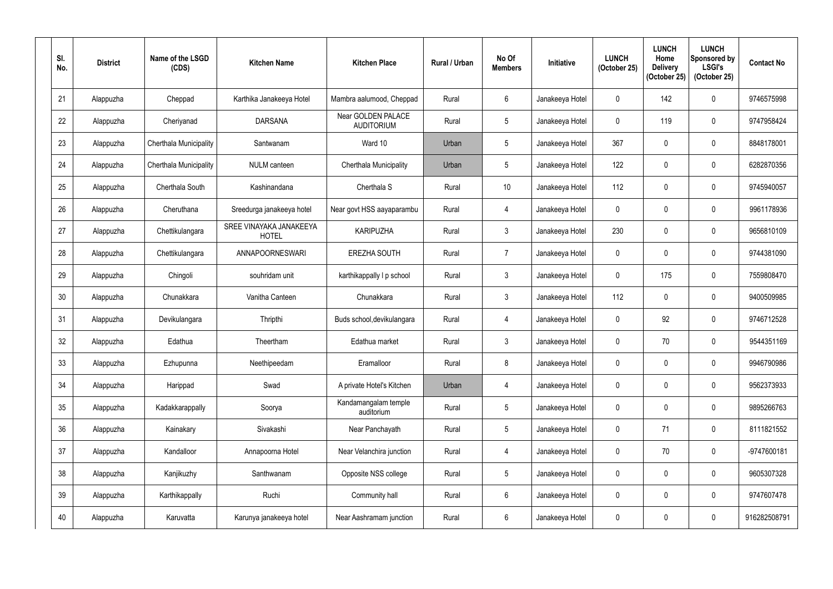| SI.<br>No. | <b>District</b> | Name of the LSGD<br>(CDS) | <b>Kitchen Name</b>                     | <b>Kitchen Place</b>                           | <b>Rural / Urban</b> | No Of<br><b>Members</b> | <b>Initiative</b> | <b>LUNCH</b><br>(October 25) | <b>LUNCH</b><br>Home<br><b>Delivery</b><br>(October 25) | <b>LUNCH</b><br>Sponsored by<br><b>LSGI's</b><br>(October 25) | <b>Contact No</b> |
|------------|-----------------|---------------------------|-----------------------------------------|------------------------------------------------|----------------------|-------------------------|-------------------|------------------------------|---------------------------------------------------------|---------------------------------------------------------------|-------------------|
| 21         | Alappuzha       | Cheppad                   | Karthika Janakeeya Hotel                | Mambra aalumood, Cheppad                       | Rural                | $6\phantom{.}$          | Janakeeya Hotel   | 0                            | 142                                                     | 0                                                             | 9746575998        |
| 22         | Alappuzha       | Cheriyanad                | <b>DARSANA</b>                          | <b>Near GOLDEN PALACE</b><br><b>AUDITORIUM</b> | Rural                | 5                       | Janakeeya Hotel   | $\mathbf 0$                  | 119                                                     | 0                                                             | 9747958424        |
| 23         | Alappuzha       | Cherthala Municipality    | Santwanam                               | Ward 10                                        | Urban                | $5\phantom{.0}$         | Janakeeya Hotel   | 367                          | $\mathbf 0$                                             | 0                                                             | 8848178001        |
| 24         | Alappuzha       | Cherthala Municipality    | NULM canteen                            | Cherthala Municipality                         | Urban                | $5\phantom{.0}$         | Janakeeya Hotel   | 122                          | $\mathbf 0$                                             | 0                                                             | 6282870356        |
| 25         | Alappuzha       | Cherthala South           | Kashinandana                            | Cherthala S                                    | Rural                | 10 <sup>°</sup>         | Janakeeya Hotel   | 112                          | $\mathbf 0$                                             | 0                                                             | 9745940057        |
| 26         | Alappuzha       | Cheruthana                | Sreedurga janakeeya hotel               | Near govt HSS aayaparambu                      | Rural                | $\overline{4}$          | Janakeeya Hotel   | $\mathbf 0$                  | $\mathbf 0$                                             | 0                                                             | 9961178936        |
| 27         | Alappuzha       | Chettikulangara           | SREE VINAYAKA JANAKEEYA<br><b>HOTEL</b> | <b>KARIPUZHA</b>                               | Rural                | $\mathbf{3}$            | Janakeeya Hotel   | 230                          | 0                                                       | $\mathbf 0$                                                   | 9656810109        |
| 28         | Alappuzha       | Chettikulangara           | ANNAPOORNESWARI                         | <b>EREZHA SOUTH</b>                            | Rural                | $\overline{7}$          | Janakeeya Hotel   | $\mathbf 0$                  | $\mathbf 0$                                             | 0                                                             | 9744381090        |
| 29         | Alappuzha       | Chingoli                  | souhridam unit                          | karthikappally I p school                      | Rural                | $\mathfrak{Z}$          | Janakeeya Hotel   | 0                            | 175                                                     | 0                                                             | 7559808470        |
| 30         | Alappuzha       | Chunakkara                | Vanitha Canteen                         | Chunakkara                                     | Rural                | $\mathfrak{Z}$          | Janakeeya Hotel   | 112                          | 0                                                       | 0                                                             | 9400509985        |
| 31         | Alappuzha       | Devikulangara             | Thripthi                                | Buds school, devikulangara                     | Rural                | 4                       | Janakeeya Hotel   | 0                            | 92                                                      | 0                                                             | 9746712528        |
| 32         | Alappuzha       | Edathua                   | Theertham                               | Edathua market                                 | Rural                | $\mathfrak{Z}$          | Janakeeya Hotel   | $\mathbf 0$                  | 70                                                      | 0                                                             | 9544351169        |
| 33         | Alappuzha       | Ezhupunna                 | Neethipeedam                            | Eramalloor                                     | Rural                | 8                       | Janakeeya Hotel   | $\mathbf 0$                  | $\mathbf 0$                                             | 0                                                             | 9946790986        |
| 34         | Alappuzha       | Harippad                  | Swad                                    | A private Hotel's Kitchen                      | Urban                | 4                       | Janakeeya Hotel   | $\mathbf 0$                  | $\mathbf 0$                                             | 0                                                             | 9562373933        |
| 35         | Alappuzha       | Kadakkarappally           | Soorya                                  | Kandamangalam temple<br>auditorium             | Rural                | $5\phantom{.0}$         | Janakeeya Hotel   | 0                            | $\mathbf 0$                                             | 0                                                             | 9895266763        |
| 36         | Alappuzha       | Kainakary                 | Sivakashi                               | Near Panchayath                                | Rural                | $5\phantom{.0}$         | Janakeeya Hotel   | $\mathbf 0$                  | 71                                                      | $\pmb{0}$                                                     | 8111821552        |
| 37         | Alappuzha       | Kandalloor                | Annapoorna Hotel                        | Near Velanchira junction                       | Rural                | 4                       | Janakeeya Hotel   | 0                            | 70                                                      | 0                                                             | -9747600181       |
| 38         | Alappuzha       | Kanjikuzhy                | Santhwanam                              | Opposite NSS college                           | Rural                | $\overline{5}$          | Janakeeya Hotel   | 0                            | $\mathbf 0$                                             | 0                                                             | 9605307328        |
| 39         | Alappuzha       | Karthikappally            | Ruchi                                   | Community hall                                 | Rural                | $6\phantom{.}$          | Janakeeya Hotel   | $\mathbf 0$                  | 0                                                       | 0                                                             | 9747607478        |
| 40         | Alappuzha       | Karuvatta                 | Karunya janakeeya hotel                 | Near Aashramam junction                        | Rural                | $6\,$                   | Janakeeya Hotel   | 0                            | 0                                                       | 0                                                             | 916282508791      |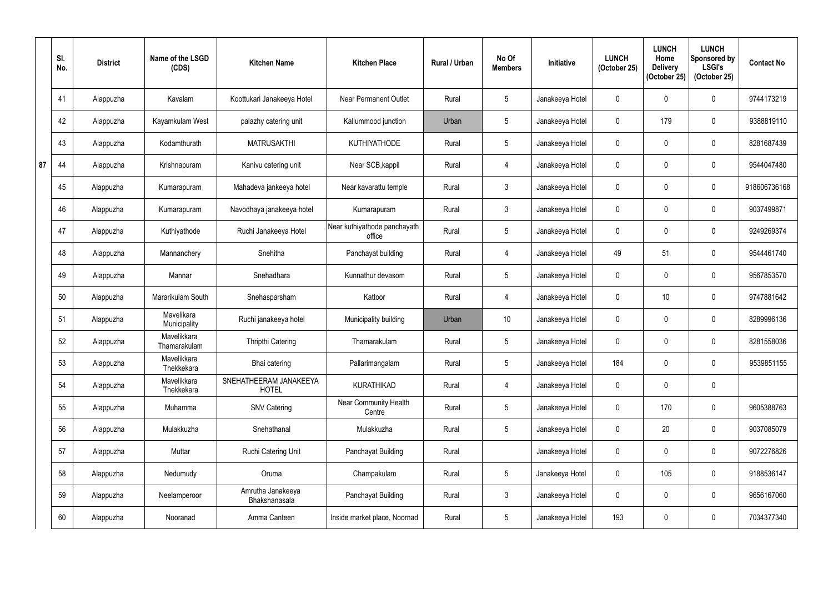|    | SI.<br>No. | <b>District</b> | Name of the LSGD<br>(CDS)   | <b>Kitchen Name</b>                    | <b>Kitchen Place</b>                   | Rural / Urban | No Of<br><b>Members</b> | Initiative      | <b>LUNCH</b><br>(October 25) | <b>LUNCH</b><br>Home<br><b>Delivery</b><br>(October 25) | <b>LUNCH</b><br>Sponsored by<br><b>LSGI's</b><br>(October 25) | <b>Contact No</b> |
|----|------------|-----------------|-----------------------------|----------------------------------------|----------------------------------------|---------------|-------------------------|-----------------|------------------------------|---------------------------------------------------------|---------------------------------------------------------------|-------------------|
|    | 41         | Alappuzha       | Kavalam                     | Koottukari Janakeeya Hotel             | <b>Near Permanent Outlet</b>           | Rural         | $5\phantom{.0}$         | Janakeeya Hotel | $\mathbf 0$                  |                                                         | $\mathbf 0$                                                   | 9744173219        |
|    | 42         | Alappuzha       | Kayamkulam West             | palazhy catering unit                  | Kallummood junction                    | Urban         | $5\phantom{.0}$         | Janakeeya Hotel | $\mathbf 0$                  | 179                                                     | $\pmb{0}$                                                     | 9388819110        |
|    | 43         | Alappuzha       | Kodamthurath                | <b>MATRUSAKTHI</b>                     | <b>KUTHIYATHODE</b>                    | Rural         | $5\phantom{.0}$         | Janakeeya Hotel | $\mathbf 0$                  | 0                                                       | $\mathbf 0$                                                   | 8281687439        |
| 87 | 44         | Alappuzha       | Krishnapuram                | Kanivu catering unit                   | Near SCB, kappil                       | Rural         | 4                       | Janakeeya Hotel | $\mathbf{0}$                 |                                                         | $\mathbf 0$                                                   | 9544047480        |
|    | 45         | Alappuzha       | Kumarapuram                 | Mahadeva jankeeya hotel                | Near kavarattu temple                  | Rural         | $\mathbf{3}$            | Janakeeya Hotel | $\mathbf 0$                  |                                                         | $\pmb{0}$                                                     | 918606736168      |
|    | 46         | Alappuzha       | Kumarapuram                 | Navodhaya janakeeya hotel              | Kumarapuram                            | Rural         | $\mathfrak{Z}$          | Janakeeya Hotel | $\mathbf 0$                  | $\Omega$                                                | 0                                                             | 9037499871        |
|    | 47         | Alappuzha       | Kuthiyathode                | Ruchi Janakeeya Hotel                  | Near kuthiyathode panchayath<br>office | Rural         | $5\phantom{.0}$         | Janakeeya Hotel | $\overline{0}$               |                                                         | $\mathbf 0$                                                   | 9249269374        |
|    | 48         | Alappuzha       | Mannanchery                 | Snehitha                               | Panchayat building                     | Rural         | 4                       | Janakeeya Hotel | 49                           | 51                                                      | $\pmb{0}$                                                     | 9544461740        |
|    | 49         | Alappuzha       | Mannar                      | Snehadhara                             | Kunnathur devasom                      | Rural         | $5\overline{)}$         | Janakeeya Hotel | $\mathbf 0$                  |                                                         | $\mathbf 0$                                                   | 9567853570        |
|    | 50         | Alappuzha       | Mararikulam South           | Snehasparsham                          | Kattoor                                | Rural         | 4                       | Janakeeya Hotel | $\mathbf 0$                  | 10 <sup>°</sup>                                         | 0                                                             | 9747881642        |
|    | 51         | Alappuzha       | Mavelikara<br>Municipality  | Ruchi janakeeya hotel                  | Municipality building                  | Urban         | 10 <sup>°</sup>         | Janakeeya Hotel | $\mathbf 0$                  | 0                                                       | $\mathbf 0$                                                   | 8289996136        |
|    | 52         | Alappuzha       | Mavelikkara<br>Thamarakulam | <b>Thripthi Catering</b>               | Thamarakulam                           | Rural         | $5\phantom{.0}$         | Janakeeya Hotel | $\mathbf 0$                  | 0                                                       | 0                                                             | 8281558036        |
|    | 53         | Alappuzha       | Mavelikkara<br>Thekkekara   | Bhai catering                          | Pallarimangalam                        | Rural         | $5\phantom{.0}$         | Janakeeya Hotel | 184                          | $\mathbf{0}$                                            | $\pmb{0}$                                                     | 9539851155        |
|    | 54         | Alappuzha       | Mavelikkara<br>Thekkekara   | SNEHATHEERAM JANAKEEYA<br><b>HOTEL</b> | <b>KURATHIKAD</b>                      | Rural         | $\overline{4}$          | Janakeeya Hotel | $\mathbf 0$                  | $\mathbf{0}$                                            | $\pmb{0}$                                                     |                   |
|    | 55         | Alappuzha       | Muhamma                     | <b>SNV Catering</b>                    | Near Community Health<br>Centre        | Rural         | $5\phantom{.0}$         | Janakeeya Hotel | $\mathbf 0$                  | 170                                                     | $\pmb{0}$                                                     | 9605388763        |
|    | 56         | Alappuzha       | Mulakkuzha                  | Snehathanal                            | Mulakkuzha                             | Rural         | $5\phantom{.0}$         | Janakeeya Hotel | $\mathbf 0$                  | 20                                                      | $\pmb{0}$                                                     | 9037085079        |
|    | 57         | Alappuzha       | Muttar                      | Ruchi Catering Unit                    | Panchayat Building                     | Rural         |                         | Janakeeya Hotel | $\pmb{0}$                    | $\mathbf 0$                                             | $\pmb{0}$                                                     | 9072276826        |
|    | 58         | Alappuzha       | Nedumudy                    | Oruma                                  | Champakulam                            | Rural         | $5\phantom{.0}$         | Janakeeya Hotel | $\mathbf 0$                  | 105                                                     | $\pmb{0}$                                                     | 9188536147        |
|    | 59         | Alappuzha       | Neelamperoor                | Amrutha Janakeeya<br>Bhakshanasala     | Panchayat Building                     | Rural         | $\mathbf{3}$            | Janakeeya Hotel | $\mathbf 0$                  | 0                                                       | $\pmb{0}$                                                     | 9656167060        |
|    | 60         | Alappuzha       | Nooranad                    | Amma Canteen                           | Inside market place, Noornad           | Rural         | $5\phantom{.0}$         | Janakeeya Hotel | 193                          | 0                                                       | $\pmb{0}$                                                     | 7034377340        |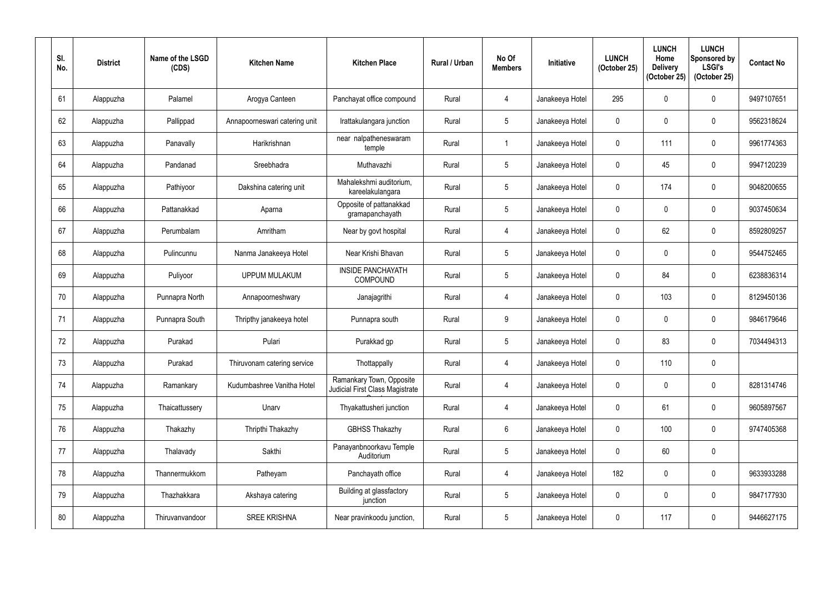| SI.<br>No. | <b>District</b> | Name of the LSGD<br>(CDS) | <b>Kitchen Name</b>           | <b>Kitchen Place</b>                                        | <b>Rural / Urban</b> | No Of<br><b>Members</b> | Initiative      | <b>LUNCH</b><br>(October 25) | <b>LUNCH</b><br>Home<br><b>Delivery</b><br>(October 25) | <b>LUNCH</b><br>Sponsored by<br><b>LSGI's</b><br>(October 25) | <b>Contact No</b> |
|------------|-----------------|---------------------------|-------------------------------|-------------------------------------------------------------|----------------------|-------------------------|-----------------|------------------------------|---------------------------------------------------------|---------------------------------------------------------------|-------------------|
| 61         | Alappuzha       | Palamel                   | Arogya Canteen                | Panchayat office compound                                   | Rural                | 4                       | Janakeeya Hotel | 295                          | 0                                                       | 0                                                             | 9497107651        |
| 62         | Alappuzha       | Pallippad                 | Annapoorneswari catering unit | Irattakulangara junction                                    | Rural                | $5\phantom{.0}$         | Janakeeya Hotel | 0                            | $\mathbf{0}$                                            | 0                                                             | 9562318624        |
| 63         | Alappuzha       | Panavally                 | Harikrishnan                  | near nalpatheneswaram<br>temple                             | Rural                | $\overline{1}$          | Janakeeya Hotel | 0                            | 111                                                     | 0                                                             | 9961774363        |
| 64         | Alappuzha       | Pandanad                  | Sreebhadra                    | Muthavazhi                                                  | Rural                | $\overline{5}$          | Janakeeya Hotel | 0                            | 45                                                      | 0                                                             | 9947120239        |
| 65         | Alappuzha       | Pathiyoor                 | Dakshina catering unit        | Mahalekshmi auditorium,<br>kareelakulangara                 | Rural                | $5\phantom{.0}$         | Janakeeya Hotel | 0                            | 174                                                     | 0                                                             | 9048200655        |
| 66         | Alappuzha       | Pattanakkad               | Aparna                        | Opposite of pattanakkad<br>gramapanchayath                  | Rural                | 5                       | Janakeeya Hotel | 0                            | 0                                                       | 0                                                             | 9037450634        |
| 67         | Alappuzha       | Perumbalam                | Amritham                      | Near by govt hospital                                       | Rural                | 4                       | Janakeeya Hotel | 0                            | 62                                                      | 0                                                             | 8592809257        |
| 68         | Alappuzha       | Pulincunnu                | Nanma Janakeeya Hotel         | Near Krishi Bhavan                                          | Rural                | $\overline{5}$          | Janakeeya Hotel | 0                            | 0                                                       | 0                                                             | 9544752465        |
| 69         | Alappuzha       | Puliyoor                  | <b>UPPUM MULAKUM</b>          | <b>INSIDE PANCHAYATH</b><br><b>COMPOUND</b>                 | Rural                | 5                       | Janakeeya Hotel | 0                            | 84                                                      | 0                                                             | 6238836314        |
| 70         | Alappuzha       | Punnapra North            | Annapoorneshwary              | Janajagrithi                                                | Rural                | 4                       | Janakeeya Hotel | 0                            | 103                                                     | 0                                                             | 8129450136        |
| 71         | Alappuzha       | Punnapra South            | Thripthy janakeeya hotel      | Punnapra south                                              | Rural                | 9                       | Janakeeya Hotel | 0                            | 0                                                       | 0                                                             | 9846179646        |
| 72         | Alappuzha       | Purakad                   | Pulari                        | Purakkad gp                                                 | Rural                | $\overline{5}$          | Janakeeya Hotel | 0                            | 83                                                      | 0                                                             | 7034494313        |
| 73         | Alappuzha       | Purakad                   | Thiruvonam catering service   | Thottappally                                                | Rural                | 4                       | Janakeeya Hotel | 0                            | 110                                                     | 0                                                             |                   |
| 74         | Alappuzha       | Ramankary                 | Kudumbashree Vanitha Hotel    | Ramankary Town, Opposite<br>Judicial First Class Magistrate | Rural                | 4                       | Janakeeya Hotel | 0                            | 0                                                       | 0                                                             | 8281314746        |
| 75         | Alappuzha       | Thaicattussery            | Unarv                         | Thyakattusheri junction                                     | Rural                | 4                       | Janakeeya Hotel | 0                            | 61                                                      | 0                                                             | 9605897567        |
| 76         | Alappuzha       | Thakazhy                  | Thripthi Thakazhy             | <b>GBHSS Thakazhy</b>                                       | Rural                | $6\phantom{.}$          | Janakeeya Hotel | 0                            | 100                                                     | $\pmb{0}$                                                     | 9747405368        |
| 77         | Alappuzha       | Thalavady                 | Sakthi                        | Panayanbnoorkavu Temple<br>Auditorium                       | Rural                | $\sqrt{5}$              | Janakeeya Hotel | 0                            | 60                                                      | 0                                                             |                   |
| 78         | Alappuzha       | Thannermukkom             | Patheyam                      | Panchayath office                                           | Rural                | $\overline{4}$          | Janakeeya Hotel | 182                          | 0                                                       | 0                                                             | 9633933288        |
| 79         | Alappuzha       | Thazhakkara               | Akshaya catering              | Building at glassfactory<br>junction                        | Rural                | $\overline{5}$          | Janakeeya Hotel | 0                            | 0                                                       | 0                                                             | 9847177930        |
| 80         | Alappuzha       | Thiruvanvandoor           | <b>SREE KRISHNA</b>           | Near pravinkoodu junction,                                  | Rural                | $\sqrt{5}$              | Janakeeya Hotel | 0                            | 117                                                     | 0                                                             | 9446627175        |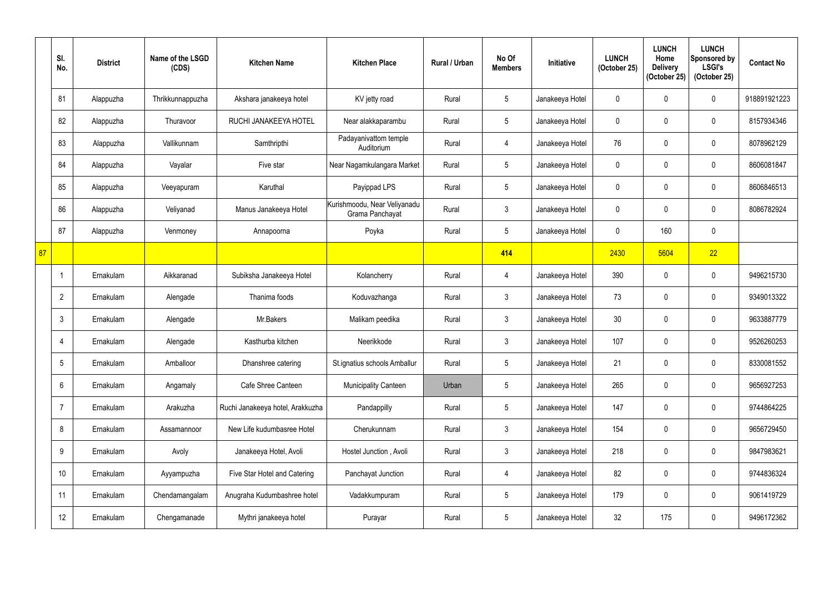|    | SI.<br>No.      | <b>District</b> | Name of the LSGD<br>(CDS) | <b>Kitchen Name</b>              | <b>Kitchen Place</b>                            | Rural / Urban | No Of<br><b>Members</b> | Initiative      | <b>LUNCH</b><br>(October 25) | <b>LUNCH</b><br>Home<br><b>Delivery</b><br>(October 25) | <b>LUNCH</b><br>Sponsored by<br><b>LSGI's</b><br>(October 25) | <b>Contact No</b> |
|----|-----------------|-----------------|---------------------------|----------------------------------|-------------------------------------------------|---------------|-------------------------|-----------------|------------------------------|---------------------------------------------------------|---------------------------------------------------------------|-------------------|
|    | 81              | Alappuzha       | Thrikkunnappuzha          | Akshara janakeeya hotel          | KV jetty road                                   | Rural         | 5                       | Janakeeya Hotel | $\mathbf{0}$                 |                                                         | $\mathbf 0$                                                   | 918891921223      |
|    | 82              | Alappuzha       | Thuravoor                 | RUCHI JANAKEEYA HOTEL            | Near alakkaparambu                              | Rural         | 5                       | Janakeeya Hotel | $\mathbf 0$                  |                                                         | $\pmb{0}$                                                     | 8157934346        |
|    | 83              | Alappuzha       | Vallikunnam               | Samthripthi                      | Padayanivattom temple<br>Auditorium             | Rural         | $\overline{4}$          | Janakeeya Hotel | 76                           | 0                                                       | $\mathbf 0$                                                   | 8078962129        |
|    | 84              | Alappuzha       | Vayalar                   | Five star                        | Near Nagamkulangara Market                      | Rural         | 5                       | Janakeeya Hotel | $\mathbf 0$                  |                                                         | $\mathbf 0$                                                   | 8606081847        |
|    | 85              | Alappuzha       | Veeyapuram                | Karuthal                         | Payippad LPS                                    | Rural         | $5\phantom{.0}$         | Janakeeya Hotel | $\mathbf 0$                  |                                                         | $\mathbf 0$                                                   | 8606846513        |
|    | 86              | Alappuzha       | Veliyanad                 | Manus Janakeeya Hotel            | Kurishmoodu, Near Veliyanadu<br>Grama Panchayat | Rural         | $3\phantom{.0}$         | Janakeeya Hotel | $\mathbf 0$                  | ∩                                                       | $\mathbf 0$                                                   | 8086782924        |
|    | 87              | Alappuzha       | Venmoney                  | Annapoorna                       | Poyka                                           | Rural         | 5                       | Janakeeya Hotel | $\mathbf{0}$                 | 160                                                     | $\mathbf 0$                                                   |                   |
| 87 |                 |                 |                           |                                  |                                                 |               | 414                     |                 | 2430                         | 5604                                                    | 22                                                            |                   |
|    |                 | Ernakulam       | Aikkaranad                | Subiksha Janakeeya Hotel         | Kolancherry                                     | Rural         | $\overline{4}$          | Janakeeya Hotel | 390                          |                                                         | $\mathbf 0$                                                   | 9496215730        |
|    | $\overline{2}$  | Ernakulam       | Alengade                  | Thanima foods                    | Koduvazhanga                                    | Rural         | 3 <sup>1</sup>          | Janakeeya Hotel | 73                           |                                                         | $\pmb{0}$                                                     | 9349013322        |
|    | 3               | Ernakulam       | Alengade                  | Mr.Bakers                        | Malikam peedika                                 | Rural         | $\mathfrak{Z}$          | Janakeeya Hotel | 30                           |                                                         | $\mathbf 0$                                                   | 9633887779        |
|    | 4               | Ernakulam       | Alengade                  | Kasthurba kitchen                | Neerikkode                                      | Rural         | $\mathfrak{Z}$          | Janakeeya Hotel | 107                          |                                                         | $\mathbf 0$                                                   | 9526260253        |
|    | $5\overline{)}$ | Ernakulam       | Amballoor                 | Dhanshree catering               | St.ignatius schools Amballur                    | Rural         | $5\phantom{.0}$         | Janakeeya Hotel | 21                           | 0                                                       | $\pmb{0}$                                                     | 8330081552        |
|    | 6               | Ernakulam       | Angamaly                  | Cafe Shree Canteen               | <b>Municipality Canteen</b>                     | Urban         | 5                       | Janakeeya Hotel | 265                          | $\Omega$                                                | $\mathbf 0$                                                   | 9656927253        |
|    | $\overline{7}$  | Ernakulam       | Arakuzha                  | Ruchi Janakeeya hotel, Arakkuzha | Pandappilly                                     | Rural         | 5                       | Janakeeya Hotel | 147                          | 0                                                       | $\mathbf 0$                                                   | 9744864225        |
|    | 8               | Ernakulam       | Assamannoor               | New Life kudumbasree Hotel       | Cherukunnam                                     | Rural         | $\mathfrak{Z}$          | Janakeeya Hotel | 154                          |                                                         | $\mathbf 0$                                                   | 9656729450        |
|    | 9               | Ernakulam       | Avoly                     | Janakeeya Hotel, Avoli           | Hostel Junction, Avoli                          | Rural         | $\mathbf{3}$            | Janakeeya Hotel | 218                          | $\mathbf{0}$                                            | $\pmb{0}$                                                     | 9847983621        |
|    | 10 <sup>°</sup> | Ernakulam       | Ayyampuzha                | Five Star Hotel and Catering     | Panchayat Junction                              | Rural         | $\overline{4}$          | Janakeeya Hotel | 82                           | 0                                                       | $\mathbf 0$                                                   | 9744836324        |
|    | 11              | Ernakulam       | Chendamangalam            | Anugraha Kudumbashree hotel      | Vadakkumpuram                                   | Rural         | 5                       | Janakeeya Hotel | 179                          | 0                                                       | $\mathbf 0$                                                   | 9061419729        |
|    | 12              | Ernakulam       | Chengamanade              | Mythri janakeeya hotel           | Purayar                                         | Rural         | $5\phantom{.0}$         | Janakeeya Hotel | 32                           | 175                                                     | $\pmb{0}$                                                     | 9496172362        |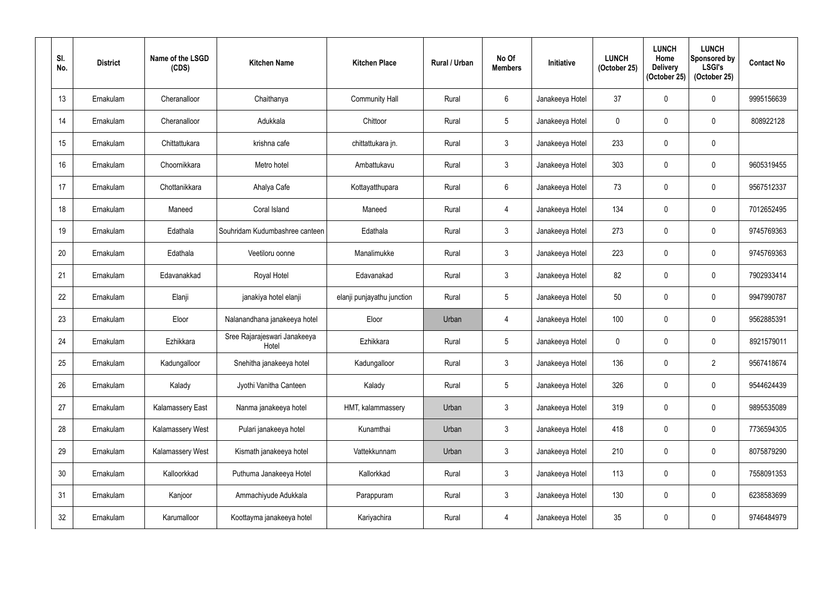| SI.<br>No. | <b>District</b> | Name of the LSGD<br>(CDS) | <b>Kitchen Name</b>                   | <b>Kitchen Place</b>       | <b>Rural / Urban</b> | No Of<br><b>Members</b> | Initiative      | <b>LUNCH</b><br>(October 25) | <b>LUNCH</b><br>Home<br><b>Delivery</b><br>(October 25) | <b>LUNCH</b><br>Sponsored by<br><b>LSGI's</b><br>(October 25) | <b>Contact No</b> |
|------------|-----------------|---------------------------|---------------------------------------|----------------------------|----------------------|-------------------------|-----------------|------------------------------|---------------------------------------------------------|---------------------------------------------------------------|-------------------|
| 13         | Ernakulam       | Cheranalloor              | Chaithanya                            | <b>Community Hall</b>      | Rural                | 6                       | Janakeeya Hotel | 37                           | 0                                                       | 0                                                             | 9995156639        |
| 14         | Ernakulam       | Cheranalloor              | Adukkala                              | Chittoor                   | Rural                | $5\overline{)}$         | Janakeeya Hotel | $\mathbf 0$                  | $\mathbf{0}$                                            | 0                                                             | 808922128         |
| 15         | Ernakulam       | Chittattukara             | krishna cafe                          | chittattukara jn.          | Rural                | $\mathfrak{Z}$          | Janakeeya Hotel | 233                          | $\mathbf 0$                                             | 0                                                             |                   |
| 16         | Ernakulam       | Choornikkara              | Metro hotel                           | Ambattukavu                | Rural                | $\mathfrak{Z}$          | Janakeeya Hotel | 303                          | $\mathbf 0$                                             | 0                                                             | 9605319455        |
| 17         | Ernakulam       | Chottanikkara             | Ahalya Cafe                           | Kottayatthupara            | Rural                | $6\phantom{.}$          | Janakeeya Hotel | 73                           | $\mathbf 0$                                             | 0                                                             | 9567512337        |
| 18         | Ernakulam       | Maneed                    | Coral Island                          | Maneed                     | Rural                | 4                       | Janakeeya Hotel | 134                          | 0                                                       | 0                                                             | 7012652495        |
| 19         | Ernakulam       | Edathala                  | Souhridam Kudumbashree canteen        | Edathala                   | Rural                | $\mathfrak{Z}$          | Janakeeya Hotel | 273                          | 0                                                       | 0                                                             | 9745769363        |
| 20         | Ernakulam       | Edathala                  | Veetiloru oonne                       | Manalimukke                | Rural                | $\mathfrak{Z}$          | Janakeeya Hotel | 223                          | $\mathbf 0$                                             | 0                                                             | 9745769363        |
| 21         | Ernakulam       | Edavanakkad               | Royal Hotel                           | Edavanakad                 | Rural                | $\mathfrak{Z}$          | Janakeeya Hotel | 82                           | 0                                                       | 0                                                             | 7902933414        |
| 22         | Ernakulam       | Elanji                    | janakiya hotel elanji                 | elanji punjayathu junction | Rural                | $\overline{5}$          | Janakeeya Hotel | 50                           | $\mathbf 0$                                             | 0                                                             | 9947990787        |
| 23         | Ernakulam       | Eloor                     | Nalanandhana janakeeya hotel          | Eloor                      | Urban                | $\overline{4}$          | Janakeeya Hotel | 100                          | $\mathbf 0$                                             | 0                                                             | 9562885391        |
| 24         | Ernakulam       | Ezhikkara                 | Sree Rajarajeswari Janakeeya<br>Hotel | Ezhikkara                  | Rural                | $\overline{5}$          | Janakeeya Hotel | 0                            | $\mathbf 0$                                             | 0                                                             | 8921579011        |
| 25         | Ernakulam       | Kadungalloor              | Snehitha janakeeya hotel              | Kadungalloor               | Rural                | $\mathfrak{Z}$          | Janakeeya Hotel | 136                          | 0                                                       | $\overline{2}$                                                | 9567418674        |
| 26         | Ernakulam       | Kalady                    | Jyothi Vanitha Canteen                | Kalady                     | Rural                | $5\,$                   | Janakeeya Hotel | 326                          | $\mathbf 0$                                             | 0                                                             | 9544624439        |
| 27         | Ernakulam       | Kalamassery East          | Nanma janakeeya hotel                 | HMT, kalammassery          | Urban                | $\mathfrak{Z}$          | Janakeeya Hotel | 319                          | $\mathbf 0$                                             | 0                                                             | 9895535089        |
| 28         | Ernakulam       | Kalamassery West          | Pulari janakeeya hotel                | Kunamthai                  | Urban                | $\mathfrak{Z}$          | Janakeeya Hotel | 418                          | $\mathbf 0$                                             | 0                                                             | 7736594305        |
| 29         | Ernakulam       | <b>Kalamassery West</b>   | Kismath janakeeya hotel               | Vattekkunnam               | Urban                | $\mathfrak{Z}$          | Janakeeya Hotel | 210                          | 0                                                       | 0                                                             | 8075879290        |
| 30         | Ernakulam       | Kalloorkkad               | Puthuma Janakeeya Hotel               | Kallorkkad                 | Rural                | $\mathfrak{Z}$          | Janakeeya Hotel | 113                          | $\mathbf 0$                                             | 0                                                             | 7558091353        |
| 31         | Ernakulam       | Kanjoor                   | Ammachiyude Adukkala                  | Parappuram                 | Rural                | $\mathfrak{Z}$          | Janakeeya Hotel | 130                          | $\mathbf 0$                                             | 0                                                             | 6238583699        |
| 32         | Ernakulam       | Karumalloor               | Koottayma janakeeya hotel             | Kariyachira                | Rural                | $\overline{4}$          | Janakeeya Hotel | 35                           | 0                                                       | 0                                                             | 9746484979        |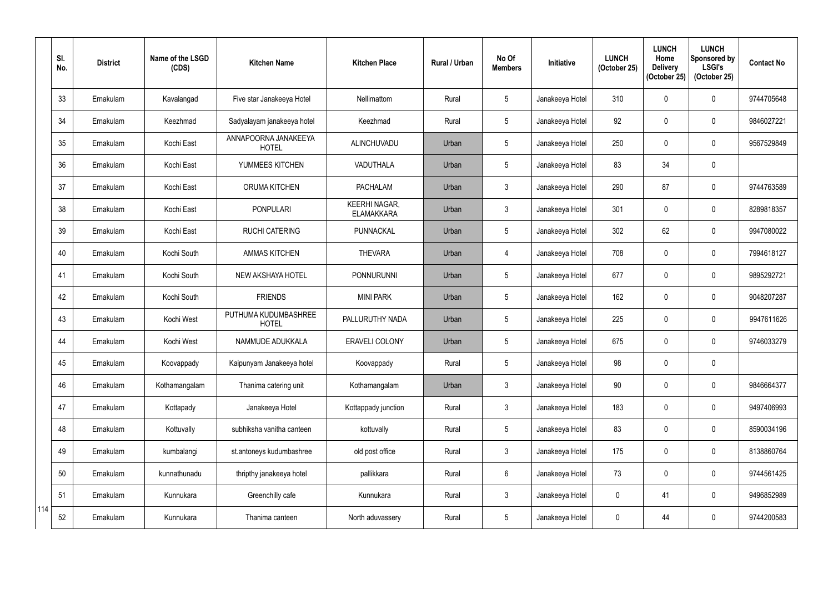|     | SI.<br>No. | <b>District</b> | Name of the LSGD<br>(CDS) | <b>Kitchen Name</b>                  | <b>Kitchen Place</b>                      | Rural / Urban | No Of<br><b>Members</b> | <b>Initiative</b> | <b>LUNCH</b><br>(October 25) | <b>LUNCH</b><br>Home<br><b>Delivery</b><br>(October 25) | <b>LUNCH</b><br>Sponsored by<br><b>LSGI's</b><br>(October 25) | <b>Contact No</b> |
|-----|------------|-----------------|---------------------------|--------------------------------------|-------------------------------------------|---------------|-------------------------|-------------------|------------------------------|---------------------------------------------------------|---------------------------------------------------------------|-------------------|
|     | 33         | Ernakulam       | Kavalangad                | Five star Janakeeya Hotel            | Nellimattom                               | Rural         | $5\phantom{.0}$         | Janakeeya Hotel   | 310                          | $\mathbf{0}$                                            | $\mathbf 0$                                                   | 9744705648        |
|     | 34         | Ernakulam       | Keezhmad                  | Sadyalayam janakeeya hotel           | Keezhmad                                  | Rural         | $5\phantom{.0}$         | Janakeeya Hotel   | 92                           | $\mathbf 0$                                             | $\mathbf 0$                                                   | 9846027221        |
|     | 35         | Ernakulam       | Kochi East                | ANNAPOORNA JANAKEEYA<br><b>HOTEL</b> | ALINCHUVADU                               | Urban         | $5\phantom{.0}$         | Janakeeya Hotel   | 250                          | 0                                                       | $\mathbf 0$                                                   | 9567529849        |
|     | 36         | Ernakulam       | Kochi East                | YUMMEES KITCHEN                      | VADUTHALA                                 | Urban         | $5\phantom{.0}$         | Janakeeya Hotel   | 83                           | 34                                                      | $\pmb{0}$                                                     |                   |
|     | 37         | Ernakulam       | Kochi East                | <b>ORUMA KITCHEN</b>                 | <b>PACHALAM</b>                           | Urban         | $\mathbf{3}$            | Janakeeya Hotel   | 290                          | 87                                                      | $\pmb{0}$                                                     | 9744763589        |
|     | 38         | Ernakulam       | Kochi East                | <b>PONPULARI</b>                     | <b>KEERHI NAGAR,</b><br><b>ELAMAKKARA</b> | Urban         | $\mathbf{3}$            | Janakeeya Hotel   | 301                          | 0                                                       | $\pmb{0}$                                                     | 8289818357        |
|     | 39         | Ernakulam       | Kochi East                | <b>RUCHI CATERING</b>                | PUNNACKAL                                 | Urban         | $5\phantom{.0}$         | Janakeeya Hotel   | 302                          | 62                                                      | $\pmb{0}$                                                     | 9947080022        |
|     | 40         | Ernakulam       | Kochi South               | <b>AMMAS KITCHEN</b>                 | <b>THEVARA</b>                            | Urban         | $\overline{4}$          | Janakeeya Hotel   | 708                          | 0                                                       | $\pmb{0}$                                                     | 7994618127        |
|     | 41         | Ernakulam       | Kochi South               | <b>NEW AKSHAYA HOTEL</b>             | PONNURUNNI                                | Urban         | $5\phantom{.0}$         | Janakeeya Hotel   | 677                          | 0                                                       | $\mathbf 0$                                                   | 9895292721        |
|     | 42         | Ernakulam       | Kochi South               | <b>FRIENDS</b>                       | <b>MINI PARK</b>                          | Urban         | $\overline{5}$          | Janakeeya Hotel   | 162                          | $\mathbf 0$                                             | $\pmb{0}$                                                     | 9048207287        |
|     | 43         | Ernakulam       | Kochi West                | PUTHUMA KUDUMBASHREE<br><b>HOTEL</b> | PALLURUTHY NADA                           | Urban         | $5\phantom{.0}$         | Janakeeya Hotel   | 225                          | 0                                                       | $\mathbf 0$                                                   | 9947611626        |
|     | 44         | Ernakulam       | Kochi West                | NAMMUDE ADUKKALA                     | <b>ERAVELI COLONY</b>                     | Urban         | 5                       | Janakeeya Hotel   | 675                          | 0                                                       | $\mathbf 0$                                                   | 9746033279        |
|     | 45         | Ernakulam       | Koovappady                | Kaipunyam Janakeeya hotel            | Koovappady                                | Rural         | $5\phantom{.0}$         | Janakeeya Hotel   | 98                           | 0                                                       | $\mathbf 0$                                                   |                   |
|     | 46         | Ernakulam       | Kothamangalam             | Thanima catering unit                | Kothamangalam                             | Urban         | $\mathfrak{Z}$          | Janakeeya Hotel   | 90                           | 0                                                       | $\pmb{0}$                                                     | 9846664377        |
|     | 47         | Ernakulam       | Kottapady                 | Janakeeya Hotel                      | Kottappady junction                       | Rural         | $3\phantom{.0}$         | Janakeeya Hotel   | 183                          | $\mathbf 0$                                             | $\pmb{0}$                                                     | 9497406993        |
|     | 48         | Ernakulam       | Kottuvally                | subhiksha vanitha canteen            | kottuvally                                | Rural         | $\sqrt{5}$              | Janakeeya Hotel   | 83                           | 0                                                       | $\pmb{0}$                                                     | 8590034196        |
|     | 49         | Ernakulam       | kumbalangi                | st.antoneys kudumbashree             | old post office                           | Rural         | $\mathbf{3}$            | Janakeeya Hotel   | 175                          | 0                                                       | $\overline{0}$                                                | 8138860764        |
|     | 50         | Ernakulam       | kunnathunadu              | thripthy janakeeya hotel             | pallikkara                                | Rural         | $6\,$                   | Janakeeya Hotel   | 73                           | 0                                                       | $\pmb{0}$                                                     | 9744561425        |
|     | 51         | Ernakulam       | Kunnukara                 | Greenchilly cafe                     | Kunnukara                                 | Rural         | $\mathbf{3}$            | Janakeeya Hotel   | $\mathbf 0$                  | 41                                                      | $\boldsymbol{0}$                                              | 9496852989        |
| 114 | 52         | Ernakulam       | Kunnukara                 | Thanima canteen                      | North aduvassery                          | Rural         | $\sqrt{5}$              | Janakeeya Hotel   | $\pmb{0}$                    | 44                                                      | $\pmb{0}$                                                     | 9744200583        |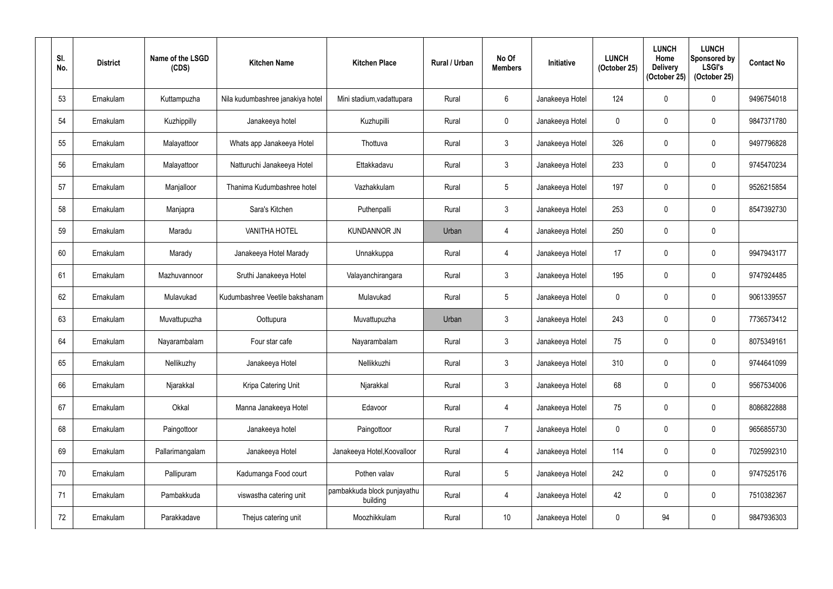| SI.<br>No. | <b>District</b> | Name of the LSGD<br>(CDS) | <b>Kitchen Name</b>              | <b>Kitchen Place</b>                    | <b>Rural / Urban</b> | No Of<br><b>Members</b> | Initiative      | <b>LUNCH</b><br>(October 25) | <b>LUNCH</b><br>Home<br><b>Delivery</b><br>(October 25) | <b>LUNCH</b><br>Sponsored by<br><b>LSGI's</b><br>(October 25) | <b>Contact No</b> |
|------------|-----------------|---------------------------|----------------------------------|-----------------------------------------|----------------------|-------------------------|-----------------|------------------------------|---------------------------------------------------------|---------------------------------------------------------------|-------------------|
| 53         | Ernakulam       | Kuttampuzha               | Nila kudumbashree janakiya hotel | Mini stadium, vadattupara               | Rural                | 6                       | Janakeeya Hotel | 124                          | $\mathbf{0}$                                            | 0                                                             | 9496754018        |
| 54         | Ernakulam       | Kuzhippilly               | Janakeeya hotel                  | Kuzhupilli                              | Rural                | $\mathbf 0$             | Janakeeya Hotel | $\mathbf 0$                  | $\mathbf{0}$                                            | 0                                                             | 9847371780        |
| 55         | Ernakulam       | Malayattoor               | Whats app Janakeeya Hotel        | Thottuva                                | Rural                | $\mathfrak{Z}$          | Janakeeya Hotel | 326                          | 0                                                       | 0                                                             | 9497796828        |
| 56         | Ernakulam       | Malayattoor               | Natturuchi Janakeeya Hotel       | Ettakkadavu                             | Rural                | $\mathfrak{Z}$          | Janakeeya Hotel | 233                          | 0                                                       | 0                                                             | 9745470234        |
| 57         | Ernakulam       | Manjalloor                | Thanima Kudumbashree hotel       | Vazhakkulam                             | Rural                | $\overline{5}$          | Janakeeya Hotel | 197                          | $\mathbf 0$                                             | 0                                                             | 9526215854        |
| 58         | Ernakulam       | Manjapra                  | Sara's Kitchen                   | Puthenpalli                             | Rural                | $\mathfrak{Z}$          | Janakeeya Hotel | 253                          | 0                                                       | 0                                                             | 8547392730        |
| 59         | Ernakulam       | Maradu                    | <b>VANITHA HOTEL</b>             | <b>KUNDANNOR JN</b>                     | Urban                | 4                       | Janakeeya Hotel | 250                          | 0                                                       | 0                                                             |                   |
| 60         | Ernakulam       | Marady                    | Janakeeya Hotel Marady           | Unnakkuppa                              | Rural                | 4                       | Janakeeya Hotel | 17                           | $\mathbf 0$                                             | 0                                                             | 9947943177        |
| 61         | Ernakulam       | Mazhuvannoor              | Sruthi Janakeeya Hotel           | Valayanchirangara                       | Rural                | $\mathfrak{Z}$          | Janakeeya Hotel | 195                          | 0                                                       | 0                                                             | 9747924485        |
| 62         | Ernakulam       | Mulavukad                 | Kudumbashree Veetile bakshanam   | Mulavukad                               | Rural                | $5\phantom{.0}$         | Janakeeya Hotel | $\mathbf 0$                  | $\mathbf 0$                                             | 0                                                             | 9061339557        |
| 63         | Ernakulam       | Muvattupuzha              | Oottupura                        | Muvattupuzha                            | Urban                | $\mathfrak{Z}$          | Janakeeya Hotel | 243                          | 0                                                       | 0                                                             | 7736573412        |
| 64         | Ernakulam       | Nayarambalam              | Four star cafe                   | Nayarambalam                            | Rural                | $\mathfrak{Z}$          | Janakeeya Hotel | 75                           | $\mathbf 0$                                             | 0                                                             | 8075349161        |
| 65         | Ernakulam       | Nellikuzhy                | Janakeeya Hotel                  | Nellikkuzhi                             | Rural                | $\mathfrak{Z}$          | Janakeeya Hotel | 310                          | 0                                                       | 0                                                             | 9744641099        |
| 66         | Ernakulam       | Njarakkal                 | Kripa Catering Unit              | Njarakkal                               | Rural                | $\mathfrak{Z}$          | Janakeeya Hotel | 68                           | $\mathbf 0$                                             | 0                                                             | 9567534006        |
| 67         | Ernakulam       | Okkal                     | Manna Janakeeya Hotel            | Edavoor                                 | Rural                | $\overline{4}$          | Janakeeya Hotel | 75                           | 0                                                       | 0                                                             | 8086822888        |
| 68         | Ernakulam       | Paingottoor               | Janakeeya hotel                  | Paingottoor                             | Rural                | $\overline{7}$          | Janakeeya Hotel | 0                            | 0                                                       | 0                                                             | 9656855730        |
| 69         | Ernakulam       | Pallarimangalam           | Janakeeya Hotel                  | Janakeeya Hotel, Koovalloor             | Rural                | $\overline{4}$          | Janakeeya Hotel | 114                          | 0                                                       | 0                                                             | 7025992310        |
| 70         | Ernakulam       | Pallipuram                | Kadumanga Food court             | Pothen valav                            | Rural                | $5\,$                   | Janakeeya Hotel | 242                          | 0                                                       | 0                                                             | 9747525176        |
| 71         | Ernakulam       | Pambakkuda                | viswastha catering unit          | pambakkuda block punjayathu<br>building | Rural                | $\overline{4}$          | Janakeeya Hotel | 42                           | $\mathbf 0$                                             | 0                                                             | 7510382367        |
| 72         | Ernakulam       | Parakkadave               | Thejus catering unit             | Moozhikkulam                            | Rural                | 10 <sup>°</sup>         | Janakeeya Hotel | 0                            | 94                                                      | 0                                                             | 9847936303        |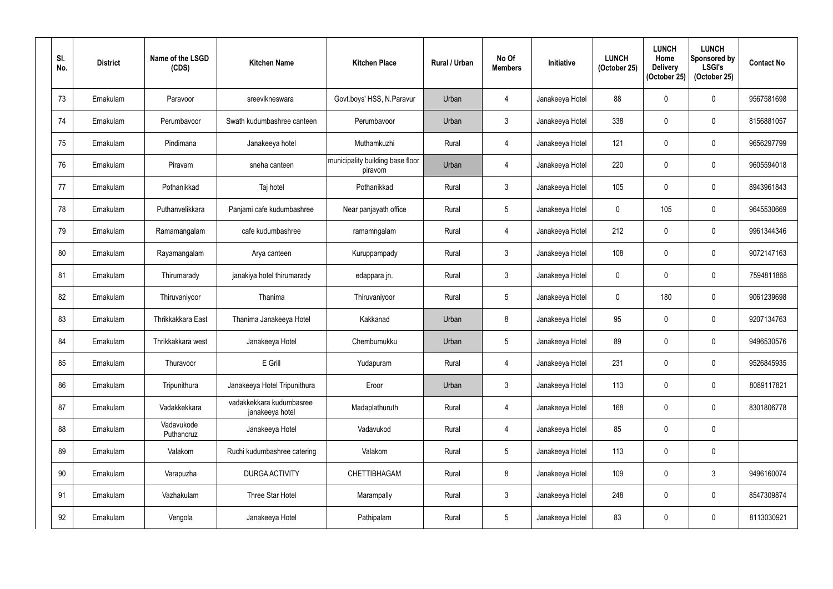| SI.<br>No. | <b>District</b> | Name of the LSGD<br>(CDS) | <b>Kitchen Name</b>                         | <b>Kitchen Place</b>                        | <b>Rural / Urban</b> | No Of<br><b>Members</b> | Initiative      | <b>LUNCH</b><br>(October 25) | <b>LUNCH</b><br>Home<br><b>Delivery</b><br>(October 25) | <b>LUNCH</b><br>Sponsored by<br><b>LSGI's</b><br>(October 25) | <b>Contact No</b> |
|------------|-----------------|---------------------------|---------------------------------------------|---------------------------------------------|----------------------|-------------------------|-----------------|------------------------------|---------------------------------------------------------|---------------------------------------------------------------|-------------------|
| 73         | Ernakulam       | Paravoor                  | sreevikneswara                              | Govt.boys' HSS, N.Paravur                   | Urban                | 4                       | Janakeeya Hotel | 88                           | 0                                                       | 0                                                             | 9567581698        |
| 74         | Ernakulam       | Perumbavoor               | Swath kudumbashree canteen                  | Perumbavoor                                 | Urban                | $\mathbf{3}$            | Janakeeya Hotel | 338                          | $\mathbf{0}$                                            | 0                                                             | 8156881057        |
| 75         | Ernakulam       | Pindimana                 | Janakeeya hotel                             | Muthamkuzhi                                 | Rural                | 4                       | Janakeeya Hotel | 121                          | 0                                                       | 0                                                             | 9656297799        |
| 76         | Ernakulam       | Piravam                   | sneha canteen                               | municipality building base floor<br>piravom | Urban                | 4                       | Janakeeya Hotel | 220                          | 0                                                       | 0                                                             | 9605594018        |
| 77         | Ernakulam       | Pothanikkad               | Taj hotel                                   | Pothanikkad                                 | Rural                | $\mathfrak{Z}$          | Janakeeya Hotel | 105                          | 0                                                       | 0                                                             | 8943961843        |
| 78         | Ernakulam       | Puthanvelikkara           | Panjami cafe kudumbashree                   | Near panjayath office                       | Rural                | $5\overline{)}$         | Janakeeya Hotel | 0                            | 105                                                     | 0                                                             | 9645530669        |
| 79         | Ernakulam       | Ramamangalam              | cafe kudumbashree                           | ramamngalam                                 | Rural                | 4                       | Janakeeya Hotel | 212                          | 0                                                       | 0                                                             | 9961344346        |
| 80         | Ernakulam       | Rayamangalam              | Arya canteen                                | Kuruppampady                                | Rural                | $\mathbf{3}$            | Janakeeya Hotel | 108                          | 0                                                       | 0                                                             | 9072147163        |
| 81         | Ernakulam       | Thirumarady               | janakiya hotel thirumarady                  | edappara jn.                                | Rural                | $\mathfrak{Z}$          | Janakeeya Hotel | 0                            | 0                                                       | 0                                                             | 7594811868        |
| 82         | Ernakulam       | Thiruvaniyoor             | Thanima                                     | Thiruvaniyoor                               | Rural                | $5\phantom{.0}$         | Janakeeya Hotel | 0                            | 180                                                     | 0                                                             | 9061239698        |
| 83         | Ernakulam       | Thrikkakkara East         | Thanima Janakeeya Hotel                     | Kakkanad                                    | Urban                | 8                       | Janakeeya Hotel | 95                           | 0                                                       | 0                                                             | 9207134763        |
| 84         | Ernakulam       | Thrikkakkara west         | Janakeeya Hotel                             | Chembumukku                                 | Urban                | $5\phantom{.0}$         | Janakeeya Hotel | 89                           | 0                                                       | 0                                                             | 9496530576        |
| 85         | Ernakulam       | Thuravoor                 | E Grill                                     | Yudapuram                                   | Rural                | $\overline{4}$          | Janakeeya Hotel | 231                          | 0                                                       | 0                                                             | 9526845935        |
| 86         | Ernakulam       | Tripunithura              | Janakeeya Hotel Tripunithura                | Eroor                                       | Urban                | $\mathfrak{Z}$          | Janakeeya Hotel | 113                          | 0                                                       | 0                                                             | 8089117821        |
| 87         | Ernakulam       | Vadakkekkara              | vadakkekkara kudumbasree<br>janakeeya hotel | Madaplathuruth                              | Rural                | 4                       | Janakeeya Hotel | 168                          | 0                                                       | 0                                                             | 8301806778        |
| 88         | Ernakulam       | Vadavukode<br>Puthancruz  | Janakeeya Hotel                             | Vadavukod                                   | Rural                | 4                       | Janakeeya Hotel | 85                           | 0                                                       | 0                                                             |                   |
| 89         | Ernakulam       | Valakom                   | Ruchi kudumbashree catering                 | Valakom                                     | Rural                | $\overline{5}$          | Janakeeya Hotel | 113                          | $\mathbf 0$                                             | $\pmb{0}$                                                     |                   |
| 90         | Ernakulam       | Varapuzha                 | DURGA ACTIVITY                              | CHETTIBHAGAM                                | Rural                | 8                       | Janakeeya Hotel | 109                          | 0                                                       | $\mathfrak{Z}$                                                | 9496160074        |
| 91         | Ernakulam       | Vazhakulam                | <b>Three Star Hotel</b>                     | Marampally                                  | Rural                | $\mathfrak{Z}$          | Janakeeya Hotel | 248                          | 0                                                       | 0                                                             | 8547309874        |
| 92         | Ernakulam       | Vengola                   | Janakeeya Hotel                             | Pathipalam                                  | Rural                | $\overline{5}$          | Janakeeya Hotel | 83                           | 0                                                       | 0                                                             | 8113030921        |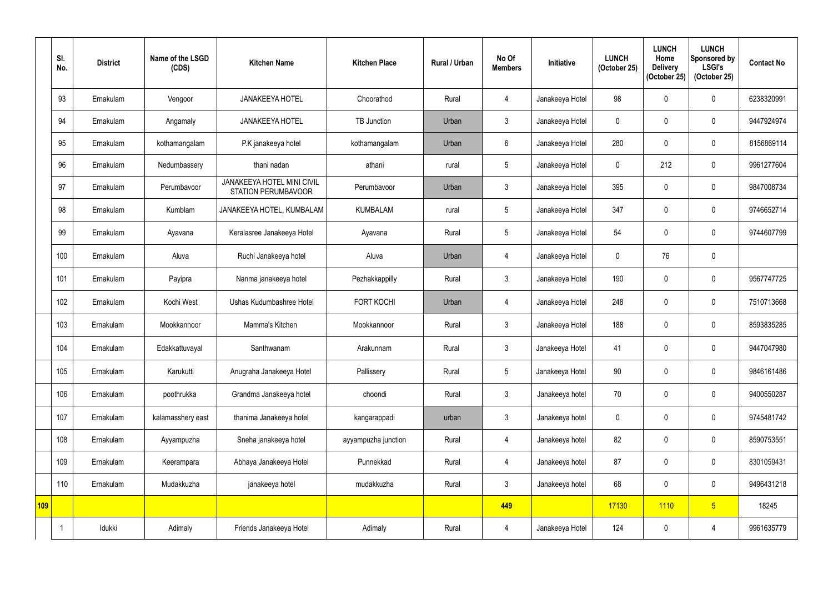|     | SI.<br>No. | <b>District</b> | Name of the LSGD<br>(CDS) | <b>Kitchen Name</b>                                             | <b>Kitchen Place</b> | Rural / Urban | No Of<br><b>Members</b> | <b>Initiative</b> | <b>LUNCH</b><br>(October 25) | <b>LUNCH</b><br>Home<br><b>Delivery</b><br>(October 25) | <b>LUNCH</b><br>Sponsored by<br><b>LSGI's</b><br>(October 25) | <b>Contact No</b> |
|-----|------------|-----------------|---------------------------|-----------------------------------------------------------------|----------------------|---------------|-------------------------|-------------------|------------------------------|---------------------------------------------------------|---------------------------------------------------------------|-------------------|
|     | 93         | Ernakulam       | Vengoor                   | <b>JANAKEEYA HOTEL</b>                                          | Choorathod           | Rural         | 4                       | Janakeeya Hotel   | 98                           | 0                                                       | $\mathbf 0$                                                   | 6238320991        |
|     | 94         | Ernakulam       | Angamaly                  | <b>JANAKEEYA HOTEL</b>                                          | TB Junction          | Urban         | $\mathbf{3}$            | Janakeeya Hotel   | $\overline{0}$               | 0                                                       | $\mathbf 0$                                                   | 9447924974        |
|     | 95         | Ernakulam       | kothamangalam             | P.K janakeeya hotel                                             | kothamangalam        | Urban         | $6\phantom{.0}$         | Janakeeya Hotel   | 280                          | 0                                                       | $\boldsymbol{0}$                                              | 8156869114        |
|     | 96         | Ernakulam       | Nedumbassery              | thani nadan                                                     | athani               | rural         | $5\phantom{.0}$         | Janakeeya Hotel   | $\overline{0}$               | 212                                                     | $\mathbf 0$                                                   | 9961277604        |
|     | 97         | Ernakulam       | Perumbavoor               | <b>JANAKEEYA HOTEL MINI CIVIL</b><br><b>STATION PERUMBAVOOR</b> | Perumbavoor          | Urban         | $\mathfrak{Z}$          | Janakeeya Hotel   | 395                          | $\mathbf 0$                                             | $\boldsymbol{0}$                                              | 9847008734        |
|     | 98         | Ernakulam       | Kumblam                   | JANAKEEYA HOTEL, KUMBALAM                                       | <b>KUMBALAM</b>      | rural         | $5\phantom{.0}$         | Janakeeya Hotel   | 347                          | 0                                                       | $\boldsymbol{0}$                                              | 9746652714        |
|     | 99         | Ernakulam       | Ayavana                   | Keralasree Janakeeya Hotel                                      | Ayavana              | Rural         | $5\overline{)}$         | Janakeeya Hotel   | 54                           | 0                                                       | $\mathbf 0$                                                   | 9744607799        |
|     | 100        | Ernakulam       | Aluva                     | Ruchi Janakeeya hotel                                           | Aluva                | Urban         | 4                       | Janakeeya Hotel   | $\overline{0}$               | 76                                                      | $\mathbf 0$                                                   |                   |
|     | 101        | Ernakulam       | Payipra                   | Nanma janakeeya hotel                                           | Pezhakkappilly       | Rural         | $\mathbf{3}$            | Janakeeya Hotel   | 190                          | 0                                                       | $\mathbf 0$                                                   | 9567747725        |
|     | 102        | Ernakulam       | Kochi West                | Ushas Kudumbashree Hotel                                        | <b>FORT KOCHI</b>    | Urban         | 4                       | Janakeeya Hotel   | 248                          | 0                                                       | $\mathbf 0$                                                   | 7510713668        |
|     | 103        | Ernakulam       | Mookkannoor               | Mamma's Kitchen                                                 | Mookkannoor          | Rural         | $\mathfrak{Z}$          | Janakeeya Hotel   | 188                          | 0                                                       | $\mathbf 0$                                                   | 8593835285        |
|     | 104        | Ernakulam       | Edakkattuvayal            | Santhwanam                                                      | Arakunnam            | Rural         | 3                       | Janakeeya Hotel   | 41                           | $\mathbf{0}$                                            | 0                                                             | 9447047980        |
|     | 105        | Ernakulam       | Karukutti                 | Anugraha Janakeeya Hotel                                        | Pallissery           | Rural         | $5\phantom{.0}$         | Janakeeya Hotel   | 90                           | $\mathbf 0$                                             | $\pmb{0}$                                                     | 9846161486        |
|     | 106        | Ernakulam       | poothrukka                | Grandma Janakeeya hotel                                         | choondi              | Rural         | $\mathfrak{Z}$          | Janakeeya hotel   | 70                           | 0                                                       | $\pmb{0}$                                                     | 9400550287        |
|     | 107        | Ernakulam       | kalamasshery east         | thanima Janakeeya hotel                                         | kangarappadi         | urban         | $\mathfrak{Z}$          | Janakeeya hotel   | $\overline{0}$               | $\mathbf 0$                                             | $\pmb{0}$                                                     | 9745481742        |
|     | 108        | Ernakulam       | Ayyampuzha                | Sneha janakeeya hotel                                           | ayyampuzha junction  | Rural         | $\overline{4}$          | Janakeeya hotel   | 82                           | $\mathbf 0$                                             | $\pmb{0}$                                                     | 8590753551        |
|     | 109        | Ernakulam       | Keerampara                | Abhaya Janakeeya Hotel                                          | Punnekkad            | Rural         | $\overline{4}$          | Janakeeya hotel   | 87                           | $\mathbf 0$                                             | $\pmb{0}$                                                     | 8301059431        |
|     | 110        | Ernakulam       | Mudakkuzha                | janakeeya hotel                                                 | mudakkuzha           | Rural         | $\mathbf{3}$            | Janakeeya hotel   | 68                           | $\mathbf 0$                                             | $\pmb{0}$                                                     | 9496431218        |
| 109 |            |                 |                           |                                                                 |                      |               | 449                     |                   | 17130                        | 1110                                                    | $5\phantom{.0}$                                               | 18245             |
|     |            | Idukki          | Adimaly                   | Friends Janakeeya Hotel                                         | Adimaly              | Rural         | $\overline{4}$          | Janakeeya Hotel   | 124                          | 0                                                       | $\overline{4}$                                                | 9961635779        |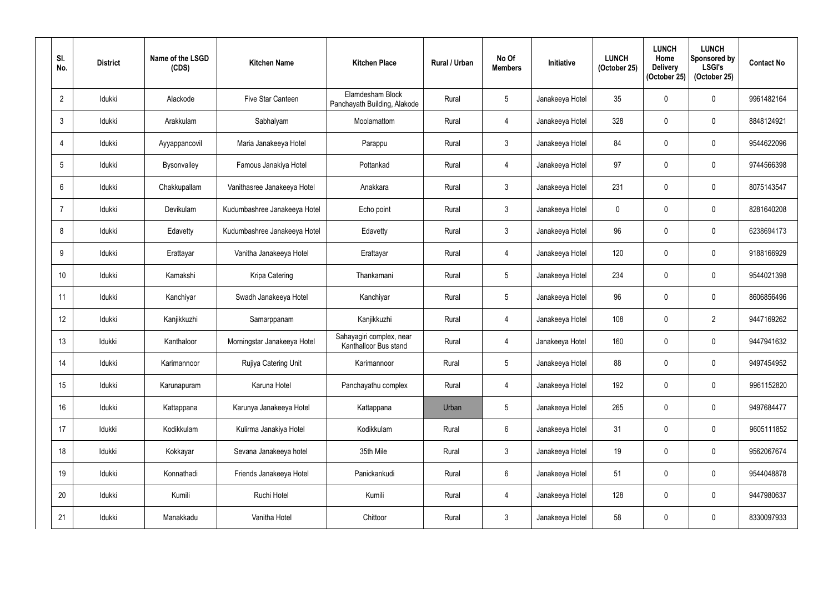| SI.<br>No.       | <b>District</b> | Name of the LSGD<br>(CDS) | <b>Kitchen Name</b>          | <b>Kitchen Place</b>                              | Rural / Urban | No Of<br><b>Members</b> | Initiative      | <b>LUNCH</b><br>(October 25) | <b>LUNCH</b><br>Home<br><b>Delivery</b><br>(October 25) | <b>LUNCH</b><br>Sponsored by<br><b>LSGI's</b><br>(October 25) | <b>Contact No</b> |
|------------------|-----------------|---------------------------|------------------------------|---------------------------------------------------|---------------|-------------------------|-----------------|------------------------------|---------------------------------------------------------|---------------------------------------------------------------|-------------------|
| $\overline{2}$   | Idukki          | Alackode                  | Five Star Canteen            | Elamdesham Block<br>Panchayath Building, Alakode  | Rural         | $\overline{5}$          | Janakeeya Hotel | 35                           | $\mathbf 0$                                             | $\pmb{0}$                                                     | 9961482164        |
| $\mathfrak{Z}$   | Idukki          | Arakkulam                 | Sabhalyam                    | Moolamattom                                       | Rural         | $\overline{4}$          | Janakeeya Hotel | 328                          | $\mathbf 0$                                             | $\pmb{0}$                                                     | 8848124921        |
| 4                | Idukki          | Ayyappancovil             | Maria Janakeeya Hotel        | Parappu                                           | Rural         | $\mathfrak{Z}$          | Janakeeya Hotel | 84                           | 0                                                       | $\pmb{0}$                                                     | 9544622096        |
| $5\phantom{.0}$  | Idukki          | Bysonvalley               | Famous Janakiya Hotel        | Pottankad                                         | Rural         | $\overline{4}$          | Janakeeya Hotel | 97                           | $\mathbf 0$                                             | $\pmb{0}$                                                     | 9744566398        |
| 6                | Idukki          | Chakkupallam              | Vanithasree Janakeeya Hotel  | Anakkara                                          | Rural         | $\mathbf{3}$            | Janakeeya Hotel | 231                          | $\mathbf 0$                                             | $\pmb{0}$                                                     | 8075143547        |
| $\overline{7}$   | Idukki          | Devikulam                 | Kudumbashree Janakeeya Hotel | Echo point                                        | Rural         | $\mathfrak{Z}$          | Janakeeya Hotel | 0                            | 0                                                       | $\pmb{0}$                                                     | 8281640208        |
| 8                | Idukki          | Edavetty                  | Kudumbashree Janakeeya Hotel | Edavetty                                          | Rural         | $\mathbf{3}$            | Janakeeya Hotel | 96                           | 0                                                       | $\pmb{0}$                                                     | 6238694173        |
| 9                | Idukki          | Erattayar                 | Vanitha Janakeeya Hotel      | Erattayar                                         | Rural         | $\overline{4}$          | Janakeeya Hotel | 120                          | 0                                                       | $\pmb{0}$                                                     | 9188166929        |
| 10 <sup>°</sup>  | Idukki          | Kamakshi                  | Kripa Catering               | Thankamani                                        | Rural         | $5\phantom{.0}$         | Janakeeya Hotel | 234                          | 0                                                       | $\pmb{0}$                                                     | 9544021398        |
| 11               | Idukki          | Kanchiyar                 | Swadh Janakeeya Hotel        | Kanchiyar                                         | Rural         | $\overline{5}$          | Janakeeya Hotel | 96                           | 0                                                       | $\pmb{0}$                                                     | 8606856496        |
| 12               | Idukki          | Kanjikkuzhi               | Samarppanam                  | Kanjikkuzhi                                       | Rural         | $\overline{4}$          | Janakeeya Hotel | 108                          | 0                                                       | $\overline{2}$                                                | 9447169262        |
| 13               | Idukki          | Kanthaloor                | Morningstar Janakeeya Hotel  | Sahayagiri complex, near<br>Kanthalloor Bus stand | Rural         | 4                       | Janakeeya Hotel | 160                          | 0                                                       | $\pmb{0}$                                                     | 9447941632        |
| 14               | Idukki          | Karimannoor               | Rujiya Catering Unit         | Karimannoor                                       | Rural         | $\overline{5}$          | Janakeeya Hotel | 88                           | 0                                                       | $\pmb{0}$                                                     | 9497454952        |
| 15 <sub>15</sub> | Idukki          | Karunapuram               | Karuna Hotel                 | Panchayathu complex                               | Rural         | $\overline{4}$          | Janakeeya Hotel | 192                          | 0                                                       | $\pmb{0}$                                                     | 9961152820        |
| 16 <sup>°</sup>  | Idukki          | Kattappana                | Karunya Janakeeya Hotel      | Kattappana                                        | Urban         | $5\phantom{.0}$         | Janakeeya Hotel | 265                          | $\mathbf 0$                                             | $\boldsymbol{0}$                                              | 9497684477        |
| 17               | Idukki          | Kodikkulam                | Kulirma Janakiya Hotel       | Kodikkulam                                        | Rural         | $\boldsymbol{6}$        | Janakeeya Hotel | 31                           | 0                                                       | $\pmb{0}$                                                     | 9605111852        |
| 18               | Idukki          | Kokkayar                  | Sevana Janakeeya hotel       | 35th Mile                                         | Rural         | $\mathfrak{Z}$          | Janakeeya Hotel | 19                           | 0                                                       | $\pmb{0}$                                                     | 9562067674        |
| 19               | Idukki          | Konnathadi                | Friends Janakeeya Hotel      | Panickankudi                                      | Rural         | $\boldsymbol{6}$        | Janakeeya Hotel | 51                           | $\mathbf 0$                                             | $\pmb{0}$                                                     | 9544048878        |
| 20               | Idukki          | Kumili                    | Ruchi Hotel                  | Kumili                                            | Rural         | $\overline{4}$          | Janakeeya Hotel | 128                          | 0                                                       | $\boldsymbol{0}$                                              | 9447980637        |
| 21               | Idukki          | Manakkadu                 | Vanitha Hotel                | Chittoor                                          | Rural         | $\mathbf{3}$            | Janakeeya Hotel | 58                           | 0                                                       | $\pmb{0}$                                                     | 8330097933        |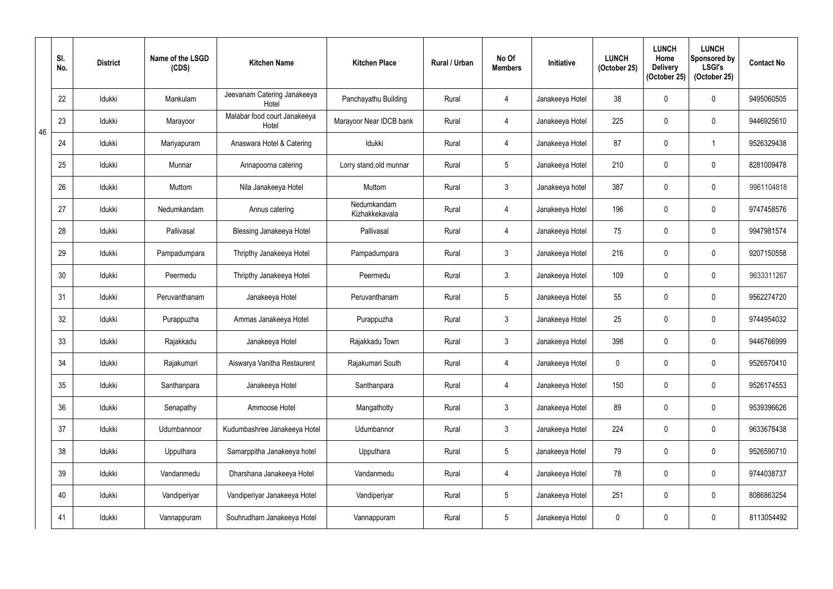|    | SI.<br>No. | <b>District</b> | Name of the LSGD<br>(CDS) | <b>Kitchen Name</b>                   | <b>Kitchen Place</b>          | <b>Rural / Urban</b> | No Of<br><b>Members</b> | Initiative      | <b>LUNCH</b><br>(October 25) | <b>LUNCH</b><br>Home<br><b>Delivery</b><br>(October 25) | <b>LUNCH</b><br>Sponsored by<br><b>LSGI's</b><br>(October 25) | <b>Contact No</b> |
|----|------------|-----------------|---------------------------|---------------------------------------|-------------------------------|----------------------|-------------------------|-----------------|------------------------------|---------------------------------------------------------|---------------------------------------------------------------|-------------------|
|    | 22         | Idukki          | Mankulam                  | Jeevanam Catering Janakeeya<br>Hotel  | Panchayathu Building          | Rural                | 4                       | Janakeeya Hotel | 38                           | $\mathbf 0$                                             | $\pmb{0}$                                                     | 9495060505        |
| 46 | 23         | Idukki          | Marayoor                  | Malabar food court Janakeeya<br>Hotel | Marayoor Near IDCB bank       | Rural                | $\overline{4}$          | Janakeeya Hotel | 225                          | $\mathbf 0$                                             | $\pmb{0}$                                                     | 9446925610        |
|    | 24         | Idukki          | Mariyapuram               | Anaswara Hotel & Catering             | Idukki                        | Rural                | $\overline{4}$          | Janakeeya Hotel | 87                           | $\mathbf 0$                                             | 1                                                             | 9526329438        |
|    | 25         | Idukki          | Munnar                    | Annapoorna catering                   | Lorry stand, old munnar       | Rural                | $5\phantom{.0}$         | Janakeeya Hotel | 210                          | $\mathbf 0$                                             | $\mathbf 0$                                                   | 8281009478        |
|    | 26         | Idukki          | Muttom                    | Nila Janakeeya Hotel                  | Muttom                        | Rural                | $\mathfrak{Z}$          | Janakeeya hotel | 387                          | $\mathbf 0$                                             | $\pmb{0}$                                                     | 9961104818        |
|    | 27         | Idukki          | Nedumkandam               | Annus catering                        | Nedumkandam<br>Kizhakkekavala | Rural                | 4                       | Janakeeya Hotel | 196                          | $\mathbf 0$                                             | $\pmb{0}$                                                     | 9747458576        |
|    | 28         | Idukki          | Pallivasal                | <b>Blessing Janakeeya Hotel</b>       | Pallivasal                    | Rural                | $\overline{4}$          | Janakeeya Hotel | 75                           | $\mathbf{0}$                                            | $\pmb{0}$                                                     | 9947981574        |
|    | 29         | Idukki          | Pampadumpara              | Thripthy Janakeeya Hotel              | Pampadumpara                  | Rural                | $\mathfrak{Z}$          | Janakeeya Hotel | 216                          | $\mathbf 0$                                             | $\mathbf 0$                                                   | 9207150558        |
|    | 30         | Idukki          | Peermedu                  | Thripthy Janakeeya Hotel              | Peermedu                      | Rural                | $\mathfrak{Z}$          | Janakeeya Hotel | 109                          | 0                                                       | $\pmb{0}$                                                     | 9633311267        |
|    | 31         | Idukki          | Peruvanthanam             | Janakeeya Hotel                       | Peruvanthanam                 | Rural                | $5\phantom{.0}$         | Janakeeya Hotel | 55                           | $\mathbf 0$                                             | $\mathbf 0$                                                   | 9562274720        |
|    | 32         | Idukki          | Purappuzha                | Ammas Janakeeya Hotel                 | Purappuzha                    | Rural                | $\mathfrak{Z}$          | Janakeeya Hotel | 25                           | $\mathbf 0$                                             | 0                                                             | 9744954032        |
|    | 33         | Idukki          | Rajakkadu                 | Janakeeya Hotel                       | Rajakkadu Town                | Rural                | $\mathbf{3}$            | Janakeeya Hotel | 398                          | $\mathbf 0$                                             | $\mathbf 0$                                                   | 9446766999        |
|    | 34         | Idukki          | Rajakumari                | Aiswarya Vanitha Restaurent           | Rajakumari South              | Rural                | $\overline{4}$          | Janakeeya Hotel | $\mathbf 0$                  | $\mathbf 0$                                             | $\mathbf 0$                                                   | 9526570410        |
|    | 35         | Idukki          | Santhanpara               | Janakeeya Hotel                       | Santhanpara                   | Rural                | 4                       | Janakeeya Hotel | 150                          | $\mathbf 0$                                             | $\pmb{0}$                                                     | 9526174553        |
|    | 36         | Idukki          | Senapathy                 | Ammoose Hotel                         | Mangathotty                   | Rural                | $\mathfrak{Z}$          | Janakeeya Hotel | 89                           | $\mathbf 0$                                             | $\pmb{0}$                                                     | 9539396626        |
|    | 37         | Idukki          | Udumbannoor               | Kudumbashree Janakeeya Hotel          | Udumbannor                    | Rural                | $\mathfrak{Z}$          | Janakeeya Hotel | 224                          | $\mathbf 0$                                             | $\boldsymbol{0}$                                              | 9633678438        |
|    | 38         | Idukki          | Upputhara                 | Samarppitha Janakeeya hotel           | Upputhara                     | Rural                | $5\,$                   | Janakeeya Hotel | 79                           | $\mathbf 0$                                             | $\pmb{0}$                                                     | 9526590710        |
|    | 39         | Idukki          | Vandanmedu                | Dharshana Janakeeya Hotel             | Vandanmedu                    | Rural                | $\overline{4}$          | Janakeeya Hotel | 78                           | $\mathbf 0$                                             | $\pmb{0}$                                                     | 9744038737        |
|    | 40         | Idukki          | Vandiperiyar              | Vandiperiyar Janakeeya Hotel          | Vandiperiyar                  | Rural                | $5\,$                   | Janakeeya Hotel | 251                          | $\mathbf 0$                                             | $\pmb{0}$                                                     | 8086863254        |
|    | 41         | Idukki          | Vannappuram               | Souhrudham Janakeeya Hotel            | Vannappuram                   | Rural                | $5\phantom{.0}$         | Janakeeya Hotel | $\pmb{0}$                    | 0                                                       | $\pmb{0}$                                                     | 8113054492        |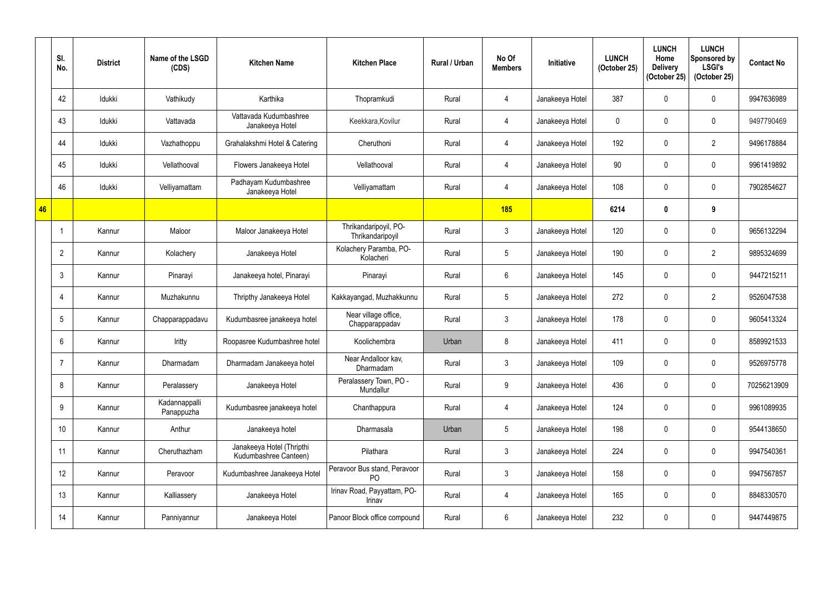|    | SI.<br>No.      | <b>District</b> | Name of the LSGD<br>(CDS)   | <b>Kitchen Name</b>                                | <b>Kitchen Place</b>                           | <b>Rural / Urban</b> | No Of<br><b>Members</b> | <b>Initiative</b> | <b>LUNCH</b><br>(October 25) | <b>LUNCH</b><br>Home<br><b>Delivery</b><br>(October 25) | <b>LUNCH</b><br>Sponsored by<br><b>LSGI's</b><br>(October 25) | <b>Contact No</b> |
|----|-----------------|-----------------|-----------------------------|----------------------------------------------------|------------------------------------------------|----------------------|-------------------------|-------------------|------------------------------|---------------------------------------------------------|---------------------------------------------------------------|-------------------|
|    | 42              | Idukki          | Vathikudy                   | Karthika                                           | Thopramkudi                                    | Rural                | 4                       | Janakeeya Hotel   | 387                          | 0                                                       | $\mathbf 0$                                                   | 9947636989        |
|    | 43              | Idukki          | Vattavada                   | Vattavada Kudumbashree<br>Janakeeya Hotel          | Keekkara, Kovilur                              | Rural                | $\overline{4}$          | Janakeeya Hotel   | $\Omega$                     | $\Omega$                                                | $\boldsymbol{0}$                                              | 9497790469        |
|    | 44              | Idukki          | Vazhathoppu                 | Grahalakshmi Hotel & Catering                      | Cheruthoni                                     | Rural                | $\overline{4}$          | Janakeeya Hotel   | 192                          | $\mathbf 0$                                             | $\overline{2}$                                                | 9496178884        |
|    | 45              | Idukki          | Vellathooval                | Flowers Janakeeya Hotel                            | Vellathooval                                   | Rural                | 4                       | Janakeeya Hotel   | 90                           | 0                                                       | $\mathbf 0$                                                   | 9961419892        |
|    | 46              | Idukki          | Velliyamattam               | Padhayam Kudumbashree<br>Janakeeya Hotel           | Velliyamattam                                  | Rural                | $\overline{4}$          | Janakeeya Hotel   | 108                          | $\Omega$                                                | $\mathbf 0$                                                   | 7902854627        |
| 46 |                 |                 |                             |                                                    |                                                |                      | <b>185</b>              |                   | 6214                         | $\mathbf{0}$                                            | 9                                                             |                   |
|    |                 | Kannur          | Maloor                      | Maloor Janakeeya Hotel                             | Thrikandaripoyil, PO-<br>Thrikandaripoyil      | Rural                | $\mathbf{3}$            | Janakeeya Hotel   | 120                          |                                                         | $\mathbf 0$                                                   | 9656132294        |
|    | $\overline{2}$  | Kannur          | Kolachery                   | Janakeeya Hotel                                    | Kolachery Paramba, PO-<br>Kolacheri            | Rural                | $\overline{5}$          | Janakeeya Hotel   | 190                          | $\Omega$                                                | $\overline{2}$                                                | 9895324699        |
|    | 3               | Kannur          | Pinarayi                    | Janakeeya hotel, Pinarayi                          | Pinarayi                                       | Rural                | $6\phantom{.}6$         | Janakeeya Hotel   | 145                          | $\Omega$                                                | $\mathbf 0$                                                   | 9447215211        |
|    | $\overline{4}$  | Kannur          | Muzhakunnu                  | Thripthy Janakeeya Hotel                           | Kakkayangad, Muzhakkunnu                       | Rural                | $5\overline{)}$         | Janakeeya Hotel   | 272                          |                                                         | $\overline{2}$                                                | 9526047538        |
|    | $5\overline{)}$ | Kannur          | Chapparappadavu             | Kudumbasree janakeeya hotel                        | Near village office,<br>Chapparappadav         | Rural                | $\mathbf{3}$            | Janakeeya Hotel   | 178                          | $\mathbf 0$                                             | $\mathbf 0$                                                   | 9605413324        |
|    | 6               | Kannur          | Iritty                      | Roopasree Kudumbashree hotel                       | Koolichembra                                   | Urban                | 8                       | Janakeeya Hotel   | 411                          | $\mathbf 0$                                             | $\mathbf 0$                                                   | 8589921533        |
|    | $\overline{7}$  | Kannur          | Dharmadam                   | Dharmadam Janakeeya hotel                          | Near Andalloor kav,<br>Dharmadam               | Rural                | $\mathbf{3}$            | Janakeeya Hotel   | 109                          | $\mathbf 0$                                             | $\pmb{0}$                                                     | 9526975778        |
|    | 8               | Kannur          | Peralassery                 | Janakeeya Hotel                                    | Peralassery Town, PO -<br>Mundallur            | Rural                | 9                       | Janakeeya Hotel   | 436                          | $\mathbf{0}$                                            | $\pmb{0}$                                                     | 70256213909       |
|    | 9               | Kannur          | Kadannappalli<br>Panappuzha | Kudumbasree janakeeya hotel                        | Chanthappura                                   | Rural                | 4                       | Janakeeya Hotel   | 124                          | $\mathbf 0$                                             | $\pmb{0}$                                                     | 9961089935        |
|    | 10              | Kannur          | Anthur                      | Janakeeya hotel                                    | Dharmasala                                     | Urban                | $5\phantom{.0}$         | Janakeeya Hotel   | 198                          | $\mathbf 0$                                             | $\pmb{0}$                                                     | 9544138650        |
|    | 11              | Kannur          | Cheruthazham                | Janakeeya Hotel (Thripthi<br>Kudumbashree Canteen) | Pilathara                                      | Rural                | $\mathbf{3}$            | Janakeeya Hotel   | 224                          | $\mathbf 0$                                             | $\pmb{0}$                                                     | 9947540361        |
|    | 12              | Kannur          | Peravoor                    | Kudumbashree Janakeeya Hotel                       | Peravoor Bus stand, Peravoor<br>P <sub>O</sub> | Rural                | $\mathbf{3}$            | Janakeeya Hotel   | 158                          | $\mathbf 0$                                             | $\pmb{0}$                                                     | 9947567857        |
|    | 13              | Kannur          | Kalliassery                 | Janakeeya Hotel                                    | Irinav Road, Payyattam, PO-<br>Irinav          | Rural                | $\overline{4}$          | Janakeeya Hotel   | 165                          | $\mathbf 0$                                             | $\pmb{0}$                                                     | 8848330570        |
|    | 14              | Kannur          | Panniyannur                 | Janakeeya Hotel                                    | Panoor Block office compound                   | Rural                | $6\overline{6}$         | Janakeeya Hotel   | 232                          | 0                                                       | $\pmb{0}$                                                     | 9447449875        |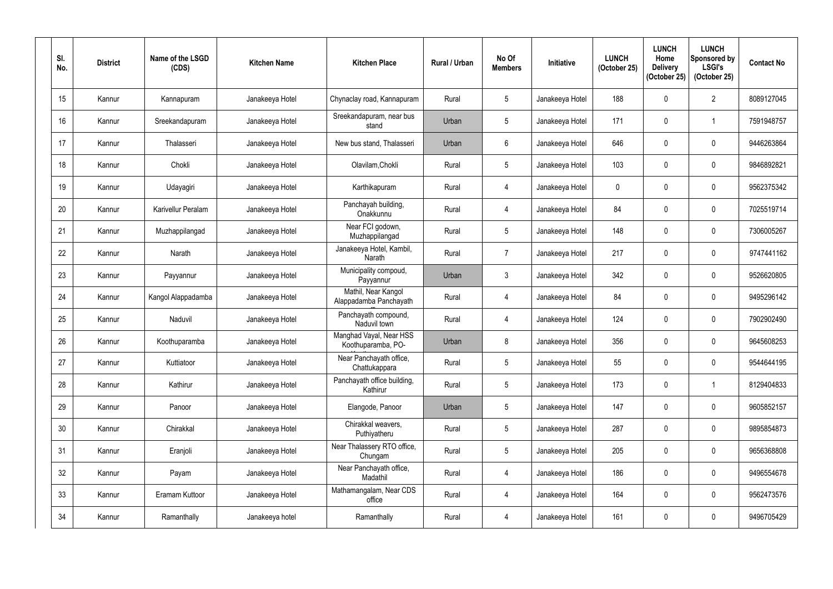| SI.<br>No.       | <b>District</b> | Name of the LSGD<br>(CDS) | <b>Kitchen Name</b> | <b>Kitchen Place</b>                          | <b>Rural / Urban</b> | No Of<br><b>Members</b> | Initiative      | <b>LUNCH</b><br>(October 25) | <b>LUNCH</b><br>Home<br><b>Delivery</b><br>(October 25) | <b>LUNCH</b><br><b>Sponsored by</b><br><b>LSGI's</b><br>(October 25) | <b>Contact No</b> |
|------------------|-----------------|---------------------------|---------------------|-----------------------------------------------|----------------------|-------------------------|-----------------|------------------------------|---------------------------------------------------------|----------------------------------------------------------------------|-------------------|
| 15 <sub>15</sub> | Kannur          | Kannapuram                | Janakeeya Hotel     | Chynaclay road, Kannapuram                    | Rural                | $5\phantom{.0}$         | Janakeeya Hotel | 188                          | 0                                                       | $\overline{2}$                                                       | 8089127045        |
| 16               | Kannur          | Sreekandapuram            | Janakeeya Hotel     | Sreekandapuram, near bus<br>stand             | Urban                | $5\phantom{.0}$         | Janakeeya Hotel | 171                          | $\mathbf 0$                                             | $\overline{\phantom{a}}$                                             | 7591948757        |
| 17               | Kannur          | Thalasseri                | Janakeeya Hotel     | New bus stand, Thalasseri                     | Urban                | $6\phantom{.}6$         | Janakeeya Hotel | 646                          | $\mathbf 0$                                             | $\mathbf 0$                                                          | 9446263864        |
| 18               | Kannur          | Chokli                    | Janakeeya Hotel     | Olavilam, Chokli                              | Rural                | $5\phantom{.0}$         | Janakeeya Hotel | 103                          | $\mathbf 0$                                             | $\pmb{0}$                                                            | 9846892821        |
| 19               | Kannur          | Udayagiri                 | Janakeeya Hotel     | Karthikapuram                                 | Rural                | $\overline{4}$          | Janakeeya Hotel | $\mathbf 0$                  | $\mathbf 0$                                             | $\pmb{0}$                                                            | 9562375342        |
| 20               | Kannur          | Karivellur Peralam        | Janakeeya Hotel     | Panchayah building,<br>Onakkunnu              | Rural                | $\overline{4}$          | Janakeeya Hotel | 84                           | $\mathbf 0$                                             | $\pmb{0}$                                                            | 7025519714        |
| 21               | Kannur          | Muzhappilangad            | Janakeeya Hotel     | Near FCI godown,<br>Muzhappilangad            | Rural                | $5\phantom{.0}$         | Janakeeya Hotel | 148                          | $\mathbf 0$                                             | $\mathbf 0$                                                          | 7306005267        |
| 22               | Kannur          | Narath                    | Janakeeya Hotel     | Janakeeya Hotel, Kambil,<br>Narath            | Rural                | $\overline{7}$          | Janakeeya Hotel | 217                          | $\mathbf 0$                                             | $\pmb{0}$                                                            | 9747441162        |
| 23               | Kannur          | Payyannur                 | Janakeeya Hotel     | Municipality compoud,<br>Payyannur            | Urban                | $\mathfrak{Z}$          | Janakeeya Hotel | 342                          | $\mathbf 0$                                             | $\pmb{0}$                                                            | 9526620805        |
| 24               | Kannur          | Kangol Alappadamba        | Janakeeya Hotel     | Mathil, Near Kangol<br>Alappadamba Panchayath | Rural                | $\overline{4}$          | Janakeeya Hotel | 84                           | $\mathbf 0$                                             | $\pmb{0}$                                                            | 9495296142        |
| 25               | Kannur          | Naduvil                   | Janakeeya Hotel     | Panchayath compound,<br>Naduvil town          | Rural                | $\overline{4}$          | Janakeeya Hotel | 124                          | 0                                                       | 0                                                                    | 7902902490        |
| 26               | Kannur          | Koothuparamba             | Janakeeya Hotel     | Manghad Vayal, Near HSS<br>Koothuparamba, PO- | Urban                | 8                       | Janakeeya Hotel | 356                          | 0                                                       | 0                                                                    | 9645608253        |
| 27               | Kannur          | Kuttiatoor                | Janakeeya Hotel     | Near Panchayath office,<br>Chattukappara      | Rural                | $\overline{5}$          | Janakeeya Hotel | 55                           | 0                                                       | $\pmb{0}$                                                            | 9544644195        |
| 28               | Kannur          | Kathirur                  | Janakeeya Hotel     | Panchayath office building,<br>Kathirur       | Rural                | $5\phantom{.0}$         | Janakeeya Hotel | 173                          | $\mathbf 0$                                             | $\overline{1}$                                                       | 8129404833        |
| 29               | Kannur          | Panoor                    | Janakeeya Hotel     | Elangode, Panoor                              | Urban                | $5\,$                   | Janakeeya Hotel | 147                          | $\mathbf 0$                                             | $\pmb{0}$                                                            | 9605852157        |
| 30               | Kannur          | Chirakkal                 | Janakeeya Hotel     | Chirakkal weavers,<br>Puthiyatheru            | Rural                | $\sqrt{5}$              | Janakeeya Hotel | 287                          | 0                                                       | $\pmb{0}$                                                            | 9895854873        |
| 31               | Kannur          | Eranjoli                  | Janakeeya Hotel     | Near Thalassery RTO office,<br>Chungam        | Rural                | $5\phantom{.0}$         | Janakeeya Hotel | 205                          | 0                                                       | $\pmb{0}$                                                            | 9656368808        |
| 32               | Kannur          | Payam                     | Janakeeya Hotel     | Near Panchayath office,<br>Madathil           | Rural                | $\overline{4}$          | Janakeeya Hotel | 186                          | $\mathbf 0$                                             | $\pmb{0}$                                                            | 9496554678        |
| 33               | Kannur          | Eramam Kuttoor            | Janakeeya Hotel     | Mathamangalam, Near CDS<br>office             | Rural                | $\overline{4}$          | Janakeeya Hotel | 164                          | 0                                                       | $\pmb{0}$                                                            | 9562473576        |
| 34               | Kannur          | Ramanthally               | Janakeeya hotel     | Ramanthally                                   | Rural                | $\overline{4}$          | Janakeeya Hotel | 161                          | $\mathbf 0$                                             | $\pmb{0}$                                                            | 9496705429        |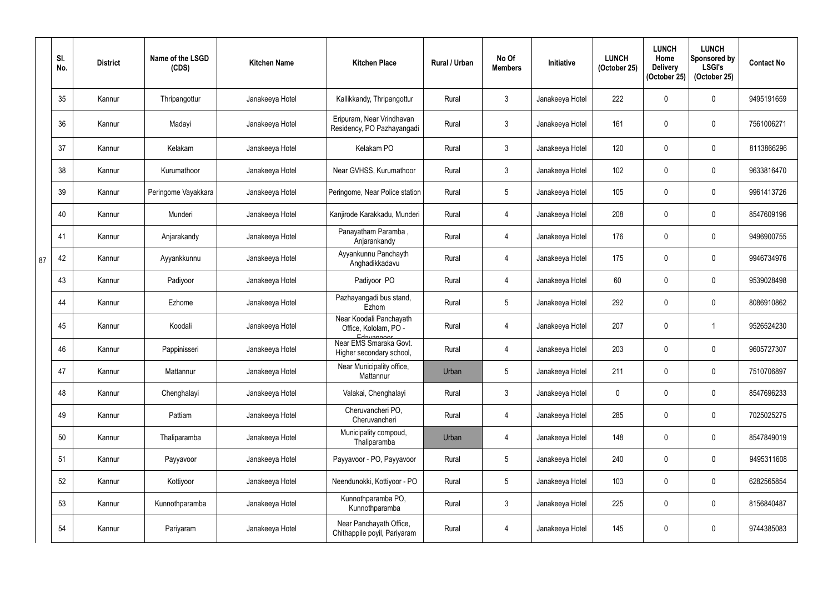|    | SI.<br>No.      | <b>District</b> | Name of the LSGD<br>(CDS) | <b>Kitchen Name</b> | <b>Kitchen Place</b>                                             | Rural / Urban | No Of<br><b>Members</b> | Initiative      | <b>LUNCH</b><br>(October 25) | <b>LUNCH</b><br>Home<br><b>Delivery</b><br>(October 25) | <b>LUNCH</b><br>Sponsored by<br><b>LSGI's</b><br>(October 25) | <b>Contact No</b> |
|----|-----------------|-----------------|---------------------------|---------------------|------------------------------------------------------------------|---------------|-------------------------|-----------------|------------------------------|---------------------------------------------------------|---------------------------------------------------------------|-------------------|
|    | 35 <sub>2</sub> | Kannur          | Thripangottur             | Janakeeya Hotel     | Kallikkandy, Thripangottur                                       | Rural         | $\mathbf{3}$            | Janakeeya Hotel | 222                          | 0                                                       | $\mathbf 0$                                                   | 9495191659        |
|    | 36              | Kannur          | Madayi                    | Janakeeya Hotel     | Eripuram, Near Vrindhavan<br>Residency, PO Pazhayangadi          | Rural         | $\mathbf{3}$            | Janakeeya Hotel | 161                          | $\mathbf 0$                                             | $\pmb{0}$                                                     | 7561006271        |
|    | 37              | Kannur          | Kelakam                   | Janakeeya Hotel     | Kelakam PO                                                       | Rural         | $\mathfrak{Z}$          | Janakeeya Hotel | 120                          | $\mathbf 0$                                             | $\mathbf 0$                                                   | 8113866296        |
|    | 38              | Kannur          | Kurumathoor               | Janakeeya Hotel     | Near GVHSS, Kurumathoor                                          | Rural         | $\mathfrak{Z}$          | Janakeeya Hotel | 102                          | $\mathbf{0}$                                            | $\pmb{0}$                                                     | 9633816470        |
|    | 39              | Kannur          | Peringome Vayakkara       | Janakeeya Hotel     | Peringome, Near Police station                                   | Rural         | $5\phantom{.0}$         | Janakeeya Hotel | 105                          | $\mathbf 0$                                             | $\pmb{0}$                                                     | 9961413726        |
|    | 40              | Kannur          | Munderi                   | Janakeeya Hotel     | Kanjirode Karakkadu, Munderi                                     | Rural         | $\overline{4}$          | Janakeeya Hotel | 208                          | $\Omega$                                                | $\mathbf 0$                                                   | 8547609196        |
|    | 41              | Kannur          | Anjarakandy               | Janakeeya Hotel     | Panayatham Paramba,<br>Anjarankandy                              | Rural         | $\overline{4}$          | Janakeeya Hotel | 176                          | $\mathbf 0$                                             | $\pmb{0}$                                                     | 9496900755        |
| 87 | 42              | Kannur          | Ayyankkunnu               | Janakeeya Hotel     | Ayyankunnu Panchayth<br>Anghadikkadavu                           | Rural         | 4                       | Janakeeya Hotel | 175                          | $\mathbf 0$                                             | $\mathbf 0$                                                   | 9946734976        |
|    | 43              | Kannur          | Padiyoor                  | Janakeeya Hotel     | Padiyoor PO                                                      | Rural         | 4                       | Janakeeya Hotel | 60                           | $\Omega$                                                | $\pmb{0}$                                                     | 9539028498        |
|    | 44              | Kannur          | Ezhome                    | Janakeeya Hotel     | Pazhayangadi bus stand,<br>Ezhom                                 | Rural         | $5\phantom{.0}$         | Janakeeya Hotel | 292                          | $\mathbf 0$                                             | $\pmb{0}$                                                     | 8086910862        |
|    | 45              | Kannur          | Koodali                   | Janakeeya Hotel     | Near Koodali Panchayath<br>Office, Kololam, PO -                 | Rural         | 4                       | Janakeeya Hotel | 207                          | 0                                                       | $\mathbf 1$                                                   | 9526524230        |
|    | 46              | Kannur          | Pappinisseri              | Janakeeya Hotel     | Edavannoor<br>Near EMS Smaraka Govt.<br>Higher secondary school, | Rural         |                         | Janakeeya Hotel | 203                          | 0                                                       | 0                                                             | 9605727307        |
|    | 47              | Kannur          | Mattannur                 | Janakeeya Hotel     | Near Municipality office,<br>Mattannur                           | Urban         | $5\,$                   | Janakeeya Hotel | 211                          | $\mathbf 0$                                             | $\pmb{0}$                                                     | 7510706897        |
|    | 48              | Kannur          | Chenghalayi               | Janakeeya Hotel     | Valakai, Chenghalayi                                             | Rural         | $\mathbf{3}$            | Janakeeya Hotel | $\mathbf 0$                  | $\mathbf 0$                                             | $\pmb{0}$                                                     | 8547696233        |
|    | 49              | Kannur          | Pattiam                   | Janakeeya Hotel     | Cheruvancheri PO,<br>Cheruvancheri                               | Rural         | $\overline{4}$          | Janakeeya Hotel | 285                          | $\mathbf 0$                                             | $\pmb{0}$                                                     | 7025025275        |
|    | 50              | Kannur          | Thaliparamba              | Janakeeya Hotel     | Municipality compoud,<br>Thaliparamba                            | Urban         | 4                       | Janakeeya Hotel | 148                          | $\mathbf 0$                                             | $\boldsymbol{0}$                                              | 8547849019        |
|    | 51              | Kannur          | Payyavoor                 | Janakeeya Hotel     | Payyavoor - PO, Payyavoor                                        | Rural         | $5\phantom{.0}$         | Janakeeya Hotel | 240                          | $\mathbf 0$                                             | $\pmb{0}$                                                     | 9495311608        |
|    | 52              | Kannur          | Kottiyoor                 | Janakeeya Hotel     | Neendunokki, Kottiyoor - PO                                      | Rural         | $5\phantom{.0}$         | Janakeeya Hotel | 103                          | 0                                                       | $\pmb{0}$                                                     | 6282565854        |
|    | 53              | Kannur          | Kunnothparamba            | Janakeeya Hotel     | Kunnothparamba PO,<br>Kunnothparamba                             | Rural         | $\mathfrak{Z}$          | Janakeeya Hotel | 225                          | $\mathbf 0$                                             | $\pmb{0}$                                                     | 8156840487        |
|    | 54              | Kannur          | Pariyaram                 | Janakeeya Hotel     | Near Panchayath Office,<br>Chithappile poyil, Pariyaram          | Rural         | $\overline{4}$          | Janakeeya Hotel | 145                          | 0                                                       | $\pmb{0}$                                                     | 9744385083        |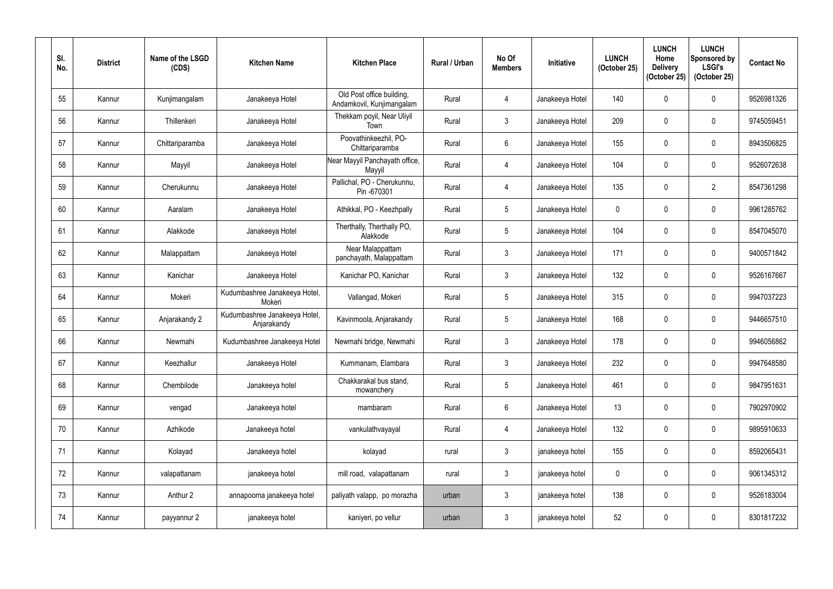| SI.<br>No. | <b>District</b> | Name of the LSGD<br>(CDS) | <b>Kitchen Name</b>                          | <b>Kitchen Place</b>                                   | Rural / Urban | No Of<br><b>Members</b> | Initiative      | <b>LUNCH</b><br>(October 25) | <b>LUNCH</b><br>Home<br><b>Delivery</b><br>(October 25) | <b>LUNCH</b><br>Sponsored by<br><b>LSGI's</b><br>(October 25) | <b>Contact No</b> |
|------------|-----------------|---------------------------|----------------------------------------------|--------------------------------------------------------|---------------|-------------------------|-----------------|------------------------------|---------------------------------------------------------|---------------------------------------------------------------|-------------------|
| 55         | Kannur          | Kunjimangalam             | Janakeeya Hotel                              | Old Post office building,<br>Andamkovil, Kunjimangalam | Rural         | $\overline{4}$          | Janakeeya Hotel | 140                          | $\mathbf 0$                                             | $\pmb{0}$                                                     | 9526981326        |
| 56         | Kannur          | Thillenkeri               | Janakeeya Hotel                              | Thekkam poyil, Near Uliyil<br>Town                     | Rural         | $\mathbf{3}$            | Janakeeya Hotel | 209                          | $\mathbf 0$                                             | $\pmb{0}$                                                     | 9745059451        |
| 57         | Kannur          | Chittariparamba           | Janakeeya Hotel                              | Poovathinkeezhil, PO-<br>Chittariparamba               | Rural         | $6\phantom{.}6$         | Janakeeya Hotel | 155                          | 0                                                       | $\pmb{0}$                                                     | 8943506825        |
| 58         | Kannur          | Mayyil                    | Janakeeya Hotel                              | Near Mayyil Panchayath office,<br>Mayyil               | Rural         | $\overline{4}$          | Janakeeya Hotel | 104                          | $\mathbf 0$                                             | $\pmb{0}$                                                     | 9526072638        |
| 59         | Kannur          | Cherukunnu                | Janakeeya Hotel                              | Pallichal, PO - Cherukunnu,<br>Pin -670301             | Rural         | $\overline{4}$          | Janakeeya Hotel | 135                          | $\mathbf 0$                                             | $\overline{2}$                                                | 8547361298        |
| 60         | Kannur          | Aaralam                   | Janakeeya Hotel                              | Athikkal, PO - Keezhpally                              | Rural         | $\overline{5}$          | Janakeeya Hotel | 0                            | 0                                                       | $\pmb{0}$                                                     | 9961285762        |
| 61         | Kannur          | Alakkode                  | Janakeeya Hotel                              | Therthally, Therthally PO,<br>Alakkode                 | Rural         | $5\phantom{.0}$         | Janakeeya Hotel | 104                          | $\mathbf 0$                                             | $\mathbf 0$                                                   | 8547045070        |
| 62         | Kannur          | Malappattam               | Janakeeya Hotel                              | Near Malappattam<br>panchayath, Malappattam            | Rural         | $\mathbf{3}$            | Janakeeya Hotel | 171                          | 0                                                       | $\pmb{0}$                                                     | 9400571842        |
| 63         | Kannur          | Kanichar                  | Janakeeya Hotel                              | Kanichar PO, Kanichar                                  | Rural         | 3                       | Janakeeya Hotel | 132                          | 0                                                       | $\pmb{0}$                                                     | 9526167667        |
| 64         | Kannur          | Mokeri                    | Kudumbashree Janakeeya Hotel,<br>Mokeri      | Vallangad, Mokeri                                      | Rural         | $\overline{5}$          | Janakeeya Hotel | 315                          | 0                                                       | $\mathbf 0$                                                   | 9947037223        |
| 65         | Kannur          | Anjarakandy 2             | Kudumbashree Janakeeya Hotel,<br>Anjarakandy | Kavinmoola, Anjarakandy                                | Rural         | $\overline{5}$          | Janakeeya Hotel | 168                          | 0                                                       | $\mathbf 0$                                                   | 9446657510        |
| 66         | Kannur          | Newmahi                   | Kudumbashree Janakeeya Hotel                 | Newmahi bridge, Newmahi                                | Rural         | $\mathbf{3}$            | Janakeeya Hotel | 178                          | 0                                                       | $\mathbf 0$                                                   | 9946056862        |
| 67         | Kannur          | Keezhallur                | Janakeeya Hotel                              | Kummanam, Elambara                                     | Rural         | $\mathbf{3}$            | Janakeeya Hotel | 232                          | 0                                                       | $\pmb{0}$                                                     | 9947648580        |
| 68         | Kannur          | Chembilode                | Janakeeya hotel                              | Chakkarakal bus stand,<br>mowanchery                   | Rural         | $\overline{5}$          | Janakeeya Hotel | 461                          | 0                                                       | $\pmb{0}$                                                     | 9847951631        |
| 69         | Kannur          | vengad                    | Janakeeya hotel                              | mambaram                                               | Rural         | $6\phantom{.}6$         | Janakeeya Hotel | 13                           | $\mathbf 0$                                             | $\pmb{0}$                                                     | 7902970902        |
| 70         | Kannur          | Azhikode                  | Janakeeya hotel                              | vankulathvayayal                                       | Rural         | $\overline{4}$          | Janakeeya Hotel | 132                          | 0                                                       | $\pmb{0}$                                                     | 9895910633        |
| 71         | Kannur          | Kolayad                   | Janakeeya hotel                              | kolayad                                                | rural         | $\mathfrak{Z}$          | janakeeya hotel | 155                          | 0                                                       | $\pmb{0}$                                                     | 8592065431        |
| 72         | Kannur          | valapattanam              | janakeeya hotel                              | mill road, valapattanam                                | rural         | $\mathfrak{Z}$          | janakeeya hotel | $\mathbf 0$                  | 0                                                       | $\pmb{0}$                                                     | 9061345312        |
| 73         | Kannur          | Anthur 2                  | annapoorna janakeeya hotel                   | paliyath valapp, po morazha                            | urban         | $\mathfrak{Z}$          | janakeeya hotel | 138                          | 0                                                       | $\boldsymbol{0}$                                              | 9526183004        |
| 74         | Kannur          | payyannur 2               | janakeeya hotel                              | kaniyeri, po vellur                                    | urban         | $\mathbf{3}$            | janakeeya hotel | 52                           | 0                                                       | $\pmb{0}$                                                     | 8301817232        |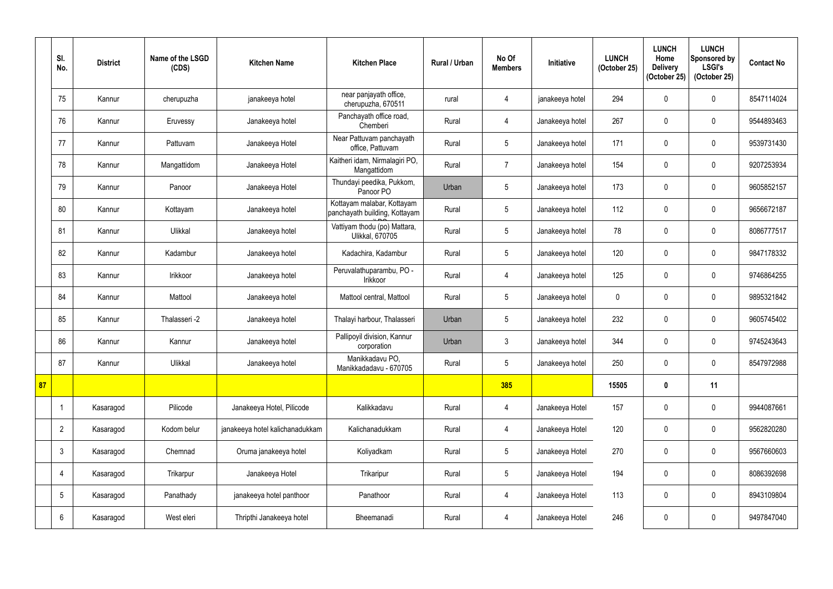|    | SI.<br>No.       | <b>District</b> | Name of the LSGD<br>(CDS) | <b>Kitchen Name</b>             | <b>Kitchen Place</b>                                        | Rural / Urban | No Of<br><b>Members</b> | Initiative      | <b>LUNCH</b><br>(October 25) | <b>LUNCH</b><br>Home<br><b>Delivery</b><br>(October 25) | <b>LUNCH</b><br>Sponsored by<br><b>LSGI's</b><br>(October 25) | <b>Contact No</b> |
|----|------------------|-----------------|---------------------------|---------------------------------|-------------------------------------------------------------|---------------|-------------------------|-----------------|------------------------------|---------------------------------------------------------|---------------------------------------------------------------|-------------------|
|    | 75               | Kannur          | cherupuzha                | janakeeya hotel                 | near panjayath office,<br>cherupuzha, 670511                | rural         | $\overline{4}$          | janakeeya hotel | 294                          |                                                         | $\mathbf 0$                                                   | 8547114024        |
|    | 76               | Kannur          | Eruvessy                  | Janakeeya hotel                 | Panchayath office road,<br>Chemberi                         | Rural         | 4                       | Janakeeya hotel | 267                          |                                                         | $\pmb{0}$                                                     | 9544893463        |
|    | 77               | Kannur          | Pattuvam                  | Janakeeya Hotel                 | Near Pattuvam panchayath<br>office, Pattuvam                | Rural         | 5 <sup>5</sup>          | Janakeeya hotel | 171                          |                                                         | $\mathbf 0$                                                   | 9539731430        |
|    | 78               | Kannur          | Mangattidom               | Janakeeya Hotel                 | Kaitheri idam, Nirmalagiri PO,<br>Mangattidom               | Rural         | $\overline{7}$          | Janakeeya hotel | 154                          |                                                         | $\mathbf 0$                                                   | 9207253934        |
|    | 79               | Kannur          | Panoor                    | Janakeeya Hotel                 | Thundayi peedika, Pukkom,<br>Panoor PO                      | Urban         | $5\phantom{.0}$         | Janakeeya hotel | 173                          |                                                         | $\boldsymbol{0}$                                              | 9605852157        |
|    | 80               | Kannur          | Kottayam                  | Janakeeya hotel                 | Kottayam malabar, Kottayam<br>panchayath building, Kottayam | Rural         | $5\phantom{.0}$         | Janakeeya hotel | 112                          | $\Omega$                                                | $\mathbf 0$                                                   | 9656672187        |
|    | 81               | Kannur          | Ulikkal                   | Janakeeya hotel                 | Vattiyam thodu (po) Mattara,<br><b>Ulikkal, 670705</b>      | Rural         | 5 <sup>5</sup>          | Janakeeya hotel | 78                           |                                                         | $\mathbf 0$                                                   | 8086777517        |
|    | 82               | Kannur          | Kadambur                  | Janakeeya hotel                 | Kadachira, Kadambur                                         | Rural         | $5\phantom{.0}$         | Janakeeya hotel | 120                          |                                                         | $\pmb{0}$                                                     | 9847178332        |
|    | 83               | Kannur          | Irikkoor                  | Janakeeya hotel                 | Peruvalathuparambu, PO -<br>Irikkoor                        | Rural         | $\overline{4}$          | Janakeeya hotel | 125                          |                                                         | $\mathbf 0$                                                   | 9746864255        |
|    | 84               | Kannur          | Mattool                   | Janakeeya hotel                 | Mattool central, Mattool                                    | Rural         | $5\phantom{.0}$         | Janakeeya hotel | $\mathbf 0$                  |                                                         | $\mathbf 0$                                                   | 9895321842        |
|    | 85               | Kannur          | Thalasseri -2             | Janakeeya hotel                 | Thalayi harbour, Thalasseri                                 | Urban         | $5\phantom{.0}$         | Janakeeya hotel | 232                          |                                                         | $\pmb{0}$                                                     | 9605745402        |
|    | 86               | Kannur          | Kannur                    | Janakeeya hotel                 | Pallipoyil division, Kannur<br>corporation                  | Urban         | $\mathfrak{Z}$          | Janakeeya hotel | 344                          |                                                         | $\mathbf 0$                                                   | 9745243643        |
|    | 87               | Kannur          | Ulikkal                   | Janakeeya hotel                 | Manikkadavu PO,<br>Manikkadadavu - 670705                   | Rural         | $5\phantom{.0}$         | Janakeeya hotel | 250                          | 0                                                       | $\boldsymbol{0}$                                              | 8547972988        |
| 87 |                  |                 |                           |                                 |                                                             |               | 385                     |                 | 15505                        | 0                                                       | 11                                                            |                   |
|    | $\overline{1}$   | Kasaragod       | Pilicode                  | Janakeeya Hotel, Pilicode       | Kalikkadavu                                                 | Rural         | $\overline{4}$          | Janakeeya Hotel | 157                          | $\mathbf 0$                                             | $\pmb{0}$                                                     | 9944087661        |
|    | $\overline{2}$   | Kasaragod       | Kodom belur               | janakeeya hotel kalichanadukkam | Kalichanadukkam                                             | Rural         | $\overline{4}$          | Janakeeya Hotel | 120                          | 0                                                       | $\pmb{0}$                                                     | 9562820280        |
|    | $\mathfrak{Z}$   | Kasaragod       | Chemnad                   | Oruma janakeeya hotel           | Koliyadkam                                                  | Rural         | $5\phantom{.0}$         | Janakeeya Hotel | 270                          | $\mathbf 0$                                             | $\pmb{0}$                                                     | 9567660603        |
|    | $\overline{4}$   | Kasaragod       | Trikarpur                 | Janakeeya Hotel                 | Trikaripur                                                  | Rural         | $5\phantom{.0}$         | Janakeeya Hotel | 194                          | $\mathbf 0$                                             | $\pmb{0}$                                                     | 8086392698        |
|    | $\overline{5}$   | Kasaragod       | Panathady                 | janakeeya hotel panthoor        | Panathoor                                                   | Rural         | $\overline{4}$          | Janakeeya Hotel | 113                          | 0                                                       | $\boldsymbol{0}$                                              | 8943109804        |
|    | $\boldsymbol{6}$ | Kasaragod       | West eleri                | Thripthi Janakeeya hotel        | Bheemanadi                                                  | Rural         | $\overline{4}$          | Janakeeya Hotel | 246                          | 0                                                       | $\pmb{0}$                                                     | 9497847040        |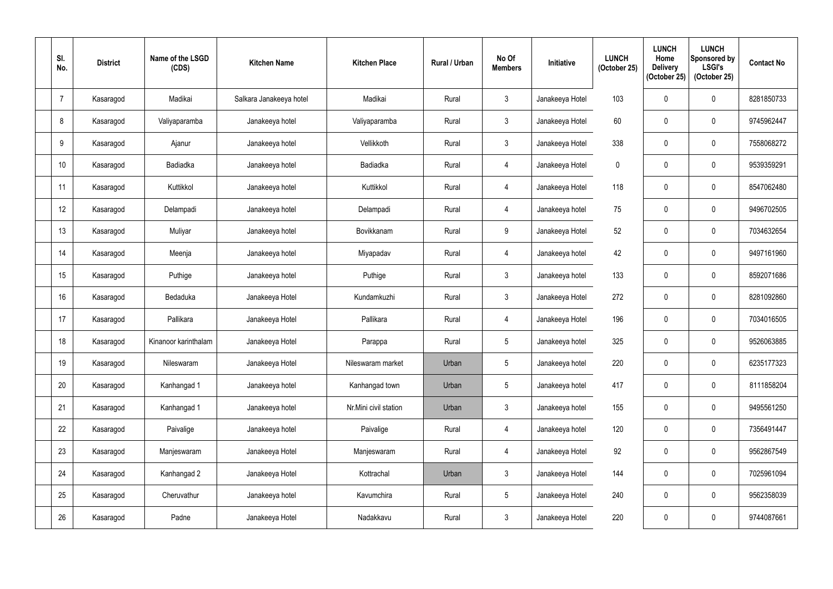| SI.<br>No.     | <b>District</b> | Name of the LSGD<br>(CDS) | <b>Kitchen Name</b>     | <b>Kitchen Place</b>  | Rural / Urban | No Of<br><b>Members</b> | Initiative      | <b>LUNCH</b><br>(October 25) | <b>LUNCH</b><br>Home<br><b>Delivery</b><br>(October 25) | <b>LUNCH</b><br>Sponsored by<br><b>LSGI's</b><br>(October 25) | <b>Contact No</b> |
|----------------|-----------------|---------------------------|-------------------------|-----------------------|---------------|-------------------------|-----------------|------------------------------|---------------------------------------------------------|---------------------------------------------------------------|-------------------|
| $\overline{7}$ | Kasaragod       | Madikai                   | Salkara Janakeeya hotel | Madikai               | Rural         | $\mathbf{3}$            | Janakeeya Hotel | 103                          |                                                         | $\mathbf 0$                                                   | 8281850733        |
| 8              | Kasaragod       | Valiyaparamba             | Janakeeya hotel         | Valiyaparamba         | Rural         | $\mathfrak{Z}$          | Janakeeya Hotel | 60                           |                                                         | $\pmb{0}$                                                     | 9745962447        |
| 9              | Kasaragod       | Ajanur                    | Janakeeya hotel         | Vellikkoth            | Rural         | $3\phantom{.0}$         | Janakeeya Hotel | 338                          | 0                                                       | $\pmb{0}$                                                     | 7558068272        |
| 10             | Kasaragod       | Badiadka                  | Janakeeya hotel         | Badiadka              | Rural         | 4                       | Janakeeya Hotel | $\mathbf 0$                  |                                                         | $\mathbf 0$                                                   | 9539359291        |
| 11             | Kasaragod       | Kuttikkol                 | Janakeeya hotel         | Kuttikkol             | Rural         | 4                       | Janakeeya Hotel | 118                          |                                                         | $\pmb{0}$                                                     | 8547062480        |
| 12             | Kasaragod       | Delampadi                 | Janakeeya hotel         | Delampadi             | Rural         | 4                       | Janakeeya hotel | 75                           | 0                                                       | $\pmb{0}$                                                     | 9496702505        |
| 13             | Kasaragod       | Muliyar                   | Janakeeya hotel         | Bovikkanam            | Rural         | 9                       | Janakeeya Hotel | 52                           |                                                         | 0                                                             | 7034632654        |
| 14             | Kasaragod       | Meenja                    | Janakeeya hotel         | Miyapadav             | Rural         | $\overline{4}$          | Janakeeya hotel | 42                           | 0                                                       | $\pmb{0}$                                                     | 9497161960        |
| 15             | Kasaragod       | Puthige                   | Janakeeya hotel         | Puthige               | Rural         | $\mathbf{3}$            | Janakeeya hotel | 133                          |                                                         | $\mathbf 0$                                                   | 8592071686        |
| 16             | Kasaragod       | Bedaduka                  | Janakeeya Hotel         | Kundamkuzhi           | Rural         | $\mathfrak{Z}$          | Janakeeya Hotel | 272                          |                                                         | $\pmb{0}$                                                     | 8281092860        |
| 17             | Kasaragod       | Pallikara                 | Janakeeya Hotel         | Pallikara             | Rural         | 4                       | Janakeeya Hotel | 196                          | 0                                                       | $\pmb{0}$                                                     | 7034016505        |
| 18             | Kasaragod       | Kinanoor karinthalam      | Janakeeya Hotel         | Parappa               | Rural         | $5\phantom{.0}$         | Janakeeya hotel | 325                          |                                                         | $\pmb{0}$                                                     | 9526063885        |
| 19             | Kasaragod       | Nileswaram                | Janakeeya Hotel         | Nileswaram market     | Urban         | $5\phantom{.0}$         | Janakeeya hotel | 220                          | 0                                                       | $\pmb{0}$                                                     | 6235177323        |
| 20             | Kasaragod       | Kanhangad 1               | Janakeeya hotel         | Kanhangad town        | Urban         | $\overline{5}$          | Janakeeya hotel | 417                          | $\Omega$                                                | $\pmb{0}$                                                     | 8111858204        |
| 21             | Kasaragod       | Kanhangad 1               | Janakeeya hotel         | Nr.Mini civil station | Urban         | $\mathfrak{Z}$          | Janakeeya hotel | 155                          | 0                                                       | $\pmb{0}$                                                     | 9495561250        |
| 22             | Kasaragod       | Paivalige                 | Janakeeya hotel         | Paivalige             | Rural         | $\overline{4}$          | Janakeeya hotel | 120                          |                                                         | $\pmb{0}$                                                     | 7356491447        |
| 23             | Kasaragod       | Manjeswaram               | Janakeeya Hotel         | Manjeswaram           | Rural         | $\overline{4}$          | Janakeeya Hotel | 92                           | 0                                                       | $\pmb{0}$                                                     | 9562867549        |
| 24             | Kasaragod       | Kanhangad 2               | Janakeeya Hotel         | Kottrachal            | Urban         | $\mathfrak{Z}$          | Janakeeya Hotel | 144                          | 0                                                       | $\pmb{0}$                                                     | 7025961094        |
| 25             | Kasaragod       | Cheruvathur               | Janakeeya hotel         | Kavumchira            | Rural         | $5\phantom{.0}$         | Janakeeya Hotel | 240                          |                                                         | $\pmb{0}$                                                     | 9562358039        |
| 26             | Kasaragod       | Padne                     | Janakeeya Hotel         | Nadakkavu             | Rural         | $\mathfrak{Z}$          | Janakeeya Hotel | 220                          | 0                                                       | $\pmb{0}$                                                     | 9744087661        |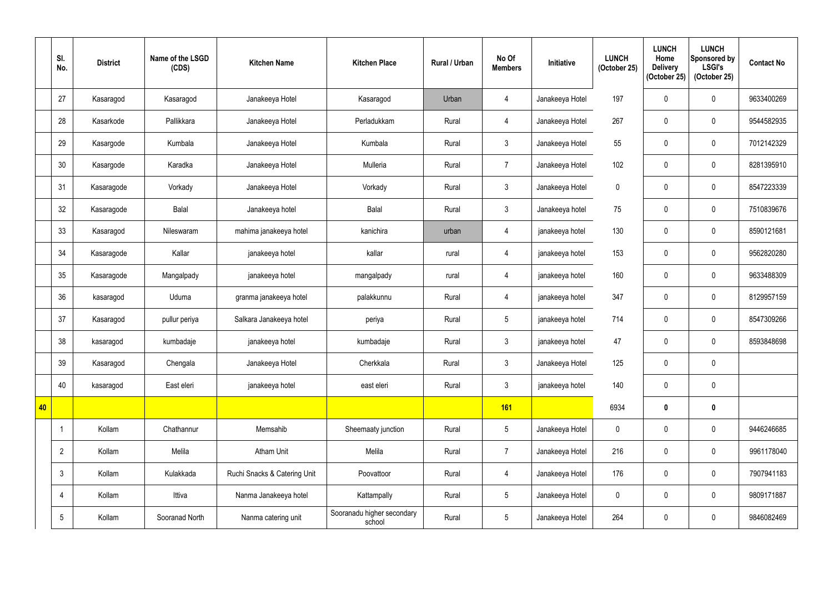|    | SI.<br>No.     | <b>District</b> | Name of the LSGD<br>(CDS) | <b>Kitchen Name</b>          | <b>Kitchen Place</b>                 | Rural / Urban | No Of<br><b>Members</b> | Initiative      | <b>LUNCH</b><br>(October 25) | <b>LUNCH</b><br>Home<br><b>Delivery</b><br>(October 25) | <b>LUNCH</b><br>Sponsored by<br><b>LSGI's</b><br>(October 25) | <b>Contact No</b> |
|----|----------------|-----------------|---------------------------|------------------------------|--------------------------------------|---------------|-------------------------|-----------------|------------------------------|---------------------------------------------------------|---------------------------------------------------------------|-------------------|
|    | 27             | Kasaragod       | Kasaragod                 | Janakeeya Hotel              | Kasaragod                            | Urban         | 4                       | Janakeeya Hotel | 197                          | 0                                                       | $\mathbf 0$                                                   | 9633400269        |
|    | 28             | Kasarkode       | Pallikkara                | Janakeeya Hotel              | Perladukkam                          | Rural         | 4                       | Janakeeya Hotel | 267                          | $\mathbf{0}$                                            | $\boldsymbol{0}$                                              | 9544582935        |
|    | 29             | Kasargode       | Kumbala                   | Janakeeya Hotel              | Kumbala                              | Rural         | $\mathbf{3}$            | Janakeeya Hotel | 55                           | 0                                                       | $\boldsymbol{0}$                                              | 7012142329        |
|    | 30             | Kasargode       | Karadka                   | Janakeeya Hotel              | Mulleria                             | Rural         | $\overline{7}$          | Janakeeya Hotel | 102                          | 0                                                       | $\boldsymbol{0}$                                              | 8281395910        |
|    | 31             | Kasaragode      | Vorkady                   | Janakeeya Hotel              | Vorkady                              | Rural         | $\mathbf{3}$            | Janakeeya Hotel | $\mathbf 0$                  | $\mathbf{0}$                                            | $\pmb{0}$                                                     | 8547223339        |
|    | 32             | Kasaragode      | <b>Balal</b>              | Janakeeya hotel              | Balal                                | Rural         | $\mathfrak{Z}$          | Janakeeya hotel | 75                           | $\mathbf 0$                                             | $\boldsymbol{0}$                                              | 7510839676        |
|    | 33             | Kasaragod       | Nileswaram                | mahima janakeeya hotel       | kanichira                            | urban         | 4                       | janakeeya hotel | 130                          | 0                                                       | $\mathbf 0$                                                   | 8590121681        |
|    | 34             | Kasaragode      | Kallar                    | janakeeya hotel              | kallar                               | rural         | 4                       | janakeeya hotel | 153                          | $\mathbf{0}$                                            | $\boldsymbol{0}$                                              | 9562820280        |
|    | 35             | Kasaragode      | Mangalpady                | janakeeya hotel              | mangalpady                           | rural         | 4                       | janakeeya hotel | 160                          | $\mathbf{0}$                                            | $\mathbf 0$                                                   | 9633488309        |
|    | 36             | kasaragod       | Uduma                     | granma janakeeya hotel       | palakkunnu                           | Rural         | 4                       | janakeeya hotel | 347                          | $\mathbf{0}$                                            | $\mathbf 0$                                                   | 8129957159        |
|    | 37             | Kasaragod       | pullur periya             | Salkara Janakeeya hotel      | periya                               | Rural         | $5\phantom{.0}$         | janakeeya hotel | 714                          | 0                                                       | $\mathbf 0$                                                   | 8547309266        |
|    | 38             | kasaragod       | kumbadaje                 | janakeeya hotel              | kumbadaje                            | Rural         | $\mathfrak{Z}$          | janakeeya hotel | 47                           | $\mathbf 0$                                             | $\mathbf 0$                                                   | 8593848698        |
|    | 39             | Kasaragod       | Chengala                  | Janakeeya Hotel              | Cherkkala                            | Rural         | $\mathfrak{Z}$          | Janakeeya Hotel | 125                          | 0                                                       | $\pmb{0}$                                                     |                   |
|    | 40             | kasaragod       | East eleri                | janakeeya hotel              | east eleri                           | Rural         | $\mathfrak{Z}$          | janakeeya hotel | 140                          | $\mathbf{0}$                                            | $\mathbf 0$                                                   |                   |
| 40 |                |                 |                           |                              |                                      |               | <b>161</b>              |                 | 6934                         | $\mathbf 0$                                             | $\boldsymbol{0}$                                              |                   |
|    | $\overline{1}$ | Kollam          | Chathannur                | Memsahib                     | Sheemaaty junction                   | Rural         | $5\phantom{.0}$         | Janakeeya Hotel | $\mathbf 0$                  | 0                                                       | $\mathbf 0$                                                   | 9446246685        |
|    | $\overline{2}$ | Kollam          | Melila                    | <b>Atham Unit</b>            | Melila                               | Rural         | $\overline{7}$          | Janakeeya Hotel | 216                          | $\mathbf 0$                                             | $\pmb{0}$                                                     | 9961178040        |
|    | $\mathbf{3}$   | Kollam          | Kulakkada                 | Ruchi Snacks & Catering Unit | Poovattoor                           | Rural         | $\overline{4}$          | Janakeeya Hotel | 176                          | $\mathbf 0$                                             | $\pmb{0}$                                                     | 7907941183        |
|    | $\overline{4}$ | Kollam          | Ittiva                    | Nanma Janakeeya hotel        | Kattampally                          | Rural         | $5\phantom{.0}$         | Janakeeya Hotel | $\mathbf 0$                  | 0                                                       | $\boldsymbol{0}$                                              | 9809171887        |
|    | $\overline{5}$ | Kollam          | Sooranad North            | Nanma catering unit          | Sooranadu higher secondary<br>school | Rural         | $5\phantom{.0}$         | Janakeeya Hotel | 264                          | $\mathbf 0$                                             | $\pmb{0}$                                                     | 9846082469        |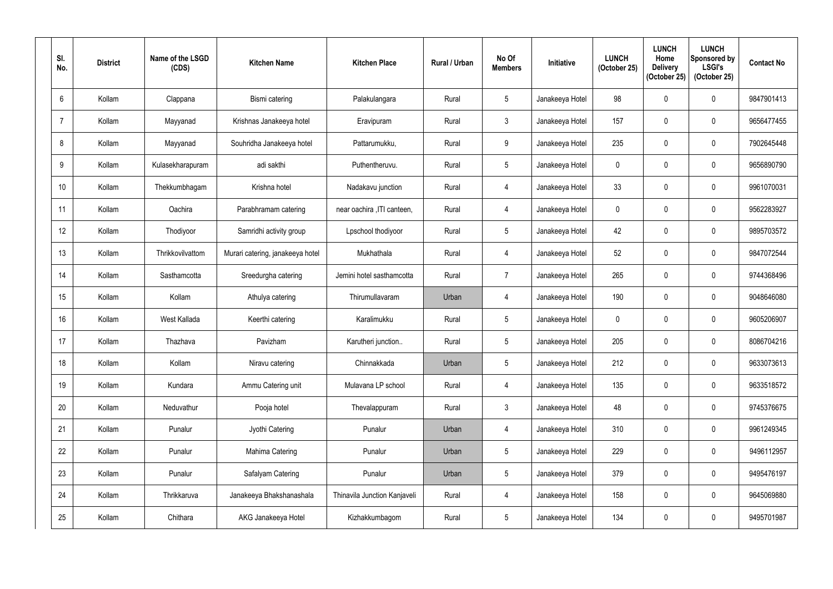| SI.<br>No.      | <b>District</b> | Name of the LSGD<br>(CDS) | <b>Kitchen Name</b>              | <b>Kitchen Place</b>         | Rural / Urban | No Of<br><b>Members</b> | Initiative      | <b>LUNCH</b><br>(October 25) | <b>LUNCH</b><br>Home<br><b>Delivery</b><br>(October 25) | <b>LUNCH</b><br>Sponsored by<br><b>LSGI's</b><br>(October 25) | <b>Contact No</b> |
|-----------------|-----------------|---------------------------|----------------------------------|------------------------------|---------------|-------------------------|-----------------|------------------------------|---------------------------------------------------------|---------------------------------------------------------------|-------------------|
| $6\phantom{.}$  | Kollam          | Clappana                  | Bismi catering                   | Palakulangara                | Rural         | $5\phantom{.0}$         | Janakeeya Hotel | 98                           | 0                                                       | 0                                                             | 9847901413        |
| $\overline{7}$  | Kollam          | Mayyanad                  | Krishnas Janakeeya hotel         | Eravipuram                   | Rural         | $\mathfrak{Z}$          | Janakeeya Hotel | 157                          | $\mathbf{0}$                                            | 0                                                             | 9656477455        |
| 8               | Kollam          | Mayyanad                  | Souhridha Janakeeya hotel        | Pattarumukku,                | Rural         | 9                       | Janakeeya Hotel | 235                          | 0                                                       | 0                                                             | 7902645448        |
| 9               | Kollam          | Kulasekharapuram          | adi sakthi                       | Puthentheruvu.               | Rural         | $\overline{5}$          | Janakeeya Hotel | 0                            | $\mathbf 0$                                             | 0                                                             | 9656890790        |
| 10 <sup>°</sup> | Kollam          | Thekkumbhagam             | Krishna hotel                    | Nadakavu junction            | Rural         | $\overline{4}$          | Janakeeya Hotel | 33                           | $\mathbf 0$                                             | 0                                                             | 9961070031        |
| 11              | Kollam          | Oachira                   | Parabhramam catering             | near oachira , ITI canteen,  | Rural         | 4                       | Janakeeya Hotel | 0                            | 0                                                       | 0                                                             | 9562283927        |
| 12 <sup>°</sup> | Kollam          | Thodiyoor                 | Samridhi activity group          | Lpschool thodiyoor           | Rural         | $\overline{5}$          | Janakeeya Hotel | 42                           | 0                                                       | 0                                                             | 9895703572        |
| 13              | Kollam          | Thrikkovilvattom          | Murari catering, janakeeya hotel | Mukhathala                   | Rural         | 4                       | Janakeeya Hotel | 52                           | 0                                                       | 0                                                             | 9847072544        |
| 14              | Kollam          | Sasthamcotta              | Sreedurgha catering              | Jemini hotel sasthamcotta    | Rural         | $\overline{7}$          | Janakeeya Hotel | 265                          | 0                                                       | 0                                                             | 9744368496        |
| 15 <sup>2</sup> | Kollam          | Kollam                    | Athulya catering                 | Thirumullavaram              | Urban         | 4                       | Janakeeya Hotel | 190                          | 0                                                       | 0                                                             | 9048646080        |
| 16              | Kollam          | West Kallada              | Keerthi catering                 | Karalimukku                  | Rural         | $\overline{5}$          | Janakeeya Hotel | 0                            | $\mathbf 0$                                             | 0                                                             | 9605206907        |
| 17              | Kollam          | Thazhava                  | Pavizham                         | Karutheri junction           | Rural         | $\overline{5}$          | Janakeeya Hotel | 205                          | 0                                                       | 0                                                             | 8086704216        |
| 18              | Kollam          | Kollam                    | Niravu catering                  | Chinnakkada                  | Urban         | $\overline{5}$          | Janakeeya Hotel | 212                          | $\mathbf 0$                                             | 0                                                             | 9633073613        |
| 19              | Kollam          | Kundara                   | Ammu Catering unit               | Mulavana LP school           | Rural         | $\overline{4}$          | Janakeeya Hotel | 135                          | 0                                                       | 0                                                             | 9633518572        |
| 20              | Kollam          | Neduvathur                | Pooja hotel                      | Thevalappuram                | Rural         | $\mathfrak{Z}$          | Janakeeya Hotel | 48                           | $\mathbf 0$                                             | 0                                                             | 9745376675        |
| 21              | Kollam          | Punalur                   | Jyothi Catering                  | Punalur                      | Urban         | $\overline{4}$          | Janakeeya Hotel | 310                          | $\mathbf 0$                                             | 0                                                             | 9961249345        |
| 22              | Kollam          | Punalur                   | Mahima Catering                  | Punalur                      | Urban         | $5\phantom{.0}$         | Janakeeya Hotel | 229                          | 0                                                       | $\pmb{0}$                                                     | 9496112957        |
| 23              | Kollam          | Punalur                   | Safalyam Catering                | Punalur                      | Urban         | $5\,$                   | Janakeeya Hotel | 379                          | $\mathbf 0$                                             | 0                                                             | 9495476197        |
| 24              | Kollam          | Thrikkaruva               | Janakeeya Bhakshanashala         | Thinavila Junction Kanjaveli | Rural         | $\overline{4}$          | Janakeeya Hotel | 158                          | $\mathbf 0$                                             | 0                                                             | 9645069880        |
| 25              | Kollam          | Chithara                  | AKG Janakeeya Hotel              | Kizhakkumbagom               | Rural         | $\sqrt{5}$              | Janakeeya Hotel | 134                          | 0                                                       | $\pmb{0}$                                                     | 9495701987        |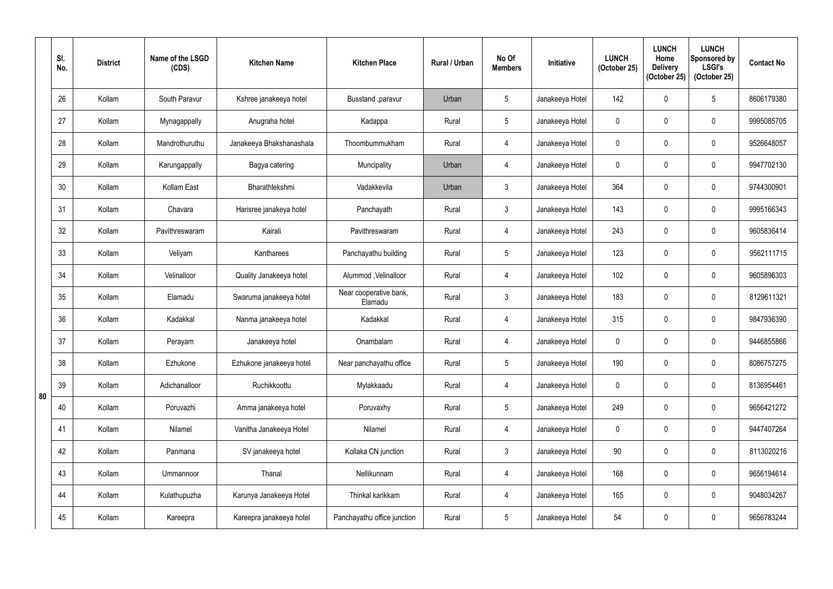|    | SI.<br>No. | <b>District</b> | Name of the LSGD<br>(CDS) | <b>Kitchen Name</b>      | <b>Kitchen Place</b>              | <b>Rural / Urban</b> | No Of<br><b>Members</b> | <b>Initiative</b> | <b>LUNCH</b><br>(October 25) | <b>LUNCH</b><br>Home<br><b>Delivery</b><br>(October 25) | <b>LUNCH</b><br>Sponsored by<br><b>LSGI's</b><br>(October 25) | <b>Contact No</b> |
|----|------------|-----------------|---------------------------|--------------------------|-----------------------------------|----------------------|-------------------------|-------------------|------------------------------|---------------------------------------------------------|---------------------------------------------------------------|-------------------|
|    | 26         | Kollam          | South Paravur             | Kshree janakeeya hotel   | Busstand , paravur                | Urban                | 5                       | Janakeeya Hotel   | 142                          | 0                                                       | 5                                                             | 8606179380        |
|    | 27         | Kollam          | Mynagappally              | Anugraha hotel           | Kadappa                           | Rural                | $5\phantom{.0}$         | Janakeeya Hotel   | $\mathbf 0$                  | $\mathbf 0$                                             | $\boldsymbol{0}$                                              | 9995085705        |
|    | 28         | Kollam          | Mandrothuruthu            | Janakeeya Bhakshanashala | Thoombummukham                    | Rural                | $\overline{4}$          | Janakeeya Hotel   | $\mathbf 0$                  | $\mathbf 0$                                             | $\pmb{0}$                                                     | 9526648057        |
|    | 29         | Kollam          | Karungappally             | Bagya catering           | Muncipality                       | Urban                | 4                       | Janakeeya Hotel   | $\mathbf 0$                  | $\mathbf 0$                                             | $\mathbf 0$                                                   | 9947702130        |
|    | 30         | Kollam          | Kollam East               | Bharathlekshmi           | Vadakkevila                       | Urban                | $\mathbf{3}$            | Janakeeya Hotel   | 364                          | $\mathbf 0$                                             | $\pmb{0}$                                                     | 9744300901        |
|    | 31         | Kollam          | Chavara                   | Harisree janakeya hotel  | Panchayath                        | Rural                | $\mathbf{3}$            | Janakeeya Hotel   | 143                          | 0                                                       | $\mathbf 0$                                                   | 9995166343        |
|    | 32         | Kollam          | Pavithreswaram            | Kairali                  | Pavithreswaram                    | Rural                | $\overline{4}$          | Janakeeya Hotel   | 243                          | $\mathbf 0$                                             | $\pmb{0}$                                                     | 9605836414        |
|    | 33         | Kollam          | Veliyam                   | Kantharees               | Panchayathu building              | Rural                | $\sqrt{5}$              | Janakeeya Hotel   | 123                          | $\mathbf 0$                                             | 0                                                             | 9562111715        |
|    | 34         | Kollam          | Velinalloor               | Quality Janakeeya hotel  | Alummod, Velinalloor              | Rural                | 4                       | Janakeeya Hotel   | 102                          | 0                                                       | $\pmb{0}$                                                     | 9605896303        |
|    | 35         | Kollam          | Elamadu                   | Swaruma janakeeya hotel  | Near cooperative bank,<br>Elamadu | Rural                | $\mathfrak{Z}$          | Janakeeya Hotel   | 183                          | $\mathbf 0$                                             | $\mathbf 0$                                                   | 8129611321        |
|    | 36         | Kollam          | Kadakkal                  | Nanma janakeeya hotel    | Kadakkal                          | Rural                | $\overline{4}$          | Janakeeya Hotel   | 315                          | $\mathbf 0$                                             | $\pmb{0}$                                                     | 9847936390        |
|    | 37         | Kollam          | Perayam                   | Janakeeya hotel          | Onambalam                         | Rural                | 4                       | Janakeeya Hotel   | $\mathbf 0$                  | 0                                                       | $\mathbf 0$                                                   | 9446855866        |
|    | 38         | Kollam          | Ezhukone                  | Ezhukone janakeeya hotel | Near panchayathu office           | Rural                | $\sqrt{5}$              | Janakeeya Hotel   | 190                          | $\mathbf 0$                                             | $\pmb{0}$                                                     | 8086757275        |
| 80 | 39         | Kollam          | Adichanalloor             | Ruchikkoottu             | Mylakkaadu                        | Rural                | $\overline{4}$          | Janakeeya Hotel   | $\mathbf 0$                  | 0                                                       | $\boldsymbol{0}$                                              | 8136954461        |
|    | 40         | Kollam          | Poruvazhi                 | Amma janakeeya hotel     | Poruvaxhy                         | Rural                | $5\,$                   | Janakeeya Hotel   | 249                          | 0                                                       | $\pmb{0}$                                                     | 9656421272        |
|    | 41         | Kollam          | Nilamel                   | Vanitha Janakeeya Hotel  | Nilamel                           | Rural                | $\overline{4}$          | Janakeeya Hotel   | $\pmb{0}$                    | $\mathbf 0$                                             | $\boldsymbol{0}$                                              | 9447407264        |
|    | 42         | Kollam          | Panmana                   | SV janakeeya hotel       | Kollaka CN junction               | Rural                | $\mathfrak{Z}$          | Janakeeya Hotel   | 90                           | 0                                                       | $\pmb{0}$                                                     | 8113020216        |
|    | 43         | Kollam          | Ummannoor                 | Thanal                   | Nellikunnam                       | Rural                | $\overline{4}$          | Janakeeya Hotel   | 168                          | 0                                                       | $\pmb{0}$                                                     | 9656194614        |
|    | 44         | Kollam          | Kulathupuzha              | Karunya Janakeeya Hotel  | Thinkal karikkam                  | Rural                | $\overline{4}$          | Janakeeya Hotel   | 165                          | 0                                                       | $\boldsymbol{0}$                                              | 9048034267        |
|    | 45         | Kollam          | Kareepra                  | Kareepra janakeeya hotel | Panchayathu office junction       | Rural                | $\sqrt{5}$              | Janakeeya Hotel   | 54                           | 0                                                       | $\pmb{0}$                                                     | 9656783244        |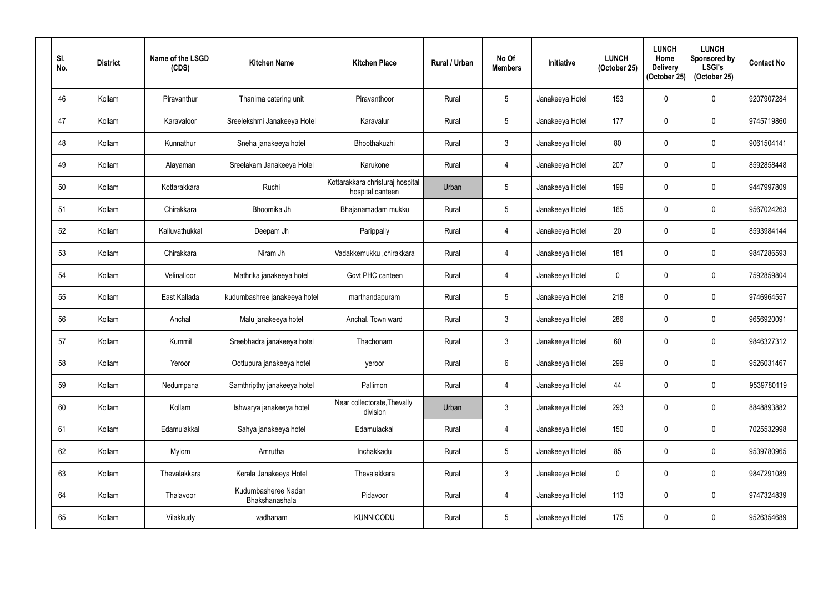| SI.<br>No. | <b>District</b> | Name of the LSGD<br>(CDS) | <b>Kitchen Name</b>                   | <b>Kitchen Place</b>                                 | <b>Rural / Urban</b> | No Of<br><b>Members</b> | Initiative      | <b>LUNCH</b><br>(October 25) | <b>LUNCH</b><br>Home<br><b>Delivery</b><br>(October 25) | <b>LUNCH</b><br>Sponsored by<br><b>LSGI's</b><br>(October 25) | <b>Contact No</b> |
|------------|-----------------|---------------------------|---------------------------------------|------------------------------------------------------|----------------------|-------------------------|-----------------|------------------------------|---------------------------------------------------------|---------------------------------------------------------------|-------------------|
| 46         | Kollam          | Piravanthur               | Thanima catering unit                 | Piravanthoor                                         | Rural                | $5\phantom{.0}$         | Janakeeya Hotel | 153                          | 0                                                       | 0                                                             | 9207907284        |
| 47         | Kollam          | Karavaloor                | Sreelekshmi Janakeeya Hotel           | Karavalur                                            | Rural                | $5\phantom{.0}$         | Janakeeya Hotel | 177                          | $\mathbf{0}$                                            | 0                                                             | 9745719860        |
| 48         | Kollam          | Kunnathur                 | Sneha janakeeya hotel                 | Bhoothakuzhi                                         | Rural                | $\mathfrak{Z}$          | Janakeeya Hotel | 80                           | 0                                                       | 0                                                             | 9061504141        |
| 49         | Kollam          | Alayaman                  | Sreelakam Janakeeya Hotel             | Karukone                                             | Rural                | 4                       | Janakeeya Hotel | 207                          | 0                                                       | 0                                                             | 8592858448        |
| 50         | Kollam          | Kottarakkara              | Ruchi                                 | Kottarakkara christuraj hospital<br>hospital canteen | Urban                | $5\phantom{.0}$         | Janakeeya Hotel | 199                          | $\mathbf 0$                                             | 0                                                             | 9447997809        |
| 51         | Kollam          | Chirakkara                | Bhoomika Jh                           | Bhajanamadam mukku                                   | Rural                | $\overline{5}$          | Janakeeya Hotel | 165                          | 0                                                       | 0                                                             | 9567024263        |
| 52         | Kollam          | Kalluvathukkal            | Deepam Jh                             | Parippally                                           | Rural                | $\overline{4}$          | Janakeeya Hotel | 20                           | 0                                                       | 0                                                             | 8593984144        |
| 53         | Kollam          | Chirakkara                | Niram Jh                              | Vadakkemukku ,chirakkara                             | Rural                | 4                       | Janakeeya Hotel | 181                          | $\mathbf 0$                                             | 0                                                             | 9847286593        |
| 54         | Kollam          | Velinalloor               | Mathrika janakeeya hotel              | Govt PHC canteen                                     | Rural                | 4                       | Janakeeya Hotel | 0                            | 0                                                       | 0                                                             | 7592859804        |
| 55         | Kollam          | East Kallada              | kudumbashree janakeeya hotel          | marthandapuram                                       | Rural                | $5\phantom{.0}$         | Janakeeya Hotel | 218                          | $\mathbf 0$                                             | 0                                                             | 9746964557        |
| 56         | Kollam          | Anchal                    | Malu janakeeya hotel                  | Anchal, Town ward                                    | Rural                | $\mathfrak{Z}$          | Janakeeya Hotel | 286                          | $\mathbf 0$                                             | 0                                                             | 9656920091        |
| 57         | Kollam          | Kummil                    | Sreebhadra janakeeya hotel            | Thachonam                                            | Rural                | $\mathfrak{Z}$          | Janakeeya Hotel | 60                           | $\mathbf 0$                                             | 0                                                             | 9846327312        |
| 58         | Kollam          | Yeroor                    | Oottupura janakeeya hotel             | yeroor                                               | Rural                | $6\,$                   | Janakeeya Hotel | 299                          | $\mathbf 0$                                             | 0                                                             | 9526031467        |
| 59         | Kollam          | Nedumpana                 | Samthripthy janakeeya hotel           | Pallimon                                             | Rural                | $\overline{4}$          | Janakeeya Hotel | 44                           | $\mathbf 0$                                             | 0                                                             | 9539780119        |
| 60         | Kollam          | Kollam                    | Ishwarya janakeeya hotel              | Near collectorate, Thevally<br>division              | Urban                | $\mathfrak{Z}$          | Janakeeya Hotel | 293                          | $\mathbf 0$                                             | 0                                                             | 8848893882        |
| 61         | Kollam          | Edamulakkal               | Sahya janakeeya hotel                 | Edamulackal                                          | Rural                | $\overline{4}$          | Janakeeya Hotel | 150                          | $\mathbf 0$                                             | 0                                                             | 7025532998        |
| 62         | Kollam          | Mylom                     | Amrutha                               | Inchakkadu                                           | Rural                | $5\phantom{.0}$         | Janakeeya Hotel | 85                           | 0                                                       | $\pmb{0}$                                                     | 9539780965        |
| 63         | Kollam          | Thevalakkara              | Kerala Janakeeya Hotel                | Thevalakkara                                         | Rural                | $\mathfrak{Z}$          | Janakeeya Hotel | $\mathbf 0$                  | $\mathbf 0$                                             | 0                                                             | 9847291089        |
| 64         | Kollam          | Thalavoor                 | Kudumbasheree Nadan<br>Bhakshanashala | Pidavoor                                             | Rural                | $\overline{4}$          | Janakeeya Hotel | 113                          | $\mathbf 0$                                             | 0                                                             | 9747324839        |
| 65         | Kollam          | Vilakkudy                 | vadhanam                              | <b>KUNNICODU</b>                                     | Rural                | $\sqrt{5}$              | Janakeeya Hotel | 175                          | 0                                                       | 0                                                             | 9526354689        |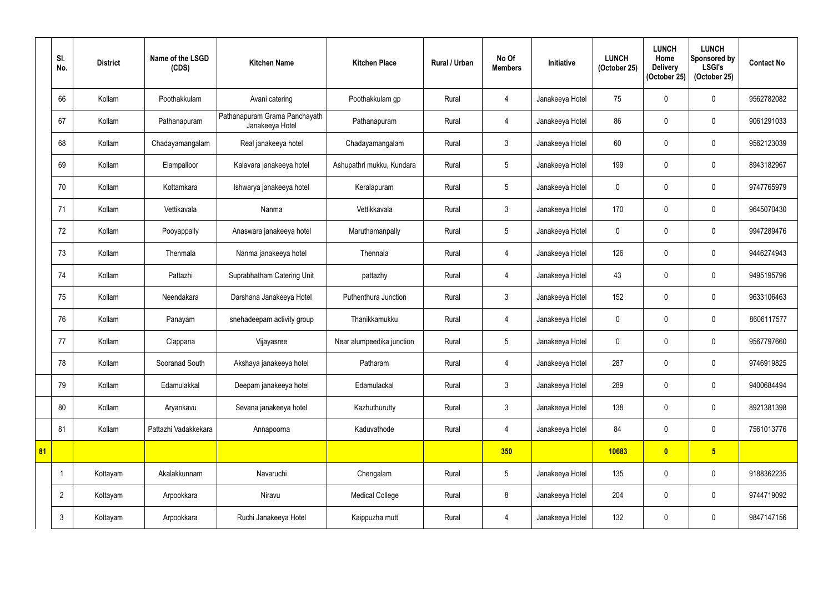|    | SI.<br>No.     | <b>District</b> | Name of the LSGD<br>(CDS) | <b>Kitchen Name</b>                              | <b>Kitchen Place</b>      | Rural / Urban | No Of<br><b>Members</b> | Initiative      | <b>LUNCH</b><br>(October 25) | <b>LUNCH</b><br>Home<br><b>Delivery</b><br>(October 25) | <b>LUNCH</b><br>Sponsored by<br><b>LSGI's</b><br>(October 25) | <b>Contact No</b> |
|----|----------------|-----------------|---------------------------|--------------------------------------------------|---------------------------|---------------|-------------------------|-----------------|------------------------------|---------------------------------------------------------|---------------------------------------------------------------|-------------------|
|    | 66             | Kollam          | Poothakkulam              | Avani catering                                   | Poothakkulam gp           | Rural         | $\overline{4}$          | Janakeeya Hotel | 75                           |                                                         | $\boldsymbol{0}$                                              | 9562782082        |
|    | 67             | Kollam          | Pathanapuram              | Pathanapuram Grama Panchayath<br>Janakeeya Hotel | Pathanapuram              | Rural         | $\overline{4}$          | Janakeeya Hotel | 86                           |                                                         | $\mathbf 0$                                                   | 9061291033        |
|    | 68             | Kollam          | Chadayamangalam           | Real janakeeya hotel                             | Chadayamangalam           | Rural         | $\mathfrak{Z}$          | Janakeeya Hotel | 60                           |                                                         | $\mathbf 0$                                                   | 9562123039        |
|    | 69             | Kollam          | Elampalloor               | Kalavara janakeeya hotel                         | Ashupathri mukku, Kundara | Rural         | 5                       | Janakeeya Hotel | 199                          |                                                         | $\mathbf 0$                                                   | 8943182967        |
|    | 70             | Kollam          | Kottamkara                | Ishwarya janakeeya hotel                         | Keralapuram               | Rural         | $5\phantom{.0}$         | Janakeeya Hotel | $\mathbf 0$                  |                                                         | $\mathbf 0$                                                   | 9747765979        |
|    | 71             | Kollam          | Vettikavala               | Nanma                                            | Vettikkavala              | Rural         | $\mathfrak{Z}$          | Janakeeya Hotel | 170                          |                                                         | $\mathbf 0$                                                   | 9645070430        |
|    | 72             | Kollam          | Pooyappally               | Anaswara janakeeya hotel                         | Maruthamanpally           | Rural         | 5                       | Janakeeya Hotel | $\mathbf 0$                  |                                                         | $\mathbf 0$                                                   | 9947289476        |
|    | 73             | Kollam          | Thenmala                  | Nanma janakeeya hotel                            | Thennala                  | Rural         | $\overline{4}$          | Janakeeya Hotel | 126                          |                                                         | $\mathbf 0$                                                   | 9446274943        |
|    | 74             | Kollam          | Pattazhi                  | Suprabhatham Catering Unit                       | pattazhy                  | Rural         | $\overline{4}$          | Janakeeya Hotel | 43                           | 0                                                       | $\mathbf 0$                                                   | 9495195796        |
|    | 75             | Kollam          | Neendakara                | Darshana Janakeeya Hotel                         | Puthenthura Junction      | Rural         | $\mathfrak{Z}$          | Janakeeya Hotel | 152                          |                                                         | $\mathbf 0$                                                   | 9633106463        |
|    | 76             | Kollam          | Panayam                   | snehadeepam activity group                       | Thanikkamukku             | Rural         | $\overline{4}$          | Janakeeya Hotel | $\mathbf 0$                  |                                                         | $\pmb{0}$                                                     | 8606117577        |
|    | 77             | Kollam          | Clappana                  | Vijayasree                                       | Near alumpeedika junction | Rural         | 5                       | Janakeeya Hotel | $\mathbf 0$                  |                                                         | $\boldsymbol{0}$                                              | 9567797660        |
|    | 78             | Kollam          | Sooranad South            | Akshaya janakeeya hotel                          | Patharam                  | Rural         | $\overline{4}$          | Janakeeya Hotel | 287                          | 0                                                       | $\mathbf 0$                                                   | 9746919825        |
|    | 79             | Kollam          | Edamulakkal               | Deepam janakeeya hotel                           | Edamulackal               | Rural         | $\mathbf{3}$            | Janakeeya Hotel | 289                          | 0                                                       | $\pmb{0}$                                                     | 9400684494        |
|    | 80             | Kollam          | Aryankavu                 | Sevana janakeeya hotel                           | Kazhuthurutty             | Rural         | $\mathfrak{Z}$          | Janakeeya Hotel | 138                          | $\mathbf 0$                                             | $\pmb{0}$                                                     | 8921381398        |
|    | 81             | Kollam          | Pattazhi Vadakkekara      | Annapoorna                                       | Kaduvathode               | Rural         | $\overline{4}$          | Janakeeya Hotel | 84                           | 0                                                       | $\mathbf 0$                                                   | 7561013776        |
| 81 |                |                 |                           |                                                  |                           |               | 350                     |                 | 10683                        | $\overline{\mathbf{0}}$                                 | $5\overline{)}$                                               |                   |
|    |                | Kottayam        | Akalakkunnam              | Navaruchi                                        | Chengalam                 | Rural         | $5\phantom{.0}$         | Janakeeya Hotel | 135                          | $\boldsymbol{0}$                                        | $\pmb{0}$                                                     | 9188362235        |
|    | $\overline{2}$ | Kottayam        | Arpookkara                | Niravu                                           | <b>Medical College</b>    | Rural         | 8                       | Janakeeya Hotel | 204                          | 0                                                       | $\pmb{0}$                                                     | 9744719092        |
|    | $\mathfrak{Z}$ | Kottayam        | Arpookkara                | Ruchi Janakeeya Hotel                            | Kaippuzha mutt            | Rural         | $\overline{4}$          | Janakeeya Hotel | 132                          | $\mathbf 0$                                             | $\pmb{0}$                                                     | 9847147156        |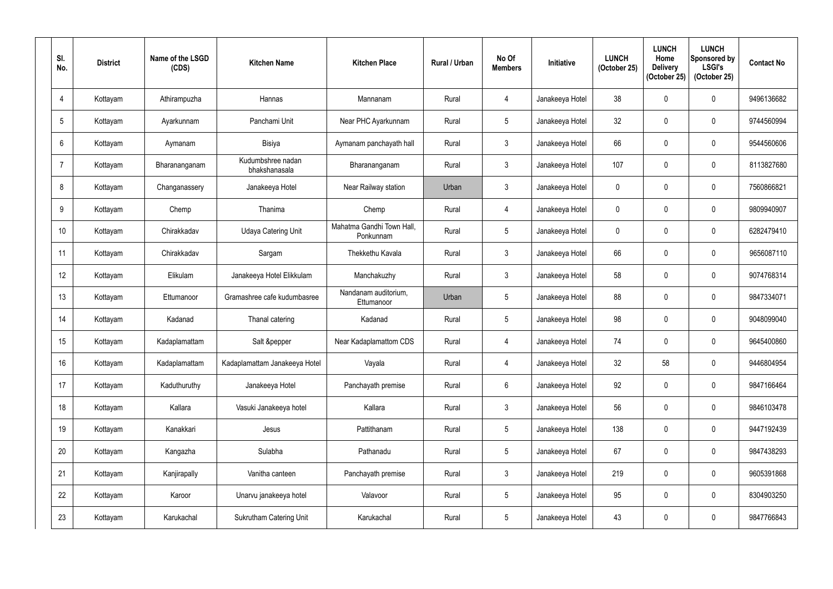| SI.<br>No.     | <b>District</b> | Name of the LSGD<br>(CDS) | <b>Kitchen Name</b>                | <b>Kitchen Place</b>                   | <b>Rural / Urban</b> | No Of<br><b>Members</b> | <b>Initiative</b> | <b>LUNCH</b><br>(October 25) | <b>LUNCH</b><br>Home<br><b>Delivery</b><br>(October 25) | <b>LUNCH</b><br>Sponsored by<br><b>LSGI's</b><br>(October 25) | <b>Contact No</b> |
|----------------|-----------------|---------------------------|------------------------------------|----------------------------------------|----------------------|-------------------------|-------------------|------------------------------|---------------------------------------------------------|---------------------------------------------------------------|-------------------|
| $\overline{4}$ | Kottayam        | Athirampuzha              | Hannas                             | Mannanam                               | Rural                | $\overline{4}$          | Janakeeya Hotel   | 38                           | $\mathbf 0$                                             | 0                                                             | 9496136682        |
| 5              | Kottayam        | Ayarkunnam                | Panchami Unit                      | Near PHC Ayarkunnam                    | Rural                | 5                       | Janakeeya Hotel   | 32                           | $\mathbf{0}$                                            | 0                                                             | 9744560994        |
| 6              | Kottayam        | Aymanam                   | Bisiya                             | Aymanam panchayath hall                | Rural                | $\mathbf{3}$            | Janakeeya Hotel   | 66                           | 0                                                       | 0                                                             | 9544560606        |
| $\overline{7}$ | Kottayam        | Bharananganam             | Kudumbshree nadan<br>bhakshanasala | Bharananganam                          | Rural                | $\mathfrak{Z}$          | Janakeeya Hotel   | 107                          | $\mathbf 0$                                             | 0                                                             | 8113827680        |
| 8              | Kottayam        | Changanassery             | Janakeeya Hotel                    | Near Railway station                   | Urban                | $\mathfrak{Z}$          | Janakeeya Hotel   | $\mathbf 0$                  | $\mathbf{0}$                                            | 0                                                             | 7560866821        |
| 9              | Kottayam        | Chemp                     | Thanima                            | Chemp                                  | Rural                | $\overline{4}$          | Janakeeya Hotel   | $\mathbf 0$                  | 0                                                       | 0                                                             | 9809940907        |
| 10             | Kottayam        | Chirakkadav               | <b>Udaya Catering Unit</b>         | Mahatma Gandhi Town Hall.<br>Ponkunnam | Rural                | $\sqrt{5}$              | Janakeeya Hotel   | $\mathbf 0$                  | $\mathbf 0$                                             | $\mathbf 0$                                                   | 6282479410        |
| 11             | Kottayam        | Chirakkadav               | Sargam                             | Thekkethu Kavala                       | Rural                | $\mathbf{3}$            | Janakeeya Hotel   | 66                           | 0                                                       | 0                                                             | 9656087110        |
| 12             | Kottayam        | Elikulam                  | Janakeeya Hotel Elikkulam          | Manchakuzhy                            | Rural                | $\mathfrak{Z}$          | Janakeeya Hotel   | 58                           | 0                                                       | 0                                                             | 9074768314        |
| 13             | Kottayam        | Ettumanoor                | Gramashree cafe kudumbasree        | Nandanam auditorium,<br>Ettumanoor     | Urban                | 5                       | Janakeeya Hotel   | 88                           | 0                                                       | 0                                                             | 9847334071        |
| 14             | Kottayam        | Kadanad                   | Thanal catering                    | Kadanad                                | Rural                | $5\overline{)}$         | Janakeeya Hotel   | 98                           | 0                                                       | 0                                                             | 9048099040        |
| 15             | Kottayam        | Kadaplamattam             | Salt &pepper                       | Near Kadaplamattom CDS                 | Rural                | 4                       | Janakeeya Hotel   | 74                           | $\mathbf 0$                                             | 0                                                             | 9645400860        |
| 16             | Kottayam        | Kadaplamattam             | Kadaplamattam Janakeeya Hotel      | Vayala                                 | Rural                | 4                       | Janakeeya Hotel   | 32                           | 58                                                      | 0                                                             | 9446804954        |
| 17             | Kottayam        | Kaduthuruthy              | Janakeeya Hotel                    | Panchayath premise                     | Rural                | $6\,$                   | Janakeeya Hotel   | 92                           | 0                                                       | 0                                                             | 9847166464        |
| 18             | Kottayam        | Kallara                   | Vasuki Janakeeya hotel             | Kallara                                | Rural                | $\mathfrak{Z}$          | Janakeeya Hotel   | 56                           | $\mathbf 0$                                             | 0                                                             | 9846103478        |
| 19             | Kottayam        | Kanakkari                 | Jesus                              | Pattithanam                            | Rural                | $\sqrt{5}$              | Janakeeya Hotel   | 138                          | $\mathbf 0$                                             | $\pmb{0}$                                                     | 9447192439        |
| 20             | Kottayam        | Kangazha                  | Sulabha                            | Pathanadu                              | Rural                | $5\phantom{.0}$         | Janakeeya Hotel   | 67                           | $\mathbf 0$                                             | 0                                                             | 9847438293        |
| 21             | Kottayam        | Kanjirapally              | Vanitha canteen                    | Panchayath premise                     | Rural                | $\mathfrak{Z}$          | Janakeeya Hotel   | 219                          | $\mathbf 0$                                             | 0                                                             | 9605391868        |
| 22             | Kottayam        | Karoor                    | Unarvu janakeeya hotel             | Valavoor                               | Rural                | $5\phantom{.0}$         | Janakeeya Hotel   | 95                           | $\mathbf 0$                                             | 0                                                             | 8304903250        |
| 23             | Kottayam        | Karukachal                | Sukrutham Catering Unit            | Karukachal                             | Rural                | $\sqrt{5}$              | Janakeeya Hotel   | 43                           | 0                                                       | $\pmb{0}$                                                     | 9847766843        |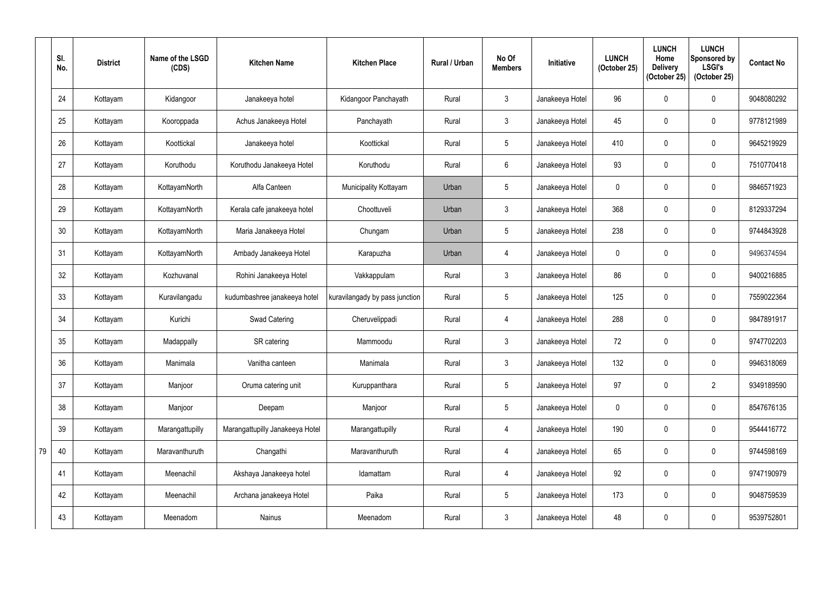|    | SI.<br>No. | <b>District</b> | Name of the LSGD<br>(CDS) | <b>Kitchen Name</b>             | <b>Kitchen Place</b>           | Rural / Urban | No Of<br><b>Members</b> | <b>Initiative</b> | <b>LUNCH</b><br>(October 25) | <b>LUNCH</b><br>Home<br><b>Delivery</b><br>(October 25) | <b>LUNCH</b><br><b>Sponsored by</b><br><b>LSGI's</b><br>(October 25) | <b>Contact No</b> |
|----|------------|-----------------|---------------------------|---------------------------------|--------------------------------|---------------|-------------------------|-------------------|------------------------------|---------------------------------------------------------|----------------------------------------------------------------------|-------------------|
|    | 24         | Kottayam        | Kidangoor                 | Janakeeya hotel                 | Kidangoor Panchayath           | Rural         | $\mathbf{3}$            | Janakeeya Hotel   | 96                           | 0                                                       | $\mathbf 0$                                                          | 9048080292        |
|    | 25         | Kottayam        | Kooroppada                | Achus Janakeeya Hotel           | Panchayath                     | Rural         | $\mathfrak{Z}$          | Janakeeya Hotel   | 45                           | $\mathbf 0$                                             | 0                                                                    | 9778121989        |
|    | 26         | Kottayam        | Koottickal                | Janakeeya hotel                 | Koottickal                     | Rural         | $\overline{5}$          | Janakeeya Hotel   | 410                          | $\mathbf 0$                                             | $\mathbf 0$                                                          | 9645219929        |
|    | 27         | Kottayam        | Koruthodu                 | Koruthodu Janakeeya Hotel       | Koruthodu                      | Rural         | 6                       | Janakeeya Hotel   | 93                           | 0                                                       | $\mathbf 0$                                                          | 7510770418        |
|    | 28         | Kottayam        | KottayamNorth             | Alfa Canteen                    | Municipality Kottayam          | Urban         | $5\phantom{.0}$         | Janakeeya Hotel   | $\mathbf 0$                  | 0                                                       | $\pmb{0}$                                                            | 9846571923        |
|    | 29         | Kottayam        | KottayamNorth             | Kerala cafe janakeeya hotel     | Choottuveli                    | Urban         | $\mathfrak{Z}$          | Janakeeya Hotel   | 368                          | 0                                                       | $\mathbf 0$                                                          | 8129337294        |
|    | 30         | Kottayam        | KottayamNorth             | Maria Janakeeya Hotel           | Chungam                        | Urban         | $\overline{5}$          | Janakeeya Hotel   | 238                          | 0                                                       | $\mathbf 0$                                                          | 9744843928        |
|    | 31         | Kottayam        | KottayamNorth             | Ambady Janakeeya Hotel          | Karapuzha                      | Urban         | $\overline{4}$          | Janakeeya Hotel   | $\pmb{0}$                    | $\mathbf 0$                                             | $\mathbf 0$                                                          | 9496374594        |
|    | 32         | Kottayam        | Kozhuvanal                | Rohini Janakeeya Hotel          | Vakkappulam                    | Rural         | $\mathbf{3}$            | Janakeeya Hotel   | 86                           | 0                                                       | $\mathbf 0$                                                          | 9400216885        |
|    | 33         | Kottayam        | Kuravilangadu             | kudumbashree janakeeya hotel    | kuravilangady by pass junction | Rural         | $5\phantom{.0}$         | Janakeeya Hotel   | 125                          | $\mathbf 0$                                             | 0                                                                    | 7559022364        |
|    | 34         | Kottayam        | Kurichi                   | <b>Swad Catering</b>            | Cheruvelippadi                 | Rural         | $\overline{4}$          | Janakeeya Hotel   | 288                          | $\mathbf 0$                                             | 0                                                                    | 9847891917        |
|    | 35         | Kottayam        | Madappally                | SR catering                     | Mammoodu                       | Rural         | $\mathfrak{Z}$          | Janakeeya Hotel   | 72                           | $\mathbf 0$                                             | $\mathbf 0$                                                          | 9747702203        |
|    | 36         | Kottayam        | Manimala                  | Vanitha canteen                 | Manimala                       | Rural         | $\mathfrak{Z}$          | Janakeeya Hotel   | 132                          | 0                                                       | $\pmb{0}$                                                            | 9946318069        |
|    | 37         | Kottayam        | Manjoor                   | Oruma catering unit             | Kuruppanthara                  | Rural         | $5\phantom{.0}$         | Janakeeya Hotel   | 97                           | 0                                                       | $\overline{2}$                                                       | 9349189590        |
|    | 38         | Kottayam        | Manjoor                   | Deepam                          | Manjoor                        | Rural         | $5\phantom{.0}$         | Janakeeya Hotel   | $\pmb{0}$                    | 0                                                       | $\boldsymbol{0}$                                                     | 8547676135        |
|    | 39         | Kottayam        | Marangattupilly           | Marangattupilly Janakeeya Hotel | Marangattupilly                | Rural         | $\overline{4}$          | Janakeeya Hotel   | 190                          | 0                                                       | $\boldsymbol{0}$                                                     | 9544416772        |
| 79 | 40         | Kottayam        | Maravanthuruth            | Changathi                       | Maravanthuruth                 | Rural         | $\overline{4}$          | Janakeeya Hotel   | 65                           | 0                                                       | $\pmb{0}$                                                            | 9744598169        |
|    | 41         | Kottayam        | Meenachil                 | Akshaya Janakeeya hotel         | Idamattam                      | Rural         | $\overline{4}$          | Janakeeya Hotel   | 92                           | 0                                                       | $\boldsymbol{0}$                                                     | 9747190979        |
|    | 42         | Kottayam        | Meenachil                 | Archana janakeeya Hotel         | Paika                          | Rural         | $5\,$                   | Janakeeya Hotel   | 173                          | 0                                                       | $\boldsymbol{0}$                                                     | 9048759539        |
|    | 43         | Kottayam        | Meenadom                  | Nainus                          | Meenadom                       | Rural         | $\mathfrak{Z}$          | Janakeeya Hotel   | 48                           | 0                                                       | $\pmb{0}$                                                            | 9539752801        |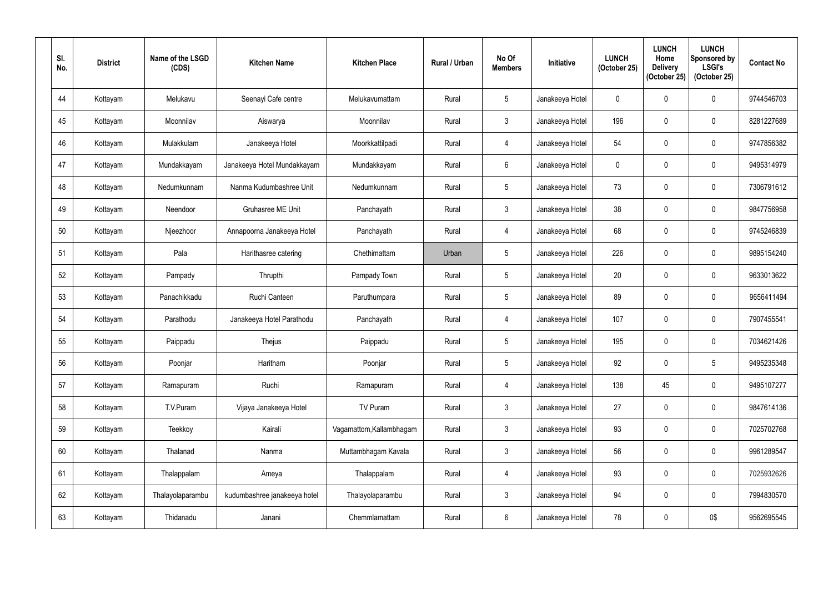| SI.<br>No. | <b>District</b> | Name of the LSGD<br>(CDS) | <b>Kitchen Name</b>          | <b>Kitchen Place</b>     | <b>Rural / Urban</b> | No Of<br><b>Members</b> | Initiative      | <b>LUNCH</b><br>(October 25) | <b>LUNCH</b><br>Home<br><b>Delivery</b><br>(October 25) | <b>LUNCH</b><br>Sponsored by<br><b>LSGI's</b><br>(October 25) | <b>Contact No</b> |
|------------|-----------------|---------------------------|------------------------------|--------------------------|----------------------|-------------------------|-----------------|------------------------------|---------------------------------------------------------|---------------------------------------------------------------|-------------------|
| 44         | Kottayam        | Melukavu                  | Seenayi Cafe centre          | Melukavumattam           | Rural                | 5                       | Janakeeya Hotel | $\mathbf 0$                  | 0                                                       | 0                                                             | 9744546703        |
| 45         | Kottayam        | Moonnilav                 | Aiswarya                     | Moonnilav                | Rural                | $\mathfrak{Z}$          | Janakeeya Hotel | 196                          | $\mathbf{0}$                                            | 0                                                             | 8281227689        |
| 46         | Kottayam        | Mulakkulam                | Janakeeya Hotel              | Moorkkattilpadi          | Rural                | $\overline{4}$          | Janakeeya Hotel | 54                           | 0                                                       | 0                                                             | 9747856382        |
| 47         | Kottayam        | Mundakkayam               | Janakeeya Hotel Mundakkayam  | Mundakkayam              | Rural                | $6\phantom{.}$          | Janakeeya Hotel | 0                            | $\mathbf 0$                                             | 0                                                             | 9495314979        |
| 48         | Kottayam        | Nedumkunnam               | Nanma Kudumbashree Unit      | Nedumkunnam              | Rural                | $\overline{5}$          | Janakeeya Hotel | 73                           | $\mathbf 0$                                             | 0                                                             | 7306791612        |
| 49         | Kottayam        | Neendoor                  | <b>Gruhasree ME Unit</b>     | Panchayath               | Rural                | $\mathfrak{Z}$          | Janakeeya Hotel | 38                           | 0                                                       | 0                                                             | 9847756958        |
| 50         | Kottayam        | Njeezhoor                 | Annapoorna Janakeeya Hotel   | Panchayath               | Rural                | $\overline{4}$          | Janakeeya Hotel | 68                           | $\mathbf 0$                                             | 0                                                             | 9745246839        |
| 51         | Kottayam        | Pala                      | Harithasree catering         | Chethimattam             | Urban                | $5\phantom{.0}$         | Janakeeya Hotel | 226                          | $\mathbf 0$                                             | 0                                                             | 9895154240        |
| 52         | Kottayam        | Pampady                   | Thrupthi                     | Pampady Town             | Rural                | 5                       | Janakeeya Hotel | 20                           | 0                                                       | 0                                                             | 9633013622        |
| 53         | Kottayam        | Panachikkadu              | Ruchi Canteen                | Paruthumpara             | Rural                | $\overline{5}$          | Janakeeya Hotel | 89                           | $\mathbf 0$                                             | 0                                                             | 9656411494        |
| 54         | Kottayam        | Parathodu                 | Janakeeya Hotel Parathodu    | Panchayath               | Rural                | $\overline{4}$          | Janakeeya Hotel | 107                          | $\mathbf 0$                                             | 0                                                             | 7907455541        |
| 55         | Kottayam        | Paippadu                  | Thejus                       | Paippadu                 | Rural                | $\overline{5}$          | Janakeeya Hotel | 195                          | $\mathbf 0$                                             | 0                                                             | 7034621426        |
| 56         | Kottayam        | Poonjar                   | Haritham                     | Poonjar                  | Rural                | $\overline{5}$          | Janakeeya Hotel | 92                           | $\mathbf 0$                                             | $5\phantom{.0}$                                               | 9495235348        |
| 57         | Kottayam        | Ramapuram                 | Ruchi                        | Ramapuram                | Rural                | $\overline{4}$          | Janakeeya Hotel | 138                          | 45                                                      | 0                                                             | 9495107277        |
| 58         | Kottayam        | T.V.Puram                 | Vijaya Janakeeya Hotel       | TV Puram                 | Rural                | $\mathfrak{Z}$          | Janakeeya Hotel | 27                           | $\mathbf 0$                                             | 0                                                             | 9847614136        |
| 59         | Kottayam        | Teekkoy                   | Kairali                      | Vagamattom, Kallambhagam | Rural                | $\mathfrak{Z}$          | Janakeeya Hotel | 93                           | $\mathbf 0$                                             | 0                                                             | 7025702768        |
| 60         | Kottayam        | Thalanad                  | Nanma                        | Muttambhagam Kavala      | Rural                | $\mathfrak{Z}$          | Janakeeya Hotel | 56                           | 0                                                       | $\pmb{0}$                                                     | 9961289547        |
| 61         | Kottayam        | Thalappalam               | Ameya                        | Thalappalam              | Rural                | $\overline{4}$          | Janakeeya Hotel | 93                           | $\mathbf 0$                                             | 0                                                             | 7025932626        |
| 62         | Kottayam        | Thalayolaparambu          | kudumbashree janakeeya hotel | Thalayolaparambu         | Rural                | $\mathfrak{Z}$          | Janakeeya Hotel | 94                           | $\mathbf 0$                                             | 0                                                             | 7994830570        |
| 63         | Kottayam        | Thidanadu                 | Janani                       | Chemmlamattam            | Rural                | $6\,$                   | Janakeeya Hotel | 78                           | 0                                                       | 0\$                                                           | 9562695545        |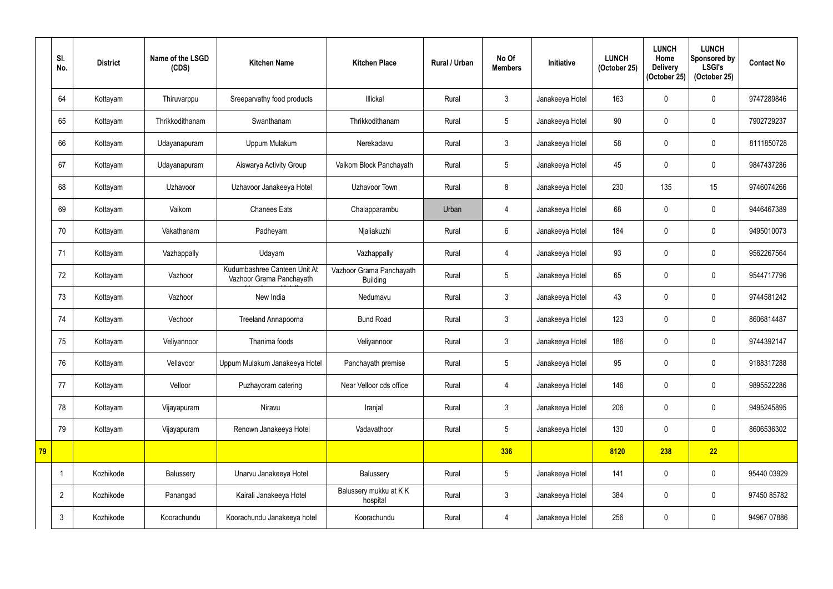|    | SI.<br>No.     | <b>District</b> | Name of the LSGD<br>(CDS) | <b>Kitchen Name</b>                                      | <b>Kitchen Place</b>                        | Rural / Urban | No Of<br><b>Members</b> | Initiative      | <b>LUNCH</b><br>(October 25) | <b>LUNCH</b><br>Home<br><b>Delivery</b><br>(October 25) | <b>LUNCH</b><br>Sponsored by<br><b>LSGI's</b><br>(October 25) | <b>Contact No</b> |
|----|----------------|-----------------|---------------------------|----------------------------------------------------------|---------------------------------------------|---------------|-------------------------|-----------------|------------------------------|---------------------------------------------------------|---------------------------------------------------------------|-------------------|
|    | 64             | Kottayam        | Thiruvarppu               | Sreeparvathy food products                               | Illickal                                    | Rural         | $\mathbf{3}$            | Janakeeya Hotel | 163                          |                                                         | $\mathbf 0$                                                   | 9747289846        |
|    | 65             | Kottayam        | Thrikkodithanam           | Swanthanam                                               | Thrikkodithanam                             | Rural         | $5\phantom{.0}$         | Janakeeya Hotel | 90                           |                                                         | $\pmb{0}$                                                     | 7902729237        |
|    | 66             | Kottayam        | Udayanapuram              | Uppum Mulakum                                            | Nerekadavu                                  | Rural         | $\mathfrak{Z}$          | Janakeeya Hotel | 58                           | 0                                                       | $\mathbf 0$                                                   | 8111850728        |
|    | 67             | Kottayam        | Udayanapuram              | Aiswarya Activity Group                                  | Vaikom Block Panchayath                     | Rural         | 5                       | Janakeeya Hotel | 45                           |                                                         | $\mathbf 0$                                                   | 9847437286        |
|    | 68             | Kottayam        | Uzhavoor                  | Uzhavoor Janakeeya Hotel                                 | Uzhavoor Town                               | Rural         | 8                       | Janakeeya Hotel | 230                          | 135                                                     | 15                                                            | 9746074266        |
|    | 69             | Kottayam        | Vaikom                    | <b>Chanees Eats</b>                                      | Chalapparambu                               | Urban         | $\overline{4}$          | Janakeeya Hotel | 68                           | 0                                                       | $\mathbf 0$                                                   | 9446467389        |
|    | 70             | Kottayam        | Vakathanam                | Padheyam                                                 | Njaliakuzhi                                 | Rural         | $6\phantom{.}$          | Janakeeya Hotel | 184                          |                                                         | $\mathbf 0$                                                   | 9495010073        |
|    | 71             | Kottayam        | Vazhappally               | Udayam                                                   | Vazhappally                                 | Rural         | $\overline{4}$          | Janakeeya Hotel | 93                           | 0                                                       | $\pmb{0}$                                                     | 9562267564        |
|    | 72             | Kottayam        | Vazhoor                   | Kudumbashree Canteen Unit At<br>Vazhoor Grama Panchayath | Vazhoor Grama Panchayath<br><b>Building</b> | Rural         | 5                       | Janakeeya Hotel | 65                           |                                                         | $\mathbf 0$                                                   | 9544717796        |
|    | 73             | Kottayam        | Vazhoor                   | New India                                                | Nedumavu                                    | Rural         | 3 <sup>1</sup>          | Janakeeya Hotel | 43                           |                                                         | $\pmb{0}$                                                     | 9744581242        |
|    | 74             | Kottayam        | Vechoor                   | <b>Treeland Annapoorna</b>                               | <b>Bund Road</b>                            | Rural         | $\mathfrak{Z}$          | Janakeeya Hotel | 123                          | 0                                                       | $\mathbf 0$                                                   | 8606814487        |
|    | 75             | Kottayam        | Veliyannoor               | Thanima foods                                            | Veliyannoor                                 | Rural         | $\mathfrak{Z}$          | Janakeeya Hotel | 186                          |                                                         | $\mathbf 0$                                                   | 9744392147        |
|    | 76             | Kottayam        | Vellavoor                 | Uppum Mulakum Janakeeya Hotel                            | Panchayath premise                          | Rural         | $5\overline{)}$         | Janakeeya Hotel | 95                           | 0                                                       | $\pmb{0}$                                                     | 9188317288        |
|    | 77             | Kottayam        | Velloor                   | Puzhayoram catering                                      | Near Velloor cds office                     | Rural         | $\overline{4}$          | Janakeeya Hotel | 146                          | $\Omega$                                                | $\mathbf 0$                                                   | 9895522286        |
|    | 78             | Kottayam        | Vijayapuram               | Niravu                                                   | Iranjal                                     | Rural         | $\mathfrak{Z}$          | Janakeeya Hotel | 206                          | 0                                                       | $\mathbf 0$                                                   | 9495245895        |
|    | 79             | Kottayam        | Vijayapuram               | Renown Janakeeya Hotel                                   | Vadavathoor                                 | Rural         | 5                       | Janakeeya Hotel | 130                          | $\mathbf 0$                                             | $\mathbf 0$                                                   | 8606536302        |
| 79 |                |                 |                           |                                                          |                                             |               | 336                     |                 | 8120                         | 238                                                     | 22                                                            |                   |
|    |                | Kozhikode       | Balussery                 | Unarvu Janakeeya Hotel                                   | Balussery                                   | Rural         | $5\phantom{.0}$         | Janakeeya Hotel | 141                          | $\mathbf 0$                                             | $\mathbf 0$                                                   | 95440 03929       |
|    | $\overline{2}$ | Kozhikode       | Panangad                  | Kairali Janakeeya Hotel                                  | Balussery mukku at KK<br>hospital           | Rural         | $\mathbf{3}$            | Janakeeya Hotel | 384                          | 0                                                       | $\mathbf 0$                                                   | 97450 85782       |
|    | $\mathbf{3}$   | Kozhikode       | Koorachundu               | Koorachundu Janakeeya hotel                              | Koorachundu                                 | Rural         | $\overline{4}$          | Janakeeya Hotel | 256                          | $\boldsymbol{0}$                                        | $\pmb{0}$                                                     | 94967 07886       |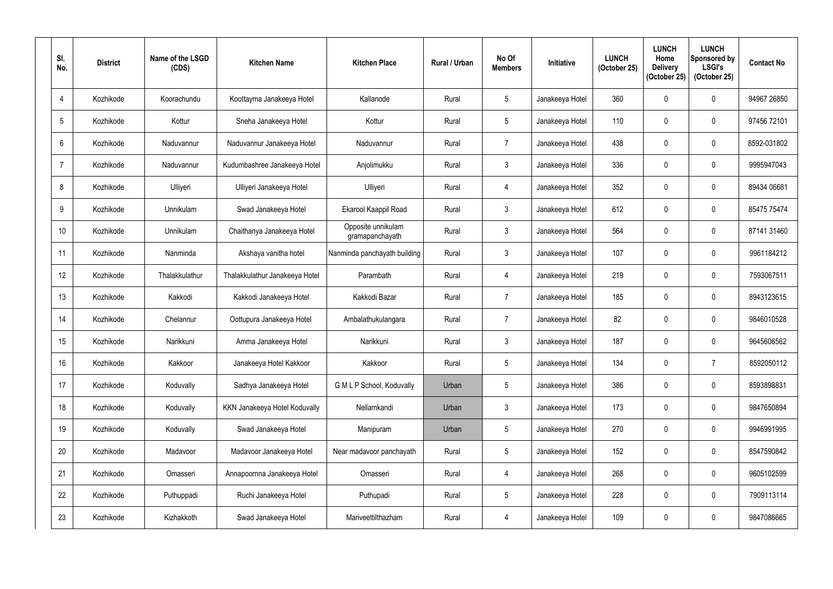| SI.<br>No.      | <b>District</b> | Name of the LSGD<br>(CDS) | <b>Kitchen Name</b>            | <b>Kitchen Place</b>                  | <b>Rural / Urban</b> | No Of<br><b>Members</b> | Initiative      | <b>LUNCH</b><br>(October 25) | <b>LUNCH</b><br>Home<br><b>Delivery</b><br>(October 25) | <b>LUNCH</b><br>Sponsored by<br><b>LSGI's</b><br>(October 25) | <b>Contact No</b> |
|-----------------|-----------------|---------------------------|--------------------------------|---------------------------------------|----------------------|-------------------------|-----------------|------------------------------|---------------------------------------------------------|---------------------------------------------------------------|-------------------|
| $\overline{4}$  | Kozhikode       | Koorachundu               | Koottayma Janakeeya Hotel      | Kallanode                             | Rural                | $5\phantom{.0}$         | Janakeeya Hotel | 360                          | 0                                                       | 0                                                             | 94967 26850       |
| 5               | Kozhikode       | Kottur                    | Sneha Janakeeya Hotel          | Kottur                                | Rural                | $5\phantom{.0}$         | Janakeeya Hotel | 110                          | $\mathbf{0}$                                            | 0                                                             | 97456 72101       |
| 6               | Kozhikode       | Naduvannur                | Naduvannur Janakeeya Hotel     | Naduvannur                            | Rural                | $\overline{7}$          | Janakeeya Hotel | 438                          | 0                                                       | 0                                                             | 8592-031802       |
| $\overline{7}$  | Kozhikode       | Naduvannur                | Kudumbashree Janakeeya Hotel   | Anjolimukku                           | Rural                | $\mathfrak{Z}$          | Janakeeya Hotel | 336                          | 0                                                       | 0                                                             | 9995947043        |
| 8               | Kozhikode       | Ulliyeri                  | Ulliyeri Janakeeya Hotel       | Ulliyeri                              | Rural                | 4                       | Janakeeya Hotel | 352                          | $\mathbf 0$                                             | 0                                                             | 89434 06681       |
| 9               | Kozhikode       | Unnikulam                 | Swad Janakeeya Hotel           | Ekarool Kaappil Road                  | Rural                | $\mathfrak{Z}$          | Janakeeya Hotel | 612                          | 0                                                       | 0                                                             | 85475 75474       |
| 10              | Kozhikode       | Unnikulam                 | Chaithanya Janakeeya Hotel     | Opposite unnikulam<br>gramapanchayath | Rural                | $\mathfrak{Z}$          | Janakeeya Hotel | 564                          | 0                                                       | 0                                                             | 87141 31460       |
| 11              | Kozhikode       | Nanminda                  | Akshaya vanitha hotel          | Nanminda panchayath building          | Rural                | $\mathfrak{Z}$          | Janakeeya Hotel | 107                          | $\mathbf 0$                                             | 0                                                             | 9961184212        |
| 12              | Kozhikode       | Thalakkulathur            | Thalakkulathur Janakeeya Hotel | Parambath                             | Rural                | 4                       | Janakeeya Hotel | 219                          | 0                                                       | 0                                                             | 7593067511        |
| 13              | Kozhikode       | Kakkodi                   | Kakkodi Janakeeya Hotel        | Kakkodi Bazar                         | Rural                | $\overline{7}$          | Janakeeya Hotel | 185                          | $\mathbf 0$                                             | 0                                                             | 8943123615        |
| 14              | Kozhikode       | Chelannur                 | Oottupura Janakeeya Hotel      | Ambalathukulangara                    | Rural                | $\overline{7}$          | Janakeeya Hotel | 82                           | 0                                                       | 0                                                             | 9846010528        |
| 15 <sup>2</sup> | Kozhikode       | Narikkuni                 | Amma Janakeeya Hotel           | Narikkuni                             | Rural                | $\mathfrak{Z}$          | Janakeeya Hotel | 187                          | $\mathbf 0$                                             | 0                                                             | 9645606562        |
| 16 <sup>°</sup> | Kozhikode       | Kakkoor                   | Janakeeya Hotel Kakkoor        | Kakkoor                               | Rural                | $5\phantom{.0}$         | Janakeeya Hotel | 134                          | 0                                                       | $\overline{7}$                                                | 8592050112        |
| 17              | Kozhikode       | Koduvally                 | Sadhya Janakeeya Hotel         | G M L P School, Koduvally             | Urban                | $5\,$                   | Janakeeya Hotel | 386                          | $\mathbf 0$                                             | 0                                                             | 8593898831        |
| 18              | Kozhikode       | Koduvally                 | KKN Janakeeya Hotel Koduvally  | Nellamkandi                           | Urban                | $\mathfrak{Z}$          | Janakeeya Hotel | 173                          | 0                                                       | 0                                                             | 9847650894        |
| 19              | Kozhikode       | Koduvally                 | Swad Janakeeya Hotel           | Manipuram                             | Urban                | $\overline{5}$          | Janakeeya Hotel | 270                          | $\mathbf 0$                                             | 0                                                             | 9946991995        |
| 20              | Kozhikode       | Madavoor                  | Madavoor Janakeeya Hotel       | Near madavoor panchayath              | Rural                | $5\phantom{.0}$         | Janakeeya Hotel | 152                          | 0                                                       | 0                                                             | 8547590842        |
| 21              | Kozhikode       | Omasseri                  | Annapoornna Janakeeya Hotel    | Omasseri                              | Rural                | $\overline{4}$          | Janakeeya Hotel | 268                          | $\mathbf 0$                                             | 0                                                             | 9605102599        |
| 22              | Kozhikode       | Puthuppadi                | Ruchi Janakeeya Hotel          | Puthupadi                             | Rural                | $\sqrt{5}$              | Janakeeya Hotel | 228                          | $\mathbf 0$                                             | 0                                                             | 7909113114        |
| 23              | Kozhikode       | Kizhakkoth                | Swad Janakeeya Hotel           | Mariveettilthazham                    | Rural                | $\overline{4}$          | Janakeeya Hotel | 109                          | 0                                                       | 0                                                             | 9847086665        |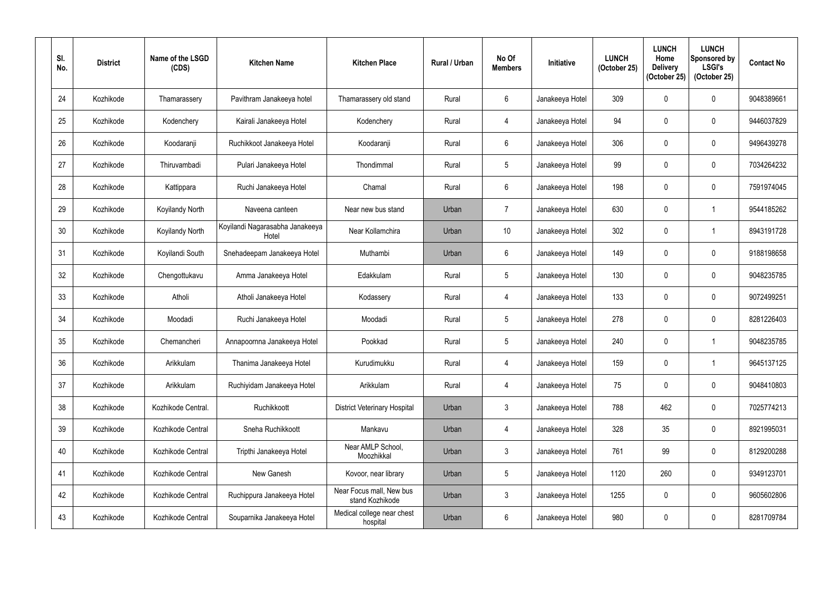| SI.<br>No. | <b>District</b> | Name of the LSGD<br>(CDS) | <b>Kitchen Name</b>                      | <b>Kitchen Place</b>                        | <b>Rural / Urban</b> | No Of<br><b>Members</b> | <b>Initiative</b> | <b>LUNCH</b><br>(October 25) | <b>LUNCH</b><br>Home<br><b>Delivery</b><br>(October 25) | <b>LUNCH</b><br>Sponsored by<br><b>LSGI's</b><br>(October 25) | <b>Contact No</b> |
|------------|-----------------|---------------------------|------------------------------------------|---------------------------------------------|----------------------|-------------------------|-------------------|------------------------------|---------------------------------------------------------|---------------------------------------------------------------|-------------------|
| 24         | Kozhikode       | Thamarassery              | Pavithram Janakeeya hotel                | Thamarassery old stand                      | Rural                | $6\phantom{.}$          | Janakeeya Hotel   | 309                          | $\theta$                                                | 0                                                             | 9048389661        |
| 25         | Kozhikode       | Kodenchery                | Kairali Janakeeya Hotel                  | Kodenchery                                  | Rural                | $\overline{4}$          | Janakeeya Hotel   | 94                           | $\mathbf{0}$                                            | 0                                                             | 9446037829        |
| 26         | Kozhikode       | Koodaranji                | Ruchikkoot Janakeeya Hotel               | Koodaranji                                  | Rural                | $6\phantom{.}$          | Janakeeya Hotel   | 306                          | $\mathbf 0$                                             | 0                                                             | 9496439278        |
| 27         | Kozhikode       | Thiruvambadi              | Pulari Janakeeya Hotel                   | Thondimmal                                  | Rural                | $5\phantom{.0}$         | Janakeeya Hotel   | 99                           | $\mathbf{0}$                                            | 0                                                             | 7034264232        |
| 28         | Kozhikode       | Kattippara                | Ruchi Janakeeya Hotel                    | Chamal                                      | Rural                | $6\phantom{.}$          | Janakeeya Hotel   | 198                          | 0                                                       | 0                                                             | 7591974045        |
| 29         | Kozhikode       | Koyilandy North           | Naveena canteen                          | Near new bus stand                          | Urban                | $\overline{7}$          | Janakeeya Hotel   | 630                          | 0                                                       |                                                               | 9544185262        |
| 30         | Kozhikode       | Koyilandy North           | Koyilandi Nagarasabha Janakeeya<br>Hotel | Near Kollamchira                            | Urban                | 10 <sup>°</sup>         | Janakeeya Hotel   | 302                          | $\mathbf 0$                                             |                                                               | 8943191728        |
| 31         | Kozhikode       | Koyilandi South           | Snehadeepam Janakeeya Hotel              | Muthambi                                    | Urban                | $6\phantom{.}$          | Janakeeya Hotel   | 149                          | $\mathbf 0$                                             | 0                                                             | 9188198658        |
| 32         | Kozhikode       | Chengottukavu             | Amma Janakeeya Hotel                     | Edakkulam                                   | Rural                | $5\phantom{.0}$         | Janakeeya Hotel   | 130                          | 0                                                       | 0                                                             | 9048235785        |
| 33         | Kozhikode       | Atholi                    | Atholi Janakeeya Hotel                   | Kodassery                                   | Rural                | 4                       | Janakeeya Hotel   | 133                          | $\mathbf 0$                                             | 0                                                             | 9072499251        |
| 34         | Kozhikode       | Moodadi                   | Ruchi Janakeeya Hotel                    | Moodadi                                     | Rural                | $5\phantom{.0}$         | Janakeeya Hotel   | 278                          | $\mathbf 0$                                             | 0                                                             | 8281226403        |
| 35         | Kozhikode       | Chemancheri               | Annapoornna Janakeeya Hotel              | Pookkad                                     | Rural                | $5\phantom{.0}$         | Janakeeya Hotel   | 240                          | 0                                                       |                                                               | 9048235785        |
| 36         | Kozhikode       | Arikkulam                 | Thanima Janakeeya Hotel                  | Kurudimukku                                 | Rural                | 4                       | Janakeeya Hotel   | 159                          | $\mathbf 0$                                             |                                                               | 9645137125        |
| 37         | Kozhikode       | Arikkulam                 | Ruchiyidam Janakeeya Hotel               | Arikkulam                                   | Rural                | $\overline{4}$          | Janakeeya Hotel   | 75                           | $\mathbf 0$                                             | 0                                                             | 9048410803        |
| 38         | Kozhikode       | Kozhikode Central.        | Ruchikkoott                              | <b>District Veterinary Hospital</b>         | Urban                | $\mathfrak{Z}$          | Janakeeya Hotel   | 788                          | 462                                                     | 0                                                             | 7025774213        |
| 39         | Kozhikode       | Kozhikode Central         | Sneha Ruchikkoott                        | Mankavu                                     | Urban                | 4                       | Janakeeya Hotel   | 328                          | 35                                                      | 0                                                             | 8921995031        |
| 40         | Kozhikode       | Kozhikode Central         | Tripthi Janakeeya Hotel                  | Near AMLP School,<br>Moozhikkal             | Urban                | $\mathfrak{Z}$          | Janakeeya Hotel   | 761                          | 99                                                      | $\pmb{0}$                                                     | 8129200288        |
| 41         | Kozhikode       | Kozhikode Central         | New Ganesh                               | Kovoor, near library                        | Urban                | $5\phantom{.0}$         | Janakeeya Hotel   | 1120                         | 260                                                     | 0                                                             | 9349123701        |
| 42         | Kozhikode       | Kozhikode Central         | Ruchippura Janakeeya Hotel               | Near Focus mall, New bus<br>stand Kozhikode | Urban                | $\mathfrak{Z}$          | Janakeeya Hotel   | 1255                         | $\mathbf 0$                                             | 0                                                             | 9605602806        |
| 43         | Kozhikode       | Kozhikode Central         | Souparnika Janakeeya Hotel               | Medical college near chest<br>hospital      | Urban                | $6\phantom{.}$          | Janakeeya Hotel   | 980                          | 0                                                       | 0                                                             | 8281709784        |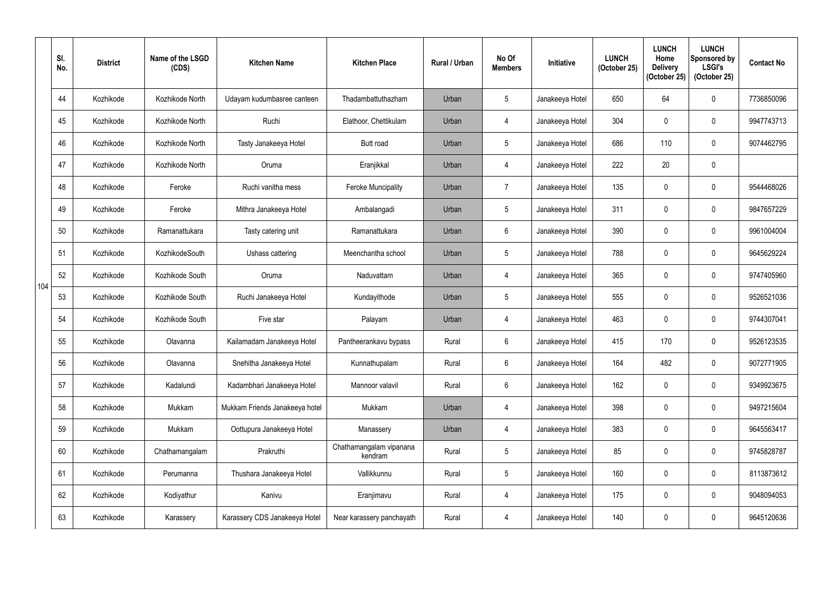|     | SI.<br>No. | <b>District</b> | Name of the LSGD<br>(CDS) | <b>Kitchen Name</b>            | <b>Kitchen Place</b>               | <b>Rural / Urban</b> | No Of<br><b>Members</b> | <b>Initiative</b> | <b>LUNCH</b><br>(October 25) | <b>LUNCH</b><br>Home<br><b>Delivery</b><br>(October 25) | <b>LUNCH</b><br>Sponsored by<br><b>LSGI's</b><br>(October 25) | <b>Contact No</b> |
|-----|------------|-----------------|---------------------------|--------------------------------|------------------------------------|----------------------|-------------------------|-------------------|------------------------------|---------------------------------------------------------|---------------------------------------------------------------|-------------------|
|     | 44         | Kozhikode       | Kozhikode North           | Udayam kudumbasree canteen     | Thadambattuthazham                 | Urban                | $5\phantom{.0}$         | Janakeeya Hotel   | 650                          | 64                                                      | $\pmb{0}$                                                     | 7736850096        |
|     | 45         | Kozhikode       | Kozhikode North           | Ruchi                          | Elathoor, Chettikulam              | Urban                | $\overline{4}$          | Janakeeya Hotel   | 304                          | $\mathbf{0}$                                            | $\mathbf 0$                                                   | 9947743713        |
|     | 46         | Kozhikode       | Kozhikode North           | Tasty Janakeeya Hotel          | <b>Butt road</b>                   | Urban                | $5\overline{)}$         | Janakeeya Hotel   | 686                          | 110                                                     | $\pmb{0}$                                                     | 9074462795        |
|     | 47         | Kozhikode       | Kozhikode North           | Oruma                          | Eranjikkal                         | Urban                | $\overline{4}$          | Janakeeya Hotel   | 222                          | 20                                                      | $\pmb{0}$                                                     |                   |
|     | 48         | Kozhikode       | Feroke                    | Ruchi vanitha mess             | <b>Feroke Muncipality</b>          | Urban                | $\overline{7}$          | Janakeeya Hotel   | 135                          | $\Omega$                                                | $\pmb{0}$                                                     | 9544468026        |
|     | 49         | Kozhikode       | Feroke                    | Mithra Janakeeya Hotel         | Ambalangadi                        | Urban                | $5\overline{)}$         | Janakeeya Hotel   | 311                          | $\mathbf 0$                                             | $\pmb{0}$                                                     | 9847657229        |
|     | 50         | Kozhikode       | Ramanattukara             | Tasty catering unit            | Ramanattukara                      | Urban                | $6\phantom{.}$          | Janakeeya Hotel   | 390                          | 0                                                       | $\pmb{0}$                                                     | 9961004004        |
|     | 51         | Kozhikode       | KozhikodeSouth            | Ushass cattering               | Meenchantha school                 | Urban                | $5\phantom{.0}$         | Janakeeya Hotel   | 788                          | $\mathbf 0$                                             | $\pmb{0}$                                                     | 9645629224        |
| 104 | 52         | Kozhikode       | Kozhikode South           | Oruma                          | Naduvattam                         | Urban                | $\overline{4}$          | Janakeeya Hotel   | 365                          | 0                                                       | $\pmb{0}$                                                     | 9747405960        |
|     | 53         | Kozhikode       | Kozhikode South           | Ruchi Janakeeya Hotel          | Kundayithode                       | Urban                | 5                       | Janakeeya Hotel   | 555                          | 0                                                       | $\pmb{0}$                                                     | 9526521036        |
|     | 54         | Kozhikode       | Kozhikode South           | Five star                      | Palayam                            | Urban                | $\overline{4}$          | Janakeeya Hotel   | 463                          | $\mathbf 0$                                             | $\mathbf 0$                                                   | 9744307041        |
|     | 55         | Kozhikode       | Olavanna                  | Kailamadam Janakeeya Hotel     | Pantheerankavu bypass              | Rural                | $6\phantom{.}6$         | Janakeeya Hotel   | 415                          | 170                                                     | $\pmb{0}$                                                     | 9526123535        |
|     | 56         | Kozhikode       | Olavanna                  | Snehitha Janakeeya Hotel       | Kunnathupalam                      | Rural                | $6\phantom{.}6$         | Janakeeya Hotel   | 164                          | 482                                                     | $\mathbf 0$                                                   | 9072771905        |
|     | 57         | Kozhikode       | Kadalundi                 | Kadambhari Janakeeya Hotel     | Mannoor valavil                    | Rural                | $6\phantom{.}6$         | Janakeeya Hotel   | 162                          | $\mathbf 0$                                             | $\boldsymbol{0}$                                              | 9349923675        |
|     | 58         | Kozhikode       | Mukkam                    | Mukkam Friends Janakeeya hotel | Mukkam                             | Urban                | $\overline{4}$          | Janakeeya Hotel   | 398                          | $\mathbf 0$                                             | $\pmb{0}$                                                     | 9497215604        |
|     | 59         | Kozhikode       | Mukkam                    | Oottupura Janakeeya Hotel      | Manassery                          | Urban                | $\overline{4}$          | Janakeeya Hotel   | 383                          | $\mathbf 0$                                             | $\pmb{0}$                                                     | 9645563417        |
|     | 60         | Kozhikode       | Chathamangalam            | Prakruthi                      | Chathamangalam vipanana<br>kendram | Rural                | $5\phantom{.0}$         | Janakeeya Hotel   | 85                           | $\mathbf 0$                                             | $\pmb{0}$                                                     | 9745828787        |
|     | 61         | Kozhikode       | Perumanna                 | Thushara Janakeeya Hotel       | Vallikkunnu                        | Rural                | $5\phantom{.0}$         | Janakeeya Hotel   | 160                          | $\mathbf 0$                                             | $\pmb{0}$                                                     | 8113873612        |
|     | 62         | Kozhikode       | Kodiyathur                | Kanivu                         | Eranjimavu                         | Rural                | $\overline{4}$          | Janakeeya Hotel   | 175                          | $\mathbf 0$                                             | $\pmb{0}$                                                     | 9048094053        |
|     | 63         | Kozhikode       | Karassery                 | Karassery CDS Janakeeya Hotel  | Near karassery panchayath          | Rural                | $\overline{4}$          | Janakeeya Hotel   | 140                          | $\mathbf 0$                                             | $\pmb{0}$                                                     | 9645120636        |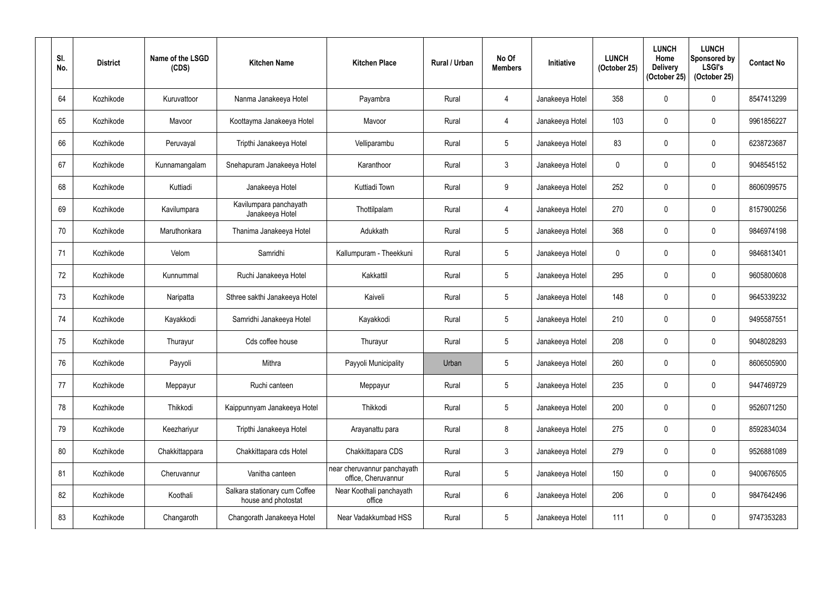| SI.<br>No. | <b>District</b> | Name of the LSGD<br>(CDS) | <b>Kitchen Name</b>                                  | <b>Kitchen Place</b>                               | <b>Rural / Urban</b> | No Of<br><b>Members</b> | <b>Initiative</b> | <b>LUNCH</b><br>(October 25) | <b>LUNCH</b><br>Home<br><b>Delivery</b><br>(October 25) | <b>LUNCH</b><br>Sponsored by<br><b>LSGI's</b><br>(October 25) | <b>Contact No</b> |
|------------|-----------------|---------------------------|------------------------------------------------------|----------------------------------------------------|----------------------|-------------------------|-------------------|------------------------------|---------------------------------------------------------|---------------------------------------------------------------|-------------------|
| 64         | Kozhikode       | Kuruvattoor               | Nanma Janakeeya Hotel                                | Payambra                                           | Rural                | 4                       | Janakeeya Hotel   | 358                          | $\mathbf{0}$                                            | 0                                                             | 8547413299        |
| 65         | Kozhikode       | Mavoor                    | Koottayma Janakeeya Hotel                            | Mavoor                                             | Rural                | 4                       | Janakeeya Hotel   | 103                          | $\mathbf{0}$                                            | 0                                                             | 9961856227        |
| 66         | Kozhikode       | Peruvayal                 | Tripthi Janakeeya Hotel                              | Velliparambu                                       | Rural                | $5\overline{)}$         | Janakeeya Hotel   | 83                           | $\mathbf 0$                                             | 0                                                             | 6238723687        |
| 67         | Kozhikode       | Kunnamangalam             | Snehapuram Janakeeya Hotel                           | Karanthoor                                         | Rural                | $\mathbf{3}$            | Janakeeya Hotel   | 0                            | $\mathbf{0}$                                            | 0                                                             | 9048545152        |
| 68         | Kozhikode       | Kuttiadi                  | Janakeeya Hotel                                      | Kuttiadi Town                                      | Rural                | 9                       | Janakeeya Hotel   | 252                          | $\mathbf 0$                                             | 0                                                             | 8606099575        |
| 69         | Kozhikode       | Kavilumpara               | Kavilumpara panchayath<br>Janakeeya Hotel            | Thottilpalam                                       | Rural                | 4                       | Janakeeya Hotel   | 270                          | $\mathbf 0$                                             | 0                                                             | 8157900256        |
| 70         | Kozhikode       | Maruthonkara              | Thanima Janakeeya Hotel                              | Adukkath                                           | Rural                | $5\phantom{.0}$         | Janakeeya Hotel   | 368                          | 0                                                       | 0                                                             | 9846974198        |
| 71         | Kozhikode       | Velom                     | Samridhi                                             | Kallumpuram - Theekkuni                            | Rural                | $5\overline{)}$         | Janakeeya Hotel   | 0                            | $\mathbf 0$                                             | 0                                                             | 9846813401        |
| 72         | Kozhikode       | Kunnummal                 | Ruchi Janakeeya Hotel                                | Kakkattil                                          | Rural                | 5                       | Janakeeya Hotel   | 295                          | 0                                                       | 0                                                             | 9605800608        |
| 73         | Kozhikode       | Naripatta                 | Sthree sakthi Janakeeya Hotel                        | Kaiveli                                            | Rural                | $5\phantom{.0}$         | Janakeeya Hotel   | 148                          | $\mathbf 0$                                             | 0                                                             | 9645339232        |
| 74         | Kozhikode       | Kayakkodi                 | Samridhi Janakeeya Hotel                             | Kayakkodi                                          | Rural                | $5\phantom{.0}$         | Janakeeya Hotel   | 210                          | $\mathbf 0$                                             | 0                                                             | 9495587551        |
| 75         | Kozhikode       | Thurayur                  | Cds coffee house                                     | Thurayur                                           | Rural                | $5\phantom{.0}$         | Janakeeya Hotel   | 208                          | $\mathbf 0$                                             | 0                                                             | 9048028293        |
| 76         | Kozhikode       | Payyoli                   | Mithra                                               | Payyoli Municipality                               | Urban                | $\overline{5}$          | Janakeeya Hotel   | 260                          | $\mathbf 0$                                             | 0                                                             | 8606505900        |
| 77         | Kozhikode       | Meppayur                  | Ruchi canteen                                        | Meppayur                                           | Rural                | $5\overline{)}$         | Janakeeya Hotel   | 235                          | 0                                                       | 0                                                             | 9447469729        |
| 78         | Kozhikode       | Thikkodi                  | Kaippunnyam Janakeeya Hotel                          | Thikkodi                                           | Rural                | $5\phantom{.0}$         | Janakeeya Hotel   | 200                          | $\mathbf 0$                                             | 0                                                             | 9526071250        |
| 79         | Kozhikode       | Keezhariyur               | Tripthi Janakeeya Hotel                              | Arayanattu para                                    | Rural                | $\bf 8$                 | Janakeeya Hotel   | 275                          | 0                                                       | 0                                                             | 8592834034        |
| $80\,$     | Kozhikode       | Chakkittappara            | Chakkittapara cds Hotel                              | Chakkittapara CDS                                  | Rural                | $\mathfrak{Z}$          | Janakeeya Hotel   | 279                          | 0                                                       | 0                                                             | 9526881089        |
| 81         | Kozhikode       | Cheruvannur               | Vanitha canteen                                      | near cheruvannur panchayath<br>office, Cheruvannur | Rural                | $5\phantom{.0}$         | Janakeeya Hotel   | 150                          | $\mathbf 0$                                             | 0                                                             | 9400676505        |
| 82         | Kozhikode       | Koothali                  | Salkara stationary cum Coffee<br>house and photostat | Near Koothali panchayath<br>office                 | Rural                | $6\,$                   | Janakeeya Hotel   | 206                          | 0                                                       | 0                                                             | 9847642496        |
| 83         | Kozhikode       | Changaroth                | Changorath Janakeeya Hotel                           | Near Vadakkumbad HSS                               | Rural                | $5\,$                   | Janakeeya Hotel   | 111                          | $\mathbf 0$                                             | 0                                                             | 9747353283        |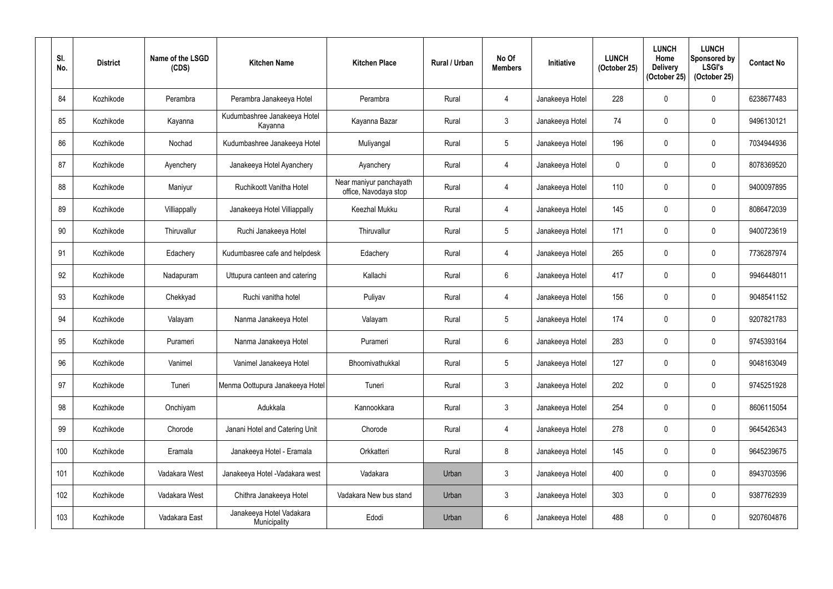| SI.<br>No. | <b>District</b> | Name of the LSGD<br>(CDS) | <b>Kitchen Name</b>                      | <b>Kitchen Place</b>                             | <b>Rural / Urban</b> | No Of<br><b>Members</b> | Initiative      | <b>LUNCH</b><br>(October 25) | <b>LUNCH</b><br>Home<br><b>Delivery</b><br>(October 25) | <b>LUNCH</b><br>Sponsored by<br><b>LSGI's</b><br>(October 25) | <b>Contact No</b> |
|------------|-----------------|---------------------------|------------------------------------------|--------------------------------------------------|----------------------|-------------------------|-----------------|------------------------------|---------------------------------------------------------|---------------------------------------------------------------|-------------------|
| 84         | Kozhikode       | Perambra                  | Perambra Janakeeya Hotel                 | Perambra                                         | Rural                | 4                       | Janakeeya Hotel | 228                          | $\mathbf{0}$                                            | 0                                                             | 6238677483        |
| 85         | Kozhikode       | Kayanna                   | Kudumbashree Janakeeya Hotel<br>Kayanna  | Kayanna Bazar                                    | Rural                | $\mathfrak{Z}$          | Janakeeya Hotel | 74                           | $\Omega$                                                | 0                                                             | 9496130121        |
| 86         | Kozhikode       | Nochad                    | Kudumbashree Janakeeya Hotel             | Muliyangal                                       | Rural                | $5\phantom{.0}$         | Janakeeya Hotel | 196                          | 0                                                       | 0                                                             | 7034944936        |
| 87         | Kozhikode       | Ayenchery                 | Janakeeya Hotel Ayanchery                | Ayanchery                                        | Rural                | 4                       | Janakeeya Hotel | 0                            | $\mathbf{0}$                                            | 0                                                             | 8078369520        |
| 88         | Kozhikode       | Maniyur                   | Ruchikoott Vanitha Hotel                 | Near maniyur panchayath<br>office, Navodaya stop | Rural                | 4                       | Janakeeya Hotel | 110                          | $\mathbf{0}$                                            | 0                                                             | 9400097895        |
| 89         | Kozhikode       | Villiappally              | Janakeeya Hotel Villiappally             | <b>Keezhal Mukku</b>                             | Rural                | 4                       | Janakeeya Hotel | 145                          | $\mathbf 0$                                             | 0                                                             | 8086472039        |
| 90         | Kozhikode       | Thiruvallur               | Ruchi Janakeeya Hotel                    | Thiruvallur                                      | Rural                | $5\phantom{.0}$         | Janakeeya Hotel | 171                          | $\mathbf{0}$                                            | 0                                                             | 9400723619        |
| 91         | Kozhikode       | Edachery                  | Kudumbasree cafe and helpdesk            | Edachery                                         | Rural                | 4                       | Janakeeya Hotel | 265                          | 0                                                       | 0                                                             | 7736287974        |
| 92         | Kozhikode       | Nadapuram                 | Uttupura canteen and catering            | Kallachi                                         | Rural                | $6\phantom{.}6$         | Janakeeya Hotel | 417                          | 0                                                       | 0                                                             | 9946448011        |
| 93         | Kozhikode       | Chekkyad                  | Ruchi vanitha hotel                      | Puliyav                                          | Rural                | 4                       | Janakeeya Hotel | 156                          | $\mathbf 0$                                             | 0                                                             | 9048541152        |
| 94         | Kozhikode       | Valayam                   | Nanma Janakeeya Hotel                    | Valayam                                          | Rural                | $5\phantom{.0}$         | Janakeeya Hotel | 174                          | $\mathbf 0$                                             | 0                                                             | 9207821783        |
| 95         | Kozhikode       | Purameri                  | Nanma Janakeeya Hotel                    | Purameri                                         | Rural                | $6\phantom{.}6$         | Janakeeya Hotel | 283                          | $\mathbf 0$                                             | 0                                                             | 9745393164        |
| 96         | Kozhikode       | Vanimel                   | Vanimel Janakeeya Hotel                  | Bhoomivathukkal                                  | Rural                | $5\,$                   | Janakeeya Hotel | 127                          | 0                                                       | 0                                                             | 9048163049        |
| 97         | Kozhikode       | Tuneri                    | Menma Oottupura Janakeeya Hotel          | Tuneri                                           | Rural                | $\mathfrak{Z}$          | Janakeeya Hotel | 202                          | $\mathbf 0$                                             | 0                                                             | 9745251928        |
| 98         | Kozhikode       | Onchiyam                  | Adukkala                                 | Kannookkara                                      | Rural                | $\mathfrak{Z}$          | Janakeeya Hotel | 254                          | $\mathbf 0$                                             | 0                                                             | 8606115054        |
| 99         | Kozhikode       | Chorode                   | Janani Hotel and Catering Unit           | Chorode                                          | Rural                | $\overline{4}$          | Janakeeya Hotel | 278                          | $\mathbf 0$                                             | 0                                                             | 9645426343        |
| 100        | Kozhikode       | Eramala                   | Janakeeya Hotel - Eramala                | Orkkatteri                                       | Rural                | $\bf 8$                 | Janakeeya Hotel | 145                          | $\mathbf 0$                                             | 0                                                             | 9645239675        |
| 101        | Kozhikode       | Vadakara West             | Janakeeya Hotel - Vadakara west          | Vadakara                                         | Urban                | $\mathfrak{Z}$          | Janakeeya Hotel | 400                          | $\mathbf 0$                                             | 0                                                             | 8943703596        |
| 102        | Kozhikode       | Vadakara West             | Chithra Janakeeya Hotel                  | Vadakara New bus stand                           | Urban                | $\mathfrak{Z}$          | Janakeeya Hotel | 303                          | $\mathbf 0$                                             | 0                                                             | 9387762939        |
| 103        | Kozhikode       | Vadakara East             | Janakeeya Hotel Vadakara<br>Municipality | Edodi                                            | Urban                | $\,6\,$                 | Janakeeya Hotel | 488                          | 0                                                       | 0                                                             | 9207604876        |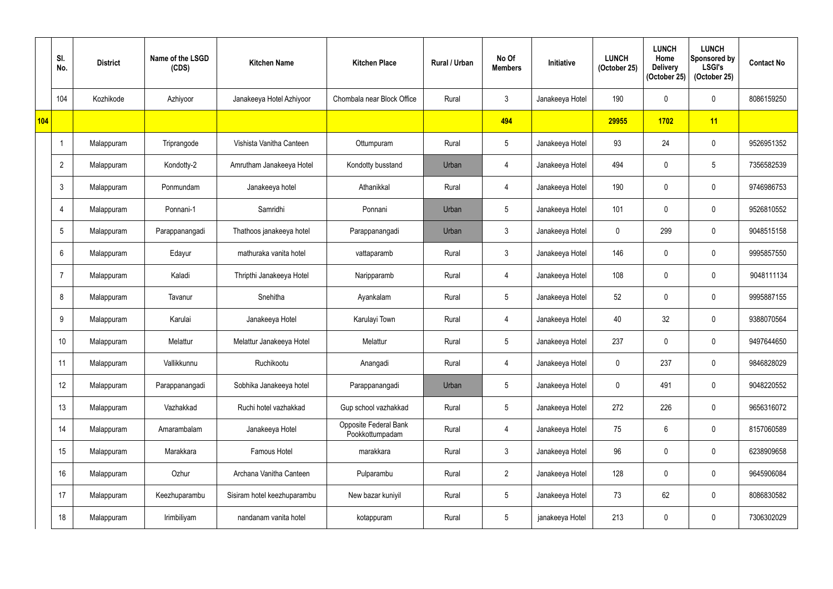|     | SI.<br>No.      | <b>District</b> | Name of the LSGD<br>(CDS) | <b>Kitchen Name</b>         | <b>Kitchen Place</b>                     | Rural / Urban | No Of<br><b>Members</b> | <b>Initiative</b> | <b>LUNCH</b><br>(October 25) | <b>LUNCH</b><br>Home<br><b>Delivery</b><br>(October 25) | <b>LUNCH</b><br>Sponsored by<br><b>LSGI's</b><br>(October 25) | <b>Contact No</b> |
|-----|-----------------|-----------------|---------------------------|-----------------------------|------------------------------------------|---------------|-------------------------|-------------------|------------------------------|---------------------------------------------------------|---------------------------------------------------------------|-------------------|
|     | 104             | Kozhikode       | Azhiyoor                  | Janakeeya Hotel Azhiyoor    | Chombala near Block Office               | Rural         | $\mathfrak{Z}$          | Janakeeya Hotel   | 190                          |                                                         | $\pmb{0}$                                                     | 8086159250        |
| 104 |                 |                 |                           |                             |                                          |               | 494                     |                   | 29955                        | 1702                                                    | 11                                                            |                   |
|     |                 | Malappuram      | Triprangode               | Vishista Vanitha Canteen    | Ottumpuram                               | Rural         | $5\phantom{.0}$         | Janakeeya Hotel   | 93                           | 24                                                      | $\mathbf 0$                                                   | 9526951352        |
|     | $\overline{2}$  | Malappuram      | Kondotty-2                | Amrutham Janakeeya Hotel    | Kondotty busstand                        | Urban         | 4                       | Janakeeya Hotel   | 494                          | 0                                                       | $5\overline{)}$                                               | 7356582539        |
|     | 3               | Malappuram      | Ponmundam                 | Janakeeya hotel             | Athanikkal                               | Rural         | $\overline{4}$          | Janakeeya Hotel   | 190                          | $\Omega$                                                | $\pmb{0}$                                                     | 9746986753        |
|     | 4               | Malappuram      | Ponnani-1                 | Samridhi                    | Ponnani                                  | Urban         | $5\overline{)}$         | Janakeeya Hotel   | 101                          | 0                                                       | $\mathbf 0$                                                   | 9526810552        |
|     | 5               | Malappuram      | Parappanangadi            | Thathoos janakeeya hotel    | Parappanangadi                           | Urban         | $\mathfrak{Z}$          | Janakeeya Hotel   | $\overline{0}$               | 299                                                     | $\pmb{0}$                                                     | 9048515158        |
|     | 6               | Malappuram      | Edayur                    | mathuraka vanita hotel      | vattaparamb                              | Rural         | $\mathbf{3}$            | Janakeeya Hotel   | 146                          | $\mathbf 0$                                             | $\pmb{0}$                                                     | 9995857550        |
|     | 7               | Malappuram      | Kaladi                    | Thripthi Janakeeya Hotel    | Naripparamb                              | Rural         | 4                       | Janakeeya Hotel   | 108                          | 0                                                       | $\mathbf 0$                                                   | 9048111134        |
|     | 8               | Malappuram      | Tavanur                   | Snehitha                    | Ayankalam                                | Rural         | $5\phantom{.0}$         | Janakeeya Hotel   | 52                           | $\Omega$                                                | $\mathbf 0$                                                   | 9995887155        |
|     | 9               | Malappuram      | Karulai                   | Janakeeya Hotel             | Karulayi Town                            | Rural         | 4                       | Janakeeya Hotel   | 40                           | 32                                                      | $\mathbf 0$                                                   | 9388070564        |
|     | 10 <sup>°</sup> | Malappuram      | Melattur                  | Melattur Janakeeya Hotel    | Melattur                                 | Rural         | $5\phantom{.0}$         | Janakeeya Hotel   | 237                          | 0                                                       | 0                                                             | 9497644650        |
|     | 11              | Malappuram      | Vallikkunnu               | Ruchikootu                  | Anangadi                                 | Rural         | $\overline{4}$          | Janakeeya Hotel   | $\overline{0}$               | 237                                                     | $\pmb{0}$                                                     | 9846828029        |
|     | 12              | Malappuram      | Parappanangadi            | Sobhika Janakeeya hotel     | Parappanangadi                           | Urban         | $5\phantom{.0}$         | Janakeeya Hotel   | $\mathbf 0$                  | 491                                                     | $\pmb{0}$                                                     | 9048220552        |
|     | 13              | Malappuram      | Vazhakkad                 | Ruchi hotel vazhakkad       | Gup school vazhakkad                     | Rural         | $5\phantom{.0}$         | Janakeeya Hotel   | 272                          | 226                                                     | $\pmb{0}$                                                     | 9656316072        |
|     | 14              | Malappuram      | Amarambalam               | Janakeeya Hotel             | Opposite Federal Bank<br>Pookkottumpadam | Rural         | $\overline{4}$          | Janakeeya Hotel   | 75                           | 6                                                       | $\boldsymbol{0}$                                              | 8157060589        |
|     | 15              | Malappuram      | Marakkara                 | Famous Hotel                | marakkara                                | Rural         | $\mathbf{3}$            | Janakeeya Hotel   | 96                           | $\mathbf{0}$                                            | $\pmb{0}$                                                     | 6238909658        |
|     | 16              | Malappuram      | Ozhur                     | Archana Vanitha Canteen     | Pulparambu                               | Rural         | $\overline{2}$          | Janakeeya Hotel   | 128                          | 0                                                       | $\pmb{0}$                                                     | 9645906084        |
|     | 17              | Malappuram      | Keezhuparambu             | Sisiram hotel keezhuparambu | New bazar kuniyil                        | Rural         | $5\phantom{.0}$         | Janakeeya Hotel   | 73                           | 62                                                      | $\pmb{0}$                                                     | 8086830582        |
|     | 18              | Malappuram      | Irimbiliyam               | nandanam vanita hotel       | kotappuram                               | Rural         | $5\phantom{.0}$         | janakeeya Hotel   | 213                          | 0                                                       | $\pmb{0}$                                                     | 7306302029        |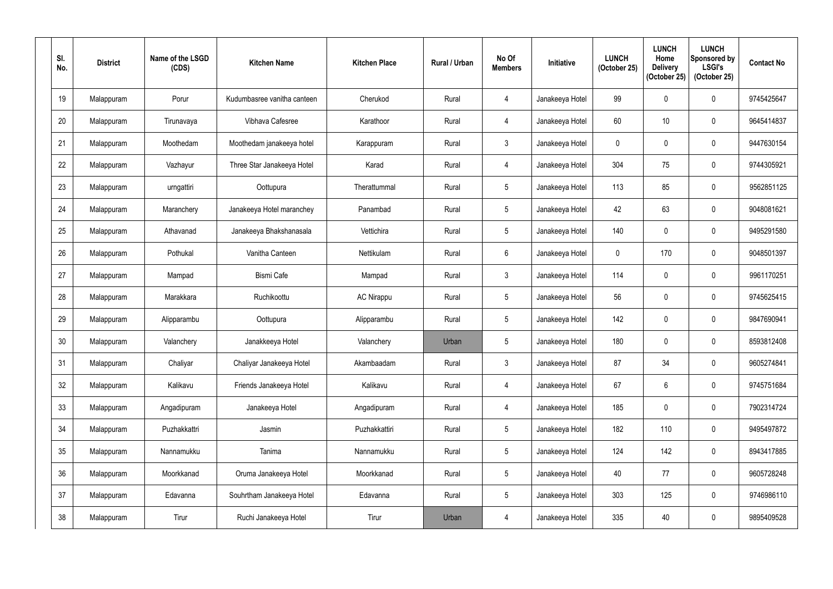| SI.<br>No.      | <b>District</b> | Name of the LSGD<br>(CDS) | <b>Kitchen Name</b>         | <b>Kitchen Place</b> | <b>Rural / Urban</b> | No Of<br><b>Members</b> | <b>Initiative</b> | <b>LUNCH</b><br>(October 25) | <b>LUNCH</b><br>Home<br><b>Delivery</b><br>(October 25) | <b>LUNCH</b><br>Sponsored by<br><b>LSGI's</b><br>(October 25) | <b>Contact No</b> |
|-----------------|-----------------|---------------------------|-----------------------------|----------------------|----------------------|-------------------------|-------------------|------------------------------|---------------------------------------------------------|---------------------------------------------------------------|-------------------|
| 19              | Malappuram      | Porur                     | Kudumbasree vanitha canteen | Cherukod             | Rural                | 4                       | Janakeeya Hotel   | 99                           | 0                                                       | 0                                                             | 9745425647        |
| 20              | Malappuram      | Tirunavaya                | Vibhava Cafesree            | Karathoor            | Rural                | $\overline{4}$          | Janakeeya Hotel   | 60                           | 10                                                      | 0                                                             | 9645414837        |
| 21              | Malappuram      | Moothedam                 | Moothedam janakeeya hotel   | Karappuram           | Rural                | 3                       | Janakeeya Hotel   | $\mathbf 0$                  | $\mathbf 0$                                             | 0                                                             | 9447630154        |
| 22              | Malappuram      | Vazhayur                  | Three Star Janakeeya Hotel  | Karad                | Rural                | 4                       | Janakeeya Hotel   | 304                          | 75                                                      | 0                                                             | 9744305921        |
| 23              | Malappuram      | urngattiri                | Oottupura                   | Therattummal         | Rural                | 5                       | Janakeeya Hotel   | 113                          | 85                                                      | 0                                                             | 9562851125        |
| 24              | Malappuram      | Maranchery                | Janakeeya Hotel maranchey   | Panambad             | Rural                | $5\phantom{.0}$         | Janakeeya Hotel   | 42                           | 63                                                      | 0                                                             | 9048081621        |
| 25              | Malappuram      | Athavanad                 | Janakeeya Bhakshanasala     | Vettichira           | Rural                | $5\phantom{.0}$         | Janakeeya Hotel   | 140                          | 0                                                       | 0                                                             | 9495291580        |
| 26              | Malappuram      | Pothukal                  | Vanitha Canteen             | Nettikulam           | Rural                | $6\phantom{.}$          | Janakeeya Hotel   | $\mathbf 0$                  | 170                                                     | 0                                                             | 9048501397        |
| 27              | Malappuram      | Mampad                    | <b>Bismi Cafe</b>           | Mampad               | Rural                | $\mathfrak{Z}$          | Janakeeya Hotel   | 114                          | 0                                                       | 0                                                             | 9961170251        |
| 28              | Malappuram      | Marakkara                 | Ruchikoottu                 | <b>AC Nirappu</b>    | Rural                | $\overline{5}$          | Janakeeya Hotel   | 56                           | $\mathbf 0$                                             | 0                                                             | 9745625415        |
| 29              | Malappuram      | Alipparambu               | Oottupura                   | Alipparambu          | Rural                | $\overline{5}$          | Janakeeya Hotel   | 142                          | 0                                                       | 0                                                             | 9847690941        |
| 30 <sub>o</sub> | Malappuram      | Valanchery                | Janakkeeya Hotel            | Valanchery           | Urban                | $\overline{5}$          | Janakeeya Hotel   | 180                          | $\mathbf 0$                                             | 0                                                             | 8593812408        |
| 31              | Malappuram      | Chaliyar                  | Chaliyar Janakeeya Hotel    | Akambaadam           | Rural                | $\mathfrak{Z}$          | Janakeeya Hotel   | 87                           | 34                                                      | 0                                                             | 9605274841        |
| 32              | Malappuram      | Kalikavu                  | Friends Janakeeya Hotel     | Kalikavu             | Rural                | $\overline{4}$          | Janakeeya Hotel   | 67                           | 6                                                       | 0                                                             | 9745751684        |
| 33              | Malappuram      | Angadipuram               | Janakeeya Hotel             | Angadipuram          | Rural                | 4                       | Janakeeya Hotel   | 185                          | 0                                                       | 0                                                             | 7902314724        |
| 34              | Malappuram      | Puzhakkattri              | Jasmin                      | Puzhakkattiri        | Rural                | $5\phantom{.0}$         | Janakeeya Hotel   | 182                          | 110                                                     | 0                                                             | 9495497872        |
| 35              | Malappuram      | Nannamukku                | Tanima                      | Nannamukku           | Rural                | $5\phantom{.0}$         | Janakeeya Hotel   | 124                          | 142                                                     | $\pmb{0}$                                                     | 8943417885        |
| 36              | Malappuram      | Moorkkanad                | Oruma Janakeeya Hotel       | Moorkkanad           | Rural                | $5\phantom{.0}$         | Janakeeya Hotel   | 40                           | 77                                                      | 0                                                             | 9605728248        |
| 37              | Malappuram      | Edavanna                  | Souhrtham Janakeeya Hotel   | Edavanna             | Rural                | $5\phantom{.0}$         | Janakeeya Hotel   | 303                          | 125                                                     | 0                                                             | 9746986110        |
| 38              | Malappuram      | Tirur                     | Ruchi Janakeeya Hotel       | Tirur                | Urban                | 4                       | Janakeeya Hotel   | 335                          | 40                                                      | 0                                                             | 9895409528        |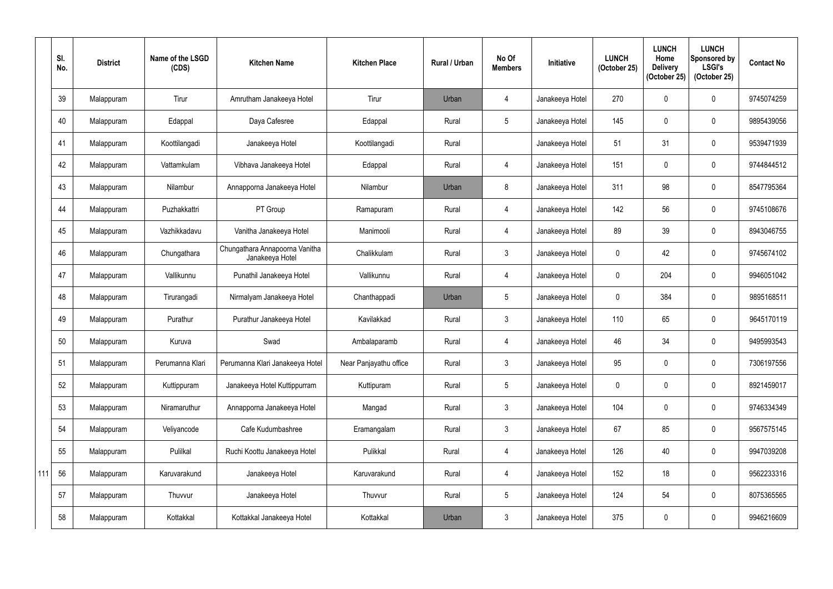|     | SI.<br>No. | <b>District</b> | Name of the LSGD<br>(CDS) | <b>Kitchen Name</b>                               | <b>Kitchen Place</b>   | <b>Rural / Urban</b> | No Of<br><b>Members</b> | <b>Initiative</b> | <b>LUNCH</b><br>(October 25) | <b>LUNCH</b><br>Home<br><b>Delivery</b><br>(October 25) | <b>LUNCH</b><br>Sponsored by<br><b>LSGI's</b><br>(October 25) | <b>Contact No</b> |
|-----|------------|-----------------|---------------------------|---------------------------------------------------|------------------------|----------------------|-------------------------|-------------------|------------------------------|---------------------------------------------------------|---------------------------------------------------------------|-------------------|
|     | 39         | Malappuram      | Tirur                     | Amrutham Janakeeya Hotel                          | Tirur                  | Urban                | 4                       | Janakeeya Hotel   | 270                          | 0                                                       | $\pmb{0}$                                                     | 9745074259        |
|     | 40         | Malappuram      | Edappal                   | Daya Cafesree                                     | Edappal                | Rural                | $5\phantom{.0}$         | Janakeeya Hotel   | 145                          | $\mathbf 0$                                             | 0                                                             | 9895439056        |
|     | 41         | Malappuram      | Koottilangadi             | Janakeeya Hotel                                   | Koottilangadi          | Rural                |                         | Janakeeya Hotel   | 51                           | 31                                                      | $\pmb{0}$                                                     | 9539471939        |
|     | 42         | Malappuram      | Vattamkulam               | Vibhava Janakeeya Hotel                           | Edappal                | Rural                | 4                       | Janakeeya Hotel   | 151                          | 0                                                       | $\mathbf 0$                                                   | 9744844512        |
|     | 43         | Malappuram      | Nilambur                  | Annapporna Janakeeya Hotel                        | Nilambur               | Urban                | 8                       | Janakeeya Hotel   | 311                          | 98                                                      | $\pmb{0}$                                                     | 8547795364        |
|     | 44         | Malappuram      | Puzhakkattri              | PT Group                                          | Ramapuram              | Rural                | 4                       | Janakeeya Hotel   | 142                          | 56                                                      | $\mathbf 0$                                                   | 9745108676        |
|     | 45         | Malappuram      | Vazhikkadavu              | Vanitha Janakeeya Hotel                           | Manimooli              | Rural                | $\overline{4}$          | Janakeeya Hotel   | 89                           | 39                                                      | $\mathbf 0$                                                   | 8943046755        |
|     | 46         | Malappuram      | Chungathara               | Chungathara Annapoorna Vanitha<br>Janakeeya Hotel | Chalikkulam            | Rural                | $\mathfrak{Z}$          | Janakeeya Hotel   | $\mathbf 0$                  | 42                                                      | $\mathbf 0$                                                   | 9745674102        |
|     | 47         | Malappuram      | Vallikunnu                | Punathil Janakeeya Hotel                          | Vallikunnu             | Rural                | 4                       | Janakeeya Hotel   | $\mathbf 0$                  | 204                                                     | $\mathbf 0$                                                   | 9946051042        |
|     | 48         | Malappuram      | Tirurangadi               | Nirmalyam Janakeeya Hotel                         | Chanthappadi           | Urban                | 5                       | Janakeeya Hotel   | $\mathbf 0$                  | 384                                                     | $\boldsymbol{0}$                                              | 9895168511        |
|     | 49         | Malappuram      | Purathur                  | Purathur Janakeeya Hotel                          | Kavilakkad             | Rural                | $\mathbf{3}$            | Janakeeya Hotel   | 110                          | 65                                                      | 0                                                             | 9645170119        |
|     | 50         | Malappuram      | Kuruva                    | Swad                                              | Ambalaparamb           | Rural                | 4                       | Janakeeya Hotel   | 46                           | 34                                                      | $\mathbf 0$                                                   | 9495993543        |
|     | 51         | Malappuram      | Perumanna Klari           | Perumanna Klari Janakeeya Hotel                   | Near Panjayathu office | Rural                | $\mathfrak{Z}$          | Janakeeya Hotel   | 95                           | $\mathbf 0$                                             | $\pmb{0}$                                                     | 7306197556        |
|     | 52         | Malappuram      | Kuttippuram               | Janakeeya Hotel Kuttippurram                      | Kuttipuram             | Rural                | $5\phantom{.0}$         | Janakeeya Hotel   | $\mathbf 0$                  | $\mathbf 0$                                             | $\pmb{0}$                                                     | 8921459017        |
|     | 53         | Malappuram      | Niramaruthur              | Annapporna Janakeeya Hotel                        | Mangad                 | Rural                | $\mathbf{3}$            | Janakeeya Hotel   | 104                          | $\pmb{0}$                                               | $\boldsymbol{0}$                                              | 9746334349        |
|     | 54         | Malappuram      | Veliyancode               | Cafe Kudumbashree                                 | Eramangalam            | Rural                | $\mathfrak{Z}$          | Janakeeya Hotel   | 67                           | 85                                                      | $\pmb{0}$                                                     | 9567575145        |
|     | 55         | Malappuram      | Pulilkal                  | Ruchi Koottu Janakeeya Hotel                      | Pulikkal               | Rural                | $\overline{4}$          | Janakeeya Hotel   | 126                          | 40                                                      | $\pmb{0}$                                                     | 9947039208        |
| 111 | 56         | Malappuram      | Karuvarakund              | Janakeeya Hotel                                   | Karuvarakund           | Rural                | $\overline{4}$          | Janakeeya Hotel   | 152                          | 18                                                      | $\pmb{0}$                                                     | 9562233316        |
|     | 57         | Malappuram      | Thuvvur                   | Janakeeya Hotel                                   | Thuvvur                | Rural                | $5\phantom{.0}$         | Janakeeya Hotel   | 124                          | 54                                                      | $\pmb{0}$                                                     | 8075365565        |
|     | 58         | Malappuram      | Kottakkal                 | Kottakkal Janakeeya Hotel                         | Kottakkal              | Urban                | $\mathbf{3}$            | Janakeeya Hotel   | 375                          | $\mathbf 0$                                             | $\pmb{0}$                                                     | 9946216609        |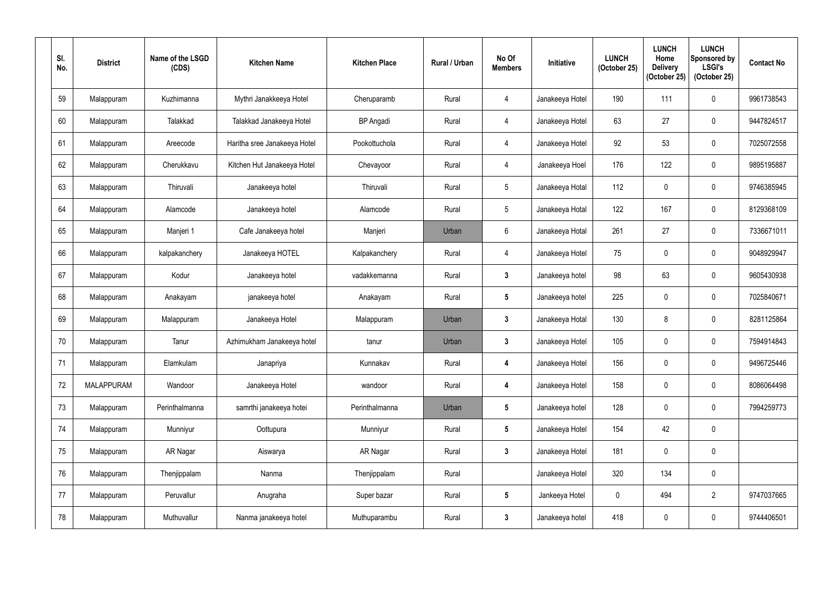| SI.<br>No. | <b>District</b>   | Name of the LSGD<br>(CDS) | <b>Kitchen Name</b>          | <b>Kitchen Place</b> | <b>Rural / Urban</b> | No Of<br><b>Members</b> | Initiative      | <b>LUNCH</b><br>(October 25) | <b>LUNCH</b><br>Home<br><b>Delivery</b><br>(October 25) | <b>LUNCH</b><br>Sponsored by<br><b>LSGI's</b><br>(October 25) | <b>Contact No</b> |
|------------|-------------------|---------------------------|------------------------------|----------------------|----------------------|-------------------------|-----------------|------------------------------|---------------------------------------------------------|---------------------------------------------------------------|-------------------|
| 59         | Malappuram        | Kuzhimanna                | Mythri Janakkeeya Hotel      | Cheruparamb          | Rural                | $\overline{4}$          | Janakeeya Hotel | 190                          | 111                                                     | $\boldsymbol{0}$                                              | 9961738543        |
| 60         | Malappuram        | Talakkad                  | Talakkad Janakeeya Hotel     | <b>BP</b> Angadi     | Rural                | $\overline{4}$          | Janakeeya Hotel | 63                           | 27                                                      | $\pmb{0}$                                                     | 9447824517        |
| 61         | Malappuram        | Areecode                  | Haritha sree Janakeeya Hotel | Pookottuchola        | Rural                | 4                       | Janakeeya Hotel | 92                           | 53                                                      | $\pmb{0}$                                                     | 7025072558        |
| 62         | Malappuram        | Cherukkavu                | Kitchen Hut Janakeeya Hotel  | Chevayoor            | Rural                | $\overline{4}$          | Janakeeya Hoel  | 176                          | 122                                                     | $\pmb{0}$                                                     | 9895195887        |
| 63         | Malappuram        | Thiruvali                 | Janakeeya hotel              | Thiruvali            | Rural                | $\sqrt{5}$              | Janakeeya Hotal | 112                          | 0                                                       | $\boldsymbol{0}$                                              | 9746385945        |
| 64         | Malappuram        | Alamcode                  | Janakeeya hotel              | Alamcode             | Rural                | $5\phantom{.0}$         | Janakeeya Hotal | 122                          | 167                                                     | 0                                                             | 8129368109        |
| 65         | Malappuram        | Manjeri 1                 | Cafe Janakeeya hotel         | Manjeri              | Urban                | $6\phantom{.}$          | Janakeeya Hotal | 261                          | 27                                                      | $\pmb{0}$                                                     | 7336671011        |
| 66         | Malappuram        | kalpakanchery             | Janakeeya HOTEL              | Kalpakanchery        | Rural                | $\overline{4}$          | Janakeeya Hotel | 75                           | 0                                                       | $\boldsymbol{0}$                                              | 9048929947        |
| 67         | Malappuram        | Kodur                     | Janakeeya hotel              | vadakkemanna         | Rural                | $3\phantom{a}$          | Janakeeya hotel | 98                           | 63                                                      | $\boldsymbol{0}$                                              | 9605430938        |
| 68         | Malappuram        | Anakayam                  | janakeeya hotel              | Anakayam             | Rural                | $5\phantom{.0}$         | Janakeeya hotel | 225                          | 0                                                       | $\boldsymbol{0}$                                              | 7025840671        |
| 69         | Malappuram        | Malappuram                | Janakeeya Hotel              | Malappuram           | Urban                | $\mathbf{3}$            | Janakeeya Hotal | 130                          | 8                                                       | $\pmb{0}$                                                     | 8281125864        |
| 70         | Malappuram        | Tanur                     | Azhimukham Janakeeya hotel   | tanur                | Urban                | 3                       | Janakeeya Hotel | 105                          | 0                                                       | 0                                                             | 7594914843        |
| 71         | Malappuram        | Elamkulam                 | Janapriya                    | Kunnakav             | Rural                | $\overline{\mathbf{4}}$ | Janakeeya Hotel | 156                          | $\overline{0}$                                          | $\pmb{0}$                                                     | 9496725446        |
| 72         | <b>MALAPPURAM</b> | Wandoor                   | Janakeeya Hotel              | wandoor              | Rural                | $\overline{\mathbf{4}}$ | Janakeeya Hotel | 158                          | $\mathbf 0$                                             | $\pmb{0}$                                                     | 8086064498        |
| 73         | Malappuram        | Perinthalmanna            | samrthi janakeeya hotei      | Perinthalmanna       | Urban                | $5\phantom{.0}$         | Janakeeya hotel | 128                          | $\mathbf 0$                                             | $\pmb{0}$                                                     | 7994259773        |
| 74         | Malappuram        | Munniyur                  | Oottupura                    | Munniyur             | Rural                | $5\phantom{.0}$         | Janakeeya Hotel | 154                          | 42                                                      | $\pmb{0}$                                                     |                   |
| 75         | Malappuram        | AR Nagar                  | Aiswarya                     | AR Nagar             | Rural                | $3\phantom{a}$          | Janakeeya Hotel | 181                          | $\mathbf 0$                                             | $\pmb{0}$                                                     |                   |
| 76         | Malappuram        | Thenjippalam              | Nanma                        | Thenjippalam         | Rural                |                         | Janakeeya Hotel | 320                          | 134                                                     | $\pmb{0}$                                                     |                   |
| 77         | Malappuram        | Peruvallur                | Anugraha                     | Super bazar          | Rural                | $5\phantom{.0}$         | Jankeeya Hotel  | $\mathbf 0$                  | 494                                                     | $\overline{2}$                                                | 9747037665        |
| 78         | Malappuram        | Muthuvallur               | Nanma janakeeya hotel        | Muthuparambu         | Rural                | $3\phantom{a}$          | Janakeeya hotel | 418                          | $\mathbf{0}$                                            | $\pmb{0}$                                                     | 9744406501        |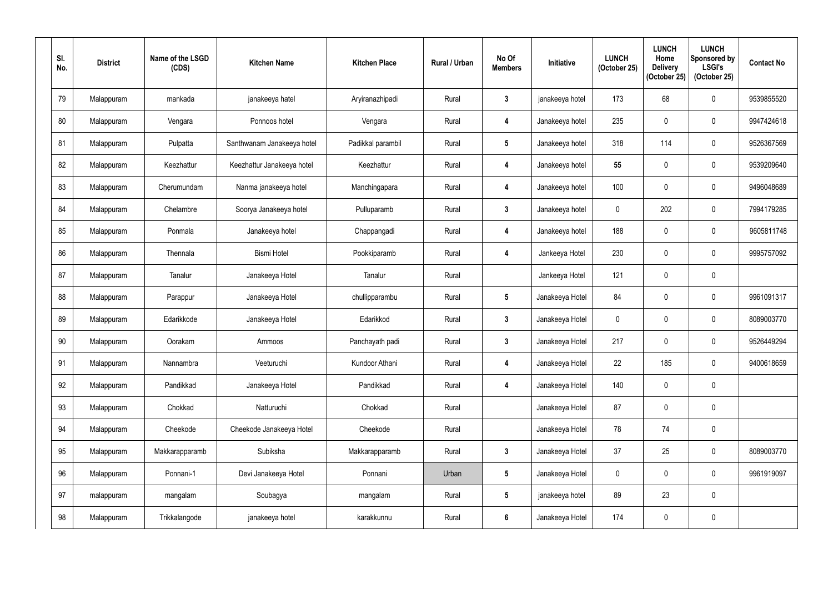| SI.<br>No. | <b>District</b> | Name of the LSGD<br>(CDS) | <b>Kitchen Name</b>        | <b>Kitchen Place</b> | <b>Rural / Urban</b> | No Of<br><b>Members</b> | Initiative      | <b>LUNCH</b><br>(October 25) | <b>LUNCH</b><br>Home<br><b>Delivery</b><br>(October 25) | <b>LUNCH</b><br><b>Sponsored by</b><br><b>LSGI's</b><br>(October 25) | <b>Contact No</b> |
|------------|-----------------|---------------------------|----------------------------|----------------------|----------------------|-------------------------|-----------------|------------------------------|---------------------------------------------------------|----------------------------------------------------------------------|-------------------|
| 79         | Malappuram      | mankada                   | janakeeya hatel            | Aryiranazhipadi      | Rural                | $\mathbf{3}$            | janakeeya hotel | 173                          | 68                                                      | $\pmb{0}$                                                            | 9539855520        |
| 80         | Malappuram      | Vengara                   | Ponnoos hotel              | Vengara              | Rural                | 4                       | Janakeeya hotel | 235                          | 0                                                       | $\pmb{0}$                                                            | 9947424618        |
| 81         | Malappuram      | Pulpatta                  | Santhwanam Janakeeya hotel | Padikkal parambil    | Rural                | $5\phantom{.0}$         | Janakeeya hotel | 318                          | 114                                                     | $\pmb{0}$                                                            | 9526367569        |
| 82         | Malappuram      | Keezhattur                | Keezhattur Janakeeya hotel | Keezhattur           | Rural                | 4                       | Janakeeya hotel | 55                           | 0                                                       | $\pmb{0}$                                                            | 9539209640        |
| 83         | Malappuram      | Cherumundam               | Nanma janakeeya hotel      | Manchingapara        | Rural                | 4                       | Janakeeya hotel | 100                          | 0                                                       | $\boldsymbol{0}$                                                     | 9496048689        |
| 84         | Malappuram      | Chelambre                 | Soorya Janakeeya hotel     | Pulluparamb          | Rural                | $3\phantom{a}$          | Janakeeya hotel | $\mathbf 0$                  | 202                                                     | $\boldsymbol{0}$                                                     | 7994179285        |
| 85         | Malappuram      | Ponmala                   | Janakeeya hotel            | Chappangadi          | Rural                | 4                       | Janakeeya hotel | 188                          | 0                                                       | $\pmb{0}$                                                            | 9605811748        |
| 86         | Malappuram      | Thennala                  | <b>Bismi Hotel</b>         | Pookkiparamb         | Rural                | 4                       | Jankeeya Hotel  | 230                          | 0                                                       | $\pmb{0}$                                                            | 9995757092        |
| 87         | Malappuram      | Tanalur                   | Janakeeya Hotel            | Tanalur              | Rural                |                         | Jankeeya Hotel  | 121                          | 0                                                       | $\pmb{0}$                                                            |                   |
| 88         | Malappuram      | Parappur                  | Janakeeya Hotel            | chullipparambu       | Rural                | $5\phantom{.0}$         | Janakeeya Hotel | 84                           | 0                                                       | $\pmb{0}$                                                            | 9961091317        |
| 89         | Malappuram      | Edarikkode                | Janakeeya Hotel            | Edarikkod            | Rural                | $\mathbf{3}$            | Janakeeya Hotel | 0                            | 0                                                       | 0                                                                    | 8089003770        |
| 90         | Malappuram      | Oorakam                   | Ammoos                     | Panchayath padi      | Rural                | $3\phantom{a}$          | Janakeeya Hotel | 217                          | 0                                                       | 0                                                                    | 9526449294        |
| 91         | Malappuram      | Nannambra                 | Veeturuchi                 | Kundoor Athani       | Rural                | 4                       | Janakeeya Hotel | 22                           | 185                                                     | $\pmb{0}$                                                            | 9400618659        |
| 92         | Malappuram      | Pandikkad                 | Janakeeya Hotel            | Pandikkad            | Rural                | $\overline{\mathbf{4}}$ | Janakeeya Hotel | 140                          | $\mathbf 0$                                             | $\pmb{0}$                                                            |                   |
| 93         | Malappuram      | Chokkad                   | Natturuchi                 | Chokkad              | Rural                |                         | Janakeeya Hotel | 87                           | $\mathbf 0$                                             | $\pmb{0}$                                                            |                   |
| 94         | Malappuram      | Cheekode                  | Cheekode Janakeeya Hotel   | Cheekode             | Rural                |                         | Janakeeya Hotel | 78                           | 74                                                      | $\pmb{0}$                                                            |                   |
| 95         | Malappuram      | Makkarapparamb            | Subiksha                   | Makkarapparamb       | Rural                | $\mathbf{3}$            | Janakeeya Hotel | 37                           | 25                                                      | $\pmb{0}$                                                            | 8089003770        |
| 96         | Malappuram      | Ponnani-1                 | Devi Janakeeya Hotel       | Ponnani              | Urban                | $5\phantom{.0}$         | Janakeeya Hotel | $\mathbf 0$                  | $\mathbf 0$                                             | $\pmb{0}$                                                            | 9961919097        |
| 97         | malappuram      | mangalam                  | Soubagya                   | mangalam             | Rural                | $5\phantom{.0}$         | janakeeya hotel | 89                           | 23                                                      | $\pmb{0}$                                                            |                   |
| 98         | Malappuram      | Trikkalangode             | janakeeya hotel            | karakkunnu           | Rural                | $6\phantom{a}$          | Janakeeya Hotel | 174                          | 0                                                       | $\pmb{0}$                                                            |                   |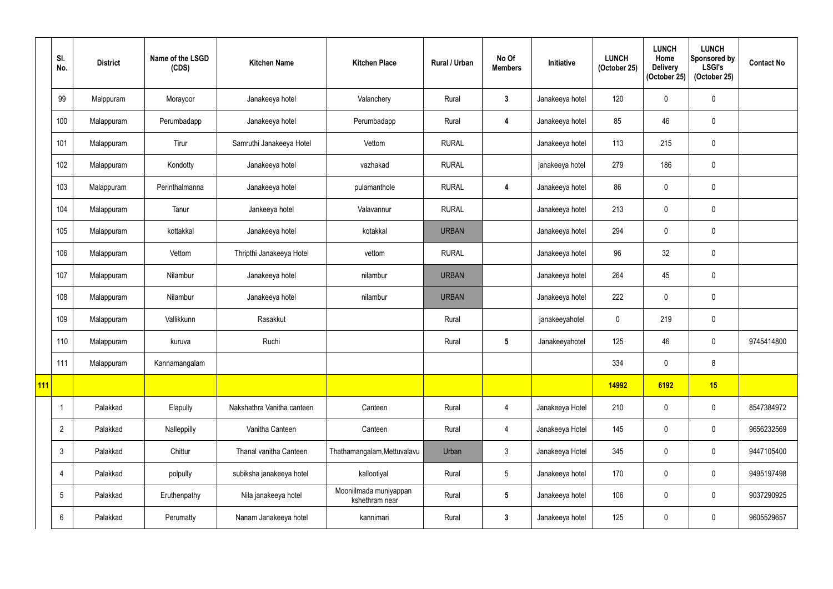|            | SI.<br>No.     | <b>District</b> | Name of the LSGD<br>(CDS) | <b>Kitchen Name</b>        | <b>Kitchen Place</b>                     | Rural / Urban | No Of<br><b>Members</b> | Initiative      | <b>LUNCH</b><br>(October 25) | <b>LUNCH</b><br>Home<br><b>Delivery</b><br>(October 25) | <b>LUNCH</b><br>Sponsored by<br><b>LSGI's</b><br>(October 25) | <b>Contact No</b> |
|------------|----------------|-----------------|---------------------------|----------------------------|------------------------------------------|---------------|-------------------------|-----------------|------------------------------|---------------------------------------------------------|---------------------------------------------------------------|-------------------|
|            | 99             | Malppuram       | Morayoor                  | Janakeeya hotel            | Valanchery                               | Rural         | $\mathbf{3}$            | Janakeeya hotel | 120                          | $\mathbf 0$                                             | 0                                                             |                   |
|            | 100            | Malappuram      | Perumbadapp               | Janakeeya hotel            | Perumbadapp                              | Rural         | $\boldsymbol{4}$        | Janakeeya hotel | 85                           | 46                                                      | 0                                                             |                   |
|            | 101            | Malappuram      | Tirur                     | Samruthi Janakeeya Hotel   | Vettom                                   | <b>RURAL</b>  |                         | Janakeeya hotel | 113                          | 215                                                     | 0                                                             |                   |
|            | 102            | Malappuram      | Kondotty                  | Janakeeya hotel            | vazhakad                                 | <b>RURAL</b>  |                         | janakeeya hotel | 279                          | 186                                                     | $\pmb{0}$                                                     |                   |
|            | 103            | Malappuram      | Perinthalmanna            | Janakeeya hotel            | pulamanthole                             | <b>RURAL</b>  | $\boldsymbol{4}$        | Janakeeya hotel | 86                           | $\mathbf 0$                                             | 0                                                             |                   |
|            | 104            | Malappuram      | Tanur                     | Jankeeya hotel             | Valavannur                               | <b>RURAL</b>  |                         | Janakeeya hotel | 213                          | $\mathbf 0$                                             | 0                                                             |                   |
|            | 105            | Malappuram      | kottakkal                 | Janakeeya hotel            | kotakkal                                 | <b>URBAN</b>  |                         | Janakeeya hotel | 294                          | 0                                                       | 0                                                             |                   |
|            | 106            | Malappuram      | Vettom                    | Thripthi Janakeeya Hotel   | vettom                                   | <b>RURAL</b>  |                         | Janakeeya hotel | 96                           | 32                                                      | $\pmb{0}$                                                     |                   |
|            | 107            | Malappuram      | Nilambur                  | Janakeeya hotel            | nilambur                                 | <b>URBAN</b>  |                         | Janakeeya hotel | 264                          | 45                                                      | 0                                                             |                   |
|            | 108            | Malappuram      | Nilambur                  | Janakeeya hotel            | nilambur                                 | <b>URBAN</b>  |                         | Janakeeya hotel | 222                          | 0                                                       | 0                                                             |                   |
|            | 109            | Malappuram      | Vallikkunn                | Rasakkut                   |                                          | Rural         |                         | janakeeyahotel  | $\mathbf 0$                  | 219                                                     | 0                                                             |                   |
|            | 110            | Malappuram      | kuruva                    | Ruchi                      |                                          | Rural         | $\overline{\mathbf{5}}$ | Janakeeyahotel  | 125                          | 46                                                      | 0                                                             | 9745414800        |
|            | 111            | Malappuram      | Kannamangalam             |                            |                                          |               |                         |                 | 334                          | 0                                                       | 8                                                             |                   |
| <b>111</b> |                |                 |                           |                            |                                          |               |                         |                 | 14992                        | 6192                                                    | 15                                                            |                   |
|            |                | Palakkad        | Elapully                  | Nakshathra Vanitha canteen | Canteen                                  | Rural         | $\overline{4}$          | Janakeeya Hotel | 210                          | $\mathbf 0$                                             | $\mathbf 0$                                                   | 8547384972        |
|            | $\overline{2}$ | Palakkad        | Nalleppilly               | Vanitha Canteen            | Canteen                                  | Rural         | $\overline{4}$          | Janakeeya Hotel | 145                          | 0                                                       | $\mathbf 0$                                                   | 9656232569        |
|            | $\mathfrak{Z}$ | Palakkad        | Chittur                   | Thanal vanitha Canteen     | Thathamangalam, Mettuvalavu              | Urban         | $\mathbf{3}$            | Janakeeya Hotel | 345                          | $\mathbf 0$                                             | $\mathbf 0$                                                   | 9447105400        |
|            | 4              | Palakkad        | polpully                  | subiksha janakeeya hotel   | kallootiyal                              | Rural         | $5\phantom{.0}$         | Janakeeya hotel | 170                          | $\mathbf 0$                                             | $\mathbf 0$                                                   | 9495197498        |
|            | 5              | Palakkad        | Eruthenpathy              | Nila janakeeya hotel       | Mooniilmada muniyappan<br>kshethram near | Rural         | $5\overline{)}$         | Janakeeya hotel | 106                          | $\mathbf 0$                                             | $\mathbf 0$                                                   | 9037290925        |
|            | 6              | Palakkad        | Perumatty                 | Nanam Janakeeya hotel      | kannimari                                | Rural         | $\boldsymbol{3}$        | Janakeeya hotel | 125                          | 0                                                       | $\pmb{0}$                                                     | 9605529657        |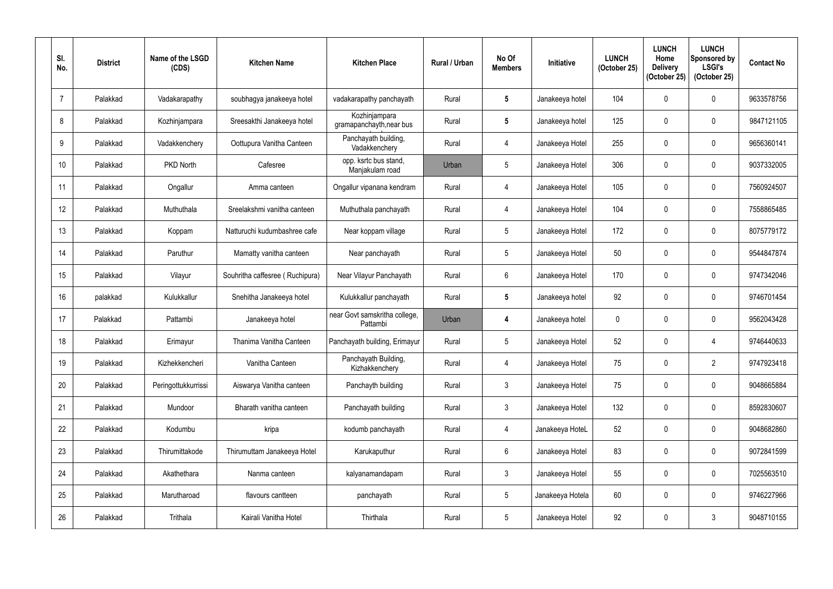| SI.<br>No.      | <b>District</b> | Name of the LSGD<br>(CDS) | <b>Kitchen Name</b>             | <b>Kitchen Place</b>                      | <b>Rural / Urban</b> | No Of<br><b>Members</b> | Initiative       | <b>LUNCH</b><br>(October 25) | <b>LUNCH</b><br>Home<br><b>Delivery</b><br>(October 25) | <b>LUNCH</b><br>Sponsored by<br><b>LSGI's</b><br>(October 25) | <b>Contact No</b> |
|-----------------|-----------------|---------------------------|---------------------------------|-------------------------------------------|----------------------|-------------------------|------------------|------------------------------|---------------------------------------------------------|---------------------------------------------------------------|-------------------|
| $\overline{7}$  | Palakkad        | Vadakarapathy             | soubhagya janakeeya hotel       | vadakarapathy panchayath                  | Rural                | $5\phantom{.0}$         | Janakeeya hotel  | 104                          | $\mathbf{0}$                                            | 0                                                             | 9633578756        |
| 8               | Palakkad        | Kozhinjampara             | Sreesakthi Janakeeya hotel      | Kozhinjampara<br>gramapanchayth, near bus | Rural                | $5\phantom{.0}$         | Janakeeya hotel  | 125                          | $\mathbf{0}$                                            | 0                                                             | 9847121105        |
| 9               | Palakkad        | Vadakkenchery             | Oottupura Vanitha Canteen       | Panchayath building,<br>Vadakkenchery     | Rural                | $\overline{4}$          | Janakeeya Hotel  | 255                          | 0                                                       | 0                                                             | 9656360141        |
| 10 <sup>°</sup> | Palakkad        | <b>PKD North</b>          | Cafesree                        | opp. ksrtc bus stand,<br>Manjakulam road  | Urban                | $5\phantom{.0}$         | Janakeeya Hotel  | 306                          | 0                                                       | 0                                                             | 9037332005        |
| 11              | Palakkad        | Ongallur                  | Amma canteen                    | Ongallur vipanana kendram                 | Rural                | 4                       | Janakeeya Hotel  | 105                          | $\mathbf{0}$                                            | 0                                                             | 7560924507        |
| 12 <sup>°</sup> | Palakkad        | Muthuthala                | Sreelakshmi vanitha canteen     | Muthuthala panchayath                     | Rural                | $\overline{4}$          | Janakeeya Hotel  | 104                          | $\mathbf 0$                                             | 0                                                             | 7558865485        |
| 13              | Palakkad        | Koppam                    | Natturuchi kudumbashree cafe    | Near koppam village                       | Rural                | $5\phantom{.0}$         | Janakeeya Hotel  | 172                          | 0                                                       | 0                                                             | 8075779172        |
| 14              | Palakkad        | Paruthur                  | Mamatty vanitha canteen         | Near panchayath                           | Rural                | $\overline{5}$          | Janakeeya Hotel  | 50                           | $\mathbf 0$                                             | 0                                                             | 9544847874        |
| 15              | Palakkad        | Vilayur                   | Souhritha caffesree (Ruchipura) | Near Vilayur Panchayath                   | Rural                | 6                       | Janakeeya Hotel  | 170                          | 0                                                       | 0                                                             | 9747342046        |
| 16 <sup>°</sup> | palakkad        | Kulukkallur               | Snehitha Janakeeya hotel        | Kulukkallur panchayath                    | Rural                | $5\phantom{.0}$         | Janakeeya hotel  | 92                           | 0                                                       | 0                                                             | 9746701454        |
| 17              | Palakkad        | Pattambi                  | Janakeeya hotel                 | near Govt samskritha college,<br>Pattambi | Urban                | 4                       | Janakeeya hotel  | 0                            | 0                                                       | 0                                                             | 9562043428        |
| 18              | Palakkad        | Erimayur                  | Thanima Vanitha Canteen         | Panchayath building, Erimayur             | Rural                | $\overline{5}$          | Janakeeya Hotel  | 52                           | $\mathbf 0$                                             | 4                                                             | 9746440633        |
| 19              | Palakkad        | Kizhekkencheri            | Vanitha Canteen                 | Panchayath Building,<br>Kizhakkenchery    | Rural                | 4                       | Janakeeya Hotel  | 75                           | 0                                                       | $\overline{2}$                                                | 9747923418        |
| 20              | Palakkad        | Peringottukkurrissi       | Aiswarya Vanitha canteen        | Panchayth building                        | Rural                | $\mathfrak{Z}$          | Janakeeya Hotel  | 75                           | 0                                                       | 0                                                             | 9048665884        |
| 21              | Palakkad        | Mundoor                   | Bharath vanitha canteen         | Panchayath building                       | Rural                | $\mathfrak{Z}$          | Janakeeya Hotel  | 132                          | $\mathbf 0$                                             | 0                                                             | 8592830607        |
| 22              | Palakkad        | Kodumbu                   | kripa                           | kodumb panchayath                         | Rural                | $\overline{4}$          | Janakeeya HoteL  | 52                           | 0                                                       | $\pmb{0}$                                                     | 9048682860        |
| 23              | Palakkad        | Thirumittakode            | Thirumuttam Janakeeya Hotel     | Karukaputhur                              | Rural                | $6\phantom{.}$          | Janakeeya Hotel  | 83                           | 0                                                       | 0                                                             | 9072841599        |
| 24              | Palakkad        | Akathethara               | Nanma canteen                   | kalyanamandapam                           | Rural                | $\mathfrak{Z}$          | Janakeeya Hotel  | 55                           | $\mathbf 0$                                             | 0                                                             | 7025563510        |
| 25              | Palakkad        | Marutharoad               | flavours cantteen               | panchayath                                | Rural                | $\sqrt{5}$              | Janakeeya Hotela | 60                           | $\mathbf 0$                                             | 0                                                             | 9746227966        |
| 26              | Palakkad        | Trithala                  | Kairali Vanitha Hotel           | Thirthala                                 | Rural                | $\sqrt{5}$              | Janakeeya Hotel  | 92                           | $\mathbf 0$                                             | $\mathfrak{Z}$                                                | 9048710155        |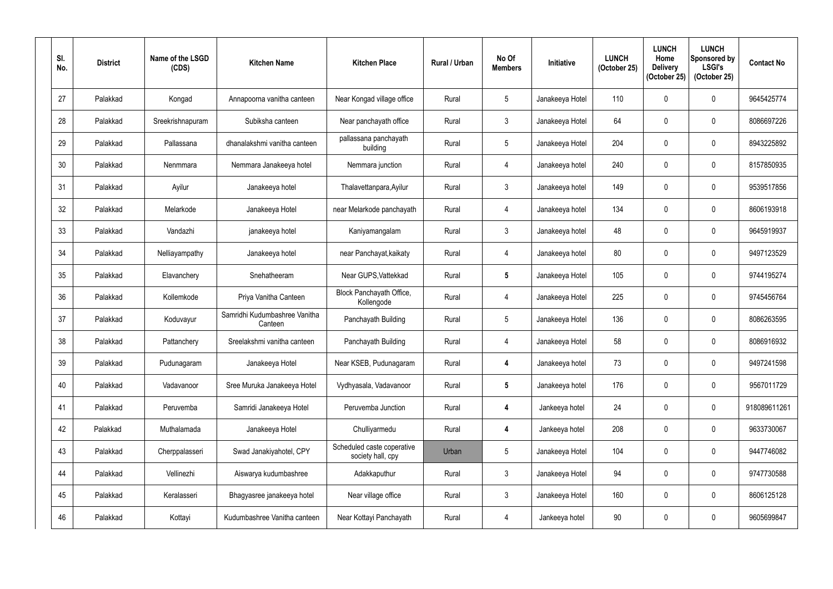| SI.<br>No.      | <b>District</b> | Name of the LSGD<br>(CDS) | <b>Kitchen Name</b>                      | <b>Kitchen Place</b>                            | <b>Rural / Urban</b> | No Of<br><b>Members</b> | Initiative      | <b>LUNCH</b><br>(October 25) | <b>LUNCH</b><br>Home<br><b>Delivery</b><br>(October 25) | <b>LUNCH</b><br>Sponsored by<br><b>LSGI's</b><br>(October 25) | <b>Contact No</b> |
|-----------------|-----------------|---------------------------|------------------------------------------|-------------------------------------------------|----------------------|-------------------------|-----------------|------------------------------|---------------------------------------------------------|---------------------------------------------------------------|-------------------|
| 27              | Palakkad        | Kongad                    | Annapoorna vanitha canteen               | Near Kongad village office                      | Rural                | $5\phantom{.0}$         | Janakeeya Hotel | 110                          | $\mathbf{0}$                                            | 0                                                             | 9645425774        |
| 28              | Palakkad        | Sreekrishnapuram          | Subiksha canteen                         | Near panchayath office                          | Rural                | $\mathfrak{Z}$          | Janakeeya Hotel | 64                           | $\mathbf{0}$                                            | 0                                                             | 8086697226        |
| 29              | Palakkad        | Pallassana                | dhanalakshmi vanitha canteen             | pallassana panchayath<br>building               | Rural                | $\overline{5}$          | Janakeeya Hotel | 204                          | 0                                                       | 0                                                             | 8943225892        |
| 30 <sub>o</sub> | Palakkad        | Nenmmara                  | Nemmara Janakeeya hotel                  | Nemmara junction                                | Rural                | 4                       | Janakeeya hotel | 240                          | $\mathbf{0}$                                            | 0                                                             | 8157850935        |
| 31              | Palakkad        | Ayilur                    | Janakeeya hotel                          | Thalavettanpara, Ayilur                         | Rural                | $\mathfrak{Z}$          | Janakeeya hotel | 149                          | $\mathbf{0}$                                            | 0                                                             | 9539517856        |
| 32              | Palakkad        | Melarkode                 | Janakeeya Hotel                          | near Melarkode panchayath                       | Rural                | 4                       | Janakeeya hotel | 134                          | $\mathbf{0}$                                            | 0                                                             | 8606193918        |
| 33              | Palakkad        | Vandazhi                  | janakeeya hotel                          | Kaniyamangalam                                  | Rural                | $\mathfrak{Z}$          | Janakeeya hotel | 48                           | 0                                                       | 0                                                             | 9645919937        |
| 34              | Palakkad        | Nelliayampathy            | Janakeeya hotel                          | near Panchayat, kaikaty                         | Rural                | 4                       | Janakeeya hotel | 80                           | $\mathbf 0$                                             | 0                                                             | 9497123529        |
| 35              | Palakkad        | Elavanchery               | Snehatheeram                             | Near GUPS, Vattekkad                            | Rural                | $5\phantom{.0}$         | Janakeeya Hotel | 105                          | 0                                                       | 0                                                             | 9744195274        |
| 36              | Palakkad        | Kollemkode                | Priya Vanitha Canteen                    | Block Panchayath Office,<br>Kollengode          | Rural                | 4                       | Janakeeya Hotel | 225                          | $\mathbf 0$                                             | 0                                                             | 9745456764        |
| 37              | Palakkad        | Koduvayur                 | Samridhi Kudumbashree Vanitha<br>Canteen | Panchayath Building                             | Rural                | $\overline{5}$          | Janakeeya Hotel | 136                          | $\mathbf 0$                                             | 0                                                             | 8086263595        |
| 38              | Palakkad        | Pattanchery               | Sreelakshmi vanitha canteen              | Panchayath Building                             | Rural                | 4                       | Janakeeya Hotel | 58                           | 0                                                       | 0                                                             | 8086916932        |
| 39              | Palakkad        | Pudunagaram               | Janakeeya Hotel                          | Near KSEB, Pudunagaram                          | Rural                | $\boldsymbol{4}$        | Janakeeya hotel | 73                           | 0                                                       | 0                                                             | 9497241598        |
| 40              | Palakkad        | Vadavanoor                | Sree Muruka Janakeeya Hotel              | Vydhyasala, Vadavanoor                          | Rural                | $5\phantom{.0}$         | Janakeeya hotel | 176                          | $\mathbf 0$                                             | 0                                                             | 9567011729        |
| 41              | Palakkad        | Peruvemba                 | Samridi Janakeeya Hotel                  | Peruvemba Junction                              | Rural                | $\boldsymbol{4}$        | Jankeeya hotel  | 24                           | 0                                                       | 0                                                             | 918089611261      |
| 42              | Palakkad        | Muthalamada               | Janakeeya Hotel                          | Chulliyarmedu                                   | Rural                | $\overline{\mathbf{4}}$ | Jankeeya hotel  | 208                          | 0                                                       | 0                                                             | 9633730067        |
| 43              | Palakkad        | Cherppalasseri            | Swad Janakiyahotel, CPY                  | Scheduled caste coperative<br>society hall, cpy | Urban                | $\overline{5}$          | Janakeeya Hotel | 104                          | $\mathbf 0$                                             | 0                                                             | 9447746082        |
| 44              | Palakkad        | Vellinezhi                | Aiswarya kudumbashree                    | Adakkaputhur                                    | Rural                | $\mathfrak{Z}$          | Janakeeya Hotel | 94                           | 0                                                       | 0                                                             | 9747730588        |
| 45              | Palakkad        | Keralasseri               | Bhagyasree janakeeya hotel               | Near village office                             | Rural                | $\mathfrak{Z}$          | Janakeeya Hotel | 160                          | $\mathbf 0$                                             | 0                                                             | 8606125128        |
| 46              | Palakkad        | Kottayi                   | Kudumbashree Vanitha canteen             | Near Kottayi Panchayath                         | Rural                | $\overline{4}$          | Jankeeya hotel  | 90                           | $\mathbf 0$                                             | 0                                                             | 9605699847        |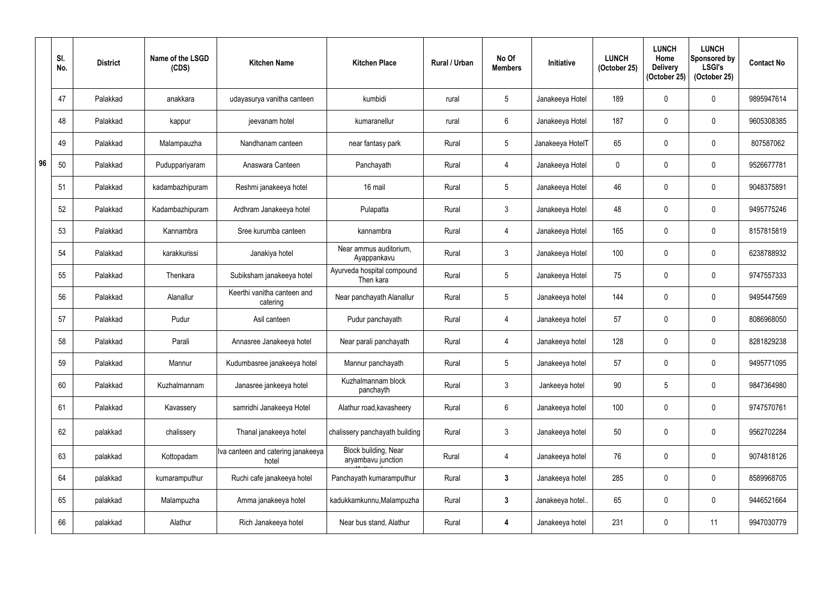|    | SI.<br>No. | <b>District</b> | Name of the LSGD<br>(CDS) | <b>Kitchen Name</b>                         | <b>Kitchen Place</b>                       | <b>Rural / Urban</b> | No Of<br><b>Members</b> | <b>Initiative</b> | <b>LUNCH</b><br>(October 25) | <b>LUNCH</b><br>Home<br><b>Delivery</b><br>(October 25) | <b>LUNCH</b><br>Sponsored by<br><b>LSGI's</b><br>(October 25) | <b>Contact No</b> |
|----|------------|-----------------|---------------------------|---------------------------------------------|--------------------------------------------|----------------------|-------------------------|-------------------|------------------------------|---------------------------------------------------------|---------------------------------------------------------------|-------------------|
|    | 47         | Palakkad        | anakkara                  | udayasurya vanitha canteen                  | kumbidi                                    | rural                | 5                       | Janakeeya Hotel   | 189                          |                                                         | $\mathbf 0$                                                   | 9895947614        |
|    | 48         | Palakkad        | kappur                    | jeevanam hotel                              | kumaranellur                               | rural                | $6\overline{6}$         | Janakeeya Hotel   | 187                          | $\Omega$                                                | $\mathbf 0$                                                   | 9605308385        |
|    | 49         | Palakkad        | Malampauzha               | Nandhanam canteen                           | near fantasy park                          | Rural                | $5\phantom{.0}$         | Janakeeya HotelT  | 65                           | 0                                                       | $\mathbf 0$                                                   | 807587062         |
| 96 | 50         | Palakkad        | Puduppariyaram            | Anaswara Canteen                            | Panchayath                                 | Rural                | $\overline{4}$          | Janakeeya Hotel   | $\mathbf{0}$                 |                                                         | $\mathbf 0$                                                   | 9526677781        |
|    | 51         | Palakkad        | kadambazhipuram           | Reshmi janakeeya hotel                      | 16 mail                                    | Rural                | 5                       | Janakeeya Hotel   | 46                           |                                                         | $\mathbf 0$                                                   | 9048375891        |
|    | 52         | Palakkad        | Kadambazhipuram           | Ardhram Janakeeya hotel                     | Pulapatta                                  | Rural                | $3\phantom{.0}$         | Janakeeya Hotel   | 48                           | $\Omega$                                                | $\mathbf 0$                                                   | 9495775246        |
|    | 53         | Palakkad        | Kannambra                 | Sree kurumba canteen                        | kannambra                                  | Rural                | $\overline{4}$          | Janakeeya Hotel   | 165                          |                                                         | $\mathbf 0$                                                   | 8157815819        |
|    | 54         | Palakkad        | karakkurissi              | Janakiya hotel                              | Near ammus auditorium,<br>Ayappankavu      | Rural                | $\mathfrak{Z}$          | Janakeeya Hotel   | 100                          | $\Omega$                                                | $\mathbf 0$                                                   | 6238788932        |
|    | 55         | Palakkad        | Thenkara                  | Subiksham janakeeya hotel                   | Ayurveda hospital compound<br>Then kara    | Rural                | 5                       | Janakeeya Hotel   | 75                           |                                                         | $\mathbf 0$                                                   | 9747557333        |
|    | 56         | Palakkad        | Alanallur                 | Keerthi vanitha canteen and<br>catering     | Near panchayath Alanallur                  | Rural                | 5                       | Janakeeya hotel   | 144                          | <sup>0</sup>                                            | $\mathbf 0$                                                   | 9495447569        |
|    | 57         | Palakkad        | Pudur                     | Asil canteen                                | Pudur panchayath                           | Rural                | $\overline{4}$          | Janakeeya hotel   | 57                           |                                                         | $\mathbf 0$                                                   | 8086968050        |
|    | 58         | Palakkad        | Parali                    | Annasree Janakeeya hotel                    | Near parali panchayath                     | Rural                | $\overline{4}$          | Janakeeya hotel   | 128                          | $\mathbf{0}$                                            | $\mathbf 0$                                                   | 8281829238        |
|    | 59         | Palakkad        | Mannur                    | Kudumbasree janakeeya hotel                 | Mannur panchayath                          | Rural                | $5\phantom{.0}$         | Janakeeya hotel   | 57                           |                                                         | $\mathbf 0$                                                   | 9495771095        |
|    | 60         | Palakkad        | Kuzhalmannam              | Janasree jankeeya hotel                     | Kuzhalmannam block<br>panchayth            | Rural                | $\mathfrak{Z}$          | Jankeeya hotel    | $90\,$                       | 5                                                       | $\pmb{0}$                                                     | 9847364980        |
|    | 61         | Palakkad        | Kavassery                 | samridhi Janakeeya Hotel                    | Alathur road, kavasheery                   | Rural                | $6\phantom{.0}$         | Janakeeya hotel   | 100                          | 0                                                       | $\boldsymbol{0}$                                              | 9747570761        |
|    | 62         | palakkad        | chalissery                | Thanal janakeeya hotel                      | chalissery panchayath building             | Rural                | $\mathfrak{Z}$          | Janakeeya hotel   | 50                           | 0                                                       | $\boldsymbol{0}$                                              | 9562702284        |
|    | 63         | palakkad        | Kottopadam                | Iva canteen and catering janakeeya<br>hotel | Block building, Near<br>aryambavu junction | Rural                | $\overline{4}$          | Janakeeya hotel   | 76                           | 0                                                       | $\boldsymbol{0}$                                              | 9074818126        |
|    | 64         | palakkad        | kumaramputhur             | Ruchi cafe janakeeya hotel                  | Panchayath kumaramputhur                   | Rural                | $\mathbf{3}$            | Janakeeya hotel   | 285                          | $\mathbf{0}$                                            | $\pmb{0}$                                                     | 8589968705        |
|    | 65         | palakkad        | Malampuzha                | Amma janakeeya hotel                        | kadukkamkunnu, Malampuzha                  | Rural                | $\mathbf{3}$            | Janakeeya hotel   | 65                           | 0                                                       | $\pmb{0}$                                                     | 9446521664        |
|    | 66         | palakkad        | Alathur                   | Rich Janakeeya hotel                        | Near bus stand, Alathur                    | Rural                | 4                       | Janakeeya hotel   | 231                          | 0                                                       | 11                                                            | 9947030779        |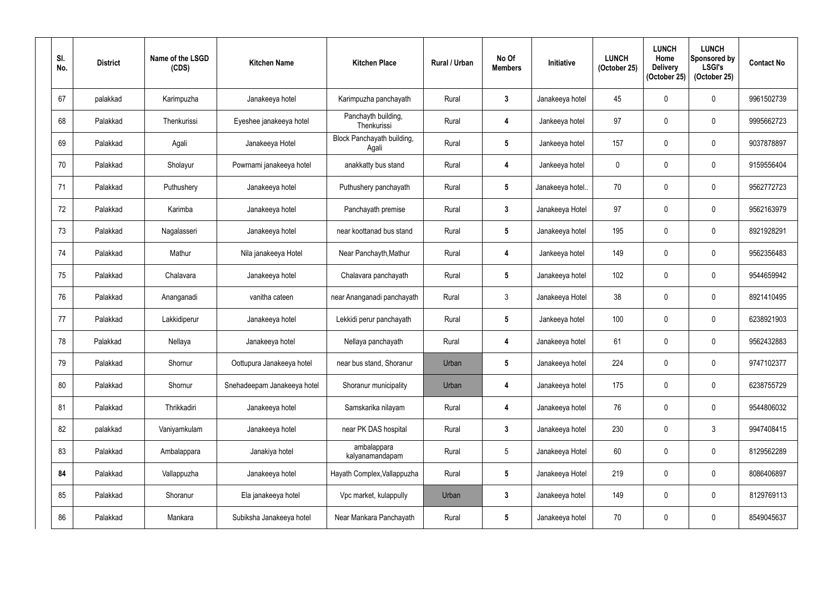| SI.<br>No. | <b>District</b> | Name of the LSGD<br>(CDS) | <b>Kitchen Name</b>         | <b>Kitchen Place</b>                | <b>Rural / Urban</b> | No Of<br><b>Members</b> | <b>Initiative</b> | <b>LUNCH</b><br>(October 25) | <b>LUNCH</b><br>Home<br><b>Delivery</b><br>(October 25) | <b>LUNCH</b><br>Sponsored by<br><b>LSGI's</b><br>(October 25) | <b>Contact No</b> |
|------------|-----------------|---------------------------|-----------------------------|-------------------------------------|----------------------|-------------------------|-------------------|------------------------------|---------------------------------------------------------|---------------------------------------------------------------|-------------------|
| 67         | palakkad        | Karimpuzha                | Janakeeya hotel             | Karimpuzha panchayath               | Rural                | $\mathbf{3}$            | Janakeeya hotel   | 45                           | $\theta$                                                | 0                                                             | 9961502739        |
| 68         | Palakkad        | Thenkurissi               | Eyeshee janakeeya hotel     | Panchayth building,<br>Thenkurissi  | Rural                | 4                       | Jankeeya hotel    | 97                           | $\mathbf{0}$                                            | 0                                                             | 9995662723        |
| 69         | Palakkad        | Agali                     | Janakeeya Hotel             | Block Panchayath building,<br>Agali | Rural                | $5\phantom{.0}$         | Jankeeya hotel    | 157                          | $\mathbf 0$                                             | 0                                                             | 9037878897        |
| 70         | Palakkad        | Sholayur                  | Powrnami janakeeya hotel    | anakkatty bus stand                 | Rural                | 4                       | Jankeeya hotel    | 0                            | $\mathbf{0}$                                            | 0                                                             | 9159556404        |
| 71         | Palakkad        | Puthushery                | Janakeeya hotel             | Puthushery panchayath               | Rural                | $5\phantom{.0}$         | Janakeeya hotel   | 70                           | 0                                                       | 0                                                             | 9562772723        |
| 72         | Palakkad        | Karimba                   | Janakeeya hotel             | Panchayath premise                  | Rural                | $3\phantom{a}$          | Janakeeya Hotel   | 97                           | $\mathbf 0$                                             | 0                                                             | 9562163979        |
| 73         | Palakkad        | Nagalasseri               | Janakeeya hotel             | near koottanad bus stand            | Rural                | $5\phantom{.0}$         | Janakeeya hotel   | 195                          | 0                                                       | 0                                                             | 8921928291        |
| 74         | Palakkad        | Mathur                    | Nila janakeeya Hotel        | Near Panchayth, Mathur              | Rural                | 4                       | Jankeeya hotel    | 149                          | $\mathbf 0$                                             | 0                                                             | 9562356483        |
| 75         | Palakkad        | Chalavara                 | Janakeeya hotel             | Chalavara panchayath                | Rural                | $5\phantom{.0}$         | Janakeeya hotel   | 102                          | 0                                                       | 0                                                             | 9544659942        |
| 76         | Palakkad        | Ananganadi                | vanitha cateen              | near Ananganadi panchayath          | Rural                | $\mathfrak{Z}$          | Janakeeya Hotel   | 38                           | $\mathbf 0$                                             | 0                                                             | 8921410495        |
| 77         | Palakkad        | Lakkidiperur              | Janakeeya hotel             | Lekkidi perur panchayath            | Rural                | $5\phantom{.0}$         | Jankeeya hotel    | 100                          | $\mathbf 0$                                             | 0                                                             | 6238921903        |
| 78         | Palakkad        | Nellaya                   | Janakeeya hotel             | Nellaya panchayath                  | Rural                | 4                       | Janakeeya hotel   | 61                           | $\mathbf 0$                                             | 0                                                             | 9562432883        |
| 79         | Palakkad        | Shornur                   | Oottupura Janakeeya hotel   | near bus stand, Shoranur            | Urban                | $5\phantom{.0}$         | Janakeeya hotel   | 224                          | $\mathbf 0$                                             | 0                                                             | 9747102377        |
| $80\,$     | Palakkad        | Shornur                   | Snehadeepam Janakeeya hotel | Shoranur municipality               | Urban                | 4                       | Janakeeya hotel   | 175                          | $\mathbf 0$                                             | 0                                                             | 6238755729        |
| 81         | Palakkad        | Thrikkadiri               | Janakeeya hotel             | Samskarika nilayam                  | Rural                | 4                       | Janakeeya hotel   | 76                           | $\mathbf 0$                                             | 0                                                             | 9544806032        |
| 82         | palakkad        | Vaniyamkulam              | Janakeeya hotel             | near PK DAS hospital                | Rural                | $3\phantom{a}$          | Janakeeya hotel   | 230                          | 0                                                       | $\mathfrak{Z}$                                                | 9947408415        |
| 83         | Palakkad        | Ambalappara               | Janakiya hotel              | ambalappara<br>kalyanamandapam      | Rural                | $\overline{5}$          | Janakeeya Hotel   | 60                           | 0                                                       | 0                                                             | 8129562289        |
| 84         | Palakkad        | Vallappuzha               | Janakeeya hotel             | Hayath Complex, Vallappuzha         | Rural                | $5\phantom{.0}$         | Janakeeya Hotel   | 219                          | $\mathbf 0$                                             | 0                                                             | 8086406897        |
| 85         | Palakkad        | Shoranur                  | Ela janakeeya hotel         | Vpc market, kulappully              | Urban                | $3\phantom{a}$          | Janakeeya hotel   | 149                          | 0                                                       | 0                                                             | 8129769113        |
| 86         | Palakkad        | Mankara                   | Subiksha Janakeeya hotel    | Near Mankara Panchayath             | Rural                | $5\phantom{.0}$         | Janakeeya hotel   | 70                           | 0                                                       | 0                                                             | 8549045637        |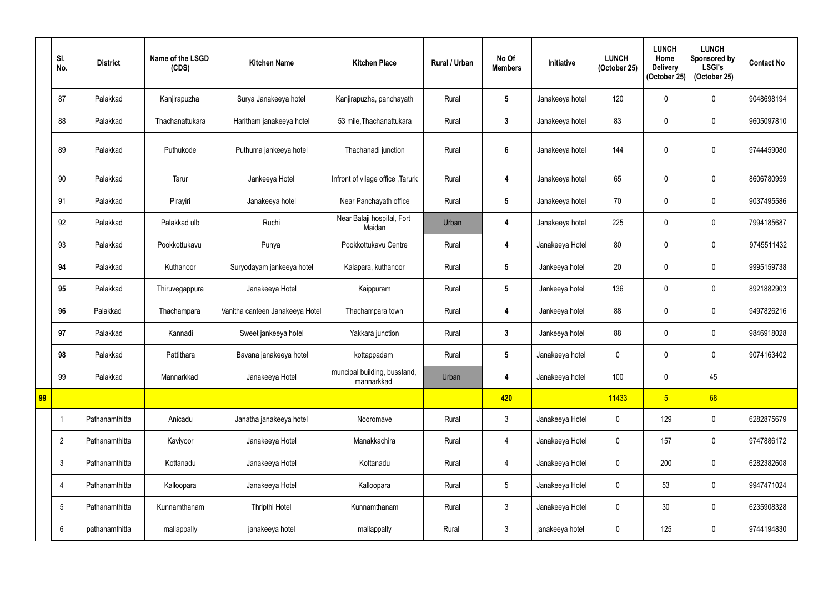|    | SI.<br>No.      | <b>District</b> | Name of the LSGD<br>(CDS) | <b>Kitchen Name</b>             | <b>Kitchen Place</b>                       | Rural / Urban | No Of<br><b>Members</b> | <b>Initiative</b> | <b>LUNCH</b><br>(October 25) | <b>LUNCH</b><br>Home<br><b>Delivery</b><br>(October 25) | <b>LUNCH</b><br>Sponsored by<br><b>LSGI's</b><br>(October 25) | <b>Contact No</b> |
|----|-----------------|-----------------|---------------------------|---------------------------------|--------------------------------------------|---------------|-------------------------|-------------------|------------------------------|---------------------------------------------------------|---------------------------------------------------------------|-------------------|
|    | 87              | Palakkad        | Kanjirapuzha              | Surya Janakeeya hotel           | Kanjirapuzha, panchayath                   | Rural         | $5\phantom{.0}$         | Janakeeya hotel   | 120                          |                                                         | $\mathbf 0$                                                   | 9048698194        |
|    | 88              | Palakkad        | Thachanattukara           | Haritham janakeeya hotel        | 53 mile, Thachanattukara                   | Rural         | 3                       | Janakeeya hotel   | 83                           |                                                         | $\mathbf 0$                                                   | 9605097810        |
|    | 89              | Palakkad        | Puthukode                 | Puthuma jankeeya hotel          | Thachanadi junction                        | Rural         | $6\phantom{1}$          | Janakeeya hotel   | 144                          | ∩                                                       | $\mathbf 0$                                                   | 9744459080        |
|    | 90              | Palakkad        | Tarur                     | Jankeeya Hotel                  | Infront of vilage office, Tarurk           | Rural         | 4                       | Janakeeya hotel   | 65                           |                                                         | $\mathbf 0$                                                   | 8606780959        |
|    | 91              | Palakkad        | Pirayiri                  | Janakeeya hotel                 | Near Panchayath office                     | Rural         | $5\overline{)}$         | Janakeeya hotel   | 70                           |                                                         | $\mathbf 0$                                                   | 9037495586        |
|    | 92              | Palakkad        | Palakkad ulb              | Ruchi                           | Near Balaji hospital, Fort<br>Maidan       | Urban         | 4                       | Janakeeya hotel   | 225                          |                                                         | $\mathbf 0$                                                   | 7994185687        |
|    | 93              | Palakkad        | Pookkottukavu             | Punya                           | Pookkottukavu Centre                       | Rural         | 4                       | Janakeeya Hotel   | 80                           |                                                         | $\mathbf 0$                                                   | 9745511432        |
|    | 94              | Palakkad        | Kuthanoor                 | Suryodayam jankeeya hotel       | Kalapara, kuthanoor                        | Rural         | $5\overline{)}$         | Jankeeya hotel    | 20                           |                                                         | $\mathbf 0$                                                   | 9995159738        |
|    | 95              | Palakkad        | Thiruvegappura            | Janakeeya Hotel                 | Kaippuram                                  | Rural         | $5\phantom{.0}$         | Jankeeya hotel    | 136                          |                                                         | $\mathbf 0$                                                   | 8921882903        |
|    | 96              | Palakkad        | Thachampara               | Vanitha canteen Janakeeya Hotel | Thachampara town                           | Rural         | 4                       | Jankeeya hotel    | 88                           |                                                         | $\mathbf 0$                                                   | 9497826216        |
|    | 97              | Palakkad        | Kannadi                   | Sweet jankeeya hotel            | Yakkara junction                           | Rural         | 3                       | Jankeeya hotel    | 88                           |                                                         | $\mathbf 0$                                                   | 9846918028        |
|    | 98              | Palakkad        | Pattithara                | Bavana janakeeya hotel          | kottappadam                                | Rural         | $5\phantom{.0}$         | Janakeeya hotel   | $\mathbf 0$                  | $\mathbf 0$                                             | $\mathbf 0$                                                   | 9074163402        |
|    | 99              | Palakkad        | Mannarkkad                | Janakeeya Hotel                 | muncipal building, busstand,<br>mannarkkad | Urban         | 4                       | Janakeeya hotel   | 100                          | $\mathbf 0$                                             | 45                                                            |                   |
| 99 |                 |                 |                           |                                 |                                            |               | 420                     |                   | 11433                        | 5 <sup>7</sup>                                          | 68                                                            |                   |
|    |                 | Pathanamthitta  | Anicadu                   | Janatha janakeeya hotel         | Nooromave                                  | Rural         | $\mathfrak{Z}$          | Janakeeya Hotel   | $\pmb{0}$                    | 129                                                     | $\pmb{0}$                                                     | 6282875679        |
|    | $\overline{2}$  | Pathanamthitta  | Kaviyoor                  | Janakeeya Hotel                 | Manakkachira                               | Rural         | $\overline{4}$          | Janakeeya Hotel   | $\boldsymbol{0}$             | 157                                                     | $\pmb{0}$                                                     | 9747886172        |
|    | $\mathfrak{Z}$  | Pathanamthitta  | Kottanadu                 | Janakeeya Hotel                 | Kottanadu                                  | Rural         | $\overline{4}$          | Janakeeya Hotel   | $\pmb{0}$                    | 200                                                     | $\pmb{0}$                                                     | 6282382608        |
|    | 4               | Pathanamthitta  | Kalloopara                | Janakeeya Hotel                 | Kalloopara                                 | Rural         | $5\phantom{.0}$         | Janakeeya Hotel   | $\mathbf 0$                  | 53                                                      | $\pmb{0}$                                                     | 9947471024        |
|    | $5\overline{)}$ | Pathanamthitta  | Kunnamthanam              | <b>Thripthi Hotel</b>           | Kunnamthanam                               | Rural         | $\mathfrak{Z}$          | Janakeeya Hotel   | $\pmb{0}$                    | 30                                                      | $\pmb{0}$                                                     | 6235908328        |
|    | $6\phantom{.0}$ | pathanamthitta  | mallappally               | janakeeya hotel                 | mallappally                                | Rural         | $\mathfrak{Z}$          | janakeeya hotel   | $\boldsymbol{0}$             | 125                                                     | $\pmb{0}$                                                     | 9744194830        |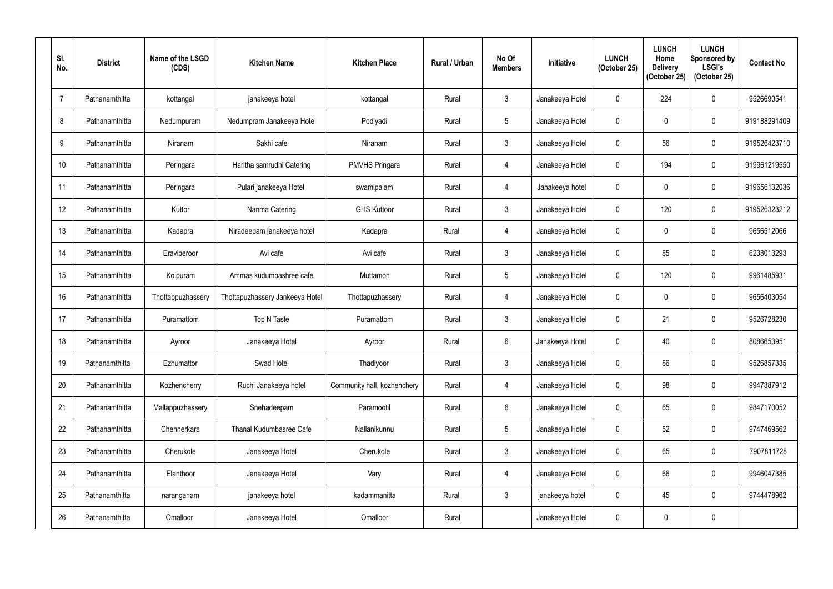| SI.<br>No.     | <b>District</b> | Name of the LSGD<br>(CDS) | <b>Kitchen Name</b>             | <b>Kitchen Place</b>        | <b>Rural / Urban</b> | No Of<br><b>Members</b> | <b>Initiative</b> | <b>LUNCH</b><br>(October 25) | <b>LUNCH</b><br>Home<br><b>Delivery</b><br>(October 25) | <b>LUNCH</b><br>Sponsored by<br><b>LSGI's</b><br>(October 25) | <b>Contact No</b> |
|----------------|-----------------|---------------------------|---------------------------------|-----------------------------|----------------------|-------------------------|-------------------|------------------------------|---------------------------------------------------------|---------------------------------------------------------------|-------------------|
| $\overline{7}$ | Pathanamthitta  | kottangal                 | janakeeya hotel                 | kottangal                   | Rural                | $\mathfrak{Z}$          | Janakeeya Hotel   | 0                            | 224                                                     | 0                                                             | 9526690541        |
| 8              | Pathanamthitta  | Nedumpuram                | Nedumpram Janakeeya Hotel       | Podiyadi                    | Rural                | $5\phantom{.0}$         | Janakeeya Hotel   | $\mathbf 0$                  | $\mathbf{0}$                                            | 0                                                             | 919188291409      |
| 9              | Pathanamthitta  | Niranam                   | Sakhi cafe                      | Niranam                     | Rural                | 3                       | Janakeeya Hotel   | 0                            | 56                                                      | 0                                                             | 919526423710      |
| 10             | Pathanamthitta  | Peringara                 | Haritha samrudhi Catering       | <b>PMVHS Pringara</b>       | Rural                | 4                       | Janakeeya Hotel   | 0                            | 194                                                     | 0                                                             | 919961219550      |
| 11             | Pathanamthitta  | Peringara                 | Pulari janakeeya Hotel          | swamipalam                  | Rural                | 4                       | Janakeeya hotel   | $\mathbf 0$                  | 0                                                       | 0                                                             | 919656132036      |
| 12             | Pathanamthitta  | Kuttor                    | Nanma Catering                  | <b>GHS Kuttoor</b>          | Rural                | $3\phantom{.0}$         | Janakeeya Hotel   | 0                            | 120                                                     | 0                                                             | 919526323212      |
| 13             | Pathanamthitta  | Kadapra                   | Niradeepam janakeeya hotel      | Kadapra                     | Rural                | 4                       | Janakeeya Hotel   | 0                            | 0                                                       | 0                                                             | 9656512066        |
| 14             | Pathanamthitta  | Eraviperoor               | Avi cafe                        | Avi cafe                    | Rural                | $\mathbf{3}$            | Janakeeya Hotel   | $\mathbf 0$                  | 85                                                      | 0                                                             | 6238013293        |
| 15             | Pathanamthitta  | Koipuram                  | Ammas kudumbashree cafe         | Muttamon                    | Rural                | $5\phantom{.0}$         | Janakeeya Hotel   | 0                            | 120                                                     | 0                                                             | 9961485931        |
| 16             | Pathanamthitta  | Thottappuzhassery         | Thottapuzhassery Jankeeya Hotel | Thottapuzhassery            | Rural                | 4                       | Janakeeya Hotel   | $\mathbf 0$                  | $\mathbf 0$                                             | 0                                                             | 9656403054        |
| 17             | Pathanamthitta  | Puramattom                | Top N Taste                     | Puramattom                  | Rural                | $\mathfrak{Z}$          | Janakeeya Hotel   | $\mathbf 0$                  | 21                                                      | 0                                                             | 9526728230        |
| 18             | Pathanamthitta  | Ayroor                    | Janakeeya Hotel                 | Ayroor                      | Rural                | $6\phantom{.}$          | Janakeeya Hotel   | 0                            | 40                                                      | 0                                                             | 8086653951        |
| 19             | Pathanamthitta  | Ezhumattor                | Swad Hotel                      | Thadiyoor                   | Rural                | $\mathfrak{Z}$          | Janakeeya Hotel   | $\mathbf 0$                  | 86                                                      | 0                                                             | 9526857335        |
| 20             | Pathanamthitta  | Kozhencherry              | Ruchi Janakeeya hotel           | Community hall, kozhenchery | Rural                | 4                       | Janakeeya Hotel   | 0                            | 98                                                      | 0                                                             | 9947387912        |
| 21             | Pathanamthitta  | Mallappuzhassery          | Snehadeepam                     | Paramootil                  | Rural                | $6\phantom{.0}$         | Janakeeya Hotel   | 0                            | 65                                                      | 0                                                             | 9847170052        |
| 22             | Pathanamthitta  | Chennerkara               | Thanal Kudumbasree Cafe         | Nallanikunnu                | Rural                | $\overline{5}$          | Janakeeya Hotel   | $\mathbf 0$                  | 52                                                      | 0                                                             | 9747469562        |
| 23             | Pathanamthitta  | Cherukole                 | Janakeeya Hotel                 | Cherukole                   | Rural                | $\mathfrak{Z}$          | Janakeeya Hotel   | 0                            | 65                                                      | 0                                                             | 7907811728        |
| 24             | Pathanamthitta  | Elanthoor                 | Janakeeya Hotel                 | Vary                        | Rural                | 4                       | Janakeeya Hotel   | 0                            | 66                                                      | 0                                                             | 9946047385        |
| 25             | Pathanamthitta  | naranganam                | janakeeya hotel                 | kadammanitta                | Rural                | $\mathfrak{Z}$          | janakeeya hotel   | 0                            | 45                                                      | 0                                                             | 9744478962        |
| 26             | Pathanamthitta  | Omalloor                  | Janakeeya Hotel                 | Omalloor                    | Rural                |                         | Janakeeya Hotel   | $\mathbf 0$                  | 0                                                       | 0                                                             |                   |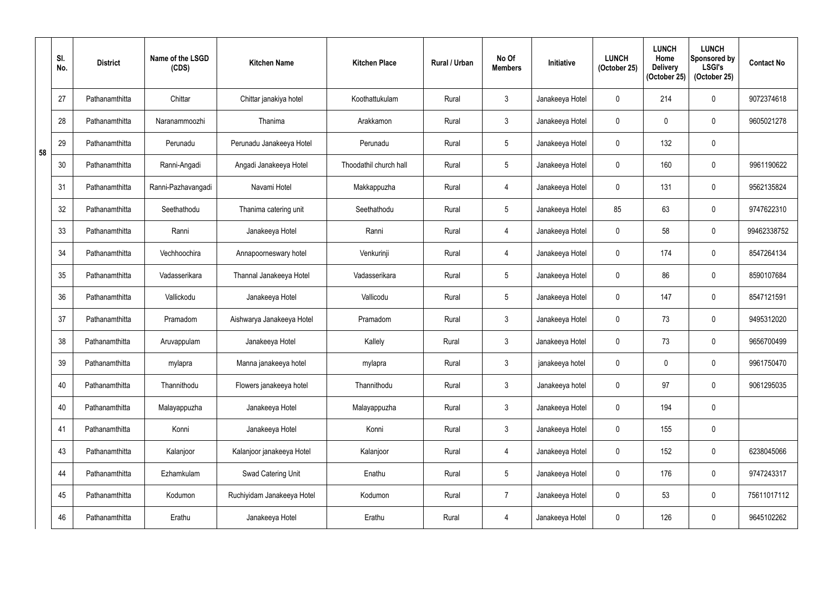|    | SI.<br>No. | <b>District</b> | Name of the LSGD<br>(CDS) | <b>Kitchen Name</b>        | <b>Kitchen Place</b>   | <b>Rural / Urban</b> | No Of<br><b>Members</b> | <b>Initiative</b> | <b>LUNCH</b><br>(October 25) | <b>LUNCH</b><br>Home<br><b>Delivery</b><br>(October 25) | <b>LUNCH</b><br>Sponsored by<br><b>LSGI's</b><br>(October 25) | <b>Contact No</b> |
|----|------------|-----------------|---------------------------|----------------------------|------------------------|----------------------|-------------------------|-------------------|------------------------------|---------------------------------------------------------|---------------------------------------------------------------|-------------------|
|    | 27         | Pathanamthitta  | Chittar                   | Chittar janakiya hotel     | Koothattukulam         | Rural                | $\mathbf{3}$            | Janakeeya Hotel   | $\mathbf{0}$                 | 214                                                     | $\mathbf 0$                                                   | 9072374618        |
|    | 28         | Pathanamthitta  | Naranammoozhi             | Thanima                    | Arakkamon              | Rural                | $\mathbf{3}$            | Janakeeya Hotel   | $\mathbf 0$                  | $\Omega$                                                | $\pmb{0}$                                                     | 9605021278        |
| 58 | 29         | Pathanamthitta  | Perunadu                  | Perunadu Janakeeya Hotel   | Perunadu               | Rural                | $5\overline{)}$         | Janakeeya Hotel   | $\overline{0}$               | 132                                                     | $\pmb{0}$                                                     |                   |
|    | 30         | Pathanamthitta  | Ranni-Angadi              | Angadi Janakeeya Hotel     | Thoodathil church hall | Rural                | $5\phantom{.0}$         | Janakeeya Hotel   | $\mathbf 0$                  | 160                                                     | 0                                                             | 9961190622        |
|    | 31         | Pathanamthitta  | Ranni-Pazhavangadi        | Navami Hotel               | Makkappuzha            | Rural                | 4                       | Janakeeya Hotel   | $\overline{0}$               | 131                                                     | $\pmb{0}$                                                     | 9562135824        |
|    | 32         | Pathanamthitta  | Seethathodu               | Thanima catering unit      | Seethathodu            | Rural                | $5\overline{)}$         | Janakeeya Hotel   | 85                           | 63                                                      | $\mathbf 0$                                                   | 9747622310        |
|    | 33         | Pathanamthitta  | Ranni                     | Janakeeya Hotel            | Ranni                  | Rural                | 4                       | Janakeeya Hotel   | $\overline{0}$               | 58                                                      | $\mathbf 0$                                                   | 99462338752       |
|    | 34         | Pathanamthitta  | Vechhoochira              | Annapoorneswary hotel      | Venkurinji             | Rural                | $\overline{4}$          | Janakeeya Hotel   | $\mathbf 0$                  | 174                                                     | 0                                                             | 8547264134        |
|    | 35         | Pathanamthitta  | Vadasserikara             | Thannal Janakeeya Hotel    | Vadasserikara          | Rural                | 5                       | Janakeeya Hotel   | $\mathbf 0$                  | 86                                                      | $\mathbf 0$                                                   | 8590107684        |
|    | 36         | Pathanamthitta  | Vallickodu                | Janakeeya Hotel            | Vallicodu              | Rural                | $5\phantom{.0}$         | Janakeeya Hotel   | $\mathbf 0$                  | 147                                                     | $\mathbf 0$                                                   | 8547121591        |
|    | 37         | Pathanamthitta  | Pramadom                  | Aishwarya Janakeeya Hotel  | Pramadom               | Rural                | $\mathbf{3}$            | Janakeeya Hotel   | $\mathbf 0$                  | 73                                                      | $\mathbf 0$                                                   | 9495312020        |
|    | 38         | Pathanamthitta  | Aruvappulam               | Janakeeya Hotel            | Kallely                | Rural                | $\mathfrak{Z}$          | Janakeeya Hotel   | $\mathbf 0$                  | 73                                                      | 0                                                             | 9656700499        |
|    | 39         | Pathanamthitta  | mylapra                   | Manna janakeeya hotel      | mylapra                | Rural                | $\mathfrak{Z}$          | janakeeya hotel   | $\mathbf 0$                  | $\mathbf{0}$                                            | $\pmb{0}$                                                     | 9961750470        |
|    | 40         | Pathanamthitta  | Thannithodu               | Flowers janakeeya hotel    | Thannithodu            | Rural                | $\mathbf{3}$            | Janakeeya hotel   | $\mathbf 0$                  | 97                                                      | $\pmb{0}$                                                     | 9061295035        |
|    | 40         | Pathanamthitta  | Malayappuzha              | Janakeeya Hotel            | Malayappuzha           | Rural                | $\mathbf{3}$            | Janakeeya Hotel   | $\mathbf 0$                  | 194                                                     | $\pmb{0}$                                                     |                   |
|    | 41         | Pathanamthitta  | Konni                     | Janakeeya Hotel            | Konni                  | Rural                | $\mathbf{3}$            | Janakeeya Hotel   | $\mathbf 0$                  | 155                                                     | $\pmb{0}$                                                     |                   |
|    | 43         | Pathanamthitta  | Kalanjoor                 | Kalanjoor janakeeya Hotel  | Kalanjoor              | Rural                | $\overline{4}$          | Janakeeya Hotel   | $\mathbf 0$                  | 152                                                     | $\pmb{0}$                                                     | 6238045066        |
|    | 44         | Pathanamthitta  | Ezhamkulam                | Swad Catering Unit         | Enathu                 | Rural                | $5\phantom{.0}$         | Janakeeya Hotel   | $\mathbf 0$                  | 176                                                     | $\pmb{0}$                                                     | 9747243317        |
|    | 45         | Pathanamthitta  | Kodumon                   | Ruchiyidam Janakeeya Hotel | Kodumon                | Rural                | $\overline{7}$          | Janakeeya Hotel   | $\mathbf 0$                  | 53                                                      | $\pmb{0}$                                                     | 75611017112       |
|    | 46         | Pathanamthitta  | Erathu                    | Janakeeya Hotel            | Erathu                 | Rural                | $\overline{4}$          | Janakeeya Hotel   | $\pmb{0}$                    | 126                                                     | $\pmb{0}$                                                     | 9645102262        |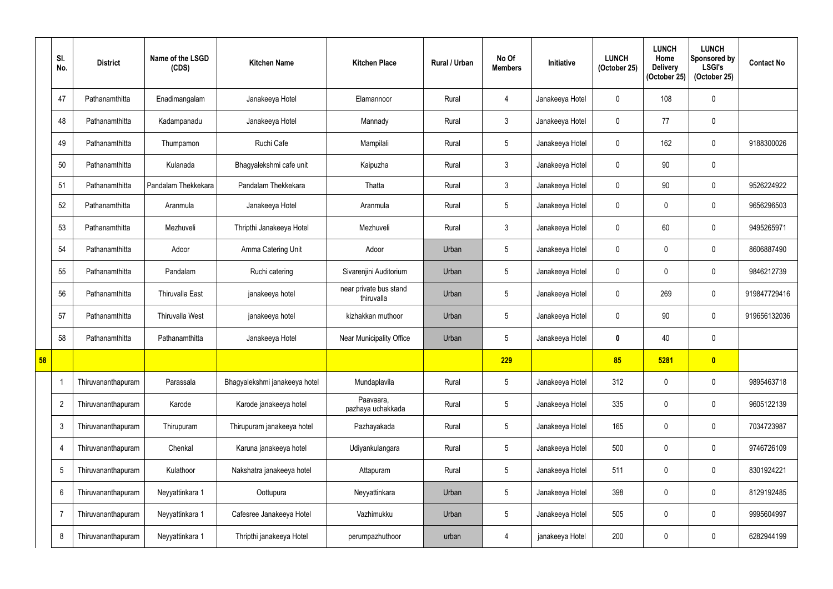|    | SI.<br>No.      | <b>District</b>    | Name of the LSGD<br>(CDS) | <b>Kitchen Name</b>           | <b>Kitchen Place</b>                 | <b>Rural / Urban</b> | No Of<br><b>Members</b> | Initiative      | <b>LUNCH</b><br>(October 25) | <b>LUNCH</b><br>Home<br><b>Delivery</b><br>(October 25) | <b>LUNCH</b><br>Sponsored by<br><b>LSGI's</b><br>(October 25) | <b>Contact No</b> |
|----|-----------------|--------------------|---------------------------|-------------------------------|--------------------------------------|----------------------|-------------------------|-----------------|------------------------------|---------------------------------------------------------|---------------------------------------------------------------|-------------------|
|    | 47              | Pathanamthitta     | Enadimangalam             | Janakeeya Hotel               | Elamannoor                           | Rural                | $\overline{4}$          | Janakeeya Hotel | $\mathbf 0$                  | 108                                                     | $\pmb{0}$                                                     |                   |
|    | 48              | Pathanamthitta     | Kadampanadu               | Janakeeya Hotel               | Mannady                              | Rural                | $\mathfrak{Z}$          | Janakeeya Hotel | $\mathbf 0$                  | 77                                                      | $\pmb{0}$                                                     |                   |
|    | 49              | Pathanamthitta     | Thumpamon                 | Ruchi Cafe                    | Mampilali                            | Rural                | $5\phantom{.0}$         | Janakeeya Hotel | $\mathbf 0$                  | 162                                                     | $\pmb{0}$                                                     | 9188300026        |
|    | 50              | Pathanamthitta     | Kulanada                  | Bhagyalekshmi cafe unit       | Kaipuzha                             | Rural                | $\mathfrak{Z}$          | Janakeeya Hotel | $\mathbf 0$                  | 90                                                      | $\pmb{0}$                                                     |                   |
|    | 51              | Pathanamthitta     | Pandalam Thekkekara       | Pandalam Thekkekara           | Thatta                               | Rural                | $\mathbf{3}$            | Janakeeya Hotel | $\mathbf 0$                  | 90                                                      | 0                                                             | 9526224922        |
|    | 52              | Pathanamthitta     | Aranmula                  | Janakeeya Hotel               | Aranmula                             | Rural                | $\overline{5}$          | Janakeeya Hotel | $\mathbf 0$                  | 0                                                       | $\mathbf 0$                                                   | 9656296503        |
|    | 53              | Pathanamthitta     | Mezhuveli                 | Thripthi Janakeeya Hotel      | Mezhuveli                            | Rural                | $\mathbf{3}$            | Janakeeya Hotel | $\mathbf 0$                  | 60                                                      | 0                                                             | 9495265971        |
|    | 54              | Pathanamthitta     | Adoor                     | Amma Catering Unit            | Adoor                                | Urban                | 5                       | Janakeeya Hotel | $\mathbf{0}$                 | 0                                                       | $\pmb{0}$                                                     | 8606887490        |
|    | 55              | Pathanamthitta     | Pandalam                  | Ruchi catering                | Sivarenjini Auditorium               | Urban                | 5                       | Janakeeya Hotel | $\mathbf 0$                  | $\Omega$                                                | 0                                                             | 9846212739        |
|    | 56              | Pathanamthitta     | <b>Thiruvalla East</b>    | janakeeya hotel               | near private bus stand<br>thiruvalla | Urban                | $5\phantom{.0}$         | Janakeeya Hotel | $\mathbf 0$                  | 269                                                     | $\boldsymbol{0}$                                              | 919847729416      |
|    | 57              | Pathanamthitta     | <b>Thiruvalla West</b>    | janakeeya hotel               | kizhakkan muthoor                    | Urban                | 5                       | Janakeeya Hotel | $\mathbf 0$                  | 90                                                      | $\pmb{0}$                                                     | 919656132036      |
|    | 58              | Pathanamthitta     | Pathanamthitta            | Janakeeya Hotel               | <b>Near Municipality Office</b>      | Urban                | $5\phantom{.0}$         | Janakeeya Hotel | $\mathbf{0}$                 | 40                                                      | $\pmb{0}$                                                     |                   |
| 58 |                 |                    |                           |                               |                                      |                      | 229                     |                 | 85                           | 5281                                                    | $\bullet$                                                     |                   |
|    |                 | Thiruvananthapuram | Parassala                 | Bhagyalekshmi janakeeya hotel | Mundaplavila                         | Rural                | $5\phantom{.0}$         | Janakeeya Hotel | 312                          | $\mathbf 0$                                             | $\boldsymbol{0}$                                              | 9895463718        |
|    | $\overline{2}$  | Thiruvananthapuram | Karode                    | Karode janakeeya hotel        | Paavaara,<br>pazhaya uchakkada       | Rural                | $5\phantom{.0}$         | Janakeeya Hotel | 335                          | $\mathbf 0$                                             | $\mathbf 0$                                                   | 9605122139        |
|    | $\mathbf{3}$    | Thiruvananthapuram | Thirupuram                | Thirupuram janakeeya hotel    | Pazhayakada                          | Rural                | $5\overline{)}$         | Janakeeya Hotel | 165                          | $\mathbf 0$                                             | $\pmb{0}$                                                     | 7034723987        |
|    | $\overline{4}$  | Thiruvananthapuram | Chenkal                   | Karuna janakeeya hotel        | Udiyankulangara                      | Rural                | $5\phantom{.0}$         | Janakeeya Hotel | 500                          | $\mathbf 0$                                             | $\boldsymbol{0}$                                              | 9746726109        |
|    | $5\phantom{.0}$ | Thiruvananthapuram | Kulathoor                 | Nakshatra janakeeya hotel     | Attapuram                            | Rural                | $5\phantom{.0}$         | Janakeeya Hotel | 511                          | $\mathbf 0$                                             | $\boldsymbol{0}$                                              | 8301924221        |
|    | $6\,$           | Thiruvananthapuram | Neyyattinkara 1           | Oottupura                     | Neyyattinkara                        | Urban                | $\sqrt{5}$              | Janakeeya Hotel | 398                          | $\mathbf 0$                                             | $\pmb{0}$                                                     | 8129192485        |
|    | $\overline{7}$  | Thiruvananthapuram | Neyyattinkara 1           | Cafesree Janakeeya Hotel      | Vazhimukku                           | Urban                | $5\phantom{.0}$         | Janakeeya Hotel | 505                          | $\mathbf 0$                                             | $\boldsymbol{0}$                                              | 9995604997        |
|    | 8               | Thiruvananthapuram | Neyyattinkara 1           | Thripthi janakeeya Hotel      | perumpazhuthoor                      | urban                | 4                       | janakeeya Hotel | 200                          | $\mathbf 0$                                             | $\pmb{0}$                                                     | 6282944199        |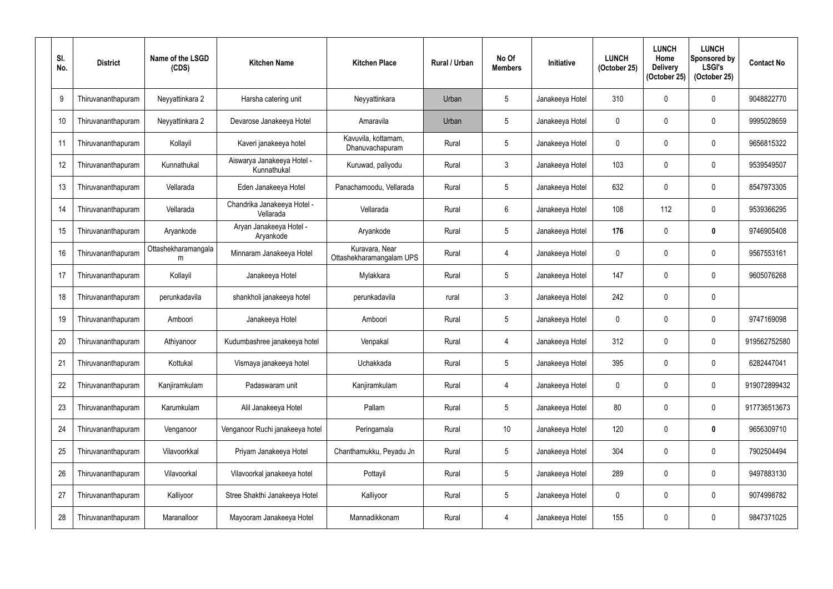| SI.<br>No. | <b>District</b>    | Name of the LSGD<br>(CDS) | <b>Kitchen Name</b>                       | <b>Kitchen Place</b>                       | <b>Rural / Urban</b> | No Of<br><b>Members</b> | Initiative      | <b>LUNCH</b><br>(October 25) | <b>LUNCH</b><br>Home<br><b>Delivery</b><br>(October 25) | <b>LUNCH</b><br>Sponsored by<br><b>LSGI's</b><br>(October 25) | <b>Contact No</b> |
|------------|--------------------|---------------------------|-------------------------------------------|--------------------------------------------|----------------------|-------------------------|-----------------|------------------------------|---------------------------------------------------------|---------------------------------------------------------------|-------------------|
| 9          | Thiruvananthapuram | Neyyattinkara 2           | Harsha catering unit                      | Neyyattinkara                              | Urban                | 5                       | Janakeeya Hotel | 310                          | 0                                                       | 0                                                             | 9048822770        |
| 10         | Thiruvananthapuram | Neyyattinkara 2           | Devarose Janakeeya Hotel                  | Amaravila                                  | Urban                | 5                       | Janakeeya Hotel | 0                            | $\theta$                                                | 0                                                             | 9995028659        |
| 11         | Thiruvananthapuram | Kollayil                  | Kaveri janakeeya hotel                    | Kavuvila, kottamam,<br>Dhanuvachapuram     | Rural                | 5                       | Janakeeya Hotel | 0                            | 0                                                       | 0                                                             | 9656815322        |
| 12         | Thiruvananthapuram | Kunnathukal               | Aiswarya Janakeeya Hotel -<br>Kunnathukal | Kuruwad, paliyodu                          | Rural                | $\mathfrak{Z}$          | Janakeeya Hotel | 103                          | 0                                                       | 0                                                             | 9539549507        |
| 13         | Thiruvananthapuram | Vellarada                 | Eden Janakeeya Hotel                      | Panachamoodu, Vellarada                    | Rural                | 5                       | Janakeeya Hotel | 632                          | $\mathbf{0}$                                            | 0                                                             | 8547973305        |
| 14         | Thiruvananthapuram | Vellarada                 | Chandrika Janakeeya Hotel -<br>Vellarada  | Vellarada                                  | Rural                | $6\phantom{.}$          | Janakeeya Hotel | 108                          | 112                                                     | 0                                                             | 9539366295        |
| 15         | Thiruvananthapuram | Aryankode                 | Aryan Janakeeya Hotel -<br>Aryankode      | Aryankode                                  | Rural                | 5                       | Janakeeya Hotel | 176                          | 0                                                       | 0                                                             | 9746905408        |
| 16         | Thiruvananthapuram | Ottashekharamangala<br>m  | Minnaram Janakeeya Hotel                  | Kuravara, Near<br>Ottashekharamangalam UPS | Rural                | 4                       | Janakeeya Hotel | 0                            | 0                                                       | 0                                                             | 9567553161        |
| 17         | Thiruvananthapuram | Kollayil                  | Janakeeya Hotel                           | Mylakkara                                  | Rural                | 5                       | Janakeeya Hotel | 147                          | 0                                                       | 0                                                             | 9605076268        |
| 18         | Thiruvananthapuram | perunkadavila             | shankholi janakeeya hotel                 | perunkadavila                              | rural                | $\mathfrak{Z}$          | Janakeeya Hotel | 242                          | 0                                                       | 0                                                             |                   |
| 19         | Thiruvananthapuram | Amboori                   | Janakeeya Hotel                           | Amboori                                    | Rural                | 5                       | Janakeeya Hotel | 0                            | 0                                                       | 0                                                             | 9747169098        |
| 20         | Thiruvananthapuram | Athiyanoor                | Kudumbashree janakeeya hotel              | Venpakal                                   | Rural                | 4                       | Janakeeya Hotel | 312                          | $\mathbf{0}$                                            | 0                                                             | 919562752580      |
| 21         | Thiruvananthapuram | Kottukal                  | Vismaya janakeeya hotel                   | Uchakkada                                  | Rural                | $5\phantom{.0}$         | Janakeeya Hotel | 395                          | 0                                                       | 0                                                             | 6282447041        |
| 22         | Thiruvananthapuram | Kanjiramkulam             | Padaswaram unit                           | Kanjiramkulam                              | Rural                | 4                       | Janakeeya Hotel | 0                            | 0                                                       | 0                                                             | 919072899432      |
| 23         | Thiruvananthapuram | Karumkulam                | Alil Janakeeya Hotel                      | Pallam                                     | Rural                | $5\overline{)}$         | Janakeeya Hotel | 80                           | 0                                                       | 0                                                             | 917736513673      |
| 24         | Thiruvananthapuram | Venganoor                 | Venganoor Ruchi janakeeya hotel           | Peringamala                                | Rural                | 10 <sup>°</sup>         | Janakeeya Hotel | 120                          | 0                                                       | $\pmb{0}$                                                     | 9656309710        |
| 25         | Thiruvananthapuram | Vilavoorkkal              | Priyam Janakeeya Hotel                    | Chanthamukku, Peyadu Jn                    | Rural                | $\sqrt{5}$              | Janakeeya Hotel | 304                          | 0                                                       | 0                                                             | 7902504494        |
| 26         | Thiruvananthapuram | Vilavoorkal               | Vilavoorkal janakeeya hotel               | Pottayil                                   | Rural                | $5\phantom{.0}$         | Janakeeya Hotel | 289                          | 0                                                       | 0                                                             | 9497883130        |
| 27         | Thiruvananthapuram | Kalliyoor                 | Stree Shakthi Janakeeya Hotel             | Kalliyoor                                  | Rural                | $\overline{5}$          | Janakeeya Hotel | 0                            | 0                                                       | 0                                                             | 9074998782        |
| 28         | Thiruvananthapuram | Maranalloor               | Mayooram Janakeeya Hotel                  | Mannadikkonam                              | Rural                | 4                       | Janakeeya Hotel | 155                          | 0                                                       | 0                                                             | 9847371025        |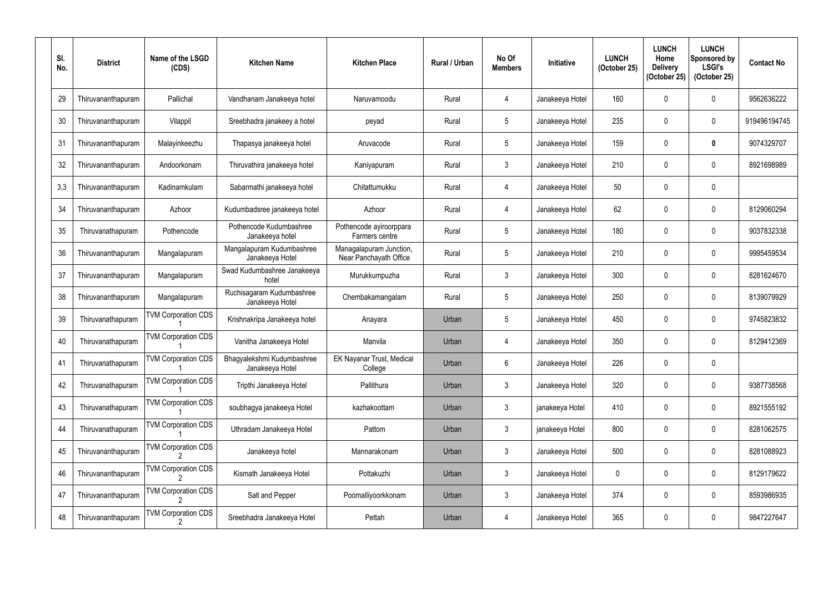| SI.<br>No. | <b>District</b>    | Name of the LSGD<br>(CDS)  | <b>Kitchen Name</b>                           | <b>Kitchen Place</b>                              | <b>Rural / Urban</b> | No Of<br><b>Members</b> | Initiative      | <b>LUNCH</b><br>(October 25) | <b>LUNCH</b><br>Home<br><b>Delivery</b><br>(October 25) | <b>LUNCH</b><br>Sponsored by<br><b>LSGI's</b><br>(October 25) | <b>Contact No</b> |
|------------|--------------------|----------------------------|-----------------------------------------------|---------------------------------------------------|----------------------|-------------------------|-----------------|------------------------------|---------------------------------------------------------|---------------------------------------------------------------|-------------------|
| 29         | Thiruvananthapuram | Pallichal                  | Vandhanam Janakeeya hotel                     | Naruvamoodu                                       | Rural                | 4                       | Janakeeya Hotel | 160                          | $\theta$                                                | 0                                                             | 9562636222        |
| 30         | Thiruvananthapuram | Vilappil                   | Sreebhadra janakeey a hotel                   | peyad                                             | Rural                | $5\phantom{.0}$         | Janakeeya Hotel | 235                          | $\Omega$                                                | 0                                                             | 919496194745      |
| 31         | Thiruvananthapuram | Malayinkeezhu              | Thapasya janakeeya hotel                      | Aruvacode                                         | Rural                | 5                       | Janakeeya Hotel | 159                          | $\mathbf{0}$                                            | 0                                                             | 9074329707        |
| 32         | Thiruvananthapuram | Andoorkonam                | Thiruvathira janakeeya hotel                  | Kaniyapuram                                       | Rural                | $\mathfrak{Z}$          | Janakeeya Hotel | 210                          | $\mathbf{0}$                                            | 0                                                             | 8921698989        |
| 3,3        | Thiruvananthapuram | Kadinamkulam               | Sabarmathi janakeeya hotel                    | Chitattumukku                                     | Rural                | $\overline{4}$          | Janakeeya Hotel | 50                           | 0                                                       | 0                                                             |                   |
| 34         | Thiruvananthapuram | Azhoor                     | Kudumbadsree janakeeya hotel                  | Azhoor                                            | Rural                | $\overline{4}$          | Janakeeya Hotel | 62                           | $\mathbf{0}$                                            | 0                                                             | 8129060294        |
| 35         | Thiruvanathapuram  | Pothencode                 | Pothencode Kudumbashree<br>Janakeeya hotel    | Pothencode ayiroorppara<br>Farmers centre         | Rural                | $5\phantom{.0}$         | Janakeeya Hotel | 180                          | 0                                                       | 0                                                             | 9037832338        |
| 36         | Thiruvananthapuram | Mangalapuram               | Mangalapuram Kudumbashree<br>Janakeeya Hotel  | Managalapuram Junction,<br>Near Panchayath Office | Rural                | 5                       | Janakeeya Hotel | 210                          | $\mathbf{0}$                                            | 0                                                             | 9995459534        |
| 37         | Thiruvananthapuram | Mangalapuram               | Swad Kudumbashree Janakeeya<br>hotel          | Murukkumpuzha                                     | Rural                | $\mathfrak{Z}$          | Janakeeya Hotel | 300                          | 0                                                       | 0                                                             | 8281624670        |
| 38         | Thiruvananthapuram | Mangalapuram               | Ruchisagaram Kudumbashree<br>Janakeeya Hotel  | Chembakamangalam                                  | Rural                | 5                       | Janakeeya Hotel | 250                          | $\mathbf{0}$                                            | 0                                                             | 8139079929        |
| 39         | Thiruvanathapuram  | <b>TVM Corporation CDS</b> | Krishnakripa Janakeeya hotel                  | Anayara                                           | Urban                | 5                       | Janakeeya Hotel | 450                          | $\mathbf 0$                                             | 0                                                             | 9745823832        |
| 40         | Thiruvanathapuram  | <b>TVM Corporation CDS</b> | Vanitha Janakeeya Hotel                       | Manvila                                           | Urban                | 4                       | Janakeeya Hotel | 350                          | 0                                                       | 0                                                             | 8129412369        |
| 41         | Thiruvanathapuram  | <b>TVM Corporation CDS</b> | Bhagyalekshmi Kudumbashree<br>Janakeeya Hotel | <b>EK Nayanar Trust, Medical</b><br>College       | Urban                | $6\phantom{.}$          | Janakeeya Hotel | 226                          | $\mathbf 0$                                             | 0                                                             |                   |
| 42         | Thiruvanathapuram  | <b>TVM Corporation CDS</b> | Tripthi Janakeeya Hotel                       | Pallithura                                        | Urban                | $\mathfrak{Z}$          | Janakeeya Hotel | 320                          | $\mathbf 0$                                             | 0                                                             | 9387738568        |
| 43         | Thiruvanathapuram  | <b>TVM Corporation CDS</b> | soubhagya janakeeya Hotel                     | kazhakoottam                                      | Urban                | $\mathfrak{Z}$          | janakeeya Hotel | 410                          | $\mathbf 0$                                             | 0                                                             | 8921555192        |
| 44         | Thiruvanathapuram  | <b>TVM Corporation CDS</b> | Uthradam Janakeeya Hotel                      | Pattom                                            | Urban                | $\mathfrak{Z}$          | janakeeya Hotel | 800                          | 0                                                       | 0                                                             | 8281062575        |
| 45         | Thiruvananthapuram | <b>TVM Corporation CDS</b> | Janakeeya hotel                               | Mannarakonam                                      | Urban                | $\mathfrak{Z}$          | Janakeeya Hotel | 500                          | 0                                                       | 0                                                             | 8281088923        |
| 46         | Thiruvananthapuram | <b>TVM Corporation CDS</b> | Kismath Janakeeya Hotel                       | Pottakuzhi                                        | Urban                | $\mathfrak{Z}$          | Janakeeya Hotel | $\mathbf 0$                  | $\mathbf 0$                                             | 0                                                             | 8129179622        |
| 47         | Thiruvananthapuram | <b>TVM Corporation CDS</b> | Salt and Pepper                               | Poomalliyoorkkonam                                | Urban                | $\mathfrak{Z}$          | Janakeeya Hotel | 374                          | 0                                                       | 0                                                             | 8593986935        |
| 48         | Thiruvananthapuram | <b>TVM Corporation CDS</b> | Sreebhadra Janakeeya Hotel                    | Pettah                                            | Urban                | 4                       | Janakeeya Hotel | 365                          | 0                                                       | 0                                                             | 9847227647        |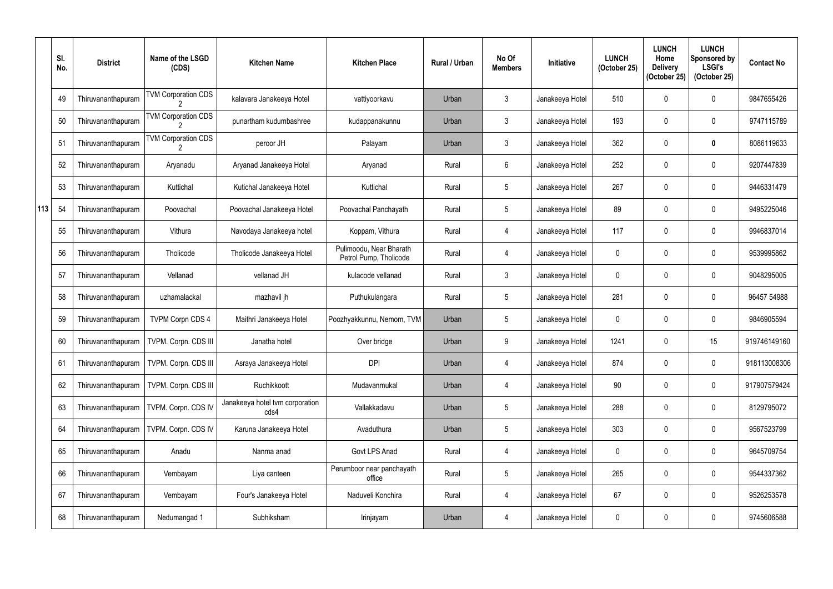|     | SI.<br>No. | <b>District</b>    | Name of the LSGD<br>(CDS)             | <b>Kitchen Name</b>                     | <b>Kitchen Place</b>                              | Rural / Urban | No Of<br><b>Members</b> | Initiative      | <b>LUNCH</b><br>(October 25) | <b>LUNCH</b><br>Home<br><b>Delivery</b><br>(October 25) | <b>LUNCH</b><br>Sponsored by<br><b>LSGI's</b><br>(October 25) | <b>Contact No</b> |
|-----|------------|--------------------|---------------------------------------|-----------------------------------------|---------------------------------------------------|---------------|-------------------------|-----------------|------------------------------|---------------------------------------------------------|---------------------------------------------------------------|-------------------|
|     | 49         | Thiruvananthapuram | TVM Corporation CDS<br>$\mathfrak{p}$ | kalavara Janakeeya Hotel                | vattiyoorkavu                                     | Urban         | 3                       | Janakeeya Hotel | 510                          |                                                         | $\mathbf 0$                                                   | 9847655426        |
|     | 50         | Thiruvananthapuram | <b>TVM Corporation CDS</b>            | punartham kudumbashree                  | kudappanakunnu                                    | Urban         | 3                       | Janakeeya Hotel | 193                          |                                                         | $\pmb{0}$                                                     | 9747115789        |
|     | 51         | Thiruvananthapuram | <b>TVM Corporation CDS</b>            | peroor JH                               | Palayam                                           | Urban         | 3                       | Janakeeya Hotel | 362                          |                                                         | $\pmb{0}$                                                     | 8086119633        |
|     | 52         | Thiruvananthapuram | Aryanadu                              | Aryanad Janakeeya Hotel                 | Aryanad                                           | Rural         | 6                       | Janakeeya Hotel | 252                          |                                                         | $\boldsymbol{0}$                                              | 9207447839        |
|     | 53         | Thiruvananthapuram | Kuttichal                             | Kutichal Janakeeya Hotel                | Kuttichal                                         | Rural         | 5                       | Janakeeya Hotel | 267                          |                                                         | $\mathbf 0$                                                   | 9446331479        |
| 113 | 54         | Thiruvananthapuram | Poovachal                             | Poovachal Janakeeya Hotel               | Poovachal Panchayath                              | Rural         | $5\phantom{.0}$         | Janakeeya Hotel | 89                           | 0                                                       | $\pmb{0}$                                                     | 9495225046        |
|     | 55         | Thiruvananthapuram | Vithura                               | Navodaya Janakeeya hotel                | Koppam, Vithura                                   | Rural         | $\overline{4}$          | Janakeeya Hotel | 117                          |                                                         | $\mathbf 0$                                                   | 9946837014        |
|     | 56         | Thiruvananthapuram | Tholicode                             | Tholicode Janakeeya Hotel               | Pulimoodu, Near Bharath<br>Petrol Pump, Tholicode | Rural         | $\overline{4}$          | Janakeeya Hotel | $\mathbf 0$                  |                                                         | $\pmb{0}$                                                     | 9539995862        |
|     | 57         | Thiruvananthapuram | Vellanad                              | vellanad JH                             | kulacode vellanad                                 | Rural         | 3                       | Janakeeya Hotel | $\mathbf{0}$                 |                                                         | $\boldsymbol{0}$                                              | 9048295005        |
|     | 58         | Thiruvananthapuram | uzhamalackal                          | mazhavil jh                             | Puthukulangara                                    | Rural         | 5                       | Janakeeya Hotel | 281                          |                                                         | $\pmb{0}$                                                     | 96457 54988       |
|     | 59         | Thiruvananthapuram | <b>TVPM Corpn CDS 4</b>               | Maithri Janakeeya Hotel                 | Poozhyakkunnu, Nemom, TVM                         | Urban         | 5                       | Janakeeya Hotel | $\mathbf 0$                  |                                                         | $\mathbf 0$                                                   | 9846905594        |
|     | 60         | Thiruvananthapuram | TVPM. Corpn. CDS III                  | Janatha hotel                           | Over bridge                                       | Urban         | 9                       | Janakeeya Hotel | 1241                         |                                                         | 15                                                            | 919746149160      |
|     | 61         | Thiruvananthapuram | TVPM. Corpn. CDS III                  | Asraya Janakeeya Hotel                  | <b>DPI</b>                                        | Urban         | $\overline{4}$          | Janakeeya Hotel | 874                          | 0                                                       | $\pmb{0}$                                                     | 918113008306      |
|     | 62         | Thiruvananthapuram | TVPM. Corpn. CDS III                  | Ruchikkoott                             | Mudavanmukal                                      | Urban         | 4                       | Janakeeya Hotel | 90                           | $\Omega$                                                | $\mathbf 0$                                                   | 917907579424      |
|     | 63         | Thiruvananthapuram | TVPM. Corpn. CDS IV                   | Janakeeya hotel tvm corporation<br>cds4 | Vallakkadavu                                      | Urban         | $5\phantom{.0}$         | Janakeeya Hotel | 288                          | 0                                                       | $\pmb{0}$                                                     | 8129795072        |
|     | 64         | Thiruvananthapuram | TVPM. Corpn. CDS IV                   | Karuna Janakeeya Hotel                  | Avaduthura                                        | Urban         | $5\phantom{.0}$         | Janakeeya Hotel | 303                          |                                                         | $\pmb{0}$                                                     | 9567523799        |
|     | 65         | Thiruvananthapuram | Anadu                                 | Nanma anad                              | Govt LPS Anad                                     | Rural         | $\overline{4}$          | Janakeeya Hotel | $\mathbf 0$                  | 0                                                       | $\pmb{0}$                                                     | 9645709754        |
|     | 66         | Thiruvananthapuram | Vembayam                              | Liya canteen                            | Perumboor near panchayath<br>office               | Rural         | $5\phantom{.0}$         | Janakeeya Hotel | 265                          | $\mathbf 0$                                             | $\pmb{0}$                                                     | 9544337362        |
|     | 67         | Thiruvananthapuram | Vembayam                              | Four's Janakeeya Hotel                  | Naduveli Konchira                                 | Rural         | $\overline{4}$          | Janakeeya Hotel | 67                           |                                                         | $\pmb{0}$                                                     | 9526253578        |
|     | 68         | Thiruvananthapuram | Nedumangad 1                          | Subhiksham                              | Irinjayam                                         | Urban         | $\overline{4}$          | Janakeeya Hotel | $\mathbf 0$                  |                                                         | $\pmb{0}$                                                     | 9745606588        |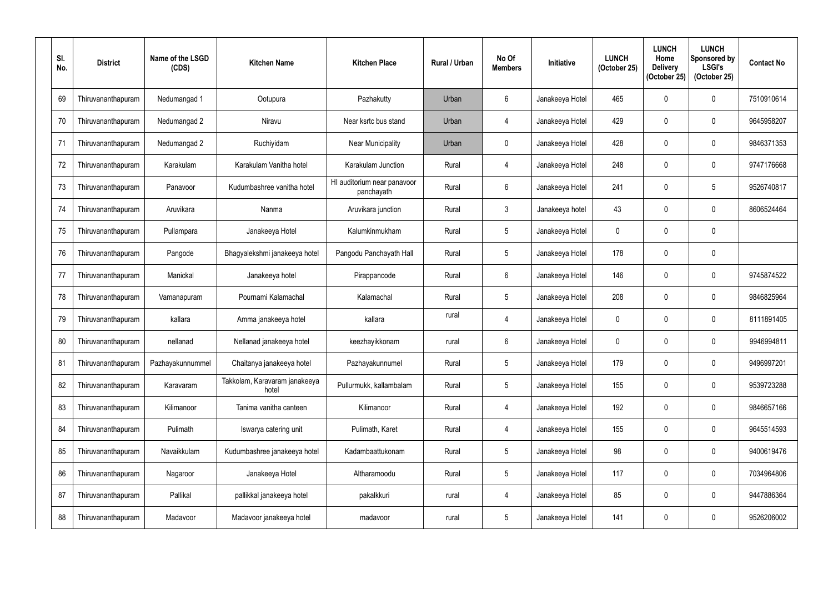| SI.<br>No. | <b>District</b>    | Name of the LSGD<br>(CDS) | <b>Kitchen Name</b>                    | <b>Kitchen Place</b>                      | <b>Rural / Urban</b> | No Of<br><b>Members</b> | <b>Initiative</b> | <b>LUNCH</b><br>(October 25) | <b>LUNCH</b><br>Home<br><b>Delivery</b><br>(October 25) | <b>LUNCH</b><br>Sponsored by<br><b>LSGI's</b><br>(October 25) | <b>Contact No</b> |
|------------|--------------------|---------------------------|----------------------------------------|-------------------------------------------|----------------------|-------------------------|-------------------|------------------------------|---------------------------------------------------------|---------------------------------------------------------------|-------------------|
| 69         | Thiruvananthapuram | Nedumangad 1              | Ootupura                               | Pazhakutty                                | Urban                | 6                       | Janakeeya Hotel   | 465                          | 0                                                       | 0                                                             | 7510910614        |
| 70         | Thiruvananthapuram | Nedumangad 2              | Niravu                                 | Near ksrtc bus stand                      | Urban                | $\overline{4}$          | Janakeeya Hotel   | 429                          | $\theta$                                                | 0                                                             | 9645958207        |
| 71         | Thiruvananthapuram | Nedumangad 2              | Ruchiyidam                             | <b>Near Municipality</b>                  | Urban                | $\pmb{0}$               | Janakeeya Hotel   | 428                          | 0                                                       | 0                                                             | 9846371353        |
| 72         | Thiruvananthapuram | Karakulam                 | Karakulam Vanitha hotel                | Karakulam Junction                        | Rural                | 4                       | Janakeeya Hotel   | 248                          | 0                                                       | 0                                                             | 9747176668        |
| 73         | Thiruvananthapuram | Panavoor                  | Kudumbashree vanitha hotel             | HI auditorium near panavoor<br>panchayath | Rural                | $6\phantom{.}$          | Janakeeya Hotel   | 241                          | 0                                                       | $5\phantom{.0}$                                               | 9526740817        |
| 74         | Thiruvananthapuram | Aruvikara                 | Nanma                                  | Aruvikara junction                        | Rural                | 3                       | Janakeeya hotel   | 43                           | 0                                                       | 0                                                             | 8606524464        |
| 75         | Thiruvananthapuram | Pullampara                | Janakeeya Hotel                        | Kalumkinmukham                            | Rural                | 5                       | Janakeeya Hotel   | 0                            | 0                                                       | 0                                                             |                   |
| 76         | Thiruvananthapuram | Pangode                   | Bhagyalekshmi janakeeya hotel          | Pangodu Panchayath Hall                   | Rural                | 5                       | Janakeeya Hotel   | 178                          | 0                                                       | 0                                                             |                   |
| 77         | Thiruvananthapuram | Manickal                  | Janakeeya hotel                        | Pirappancode                              | Rural                | $6\phantom{.}$          | Janakeeya Hotel   | 146                          | 0                                                       | 0                                                             | 9745874522        |
| 78         | Thiruvananthapuram | Vamanapuram               | Pournami Kalamachal                    | Kalamachal                                | Rural                | 5                       | Janakeeya Hotel   | 208                          | 0                                                       | 0                                                             | 9846825964        |
| 79         | Thiruvananthapuram | kallara                   | Amma janakeeya hotel                   | kallara                                   | rural                | 4                       | Janakeeya Hotel   | 0                            | 0                                                       | 0                                                             | 8111891405        |
| 80         | Thiruvananthapuram | nellanad                  | Nellanad janakeeya hotel               | keezhayikkonam                            | rural                | $6\phantom{.}$          | Janakeeya Hotel   | 0                            | 0                                                       | 0                                                             | 9946994811        |
| 81         | Thiruvananthapuram | Pazhayakunnummel          | Chaitanya janakeeya hotel              | Pazhayakunnumel                           | Rural                | $5\phantom{.0}$         | Janakeeya Hotel   | 179                          | 0                                                       | 0                                                             | 9496997201        |
| 82         | Thiruvananthapuram | Karavaram                 | Takkolam, Karavaram janakeeya<br>hotel | Pullurmukk, kallambalam                   | Rural                | $\overline{5}$          | Janakeeya Hotel   | 155                          | $\mathbf 0$                                             | 0                                                             | 9539723288        |
| 83         | Thiruvananthapuram | Kilimanoor                | Tanima vanitha canteen                 | Kilimanoor                                | Rural                | 4                       | Janakeeya Hotel   | 192                          | 0                                                       | 0                                                             | 9846657166        |
| 84         | Thiruvananthapuram | Pulimath                  | Iswarya catering unit                  | Pulimath, Karet                           | Rural                | 4                       | Janakeeya Hotel   | 155                          | 0                                                       | 0                                                             | 9645514593        |
| 85         | Thiruvananthapuram | Navaikkulam               | Kudumbashree janakeeya hotel           | Kadambaattukonam                          | Rural                | $\overline{5}$          | Janakeeya Hotel   | 98                           | 0                                                       | 0                                                             | 9400619476        |
| 86         | Thiruvananthapuram | Nagaroor                  | Janakeeya Hotel                        | Altharamoodu                              | Rural                | $\overline{5}$          | Janakeeya Hotel   | 117                          | 0                                                       | 0                                                             | 7034964806        |
| 87         | Thiruvananthapuram | Pallikal                  | pallikkal janakeeya hotel              | pakalkkuri                                | rural                | 4                       | Janakeeya Hotel   | 85                           | 0                                                       | 0                                                             | 9447886364        |
| 88         | Thiruvananthapuram | Madavoor                  | Madavoor janakeeya hotel               | madavoor                                  | rural                | $5\phantom{.0}$         | Janakeeya Hotel   | 141                          | 0                                                       | 0                                                             | 9526206002        |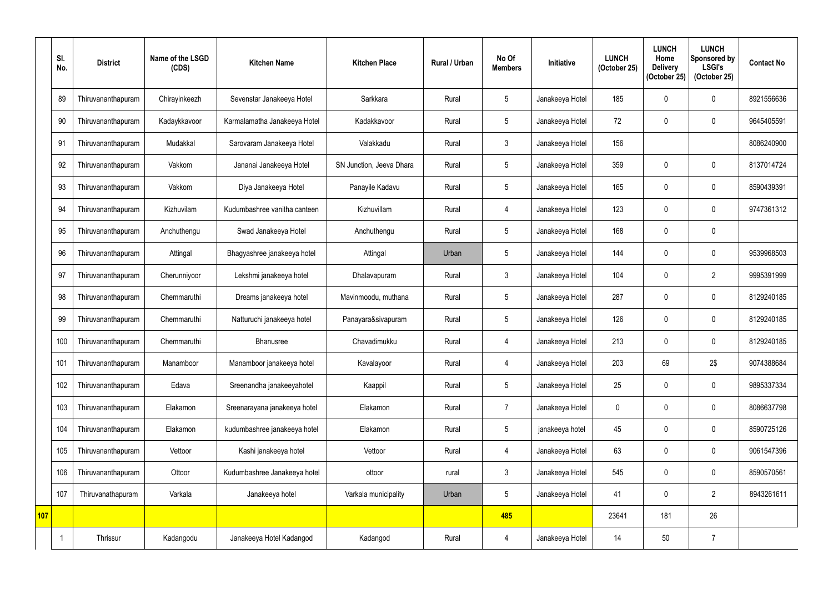|            | SI.<br>No. | <b>District</b>    | Name of the LSGD<br>(CDS) | <b>Kitchen Name</b>          | <b>Kitchen Place</b>     | <b>Rural / Urban</b> | No Of<br><b>Members</b> | <b>Initiative</b> | <b>LUNCH</b><br>(October 25) | <b>LUNCH</b><br>Home<br><b>Delivery</b><br>(October 25) | <b>LUNCH</b><br>Sponsored by<br><b>LSGI's</b><br>(October 25) | <b>Contact No</b> |
|------------|------------|--------------------|---------------------------|------------------------------|--------------------------|----------------------|-------------------------|-------------------|------------------------------|---------------------------------------------------------|---------------------------------------------------------------|-------------------|
|            | 89         | Thiruvananthapuram | Chirayinkeezh             | Sevenstar Janakeeya Hotel    | Sarkkara                 | Rural                | 5                       | Janakeeya Hotel   | 185                          | $\Omega$                                                | $\mathbf 0$                                                   | 8921556636        |
|            | 90         | Thiruvananthapuram | Kadaykkavoor              | Karmalamatha Janakeeya Hotel | Kadakkavoor              | Rural                | 5                       | Janakeeya Hotel   | 72                           | $\Omega$                                                | $\pmb{0}$                                                     | 9645405591        |
|            | 91         | Thiruvananthapuram | Mudakkal                  | Sarovaram Janakeeya Hotel    | Valakkadu                | Rural                | $\mathbf{3}$            | Janakeeya Hotel   | 156                          |                                                         |                                                               | 8086240900        |
|            | 92         | Thiruvananthapuram | Vakkom                    | Jananai Janakeeya Hotel      | SN Junction, Jeeva Dhara | Rural                | 5                       | Janakeeya Hotel   | 359                          | 0                                                       | $\pmb{0}$                                                     | 8137014724        |
|            | 93         | Thiruvananthapuram | Vakkom                    | Diya Janakeeya Hotel         | Panayile Kadavu          | Rural                | $5\phantom{.0}$         | Janakeeya Hotel   | 165                          | $\Omega$                                                | $\pmb{0}$                                                     | 8590439391        |
|            | 94         | Thiruvananthapuram | Kizhuvilam                | Kudumbashree vanitha canteen | Kizhuvillam              | Rural                | $\overline{4}$          | Janakeeya Hotel   | 123                          | $\mathbf 0$                                             | $\mathbf 0$                                                   | 9747361312        |
|            | 95         | Thiruvananthapuram | Anchuthengu               | Swad Janakeeya Hotel         | Anchuthengu              | Rural                | 5                       | Janakeeya Hotel   | 168                          | $\mathbf 0$                                             | $\mathbf 0$                                                   |                   |
|            | 96         | Thiruvananthapuram | Attingal                  | Bhagyashree janakeeya hotel  | Attingal                 | Urban                | 5                       | Janakeeya Hotel   | 144                          | $\Omega$                                                | $\pmb{0}$                                                     | 9539968503        |
|            | 97         | Thiruvananthapuram | Cherunniyoor              | Lekshmi janakeeya hotel      | Dhalavapuram             | Rural                | $\mathbf{3}$            | Janakeeya Hotel   | 104                          | 0                                                       | $\overline{2}$                                                | 9995391999        |
|            | 98         | Thiruvananthapuram | Chemmaruthi               | Dreams janakeeya hotel       | Mavinmoodu, muthana      | Rural                | 5                       | Janakeeya Hotel   | 287                          | 0                                                       | $\mathbf 0$                                                   | 8129240185        |
|            | 99         | Thiruvananthapuram | Chemmaruthi               | Natturuchi janakeeya hotel   | Panayara&sivapuram       | Rural                | $5\phantom{.0}$         | Janakeeya Hotel   | 126                          | $\mathbf 0$                                             | $\mathbf 0$                                                   | 8129240185        |
|            | 100        | Thiruvananthapuram | Chemmaruthi               | Bhanusree                    | Chavadimukku             | Rural                | 4                       | Janakeeya Hotel   | 213                          | $\mathbf 0$                                             | $\mathbf 0$                                                   | 8129240185        |
|            | 101        | Thiruvananthapuram | Manamboor                 | Manamboor janakeeya hotel    | Kavalayoor               | Rural                | 4                       | Janakeeya Hotel   | 203                          | 69                                                      | $2\$                                                          | 9074388684        |
|            | 102        | Thiruvananthapuram | Edava                     | Sreenandha janakeeyahotel    | Kaappil                  | Rural                | $5\phantom{.0}$         | Janakeeya Hotel   | 25                           | $\mathbf 0$                                             | $\boldsymbol{0}$                                              | 9895337334        |
|            | 103        | Thiruvananthapuram | Elakamon                  | Sreenarayana janakeeya hotel | Elakamon                 | Rural                | $\overline{7}$          | Janakeeya Hotel   | $\mathbf 0$                  | $\mathbf 0$                                             | $\boldsymbol{0}$                                              | 8086637798        |
|            | 104        | Thiruvananthapuram | Elakamon                  | kudumbashree janakeeya hotel | Elakamon                 | Rural                | $\sqrt{5}$              | janakeeya hotel   | 45                           | $\mathbf 0$                                             | $\pmb{0}$                                                     | 8590725126        |
|            | 105        | Thiruvananthapuram | Vettoor                   | Kashi janakeeya hotel        | Vettoor                  | Rural                | $\overline{4}$          | Janakeeya Hotel   | 63                           | $\mathbf 0$                                             | $\boldsymbol{0}$                                              | 9061547396        |
|            | 106        | Thiruvananthapuram | Ottoor                    | Kudumbashree Janakeeya hotel | ottoor                   | rural                | $\mathbf{3}$            | Janakeeya Hotel   | 545                          | $\mathbf 0$                                             | $\boldsymbol{0}$                                              | 8590570561        |
|            | 107        | Thiruvanathapuram  | Varkala                   | Janakeeya hotel              | Varkala municipality     | Urban                | $5\overline{)}$         | Janakeeya Hotel   | 41                           | $\mathbf 0$                                             | $\overline{2}$                                                | 8943261611        |
| <b>107</b> |            |                    |                           |                              |                          |                      | 485                     |                   | 23641                        | 181                                                     | 26                                                            |                   |
|            |            | Thrissur           | Kadangodu                 | Janakeeya Hotel Kadangod     | Kadangod                 | Rural                | $\overline{4}$          | Janakeeya Hotel   | 14                           | 50                                                      | $\overline{7}$                                                |                   |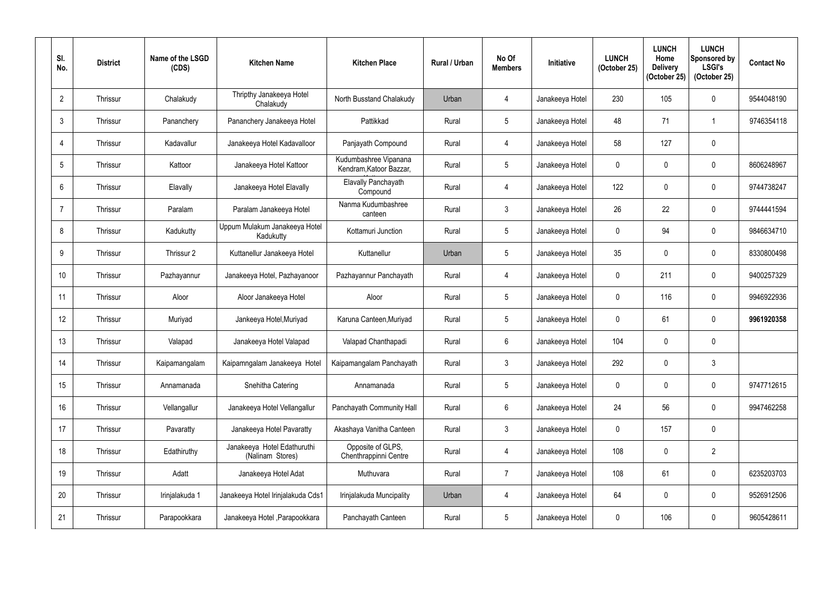| SI.<br>No.      | <b>District</b> | Name of the LSGD<br>(CDS) | <b>Kitchen Name</b>                             | <b>Kitchen Place</b>                             | <b>Rural / Urban</b> | No Of<br><b>Members</b> | Initiative      | <b>LUNCH</b><br>(October 25) | <b>LUNCH</b><br>Home<br><b>Delivery</b><br>(October 25) | <b>LUNCH</b><br>Sponsored by<br><b>LSGI's</b><br>(October 25) | <b>Contact No</b> |
|-----------------|-----------------|---------------------------|-------------------------------------------------|--------------------------------------------------|----------------------|-------------------------|-----------------|------------------------------|---------------------------------------------------------|---------------------------------------------------------------|-------------------|
| $\overline{2}$  | Thrissur        | Chalakudy                 | Thripthy Janakeeya Hotel<br>Chalakudy           | North Busstand Chalakudy                         | Urban                | 4                       | Janakeeya Hotel | 230                          | 105                                                     | 0                                                             | 9544048190        |
| 3               | <b>Thrissur</b> | Pananchery                | Pananchery Janakeeya Hotel                      | Pattikkad                                        | Rural                | $5\phantom{.0}$         | Janakeeya Hotel | 48                           | 71                                                      |                                                               | 9746354118        |
| $\overline{4}$  | Thrissur        | Kadavallur                | Janakeeya Hotel Kadavalloor                     | Panjayath Compound                               | Rural                | $\overline{4}$          | Janakeeya Hotel | 58                           | 127                                                     | 0                                                             |                   |
| $5\overline{)}$ | Thrissur        | Kattoor                   | Janakeeya Hotel Kattoor                         | Kudumbashree Vipanana<br>Kendram, Katoor Bazzar, | Rural                | $\overline{5}$          | Janakeeya Hotel | 0                            | $\mathbf{0}$                                            | 0                                                             | 8606248967        |
| $6\phantom{1}6$ | Thrissur        | Elavally                  | Janakeeya Hotel Elavally                        | <b>Elavally Panchayath</b><br>Compound           | Rural                | 4                       | Janakeeya Hotel | 122                          | $\mathbf 0$                                             | 0                                                             | 9744738247        |
| $\overline{7}$  | Thrissur        | Paralam                   | Paralam Janakeeya Hotel                         | Nanma Kudumbashree<br>canteen                    | Rural                | $\mathfrak{Z}$          | Janakeeya Hotel | 26                           | 22                                                      | 0                                                             | 9744441594        |
| 8               | Thrissur        | Kadukutty                 | Uppum Mulakum Janakeeya Hotel<br>Kadukutty      | Kottamuri Junction                               | Rural                | $\overline{5}$          | Janakeeya Hotel | 0                            | 94                                                      | 0                                                             | 9846634710        |
| 9               | <b>Thrissur</b> | Thrissur 2                | Kuttanellur Janakeeya Hotel                     | Kuttanellur                                      | Urban                | $\overline{5}$          | Janakeeya Hotel | 35                           | $\mathbf 0$                                             | 0                                                             | 8330800498        |
| 10 <sup>°</sup> | Thrissur        | Pazhayannur               | Janakeeya Hotel, Pazhayanoor                    | Pazhayannur Panchayath                           | Rural                | 4                       | Janakeeya Hotel | $\mathbf 0$                  | 211                                                     | 0                                                             | 9400257329        |
| 11              | Thrissur        | Aloor                     | Aloor Janakeeya Hotel                           | Aloor                                            | Rural                | $5\phantom{.0}$         | Janakeeya Hotel | $\mathbf 0$                  | 116                                                     | 0                                                             | 9946922936        |
| 12              | Thrissur        | Muriyad                   | Jankeeya Hotel, Muriyad                         | Karuna Canteen, Muriyad                          | Rural                | $\overline{5}$          | Janakeeya Hotel | $\mathbf 0$                  | 61                                                      | 0                                                             | 9961920358        |
| 13              | Thrissur        | Valapad                   | Janakeeya Hotel Valapad                         | Valapad Chanthapadi                              | Rural                | 6                       | Janakeeya Hotel | 104                          | 0                                                       | 0                                                             |                   |
| 14              | Thrissur        | Kaipamangalam             | Kaipamngalam Janakeeya Hotel                    | Kaipamangalam Panchayath                         | Rural                | $\mathfrak{Z}$          | Janakeeya Hotel | 292                          | 0                                                       | $\mathfrak{Z}$                                                |                   |
| 15              | Thrissur        | Annamanada                | Snehitha Catering                               | Annamanada                                       | Rural                | $5\,$                   | Janakeeya Hotel | 0                            | $\mathbf 0$                                             | 0                                                             | 9747712615        |
| 16              | Thrissur        | Vellangallur              | Janakeeya Hotel Vellangallur                    | Panchayath Community Hall                        | Rural                | $6\phantom{.}$          | Janakeeya Hotel | 24                           | 56                                                      | 0                                                             | 9947462258        |
| 17              | Thrissur        | Pavaratty                 | Janakeeya Hotel Pavaratty                       | Akashaya Vanitha Canteen                         | Rural                | $\mathfrak{Z}$          | Janakeeya Hotel | 0                            | 157                                                     | 0                                                             |                   |
| 18              | Thrissur        | Edathiruthy               | Janakeeya Hotel Edathuruthi<br>(Nalinam Stores) | Opposite of GLPS,<br>Chenthrappinni Centre       | Rural                | $\overline{4}$          | Janakeeya Hotel | 108                          | 0                                                       | $\overline{2}$                                                |                   |
| 19              | Thrissur        | Adatt                     | Janakeeya Hotel Adat                            | Muthuvara                                        | Rural                | $\overline{7}$          | Janakeeya Hotel | 108                          | 61                                                      | 0                                                             | 6235203703        |
| 20              | Thrissur        | Irinjalakuda 1            | Janakeeya Hotel Irinjalakuda Cds1               | Irinjalakuda Muncipality                         | Urban                | $\overline{4}$          | Janakeeya Hotel | 64                           | $\mathbf 0$                                             | 0                                                             | 9526912506        |
| 21              | Thrissur        | Parapookkara              | Janakeeya Hotel , Parapookkara                  | Panchayath Canteen                               | Rural                | $\sqrt{5}$              | Janakeeya Hotel | 0                            | 106                                                     | 0                                                             | 9605428611        |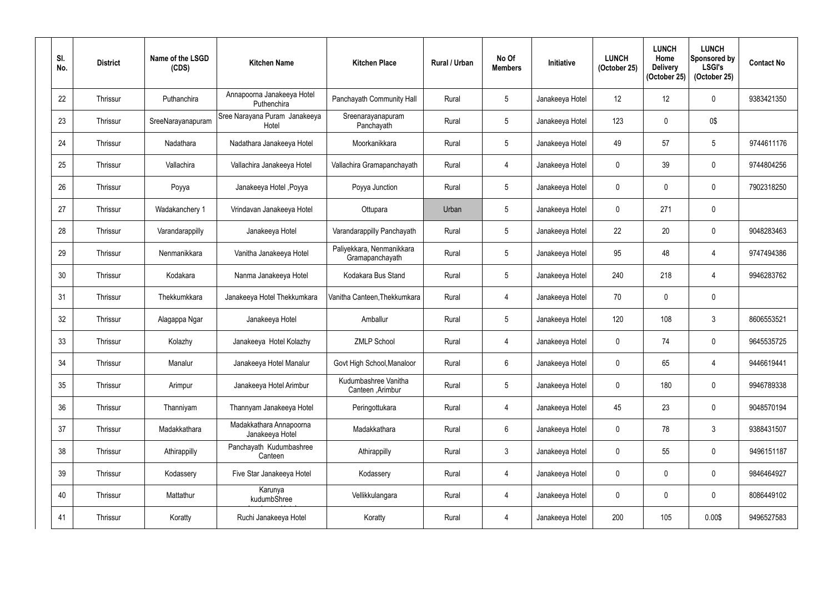| SI.<br>No. | <b>District</b> | Name of the LSGD<br>(CDS) | <b>Kitchen Name</b>                        | <b>Kitchen Place</b>                         | <b>Rural / Urban</b> | No Of<br><b>Members</b> | <b>Initiative</b> | <b>LUNCH</b><br>(October 25) | <b>LUNCH</b><br>Home<br><b>Delivery</b><br>(October 25) | <b>LUNCH</b><br>Sponsored by<br><b>LSGI's</b><br>(October 25) | <b>Contact No</b> |
|------------|-----------------|---------------------------|--------------------------------------------|----------------------------------------------|----------------------|-------------------------|-------------------|------------------------------|---------------------------------------------------------|---------------------------------------------------------------|-------------------|
| 22         | Thrissur        | Puthanchira               | Annapoorna Janakeeya Hotel<br>Puthenchira  | Panchayath Community Hall                    | Rural                | 5                       | Janakeeya Hotel   | 12                           | 12                                                      | 0                                                             | 9383421350        |
| 23         | Thrissur        | SreeNarayanapuram         | Sree Narayana Puram Janakeeya<br>Hotel     | Sreenarayanapuram<br>Panchayath              | Rural                | $5\phantom{.0}$         | Janakeeya Hotel   | 123                          | $\mathbf{0}$                                            | 0\$                                                           |                   |
| 24         | Thrissur        | Nadathara                 | Nadathara Janakeeya Hotel                  | Moorkanikkara                                | Rural                | $5\phantom{.0}$         | Janakeeya Hotel   | 49                           | 57                                                      | $5\phantom{.0}$                                               | 9744611176        |
| 25         | Thrissur        | Vallachira                | Vallachira Janakeeya Hotel                 | Vallachira Gramapanchayath                   | Rural                | 4                       | Janakeeya Hotel   | $\mathbf 0$                  | 39                                                      | 0                                                             | 9744804256        |
| 26         | Thrissur        | Poyya                     | Janakeeya Hotel, Poyya                     | Poyya Junction                               | Rural                | 5                       | Janakeeya Hotel   | $\mathbf{0}$                 | $\mathbf{0}$                                            | 0                                                             | 7902318250        |
| 27         | Thrissur        | Wadakanchery 1            | Vrindavan Janakeeya Hotel                  | Ottupara                                     | Urban                | $5\phantom{.0}$         | Janakeeya Hotel   | 0                            | 271                                                     | 0                                                             |                   |
| 28         | Thrissur        | Varandarappilly           | Janakeeya Hotel                            | Varandarappilly Panchayath                   | Rural                | 5                       | Janakeeya Hotel   | 22                           | 20                                                      | 0                                                             | 9048283463        |
| 29         | Thrissur        | Nenmanikkara              | Vanitha Janakeeya Hotel                    | Paliyekkara, Nenmanikkara<br>Gramapanchayath | Rural                | $5\phantom{.0}$         | Janakeeya Hotel   | 95                           | 48                                                      | 4                                                             | 9747494386        |
| 30         | Thrissur        | Kodakara                  | Nanma Janakeeya Hotel                      | Kodakara Bus Stand                           | Rural                | 5                       | Janakeeya Hotel   | 240                          | 218                                                     | 4                                                             | 9946283762        |
| 31         | Thrissur        | Thekkumkkara              | Janakeeya Hotel Thekkumkara                | Vanitha Canteen, Thekkumkara                 | Rural                | $\overline{4}$          | Janakeeya Hotel   | 70                           | $\mathbf 0$                                             | 0                                                             |                   |
| 32         | Thrissur        | Alagappa Ngar             | Janakeeya Hotel                            | Amballur                                     | Rural                | $\sqrt{5}$              | Janakeeya Hotel   | 120                          | 108                                                     | 3                                                             | 8606553521        |
| 33         | Thrissur        | Kolazhy                   | Janakeeya Hotel Kolazhy                    | <b>ZMLP School</b>                           | Rural                | $\overline{4}$          | Janakeeya Hotel   | $\mathbf 0$                  | 74                                                      | 0                                                             | 9645535725        |
| 34         | Thrissur        | Manalur                   | Janakeeya Hotel Manalur                    | Govt High School, Manaloor                   | Rural                | $6\phantom{.}$          | Janakeeya Hotel   | $\mathbf 0$                  | 65                                                      | 4                                                             | 9446619441        |
| 35         | Thrissur        | Arimpur                   | Janakeeya Hotel Arimbur                    | Kudumbashree Vanitha<br>Canteen, Arimbur     | Rural                | $5\,$                   | Janakeeya Hotel   | $\mathbf 0$                  | 180                                                     | 0                                                             | 9946789338        |
| 36         | Thrissur        | Thanniyam                 | Thannyam Janakeeya Hotel                   | Peringottukara                               | Rural                | $\overline{4}$          | Janakeeya Hotel   | 45                           | 23                                                      | 0                                                             | 9048570194        |
| 37         | Thrissur        | Madakkathara              | Madakkathara Annapoorna<br>Janakeeya Hotel | Madakkathara                                 | Rural                | $6\,$                   | Janakeeya Hotel   | 0                            | 78                                                      | $\mathfrak{Z}$                                                | 9388431507        |
| 38         | Thrissur        | Athirappilly              | Panchayath Kudumbashree<br>Canteen         | Athirappilly                                 | Rural                | $\mathfrak{Z}$          | Janakeeya Hotel   | $\mathbf 0$                  | 55                                                      | $\pmb{0}$                                                     | 9496151187        |
| 39         | Thrissur        | Kodassery                 | Five Star Janakeeya Hotel                  | Kodassery                                    | Rural                | $\overline{4}$          | Janakeeya Hotel   | 0                            | 0                                                       | 0                                                             | 9846464927        |
| 40         | Thrissur        | Mattathur                 | Karunya<br>kudumbShree                     | Vellikkulangara                              | Rural                | $\overline{4}$          | Janakeeya Hotel   | 0                            | $\mathbf 0$                                             | 0                                                             | 8086449102        |
| 41         | Thrissur        | Koratty                   | Ruchi Janakeeya Hotel                      | Koratty                                      | Rural                | $\overline{4}$          | Janakeeya Hotel   | 200                          | 105                                                     | 0.00\$                                                        | 9496527583        |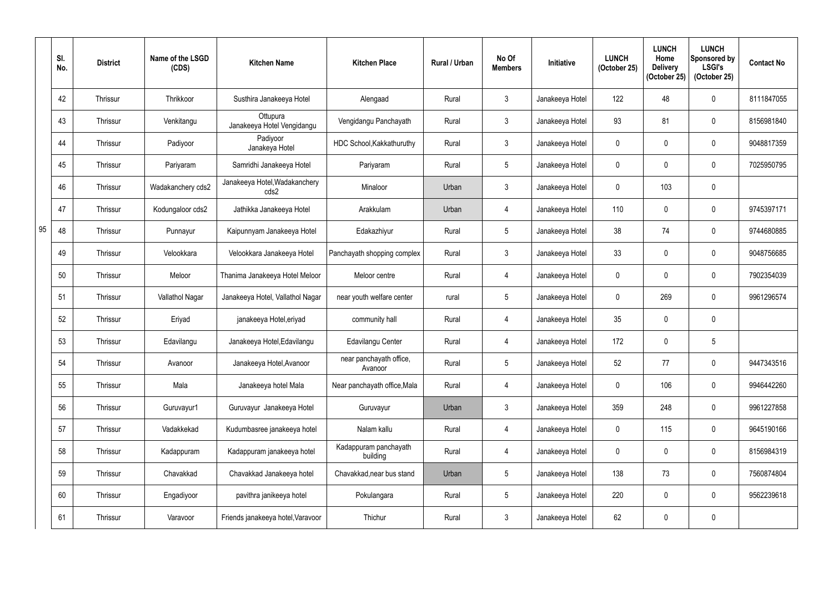|    | SI.<br>No. | <b>District</b> | Name of the LSGD<br>(CDS) | <b>Kitchen Name</b>                    | <b>Kitchen Place</b>               | <b>Rural / Urban</b> | No Of<br><b>Members</b> | <b>Initiative</b> | <b>LUNCH</b><br>(October 25) | <b>LUNCH</b><br>Home<br><b>Delivery</b><br>(October 25) | <b>LUNCH</b><br>Sponsored by<br><b>LSGI's</b><br>(October 25) | <b>Contact No</b> |
|----|------------|-----------------|---------------------------|----------------------------------------|------------------------------------|----------------------|-------------------------|-------------------|------------------------------|---------------------------------------------------------|---------------------------------------------------------------|-------------------|
|    | 42         | Thrissur        | Thrikkoor                 | Susthira Janakeeya Hotel               | Alengaad                           | Rural                | $\mathbf{3}$            | Janakeeya Hotel   | 122                          | 48                                                      | $\mathbf 0$                                                   | 8111847055        |
|    | 43         | Thrissur        | Venkitangu                | Ottupura<br>Janakeeya Hotel Vengidangu | Vengidangu Panchayath              | Rural                | $\mathbf{3}$            | Janakeeya Hotel   | 93                           | 81                                                      | $\mathbf 0$                                                   | 8156981840        |
|    | 44         | Thrissur        | Padiyoor                  | Padiyoor<br>Janakeya Hotel             | HDC School, Kakkathuruthy          | Rural                | $\mathbf{3}$            | Janakeeya Hotel   | $\mathbf 0$                  | $\Omega$                                                | $\mathbf 0$                                                   | 9048817359        |
|    | 45         | Thrissur        | Pariyaram                 | Samridhi Janakeeya Hotel               | Pariyaram                          | Rural                | $5\phantom{.0}$         | Janakeeya Hotel   | $\mathbf 0$                  |                                                         | $\boldsymbol{0}$                                              | 7025950795        |
|    | 46         | Thrissur        | Wadakanchery cds2         | Janakeeya Hotel, Wadakanchery<br>cds2  | Minaloor                           | Urban                | $\mathbf{3}$            | Janakeeya Hotel   | $\overline{0}$               | 103                                                     | $\pmb{0}$                                                     |                   |
|    | 47         | Thrissur        | Kodungaloor cds2          | Jathikka Janakeeya Hotel               | Arakkulam                          | Urban                | 4                       | Janakeeya Hotel   | 110                          | 0                                                       | $\mathbf 0$                                                   | 9745397171        |
| 95 | 48         | Thrissur        | Punnayur                  | Kaipunnyam Janakeeya Hotel             | Edakazhiyur                        | Rural                | 5                       | Janakeeya Hotel   | 38                           | 74                                                      | $\mathbf 0$                                                   | 9744680885        |
|    | 49         | Thrissur        | Velookkara                | Velookkara Janakeeya Hotel             | Panchayath shopping complex        | Rural                | $\mathbf{3}$            | Janakeeya Hotel   | 33                           | 0                                                       | $\boldsymbol{0}$                                              | 9048756685        |
|    | 50         | Thrissur        | Meloor                    | Thanima Janakeeya Hotel Meloor         | Meloor centre                      | Rural                | 4                       | Janakeeya Hotel   | $\mathbf 0$                  |                                                         | $\mathbf 0$                                                   | 7902354039        |
|    | 51         | Thrissur        | Vallathol Nagar           | Janakeeya Hotel, Vallathol Nagar       | near youth welfare center          | rural                | $5\overline{)}$         | Janakeeya Hotel   | $\mathbf 0$                  | 269                                                     | $\mathbf 0$                                                   | 9961296574        |
|    | 52         | Thrissur        | Eriyad                    | janakeeya Hotel, eriyad                | community hall                     | Rural                | $\overline{4}$          | Janakeeya Hotel   | 35                           | $\mathbf 0$                                             | $\mathbf 0$                                                   |                   |
|    | 53         | Thrissur        | Edavilangu                | Janakeeya Hotel, Edavilangu            | Edavilangu Center                  | Rural                | 4                       | Janakeeya Hotel   | 172                          | 0                                                       | 5                                                             |                   |
|    | 54         | Thrissur        | Avanoor                   | Janakeeya Hotel, Avanoor               | near panchayath office,<br>Avanoor | Rural                | $5\phantom{.0}$         | Janakeeya Hotel   | 52                           | 77                                                      | $\pmb{0}$                                                     | 9447343516        |
|    | 55         | Thrissur        | Mala                      | Janakeeya hotel Mala                   | Near panchayath office, Mala       | Rural                | $\overline{4}$          | Janakeeya Hotel   | $\mathbf 0$                  | 106                                                     | $\pmb{0}$                                                     | 9946442260        |
|    | 56         | Thrissur        | Guruvayur1                | Guruvayur Janakeeya Hotel              | Guruvayur                          | Urban                | $\mathfrak{Z}$          | Janakeeya Hotel   | 359                          | 248                                                     | $\pmb{0}$                                                     | 9961227858        |
|    | 57         | Thrissur        | Vadakkekad                | Kudumbasree janakeeya hotel            | Nalam kallu                        | Rural                | $\overline{4}$          | Janakeeya Hotel   | $\boldsymbol{0}$             | 115                                                     | $\pmb{0}$                                                     | 9645190166        |
|    | 58         | Thrissur        | Kadappuram                | Kadappuram janakeeya hotel             | Kadappuram panchayath<br>building  | Rural                | $\overline{4}$          | Janakeeya Hotel   | $\mathbf 0$                  | $\mathbf 0$                                             | $\pmb{0}$                                                     | 8156984319        |
|    | 59         | Thrissur        | Chavakkad                 | Chavakkad Janakeeya hotel              | Chavakkad, near bus stand          | Urban                | $5\phantom{.0}$         | Janakeeya Hotel   | 138                          | 73                                                      | $\pmb{0}$                                                     | 7560874804        |
|    | 60         | Thrissur        | Engadiyoor                | pavithra janikeeya hotel               | Pokulangara                        | Rural                | $5\phantom{.0}$         | Janakeeya Hotel   | 220                          | $\mathbf 0$                                             | $\mathbf 0$                                                   | 9562239618        |
|    | 61         | Thrissur        | Varavoor                  | Friends janakeeya hotel, Varavoor      | Thichur                            | Rural                | $\mathfrak{Z}$          | Janakeeya Hotel   | 62                           | 0                                                       | $\pmb{0}$                                                     |                   |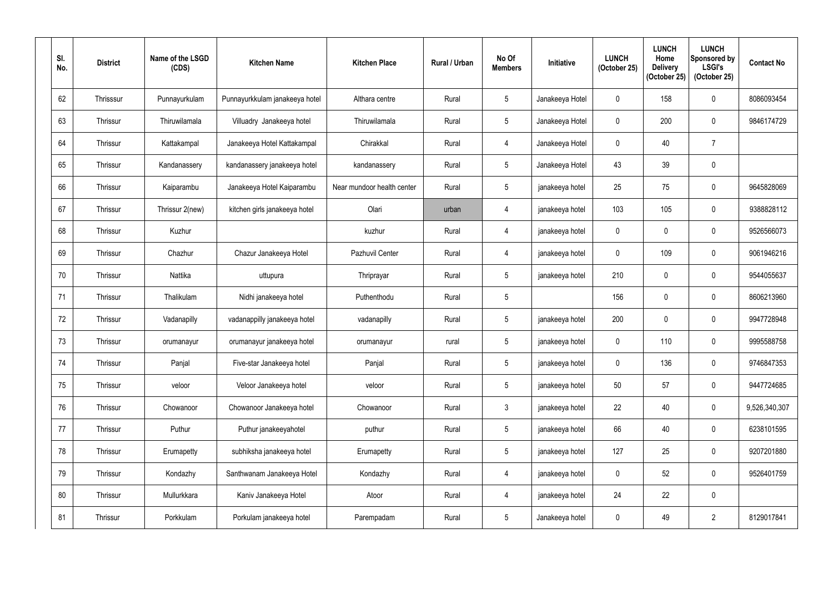| SI.<br>No. | <b>District</b> | Name of the LSGD<br>(CDS) | <b>Kitchen Name</b>            | <b>Kitchen Place</b>       | <b>Rural / Urban</b> | No Of<br><b>Members</b> | Initiative      | <b>LUNCH</b><br>(October 25) | <b>LUNCH</b><br>Home<br><b>Delivery</b><br>(October 25) | <b>LUNCH</b><br>Sponsored by<br><b>LSGI's</b><br>(October 25) | <b>Contact No</b> |
|------------|-----------------|---------------------------|--------------------------------|----------------------------|----------------------|-------------------------|-----------------|------------------------------|---------------------------------------------------------|---------------------------------------------------------------|-------------------|
| 62         | Thrisssur       | Punnayurkulam             | Punnayurkkulam janakeeya hotel | Althara centre             | Rural                | $5\phantom{.0}$         | Janakeeya Hotel | 0                            | 158                                                     | 0                                                             | 8086093454        |
| 63         | Thrissur        | Thiruwilamala             | Villuadry Janakeeya hotel      | Thiruwilamala              | Rural                | $5\phantom{.0}$         | Janakeeya Hotel | $\mathbf 0$                  | 200                                                     | 0                                                             | 9846174729        |
| 64         | Thrissur        | Kattakampal               | Janakeeya Hotel Kattakampal    | Chirakkal                  | Rural                | $\overline{4}$          | Janakeeya Hotel | $\mathbf 0$                  | 40                                                      | $\overline{7}$                                                |                   |
| 65         | <b>Thrissur</b> | Kandanassery              | kandanassery janakeeya hotel   | kandanassery               | Rural                | $\overline{5}$          | Janakeeya Hotel | 43                           | 39                                                      | 0                                                             |                   |
| 66         | Thrissur        | Kaiparambu                | Janakeeya Hotel Kaiparambu     | Near mundoor health center | Rural                | $5\phantom{.0}$         | janakeeya hotel | 25                           | 75                                                      | 0                                                             | 9645828069        |
| 67         | Thrissur        | Thrissur 2(new)           | kitchen girls janakeeya hotel  | Olari                      | urban                | 4                       | janakeeya hotel | 103                          | 105                                                     | 0                                                             | 9388828112        |
| 68         | Thrissur        | Kuzhur                    |                                | kuzhur                     | Rural                | 4                       | janakeeya hotel | $\mathbf 0$                  | 0                                                       | 0                                                             | 9526566073        |
| 69         | Thrissur        | Chazhur                   | Chazur Janakeeya Hotel         | Pazhuvil Center            | Rural                | 4                       | janakeeya hotel | 0                            | 109                                                     | 0                                                             | 9061946216        |
| 70         | Thrissur        | Nattika                   | uttupura                       | Thriprayar                 | Rural                | $5\phantom{.0}$         | janakeeya hotel | 210                          | 0                                                       | 0                                                             | 9544055637        |
| 71         | Thrissur        | Thalikulam                | Nidhi janakeeya hotel          | Puthenthodu                | Rural                | $\overline{5}$          |                 | 156                          | 0                                                       | 0                                                             | 8606213960        |
| 72         | Thrissur        | Vadanapilly               | vadanappilly janakeeya hotel   | vadanapilly                | Rural                | $\overline{5}$          | janakeeya hotel | 200                          | 0                                                       | 0                                                             | 9947728948        |
| 73         | Thrissur        | orumanayur                | orumanayur janakeeya hotel     | orumanayur                 | rural                | $\overline{5}$          | janakeeya hotel | $\mathbf 0$                  | 110                                                     | 0                                                             | 9995588758        |
| 74         | Thrissur        | Panjal                    | Five-star Janakeeya hotel      | Panjal                     | Rural                | $\sqrt{5}$              | janakeeya hotel | 0                            | 136                                                     | 0                                                             | 9746847353        |
| 75         | Thrissur        | veloor                    | Veloor Janakeeya hotel         | veloor                     | Rural                | $\sqrt{5}$              | janakeeya hotel | 50                           | 57                                                      | 0                                                             | 9447724685        |
| 76         | Thrissur        | Chowanoor                 | Chowanoor Janakeeya hotel      | Chowanoor                  | Rural                | $\mathfrak{Z}$          | janakeeya hotel | 22                           | 40                                                      | $\pmb{0}$                                                     | 9,526,340,307     |
| 77         | Thrissur        | Puthur                    | Puthur janakeeyahotel          | puthur                     | Rural                | $\sqrt{5}$              | janakeeya hotel | 66                           | 40                                                      | $\pmb{0}$                                                     | 6238101595        |
| 78         | Thrissur        | Erumapetty                | subhiksha janakeeya hotel      | Erumapetty                 | Rural                | $5\phantom{.0}$         | janakeeya hotel | 127                          | 25                                                      | 0                                                             | 9207201880        |
| 79         | Thrissur        | Kondazhy                  | Santhwanam Janakeeya Hotel     | Kondazhy                   | Rural                | $\overline{4}$          | janakeeya hotel | $\mathbf 0$                  | 52                                                      | $\pmb{0}$                                                     | 9526401759        |
| 80         | Thrissur        | Mullurkkara               | Kaniv Janakeeya Hotel          | Atoor                      | Rural                | $\overline{4}$          | janakeeya hotel | 24                           | 22                                                      | $\mathbf 0$                                                   |                   |
| 81         | Thrissur        | Porkkulam                 | Porkulam janakeeya hotel       | Parempadam                 | Rural                | $\sqrt{5}$              | Janakeeya hotel | 0                            | 49                                                      | $\overline{2}$                                                | 8129017841        |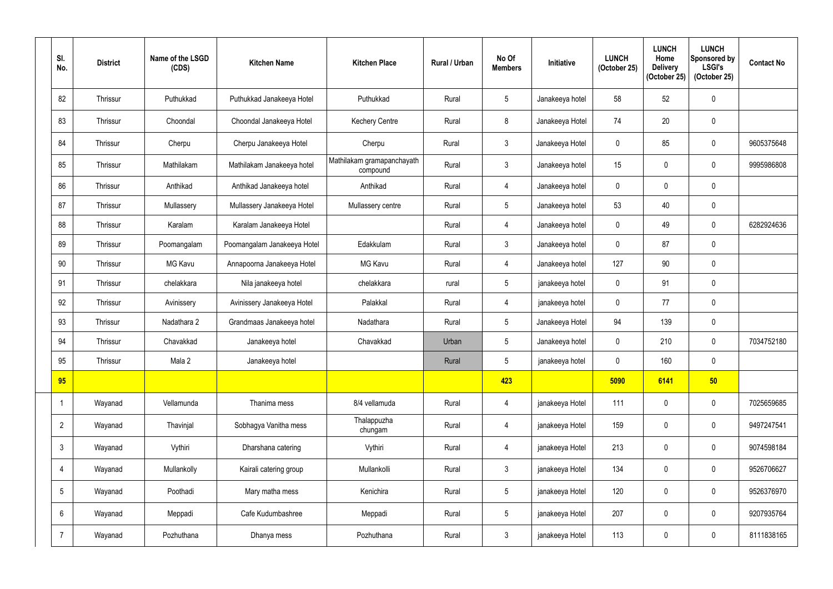| SI.<br>No.      | <b>District</b> | Name of the LSGD<br>(CDS) | <b>Kitchen Name</b>         | <b>Kitchen Place</b>                   | <b>Rural / Urban</b> | No Of<br><b>Members</b> | <b>Initiative</b> | <b>LUNCH</b><br>(October 25) | <b>LUNCH</b><br>Home<br><b>Delivery</b><br>(October 25) | <b>LUNCH</b><br>Sponsored by<br><b>LSGI's</b><br>(October 25) | <b>Contact No</b> |
|-----------------|-----------------|---------------------------|-----------------------------|----------------------------------------|----------------------|-------------------------|-------------------|------------------------------|---------------------------------------------------------|---------------------------------------------------------------|-------------------|
| 82              | Thrissur        | Puthukkad                 | Puthukkad Janakeeya Hotel   | Puthukkad                              | Rural                | $5\phantom{.0}$         | Janakeeya hotel   | 58                           | 52                                                      | $\pmb{0}$                                                     |                   |
| 83              | Thrissur        | Choondal                  | Choondal Janakeeya Hotel    | <b>Kechery Centre</b>                  | Rural                | 8                       | Janakeeya Hotel   | 74                           | 20                                                      | $\pmb{0}$                                                     |                   |
| 84              | Thrissur        | Cherpu                    | Cherpu Janakeeya Hotel      | Cherpu                                 | Rural                | $\mathfrak{Z}$          | Janakeeya Hotel   | $\mathbf 0$                  | 85                                                      | $\mathbf 0$                                                   | 9605375648        |
| 85              | Thrissur        | Mathilakam                | Mathilakam Janakeeya hotel  | Mathilakam gramapanchayath<br>compound | Rural                | $\mathfrak{Z}$          | Janakeeya hotel   | 15                           | $\mathbf 0$                                             | $\pmb{0}$                                                     | 9995986808        |
| 86              | Thrissur        | Anthikad                  | Anthikad Janakeeya hotel    | Anthikad                               | Rural                | 4                       | Janakeeya hotel   | $\pmb{0}$                    | $\mathbf 0$                                             | $\pmb{0}$                                                     |                   |
| 87              | Thrissur        | Mullassery                | Mullassery Janakeeya Hotel  | Mullassery centre                      | Rural                | $5\phantom{.0}$         | Janakeeya hotel   | 53                           | 40                                                      | 0                                                             |                   |
| 88              | Thrissur        | Karalam                   | Karalam Janakeeya Hotel     |                                        | Rural                | $\overline{4}$          | Janakeeya hotel   | $\mathbf 0$                  | 49                                                      | $\mathbf 0$                                                   | 6282924636        |
| 89              | Thrissur        | Poomangalam               | Poomangalam Janakeeya Hotel | Edakkulam                              | Rural                | $3\phantom{a}$          | Janakeeya hotel   | $\mathbf 0$                  | 87                                                      | $\pmb{0}$                                                     |                   |
| 90              | Thrissur        | MG Kavu                   | Annapoorna Janakeeya Hotel  | <b>MG Kavu</b>                         | Rural                | 4                       | Janakeeya hotel   | 127                          | 90                                                      | $\pmb{0}$                                                     |                   |
| 91              | Thrissur        | chelakkara                | Nila janakeeya hotel        | chelakkara                             | rural                | $5\phantom{.0}$         | janakeeya hotel   | $\mathbf 0$                  | 91                                                      | $\pmb{0}$                                                     |                   |
| 92              | Thrissur        | Avinissery                | Avinissery Janakeeya Hotel  | Palakkal                               | Rural                | 4                       | janakeeya hotel   | $\mathbf 0$                  | 77                                                      | $\pmb{0}$                                                     |                   |
| 93              | Thrissur        | Nadathara 2               | Grandmaas Janakeeya hotel   | Nadathara                              | Rural                | $5\overline{)}$         | Janakeeya Hotel   | 94                           | 139                                                     | 0                                                             |                   |
| 94              | Thrissur        | Chavakkad                 | Janakeeya hotel             | Chavakkad                              | Urban                | $5\phantom{.0}$         | Janakeeya hotel   | $\mathbf 0$                  | 210                                                     | $\pmb{0}$                                                     | 7034752180        |
| 95              | Thrissur        | Mala 2                    | Janakeeya hotel             |                                        | Rural                | $5\overline{)}$         | janakeeya hotel   | $\mathbf 0$                  | 160                                                     | $\pmb{0}$                                                     |                   |
| 95              |                 |                           |                             |                                        |                      | 423                     |                   | 5090                         | 6141                                                    | 50                                                            |                   |
| $\overline{1}$  | Wayanad         | Vellamunda                | Thanima mess                | 8/4 vellamuda                          | Rural                | $\overline{4}$          | janakeeya Hotel   | 111                          | $\pmb{0}$                                               | $\boldsymbol{0}$                                              | 7025659685        |
| $\overline{2}$  | Wayanad         | Thavinjal                 | Sobhagya Vanitha mess       | Thalappuzha<br>chungam                 | Rural                | $\overline{4}$          | janakeeya Hotel   | 159                          | $\pmb{0}$                                               | $\pmb{0}$                                                     | 9497247541        |
| $\mathbf{3}$    | Wayanad         | Vythiri                   | Dharshana catering          | Vythiri                                | Rural                | $\overline{4}$          | janakeeya Hotel   | 213                          | $\mathbf 0$                                             | $\pmb{0}$                                                     | 9074598184        |
| $\overline{4}$  | Wayanad         | Mullankolly               | Kairali catering group      | Mullankolli                            | Rural                | $\mathfrak{Z}$          | janakeeya Hotel   | 134                          | $\mathbf 0$                                             | $\boldsymbol{0}$                                              | 9526706627        |
| $5\phantom{.0}$ | Wayanad         | Poothadi                  | Mary matha mess             | Kenichira                              | Rural                | $5\phantom{.0}$         | janakeeya Hotel   | 120                          | $\mathbf 0$                                             | $\pmb{0}$                                                     | 9526376970        |
| $6\overline{6}$ | Wayanad         | Meppadi                   | Cafe Kudumbashree           | Meppadi                                | Rural                | $\sqrt{5}$              | janakeeya Hotel   | 207                          | $\mathbf 0$                                             | $\pmb{0}$                                                     | 9207935764        |
| $\overline{7}$  | Wayanad         | Pozhuthana                | Dhanya mess                 | Pozhuthana                             | Rural                | $\mathfrak{Z}$          | janakeeya Hotel   | 113                          | $\mathbf 0$                                             | $\pmb{0}$                                                     | 8111838165        |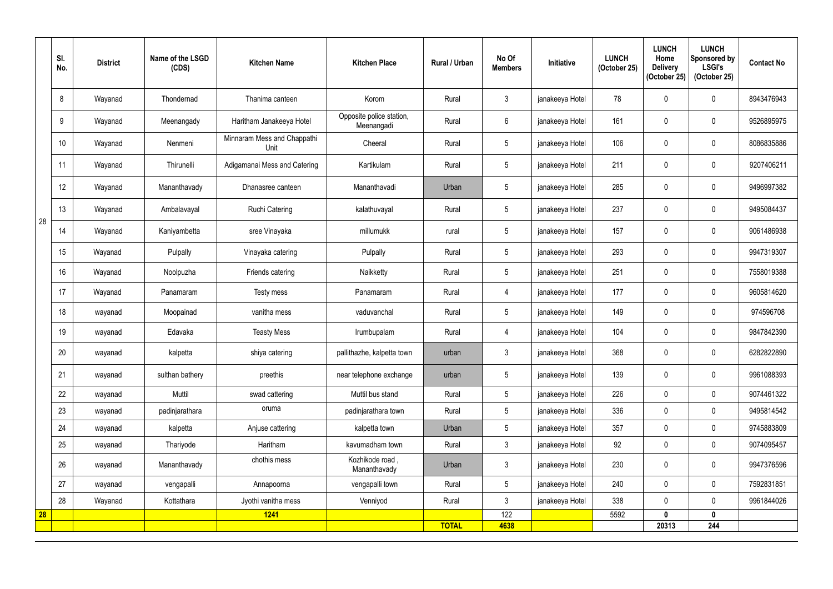|                 | SI.<br>No.      | <b>District</b> | Name of the LSGD<br>(CDS) | <b>Kitchen Name</b>                 | <b>Kitchen Place</b>                   | Rural / Urban | No Of<br><b>Members</b> | Initiative      | <b>LUNCH</b><br>(October 25) | <b>LUNCH</b><br>Home<br><b>Delivery</b><br>(October 25) | <b>LUNCH</b><br>Sponsored by<br><b>LSGI's</b><br>(October 25) | <b>Contact No</b> |
|-----------------|-----------------|-----------------|---------------------------|-------------------------------------|----------------------------------------|---------------|-------------------------|-----------------|------------------------------|---------------------------------------------------------|---------------------------------------------------------------|-------------------|
|                 | 8               | Wayanad         | Thondernad                | Thanima canteen                     | Korom                                  | Rural         | $\mathfrak{Z}$          | janakeeya Hotel | 78                           |                                                         | $\mathbf 0$                                                   | 8943476943        |
|                 | 9               | Wayanad         | Meenangady                | Haritham Janakeeya Hotel            | Opposite police station,<br>Meenangadi | Rural         | 6                       | janakeeya Hotel | 161                          |                                                         | $\mathbf 0$                                                   | 9526895975        |
|                 | 10 <sup>°</sup> | Wayanad         | Nenmeni                   | Minnaram Mess and Chappathi<br>Unit | Cheeral                                | Rural         | 5                       | janakeeya Hotel | 106                          | $\Omega$                                                | $\mathbf 0$                                                   | 8086835886        |
|                 | 11              | Wayanad         | Thirunelli                | Adigamanai Mess and Catering        | Kartikulam                             | Rural         | 5                       | janakeeya Hotel | 211                          |                                                         | $\mathbf 0$                                                   | 9207406211        |
|                 | 12              | Wayanad         | Mananthavady              | Dhanasree canteen                   | Mananthavadi                           | Urban         | 5                       | janakeeya Hotel | 285                          |                                                         | $\pmb{0}$                                                     | 9496997382        |
|                 | 13              | Wayanad         | Ambalavayal               | <b>Ruchi Catering</b>               | kalathuvayal                           | Rural         | 5 <sub>5</sub>          | janakeeya Hotel | 237                          |                                                         | $\mathbf 0$                                                   | 9495084437        |
| 28              | 14              | Wayanad         | Kaniyambetta              | sree Vinayaka                       | millumukk                              | rural         | 5                       | janakeeya Hotel | 157                          |                                                         | $\mathbf 0$                                                   | 9061486938        |
|                 | 15 <sup>2</sup> | Wayanad         | Pulpally                  | Vinayaka catering                   | Pulpally                               | Rural         | 5                       | janakeeya Hotel | 293                          | $\Omega$                                                | $\mathbf 0$                                                   | 9947319307        |
|                 | 16 <sup>°</sup> | Wayanad         | Noolpuzha                 | Friends catering                    | Naikketty                              | Rural         | 5 <sub>5</sub>          | janakeeya Hotel | 251                          |                                                         | $\mathbf 0$                                                   | 7558019388        |
|                 | 17              | Wayanad         | Panamaram                 | Testy mess                          | Panamaram                              | Rural         | 4                       | janakeeya Hotel | 177                          |                                                         | $\mathbf 0$                                                   | 9605814620        |
|                 | 18              | wayanad         | Moopainad                 | vanitha mess                        | vaduvanchal                            | Rural         | 5 <sup>5</sup>          | janakeeya Hotel | 149                          | $\Omega$                                                | $\mathbf 0$                                                   | 974596708         |
|                 | 19              | wayanad         | Edavaka                   | <b>Teasty Mess</b>                  | Irumbupalam                            | Rural         | $\overline{4}$          | janakeeya Hotel | 104                          |                                                         | $\mathbf 0$                                                   | 9847842390        |
|                 | 20              | wayanad         | kalpetta                  | shiya catering                      | pallithazhe, kalpetta town             | urban         | 3                       | janakeeya Hotel | 368                          | 0                                                       | $\mathbf 0$                                                   | 6282822890        |
|                 | 21              | wayanad         | sulthan bathery           | preethis                            | near telephone exchange                | urban         | $5\overline{)}$         | janakeeya Hotel | 139                          | $\mathbf 0$                                             | $\pmb{0}$                                                     | 9961088393        |
|                 | 22              | wayanad         | Muttil                    | swad cattering                      | Muttil bus stand                       | Rural         | $5\overline{)}$         | janakeeya Hotel | 226                          | $\mathbf 0$                                             | $\mathbf 0$                                                   | 9074461322        |
|                 | 23              | wayanad         | padinjarathara            | oruma                               | padinjarathara town                    | Rural         | $5\overline{)}$         | janakeeya Hotel | 336                          | $\mathbf{0}$                                            | $\mathbf 0$                                                   | 9495814542        |
|                 | 24              | wayanad         | kalpetta                  | Anjuse cattering                    | kalpetta town                          | Urban         | $5\overline{)}$         | janakeeya Hotel | 357                          | $\mathbf{0}$                                            | $\mathbf 0$                                                   | 9745883809        |
|                 | 25              | wayanad         | Thariyode                 | Haritham                            | kavumadham town                        | Rural         | $\mathfrak{Z}$          | janakeeya Hotel | 92                           | $\mathbf 0$                                             | $\mathbf 0$                                                   | 9074095457        |
|                 | 26              | wayanad         | Mananthavady              | chothis mess                        | Kozhikode road,<br>Mananthavady        | Urban         | $\mathfrak{Z}$          | janakeeya Hotel | 230                          | 0                                                       | $\pmb{0}$                                                     | 9947376596        |
|                 | 27              | wayanad         | vengapalli                | Annapoorna                          | vengapalli town                        | Rural         | 5 <sub>5</sub>          | janakeeya Hotel | 240                          | $\mathbf{0}$                                            | $\mathbf 0$                                                   | 7592831851        |
|                 | 28              | Wayanad         | Kottathara                | Jyothi vanitha mess                 | Venniyod                               | Rural         | $\mathfrak{Z}$          | janakeeya Hotel | 338                          | $\mathbf 0$                                             | $\mathbf 0$                                                   | 9961844026        |
| $\overline{28}$ |                 |                 |                           | 1241                                |                                        |               | 122                     |                 | 5592                         |                                                         | $\pmb{0}$                                                     |                   |
|                 |                 |                 |                           |                                     |                                        | <b>TOTAL</b>  | 4638                    |                 |                              | 20313                                                   | 244                                                           |                   |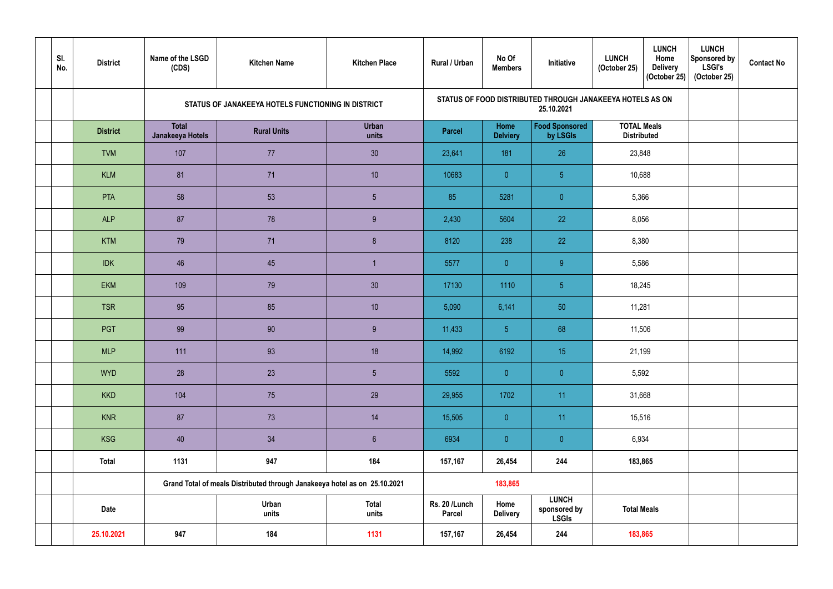| SI.<br>No. | <b>District</b> | Name of the LSGD<br>(CDS)        | <b>Kitchen Name</b>                                                       | <b>Kitchen Place</b>  | Rural / Urban                  | No Of<br><b>Members</b> | Initiative                                   | <b>LUNCH</b><br>(October 25)                              | <b>LUNCH</b><br>Home<br><b>Delivery</b><br>(October 25) | <b>LUNCH</b><br>Sponsored by<br><b>LSGI's</b><br>(October 25) | <b>Contact No</b> |
|------------|-----------------|----------------------------------|---------------------------------------------------------------------------|-----------------------|--------------------------------|-------------------------|----------------------------------------------|-----------------------------------------------------------|---------------------------------------------------------|---------------------------------------------------------------|-------------------|
|            |                 |                                  | STATUS OF JANAKEEYA HOTELS FUNCTIONING IN DISTRICT                        |                       |                                |                         | 25.10.2021                                   | STATUS OF FOOD DISTRIBUTED THROUGH JANAKEEYA HOTELS AS ON |                                                         |                                                               |                   |
|            | <b>District</b> | <b>Total</b><br>Janakeeya Hotels | <b>Rural Units</b>                                                        | <b>Urban</b><br>units | <b>Parcel</b>                  | Home<br><b>Delviery</b> | <b>Food Sponsored</b><br>by LSGIs            | <b>TOTAL Meals</b><br><b>Distributed</b>                  |                                                         |                                                               |                   |
|            | <b>TVM</b>      | 107                              | 77                                                                        | 30                    | 23,641                         | 181                     | 26                                           | 23,848                                                    |                                                         |                                                               |                   |
|            | <b>KLM</b>      | 81                               | 71                                                                        | 10 <sup>°</sup>       | 10683                          | $\overline{0}$          | 5 <sub>5</sub>                               | 10,688                                                    |                                                         |                                                               |                   |
|            | <b>PTA</b>      | 58                               | 53                                                                        | 5 <sub>5</sub>        | 85                             | 5281                    | $\overline{0}$                               | 5,366                                                     |                                                         |                                                               |                   |
|            | <b>ALP</b>      | 87                               | 78                                                                        | 9                     | 2,430                          | 5604                    | 22                                           | 8,056                                                     |                                                         |                                                               |                   |
|            | <b>KTM</b>      | 79                               | 71                                                                        | 8                     | 8120                           | 238                     | 22                                           | 8,380                                                     |                                                         |                                                               |                   |
|            | <b>IDK</b>      | 46                               | 45                                                                        |                       | 5577                           | $\overline{0}$          | 9 <sup>°</sup>                               | 5,586                                                     |                                                         |                                                               |                   |
|            | <b>EKM</b>      | 109                              | 79                                                                        | 30                    | 17130                          | 1110                    | 5 <sub>5</sub>                               | 18,245                                                    |                                                         |                                                               |                   |
|            | <b>TSR</b>      | 95                               | 85                                                                        | 10 <sup>°</sup>       | 5,090                          | 6,141                   | 50                                           | 11,281                                                    |                                                         |                                                               |                   |
|            | <b>PGT</b>      | 99                               | 90                                                                        | 9                     | 11,433                         | 5 <sup>5</sup>          | 68                                           | 11,506                                                    |                                                         |                                                               |                   |
|            | <b>MLP</b>      | 111                              | 93                                                                        | 18                    | 14,992                         | 6192                    | 15                                           | 21,199                                                    |                                                         |                                                               |                   |
|            | <b>WYD</b>      | 28                               | 23                                                                        | 5 <sub>5</sub>        | 5592                           | $\mathbf{0}$            | $\overline{0}$                               | 5,592                                                     |                                                         |                                                               |                   |
|            | <b>KKD</b>      | 104                              | 75                                                                        | 29                    | 29,955                         | 1702                    | 11                                           | 31,668                                                    |                                                         |                                                               |                   |
|            | <b>KNR</b>      | 87                               | 73                                                                        | 14                    | 15,505                         | $\overline{0}$          | 11                                           | 15,516                                                    |                                                         |                                                               |                   |
|            | <b>KSG</b>      | 40                               | 34                                                                        | $6\overline{6}$       | 6934                           | $\overline{0}$          | $\overline{0}$                               | 6,934                                                     |                                                         |                                                               |                   |
|            | <b>Total</b>    | 1131                             | 947                                                                       | 184                   | 157,167                        | 26,454                  | 244                                          | 183,865                                                   |                                                         |                                                               |                   |
|            |                 |                                  | Grand Total of meals Distributed through Janakeeya hotel as on 25.10.2021 |                       |                                | 183,865                 |                                              |                                                           |                                                         |                                                               |                   |
|            | Date            |                                  | Urban<br>units                                                            | <b>Total</b><br>units | Rs. 20 /Lunch<br><b>Parcel</b> | Home<br><b>Delivery</b> | <b>LUNCH</b><br>sponsored by<br><b>LSGIs</b> | <b>Total Meals</b>                                        |                                                         |                                                               |                   |
|            | 25.10.2021      | 947                              | 184                                                                       | 1131                  | 157,167                        | 26,454                  | 244                                          | 183,865                                                   |                                                         |                                                               |                   |